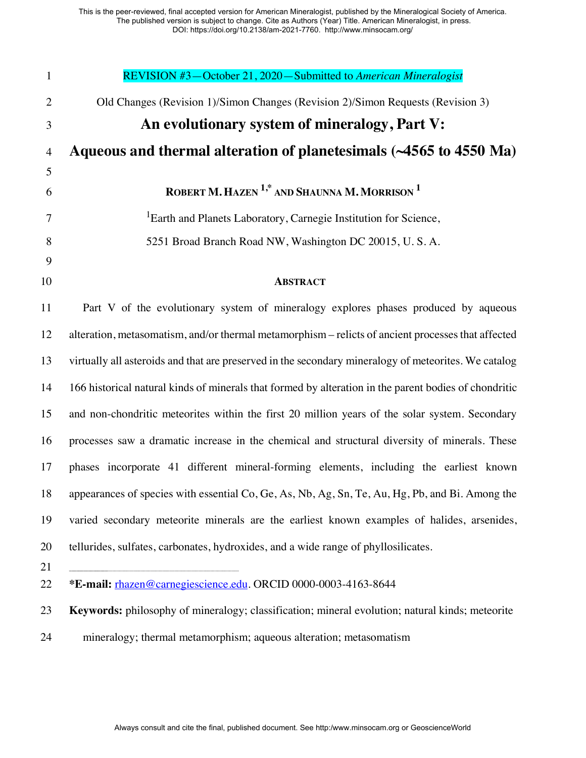| $\mathbf{1}$   | REVISION #3-October 21, 2020-Submitted to American Mineralogist                                       |
|----------------|-------------------------------------------------------------------------------------------------------|
| $\mathbf{2}$   | Old Changes (Revision 1)/Simon Changes (Revision 2)/Simon Requests (Revision 3)                       |
| $\mathfrak{Z}$ | An evolutionary system of mineralogy, Part V:                                                         |
| $\overline{4}$ | Aqueous and thermal alteration of planetesimals (~4565 to 4550 Ma)                                    |
| 5              |                                                                                                       |
| 6              | ROBERT M. HAZEN <sup>1,*</sup> AND SHAUNNA M. MORRISON <sup>1</sup>                                   |
| $\tau$         | <sup>1</sup> Earth and Planets Laboratory, Carnegie Institution for Science,                          |
| 8              | 5251 Broad Branch Road NW, Washington DC 20015, U.S.A.                                                |
| 9              |                                                                                                       |
| 10             | <b>ABSTRACT</b>                                                                                       |
| 11             | Part V of the evolutionary system of mineralogy explores phases produced by aqueous                   |
| 12             | alteration, metasomatism, and/or thermal metamorphism - relicts of ancient processes that affected    |
| 13             | virtually all asteroids and that are preserved in the secondary mineralogy of meteorites. We catalog  |
| 14             | 166 historical natural kinds of minerals that formed by alteration in the parent bodies of chondritic |
| 15             | and non-chondritic meteorites within the first 20 million years of the solar system. Secondary        |
| 16             | processes saw a dramatic increase in the chemical and structural diversity of minerals. These         |
| 17             | phases incorporate 41 different mineral-forming elements, including the earliest known                |
| 18             | appearances of species with essential Co, Ge, As, Nb, Ag, Sn, Te, Au, Hg, Pb, and Bi. Among the       |
| 19             | varied secondary meteorite minerals are the earliest known examples of halides, arsenides,            |
| 20             | tellurides, sulfates, carbonates, hydroxides, and a wide range of phyllosilicates.                    |
| 21             |                                                                                                       |
| 22             | *E-mail: rhazen@carnegiescience.edu. ORCID 0000-0003-4163-8644                                        |
| 23             | Keywords: philosophy of mineralogy; classification; mineral evolution; natural kinds; meteorite       |
| 24             | mineralogy; thermal metamorphism; aqueous alteration; metasomatism                                    |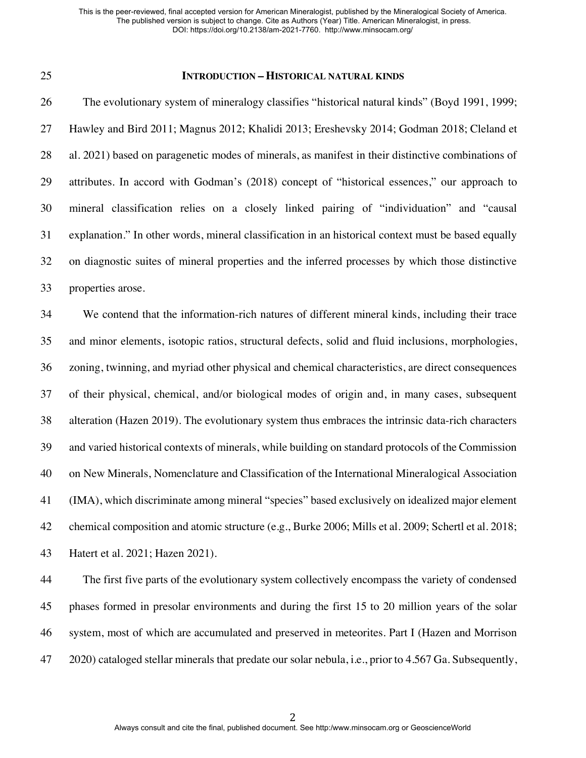#### **INTRODUCTION – HISTORICAL NATURAL KINDS**

26 The evolutionary system of mineralogy classifies "historical natural kinds" (Boyd 1991, 1999; Hawley and Bird 2011; Magnus 2012; Khalidi 2013; Ereshevsky 2014; Godman 2018; Cleland et al. 2021) based on paragenetic modes of minerals, as manifest in their distinctive combinations of attributes. In accord with Godman's (2018) concept of "historical essences," our approach to mineral classification relies on a closely linked pairing of "individuation" and "causal explanation." In other words, mineral classification in an historical context must be based equally on diagnostic suites of mineral properties and the inferred processes by which those distinctive properties arose.

 We contend that the information-rich natures of different mineral kinds, including their trace and minor elements, isotopic ratios, structural defects, solid and fluid inclusions, morphologies, zoning, twinning, and myriad other physical and chemical characteristics, are direct consequences of their physical, chemical, and/or biological modes of origin and, in many cases, subsequent alteration (Hazen 2019). The evolutionary system thus embraces the intrinsic data-rich characters and varied historical contexts of minerals, while building on standard protocols of the Commission on New Minerals, Nomenclature and Classification of the International Mineralogical Association (IMA), which discriminate among mineral "species" based exclusively on idealized major element chemical composition and atomic structure (e.g., Burke 2006; Mills et al. 2009; Schertl et al. 2018; Hatert et al. 2021; Hazen 2021).

 The first five parts of the evolutionary system collectively encompass the variety of condensed phases formed in presolar environments and during the first 15 to 20 million years of the solar system, most of which are accumulated and preserved in meteorites. Part I (Hazen and Morrison 2020) cataloged stellar minerals that predate our solar nebula, i.e., prior to 4.567 Ga. Subsequently,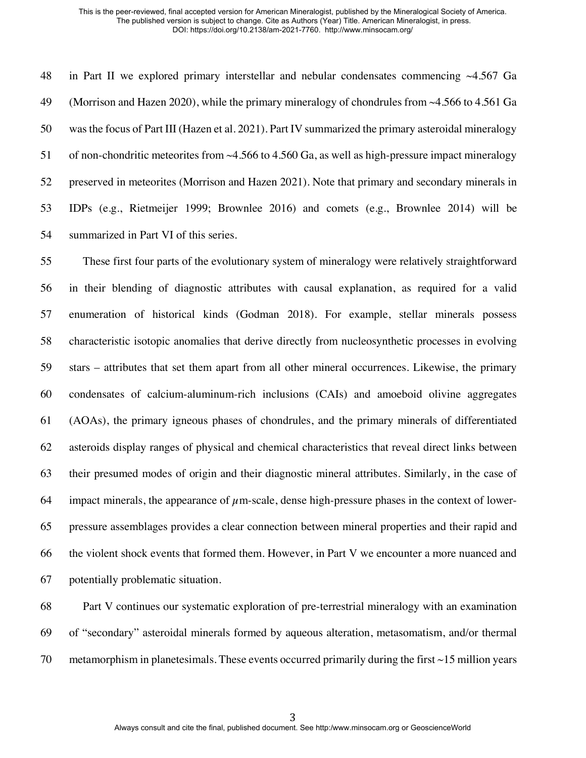in Part II we explored primary interstellar and nebular condensates commencing ~4.567 Ga (Morrison and Hazen 2020), while the primary mineralogy of chondrules from ~4.566 to 4.561 Ga was the focus of Part III (Hazen et al. 2021). Part IV summarized the primary asteroidal mineralogy of non-chondritic meteorites from ~4.566 to 4.560 Ga, as well as high-pressure impact mineralogy preserved in meteorites (Morrison and Hazen 2021). Note that primary and secondary minerals in IDPs (e.g., Rietmeijer 1999; Brownlee 2016) and comets (e.g., Brownlee 2014) will be summarized in Part VI of this series.

 These first four parts of the evolutionary system of mineralogy were relatively straightforward in their blending of diagnostic attributes with causal explanation, as required for a valid enumeration of historical kinds (Godman 2018). For example, stellar minerals possess characteristic isotopic anomalies that derive directly from nucleosynthetic processes in evolving stars – attributes that set them apart from all other mineral occurrences. Likewise, the primary condensates of calcium-aluminum-rich inclusions (CAIs) and amoeboid olivine aggregates (AOAs), the primary igneous phases of chondrules, and the primary minerals of differentiated asteroids display ranges of physical and chemical characteristics that reveal direct links between their presumed modes of origin and their diagnostic mineral attributes. Similarly, in the case of 64 impact minerals, the appearance of  $\mu$ m-scale, dense high-pressure phases in the context of lower- pressure assemblages provides a clear connection between mineral properties and their rapid and the violent shock events that formed them. However, in Part V we encounter a more nuanced and potentially problematic situation.

 Part V continues our systematic exploration of pre-terrestrial mineralogy with an examination of "secondary" asteroidal minerals formed by aqueous alteration, metasomatism, and/or thermal 70 metamorphism in planetesimals. These events occurred primarily during the first  $\sim$ 15 million years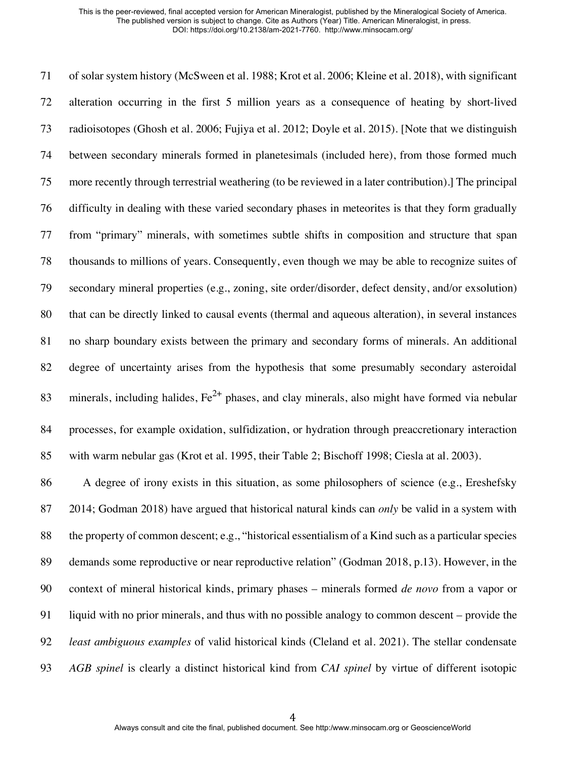of solar system history (McSween et al. 1988; Krot et al. 2006; Kleine et al. 2018), with significant alteration occurring in the first 5 million years as a consequence of heating by short-lived radioisotopes (Ghosh et al. 2006; Fujiya et al. 2012; Doyle et al. 2015). [Note that we distinguish between secondary minerals formed in planetesimals (included here), from those formed much more recently through terrestrial weathering (to be reviewed in a later contribution).] The principal difficulty in dealing with these varied secondary phases in meteorites is that they form gradually from "primary" minerals, with sometimes subtle shifts in composition and structure that span thousands to millions of years. Consequently, even though we may be able to recognize suites of secondary mineral properties (e.g., zoning, site order/disorder, defect density, and/or exsolution) that can be directly linked to causal events (thermal and aqueous alteration), in several instances no sharp boundary exists between the primary and secondary forms of minerals. An additional 82 degree of uncertainty arises from the hypothesis that some presumably secondary asteroidal 83 minerals, including halides,  $Fe^{2+}$  phases, and clay minerals, also might have formed via nebular processes, for example oxidation, sulfidization, or hydration through preaccretionary interaction with warm nebular gas (Krot et al. 1995, their Table 2; Bischoff 1998; Ciesla at al. 2003).

 A degree of irony exists in this situation, as some philosophers of science (e.g., Ereshefsky 2014; Godman 2018) have argued that historical natural kinds can *only* be valid in a system with the property of common descent; e.g., "historical essentialism of a Kind such as a particular species demands some reproductive or near reproductive relation" (Godman 2018, p.13). However, in the context of mineral historical kinds, primary phases – minerals formed *de novo* from a vapor or liquid with no prior minerals, and thus with no possible analogy to common descent – provide the *least ambiguous examples* of valid historical kinds (Cleland et al. 2021). The stellar condensate *AGB spinel* is clearly a distinct historical kind from *CAI spinel* by virtue of different isotopic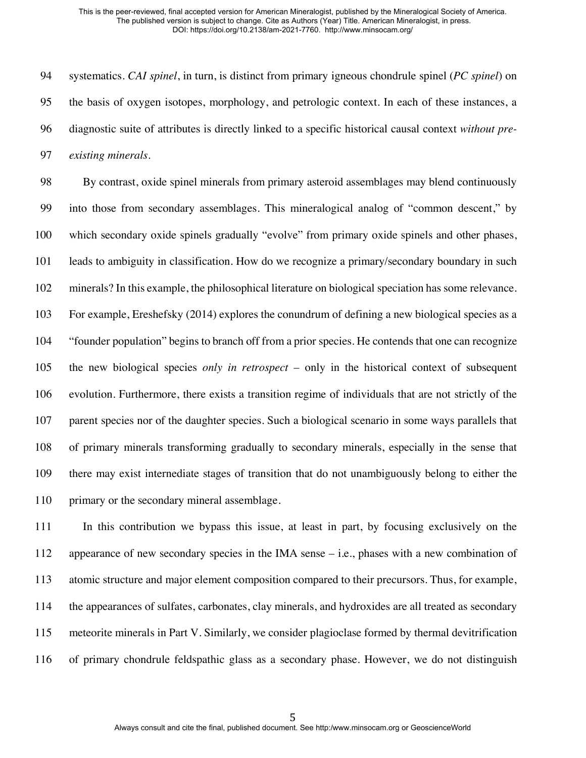systematics. *CAI spinel*, in turn, is distinct from primary igneous chondrule spinel (*PC spinel*) on the basis of oxygen isotopes, morphology, and petrologic context. In each of these instances, a diagnostic suite of attributes is directly linked to a specific historical causal context *without pre-existing minerals*.

 By contrast, oxide spinel minerals from primary asteroid assemblages may blend continuously into those from secondary assemblages. This mineralogical analog of "common descent," by which secondary oxide spinels gradually "evolve" from primary oxide spinels and other phases, leads to ambiguity in classification. How do we recognize a primary/secondary boundary in such minerals? In this example, the philosophical literature on biological speciation has some relevance. For example, Ereshefsky (2014) explores the conundrum of defining a new biological species as a "founder population" begins to branch off from a prior species. He contends that one can recognize the new biological species *only in retrospect* – only in the historical context of subsequent evolution. Furthermore, there exists a transition regime of individuals that are not strictly of the parent species nor of the daughter species. Such a biological scenario in some ways parallels that of primary minerals transforming gradually to secondary minerals, especially in the sense that there may exist internediate stages of transition that do not unambiguously belong to either the 110 primary or the secondary mineral assemblage.

 In this contribution we bypass this issue, at least in part, by focusing exclusively on the appearance of new secondary species in the IMA sense – i.e., phases with a new combination of atomic structure and major element composition compared to their precursors. Thus, for example, the appearances of sulfates, carbonates, clay minerals, and hydroxides are all treated as secondary meteorite minerals in Part V. Similarly, we consider plagioclase formed by thermal devitrification of primary chondrule feldspathic glass as a secondary phase. However, we do not distinguish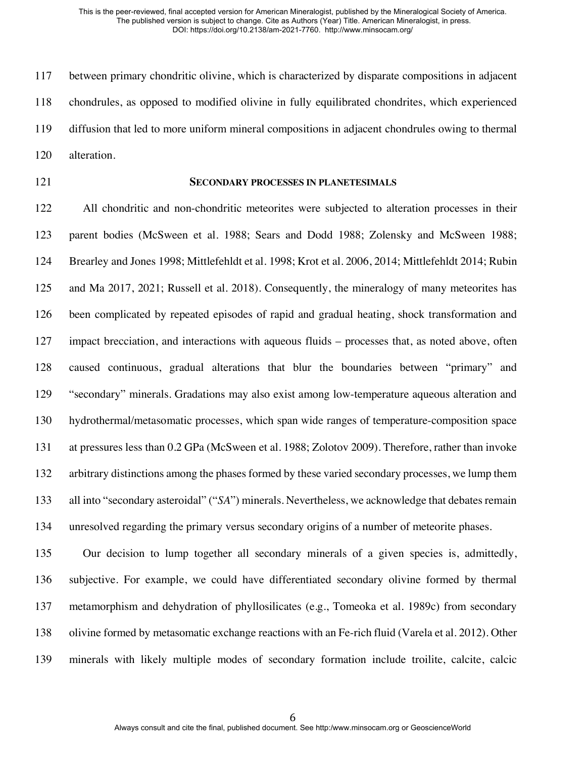between primary chondritic olivine, which is characterized by disparate compositions in adjacent chondrules, as opposed to modified olivine in fully equilibrated chondrites, which experienced diffusion that led to more uniform mineral compositions in adjacent chondrules owing to thermal alteration.

#### **SECONDARY PROCESSES IN PLANETESIMALS**

 All chondritic and non-chondritic meteorites were subjected to alteration processes in their parent bodies (McSween et al. 1988; Sears and Dodd 1988; Zolensky and McSween 1988; Brearley and Jones 1998; Mittlefehldt et al. 1998; Krot et al. 2006, 2014; Mittlefehldt 2014; Rubin and Ma 2017, 2021; Russell et al. 2018). Consequently, the mineralogy of many meteorites has been complicated by repeated episodes of rapid and gradual heating, shock transformation and impact brecciation, and interactions with aqueous fluids – processes that, as noted above, often caused continuous, gradual alterations that blur the boundaries between "primary" and "secondary" minerals. Gradations may also exist among low-temperature aqueous alteration and hydrothermal/metasomatic processes, which span wide ranges of temperature-composition space at pressures less than 0.2 GPa (McSween et al. 1988; Zolotov 2009). Therefore, rather than invoke arbitrary distinctions among the phases formed by these varied secondary processes, we lump them all into "secondary asteroidal" ("*SA*") minerals. Nevertheless, we acknowledge that debates remain unresolved regarding the primary versus secondary origins of a number of meteorite phases.

 Our decision to lump together all secondary minerals of a given species is, admittedly, subjective. For example, we could have differentiated secondary olivine formed by thermal metamorphism and dehydration of phyllosilicates (e.g., Tomeoka et al. 1989c) from secondary olivine formed by metasomatic exchange reactions with an Fe-rich fluid (Varela et al. 2012). Other minerals with likely multiple modes of secondary formation include troilite, calcite, calcic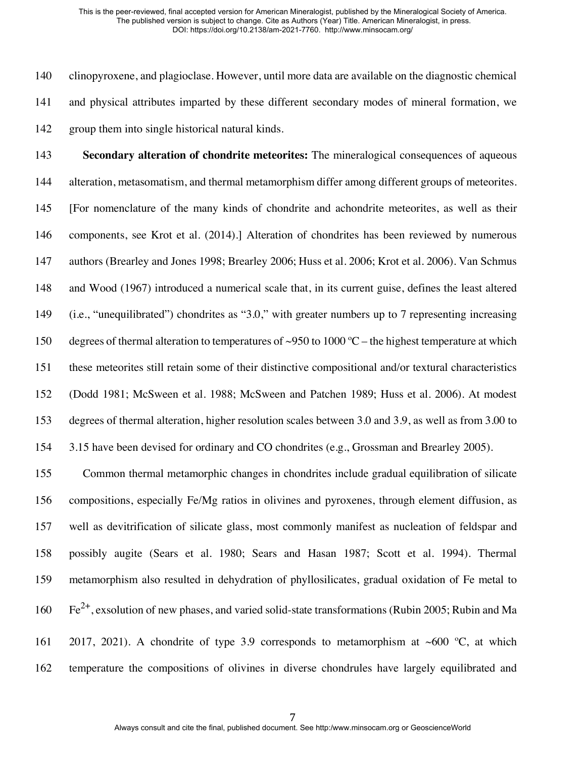clinopyroxene, and plagioclase. However, until more data are available on the diagnostic chemical and physical attributes imparted by these different secondary modes of mineral formation, we group them into single historical natural kinds.

 **Secondary alteration of chondrite meteorites:** The mineralogical consequences of aqueous alteration, metasomatism, and thermal metamorphism differ among different groups of meteorites. [For nomenclature of the many kinds of chondrite and achondrite meteorites, as well as their components, see Krot et al. (2014).] Alteration of chondrites has been reviewed by numerous authors (Brearley and Jones 1998; Brearley 2006; Huss et al. 2006; Krot et al. 2006). Van Schmus and Wood (1967) introduced a numerical scale that, in its current guise, defines the least altered (i.e., "unequilibrated") chondrites as "3.0," with greater numbers up to 7 representing increasing 150 degrees of thermal alteration to temperatures of ~950 to 1000 °C – the highest temperature at which these meteorites still retain some of their distinctive compositional and/or textural characteristics (Dodd 1981; McSween et al. 1988; McSween and Patchen 1989; Huss et al. 2006). At modest degrees of thermal alteration, higher resolution scales between 3.0 and 3.9, as well as from 3.00 to 3.15 have been devised for ordinary and CO chondrites (e.g., Grossman and Brearley 2005).

 Common thermal metamorphic changes in chondrites include gradual equilibration of silicate compositions, especially Fe/Mg ratios in olivines and pyroxenes, through element diffusion, as well as devitrification of silicate glass, most commonly manifest as nucleation of feldspar and possibly augite (Sears et al. 1980; Sears and Hasan 1987; Scott et al. 1994). Thermal metamorphism also resulted in dehydration of phyllosilicates, gradual oxidation of Fe metal to  $\rm Fe^{2+}$ , exsolution of new phases, and varied solid-state transformations (Rubin 2005; Rubin and Ma 161 2017, 2021). A chondrite of type 3.9 corresponds to metamorphism at ~600  $^{\circ}$ C, at which temperature the compositions of olivines in diverse chondrules have largely equilibrated and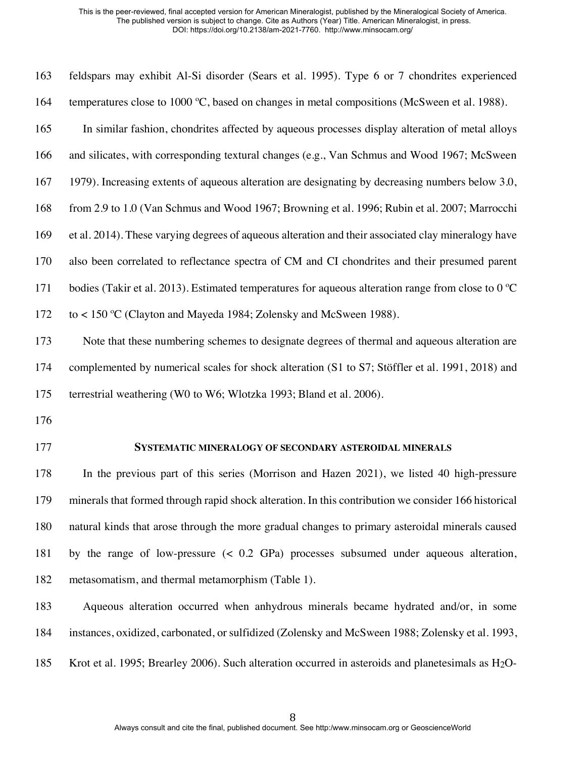| 163 | feldspars may exhibit Al-Si disorder (Sears et al. 1995). Type 6 or 7 chondrites experienced                |
|-----|-------------------------------------------------------------------------------------------------------------|
| 164 | temperatures close to 1000 °C, based on changes in metal compositions (McSween et al. 1988).                |
| 165 | In similar fashion, chondrites affected by aqueous processes display alteration of metal alloys             |
| 166 | and silicates, with corresponding textural changes (e.g., Van Schmus and Wood 1967; McSween                 |
| 167 | 1979). Increasing extents of aqueous alteration are designating by decreasing numbers below 3.0,            |
| 168 | from 2.9 to 1.0 (Van Schmus and Wood 1967; Browning et al. 1996; Rubin et al. 2007; Marrocchi               |
| 169 | et al. 2014). These varying degrees of aqueous alteration and their associated clay mineralogy have         |
| 170 | also been correlated to reflectance spectra of CM and CI chondrites and their presumed parent               |
| 171 | bodies (Takir et al. 2013). Estimated temperatures for aqueous alteration range from close to $0^{\circ}$ C |
| 172 | to < 150 °C (Clayton and Mayeda 1984; Zolensky and McSween 1988).                                           |
| 173 | Note that these numbering schemes to designate degrees of thermal and aqueous alteration are                |
| 174 | complemented by numerical scales for shock alteration (S1 to S7; Stöffler et al. 1991, 2018) and            |
| 175 | terrestrial weathering (W0 to W6; Wlotzka 1993; Bland et al. 2006).                                         |
| 176 |                                                                                                             |
| 177 | SYSTEMATIC MINERALOGY OF SECONDARY ASTEROIDAL MINERALS                                                      |
| 178 | In the previous part of this series (Morrison and Hazen 2021), we listed 40 high-pressure                   |
| 179 | minerals that formed through rapid shock alteration. In this contribution we consider 166 historical        |
| 180 | natural kinds that arose through the more gradual changes to primary asteroidal minerals caused             |
| 181 | by the range of low-pressure $(0.2 \text{ GPa})$ processes subsumed under aqueous alteration,               |
| 182 | metasomatism, and thermal metamorphism (Table 1).                                                           |
| 183 | Aqueous alteration occurred when anhydrous minerals became hydrated and/or, in some                         |

instances, oxidized, carbonated, or sulfidized (Zolensky and McSween 1988; Zolensky et al. 1993,

185 Krot et al. 1995; Brearley 2006). Such alteration occurred in asteroids and planetesimals as H<sub>2</sub>O-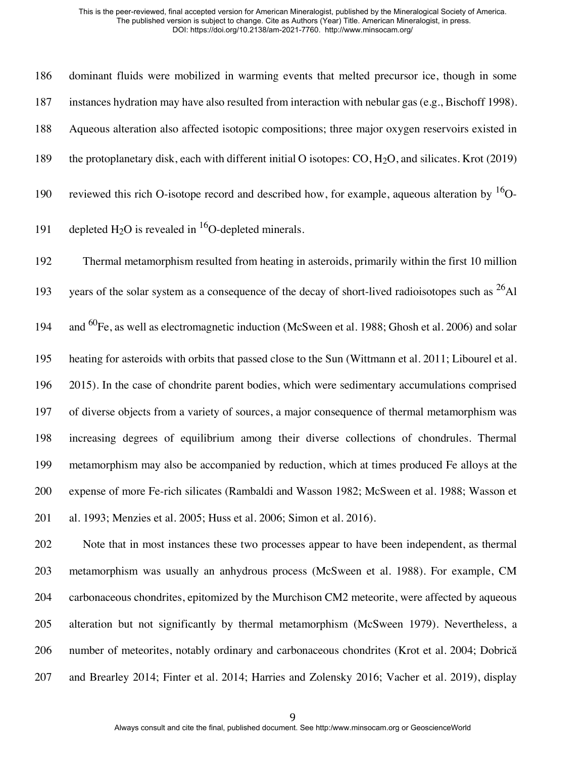dominant fluids were mobilized in warming events that melted precursor ice, though in some instances hydration may have also resulted from interaction with nebular gas (e.g., Bischoff 1998). Aqueous alteration also affected isotopic compositions; three major oxygen reservoirs existed in the protoplanetary disk, each with different initial O isotopes: CO, H2O, and silicates. Krot (2019) 190 reviewed this rich O-isotope record and described how, for example, aqueous alteration by  $^{16}O-$ 

191 depleted H<sub>2</sub>O is revealed in <sup>16</sup>O-depleted minerals.

 Thermal metamorphism resulted from heating in asteroids, primarily within the first 10 million 193 vears of the solar system as a consequence of the decay of short-lived radioisotopes such as  $^{26}$ Al 194 and  $^{60}$  Fe, as well as electromagnetic induction (McSween et al. 1988; Ghosh et al. 2006) and solar heating for asteroids with orbits that passed close to the Sun (Wittmann et al. 2011; Libourel et al. 2015). In the case of chondrite parent bodies, which were sedimentary accumulations comprised of diverse objects from a variety of sources, a major consequence of thermal metamorphism was increasing degrees of equilibrium among their diverse collections of chondrules. Thermal metamorphism may also be accompanied by reduction, which at times produced Fe alloys at the expense of more Fe-rich silicates (Rambaldi and Wasson 1982; McSween et al. 1988; Wasson et al. 1993; Menzies et al. 2005; Huss et al. 2006; Simon et al. 2016).

 Note that in most instances these two processes appear to have been independent, as thermal metamorphism was usually an anhydrous process (McSween et al. 1988). For example, CM carbonaceous chondrites, epitomized by the Murchison CM2 meteorite, were affected by aqueous alteration but not significantly by thermal metamorphism (McSween 1979). Nevertheless, a number of meteorites, notably ordinary and carbonaceous chondrites (Krot et al. 2004; Dobrică and Brearley 2014; Finter et al. 2014; Harries and Zolensky 2016; Vacher et al. 2019), display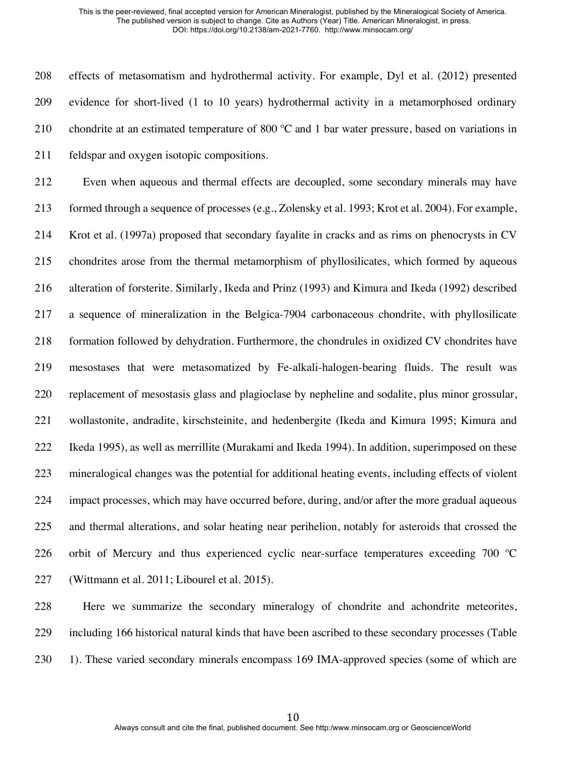effects of metasomatism and hydrothermal activity. For example, Dyl et al. (2012) presented evidence for short-lived (1 to 10 years) hydrothermal activity in a metamorphosed ordinary 210 chondrite at an estimated temperature of 800 °C and 1 bar water pressure, based on variations in feldspar and oxygen isotopic compositions.

 Even when aqueous and thermal effects are decoupled, some secondary minerals may have formed through a sequence of processes (e.g., Zolensky et al. 1993; Krot et al. 2004). For example, Krot et al. (1997a) proposed that secondary fayalite in cracks and as rims on phenocrysts in CV chondrites arose from the thermal metamorphism of phyllosilicates, which formed by aqueous alteration of forsterite. Similarly, Ikeda and Prinz (1993) and Kimura and Ikeda (1992) described a sequence of mineralization in the Belgica-7904 carbonaceous chondrite, with phyllosilicate formation followed by dehydration. Furthermore, the chondrules in oxidized CV chondrites have mesostases that were metasomatized by Fe-alkali-halogen-bearing fluids. The result was replacement of mesostasis glass and plagioclase by nepheline and sodalite, plus minor grossular, wollastonite, andradite, kirschsteinite, and hedenbergite (Ikeda and Kimura 1995; Kimura and Ikeda 1995), as well as merrillite (Murakami and Ikeda 1994). In addition, superimposed on these mineralogical changes was the potential for additional heating events, including effects of violent impact processes, which may have occurred before, during, and/or after the more gradual aqueous and thermal alterations, and solar heating near perihelion, notably for asteroids that crossed the orbit of Mercury and thus experienced cyclic near-surface temperatures exceeding 700 ºC (Wittmann et al. 2011; Libourel et al. 2015).

 Here we summarize the secondary mineralogy of chondrite and achondrite meteorites, including 166 historical natural kinds that have been ascribed to these secondary processes (Table 230 1). These varied secondary minerals encompass 169 IMA-approved species (some of which are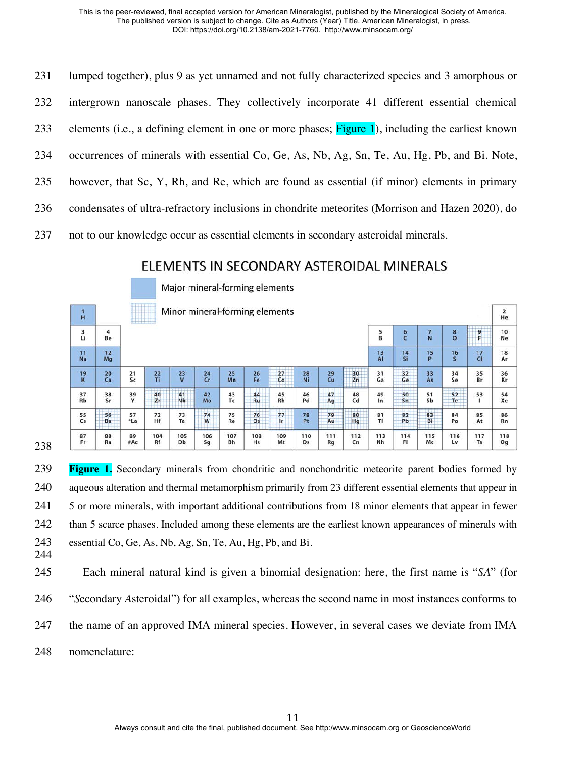| 231 | lumped together), plus 9 as yet unnamed and not fully characterized species and 3 amorphous or       |
|-----|------------------------------------------------------------------------------------------------------|
| 232 | intergrown nanoscale phases. They collectively incorporate 41 different essential chemical           |
| 233 | elements (i.e., a defining element in one or more phases; $Figure 1$ ), including the earliest known |
| 234 | occurrences of minerals with essential Co, Ge, As, Nb, Ag, Sn, Te, Au, Hg, Pb, and Bi. Note,         |
| 235 | however, that Sc, Y, Rh, and Re, which are found as essential (if minor) elements in primary         |
| 236 | condensates of ultra-refractory inclusions in chondrite meteorites (Morrison and Hazen 2020), do     |
| 237 | not to our knowledge occur as essential elements in secondary asteroidal minerals.                   |

## ELEMENTS IN SECONDARY ASTEROIDAL MINERALS

|                 |          |           |               |                 | Major mineral-forming elements |                  |           |           |           |           |           |                        |                         |                 |                |                  |                               |
|-----------------|----------|-----------|---------------|-----------------|--------------------------------|------------------|-----------|-----------|-----------|-----------|-----------|------------------------|-------------------------|-----------------|----------------|------------------|-------------------------------|
| H               |          |           | <b>HARLEY</b> |                 | Minor mineral-forming elements |                  |           |           |           |           |           |                        |                         |                 |                |                  | $\overline{\mathbf{z}}$<br>He |
| 3<br>Li         | 4<br>Be  |           |               |                 |                                |                  |           |           |           |           |           | 5<br>$\overline{B}$    | $\frac{6}{5}$           | $\frac{7}{N}$   | $\frac{8}{0}$  | 9<br>F           | 10<br><b>Ne</b>               |
| $\frac{11}{Na}$ | 12<br>Mg |           |               |                 |                                |                  |           |           |           |           |           | $\frac{13}{\text{Al}}$ | $\frac{14}{5}$          | $\frac{15}{P}$  | $\frac{16}{5}$ | $\frac{17}{C}$   | 18<br>Ar                      |
| $\frac{19}{K}$  | 20<br>Ca | 21<br>Sc  | 22<br>Ti      | $\frac{23}{V}$  | $rac{24}{Cr}$                  | 25<br>Mn         | 26<br>Fe  | 27<br>Co  | 28<br>Ni  | 29<br>Cu  | 30<br>Zn  | 31<br>Ga               | 32<br>Ge                | 33<br>As        | 34<br>Se       | 35<br>Br         | 36<br>Kr                      |
| $rac{37}{Rb}$   | 38<br>Sr | 39<br>Y   | 40<br>Zr      | 41<br><b>Nb</b> | 42<br>Mo                       | 43<br>Tc         | 44<br>Ru  | 45<br>Rh  | 46<br>Pd  | 47<br>Aq  | 48<br>Cd  | 49<br>In               | 50<br>Sn                | $\frac{51}{5b}$ | 52<br>Te       | 53               | 54<br>Xe                      |
| 55<br>Cs        | 56<br>Ba | 57<br>*La | 72<br>Hf      | 73<br>Ta        | 74<br>W                        | 75<br>Re         | 76<br>Os  | 77<br>łr. | 78<br>Pt  | 79<br>Au  | 80<br>Hq  | 81<br>TI               | 82<br>Pb<br><b>++++</b> | 83<br>Bi        | 84<br>Po       | 85<br>At         | 86<br>Rn                      |
| 87<br>Fr        | 88<br>Ra | 89<br>#Ac | 104<br>Rf     | 105<br>Db       | 106<br>Sg                      | 107<br><b>Bh</b> | 108<br>Hs | 109<br>Mt | 110<br>Ds | 111<br>Rg | 112<br>Cn | 113<br>Nh              | 114<br>FI               | 115<br>Mc       | 116<br>Lv      | 117<br><b>Ts</b> | 118<br>Og                     |

 **Figure 1.** Secondary minerals from chondritic and nonchondritic meteorite parent bodies formed by aqueous alteration and thermal metamorphism primarily from 23 different essential elements that appear in 5 or more minerals, with important additional contributions from 18 minor elements that appear in fewer 242 than 5 scarce phases. Included among these elements are the earliest known appearances of minerals with essential Co, Ge, As, Nb, Ag, Sn, Te, Au, Hg, Pb, and Bi.

 Each mineral natural kind is given a binomial designation: here, the first name is "*SA*" (for "*S*econdary *A*steroidal") for all examples, whereas the second name in most instances conforms to the name of an approved IMA mineral species. However, in several cases we deviate from IMA nomenclature: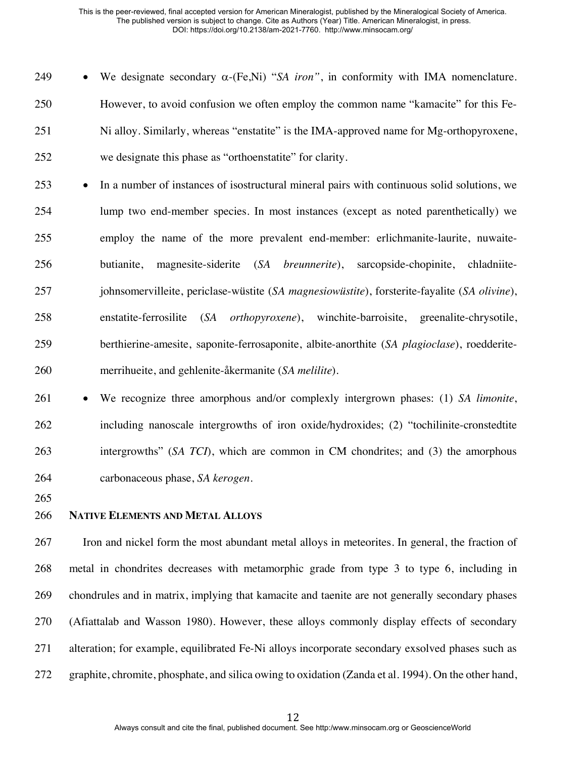249 • We designate secondary  $\alpha$ -(Fe,Ni) "*SA iron*", in conformity with IMA nomenclature. However, to avoid confusion we often employ the common name "kamacite" for this Fe-251 Ni alloy. Similarly, whereas "enstatite" is the IMA-approved name for Mg-orthopyroxene, we designate this phase as "orthoenstatite" for clarity.

- In a number of instances of isostructural mineral pairs with continuous solid solutions, we lump two end-member species. In most instances (except as noted parenthetically) we employ the name of the more prevalent end-member: erlichmanite-laurite, nuwaite- butianite, magnesite-siderite (*SA breunnerite*), sarcopside-chopinite, chladniite- johnsomervilleite, periclase-wüstite (*SA magnesiowüstite*), forsterite-fayalite (*SA olivine*), enstatite-ferrosilite (*SA orthopyroxene*), winchite-barroisite, greenalite-chrysotile, berthierine-amesite, saponite-ferrosaponite, albite-anorthite (*SA plagioclase*), roedderite-merrihueite, and gehlenite-åkermanite (*SA melilite*).
- We recognize three amorphous and/or complexly intergrown phases: (1) *SA limonite*, including nanoscale intergrowths of iron oxide/hydroxides; (2) "tochilinite-cronstedtite intergrowths" (*SA TCI*), which are common in CM chondrites; and (3) the amorphous carbonaceous phase, *SA kerogen*.

## **NATIVE ELEMENTS AND METAL ALLOYS**

 Iron and nickel form the most abundant metal alloys in meteorites. In general, the fraction of metal in chondrites decreases with metamorphic grade from type 3 to type 6, including in chondrules and in matrix, implying that kamacite and taenite are not generally secondary phases (Afiattalab and Wasson 1980). However, these alloys commonly display effects of secondary alteration; for example, equilibrated Fe-Ni alloys incorporate secondary exsolved phases such as graphite, chromite, phosphate, and silica owing to oxidation (Zanda et al. 1994). On the other hand,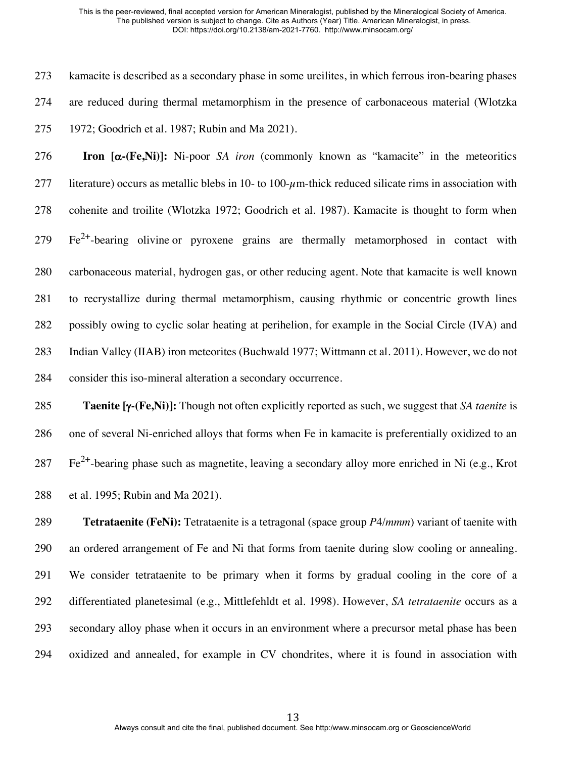kamacite is described as a secondary phase in some ureilites, in which ferrous iron-bearing phases are reduced during thermal metamorphism in the presence of carbonaceous material (Wlotzka 1972; Goodrich et al. 1987; Rubin and Ma 2021).

 **Iron [**a**-(Fe,Ni)]:** Ni-poor *SA iron* (commonly known as "kamacite" in the meteoritics 277 literature) occurs as metallic blebs in 10- to 100- $\mu$ m-thick reduced silicate rims in association with cohenite and troilite (Wlotzka 1972; Goodrich et al. 1987). Kamacite is thought to form when  $F^2$   $Fe^{2+}$ -bearing olivine or pyroxene grains are thermally metamorphosed in contact with carbonaceous material, hydrogen gas, or other reducing agent. Note that kamacite is well known to recrystallize during thermal metamorphism, causing rhythmic or concentric growth lines possibly owing to cyclic solar heating at perihelion, for example in the Social Circle (IVA) and Indian Valley (IIAB) iron meteorites (Buchwald 1977; Wittmann et al. 2011). However, we do not consider this iso-mineral alteration a secondary occurrence.

 **Taenite [**g**-(Fe,Ni)]:** Though not often explicitly reported as such, we suggest that *SA taenite* is one of several Ni-enriched alloys that forms when Fe in kamacite is preferentially oxidized to an  $\text{Fe}^{2+}$ -bearing phase such as magnetite, leaving a secondary alloy more enriched in Ni (e.g., Krot et al. 1995; Rubin and Ma 2021).

 **Tetrataenite (FeNi):** Tetrataenite is a tetragonal (space group *P*4/*mmm*) variant of taenite with an ordered arrangement of Fe and Ni that forms from taenite during slow cooling or annealing. We consider tetrataenite to be primary when it forms by gradual cooling in the core of a differentiated planetesimal (e.g., Mittlefehldt et al. 1998). However, *SA tetrataenite* occurs as a secondary alloy phase when it occurs in an environment where a precursor metal phase has been oxidized and annealed, for example in CV chondrites, where it is found in association with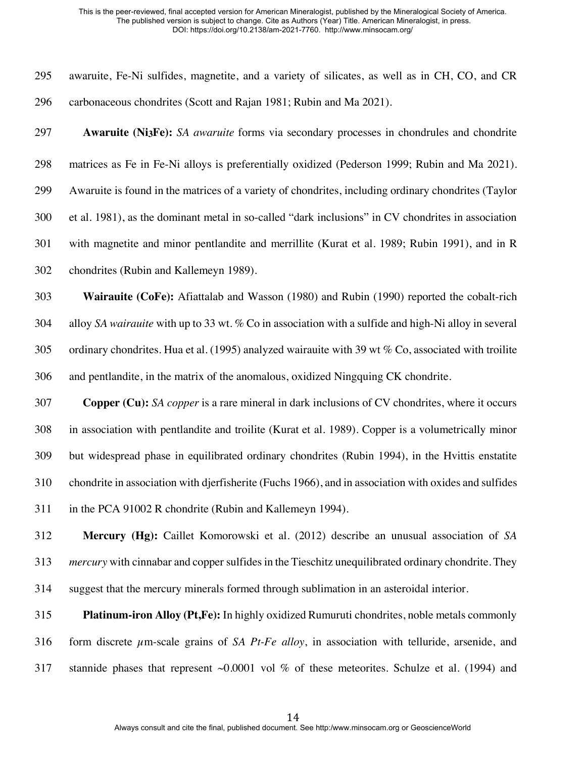| 295 | awaruite, Fe-Ni sulfides, magnetite, and a variety of silicates, as well as in CH, CO, and CR             |
|-----|-----------------------------------------------------------------------------------------------------------|
| 296 | carbonaceous chondrites (Scott and Rajan 1981; Rubin and Ma 2021).                                        |
| 297 | Awaruite (Ni3Fe): SA awaruite forms via secondary processes in chondrules and chondrite                   |
| 298 | matrices as Fe in Fe-Ni alloys is preferentially oxidized (Pederson 1999; Rubin and Ma 2021).             |
| 299 | Awaruite is found in the matrices of a variety of chondrites, including ordinary chondrites (Taylor       |
| 300 | et al. 1981), as the dominant metal in so-called "dark inclusions" in CV chondrites in association        |
| 301 | with magnetite and minor pentlandite and merrillite (Kurat et al. 1989; Rubin 1991), and in R             |
| 302 | chondrites (Rubin and Kallemeyn 1989).                                                                    |
| 303 | Wairauite (CoFe): Afiattalab and Wasson (1980) and Rubin (1990) reported the cobalt-rich                  |
| 304 | alloy SA wairauite with up to 33 wt. % Co in association with a sulfide and high-Ni alloy in several      |
| 305 | ordinary chondrites. Hua et al. (1995) analyzed wairauite with 39 wt $%$ Co, associated with troilite     |
| 306 | and pentlandite, in the matrix of the anomalous, oxidized Ningquing CK chondrite.                         |
| 307 | <b>Copper (Cu):</b> SA copper is a rare mineral in dark inclusions of CV chondrites, where it occurs      |
| 308 | in association with pentlandite and troilite (Kurat et al. 1989). Copper is a volumetrically minor        |
| 309 | but widespread phase in equilibrated ordinary chondrites (Rubin 1994), in the Hvittis enstatite           |
| 310 | chondrite in association with djerfisherite (Fuchs 1966), and in association with oxides and sulfides     |
| 311 | in the PCA 91002 R chondrite (Rubin and Kallemeyn 1994).                                                  |
| 312 | Mercury (Hg): Caillet Komorowski et al. (2012) describe an unusual association of SA                      |
| 313 | <i>mercury</i> with cinnabar and copper sulfides in the Tieschitz unequilibrated ordinary chondrite. They |
| 314 | suggest that the mercury minerals formed through sublimation in an asteroidal interior.                   |
| 315 | <b>Platinum-iron Alloy (Pt,Fe):</b> In highly oxidized Rumuruti chondrites, noble metals commonly         |
| 316 | form discrete $\mu$ m-scale grains of SA Pt-Fe alloy, in association with telluride, arsenide, and        |

stannide phases that represent ~0.0001 vol % of these meteorites. Schulze et al. (1994) and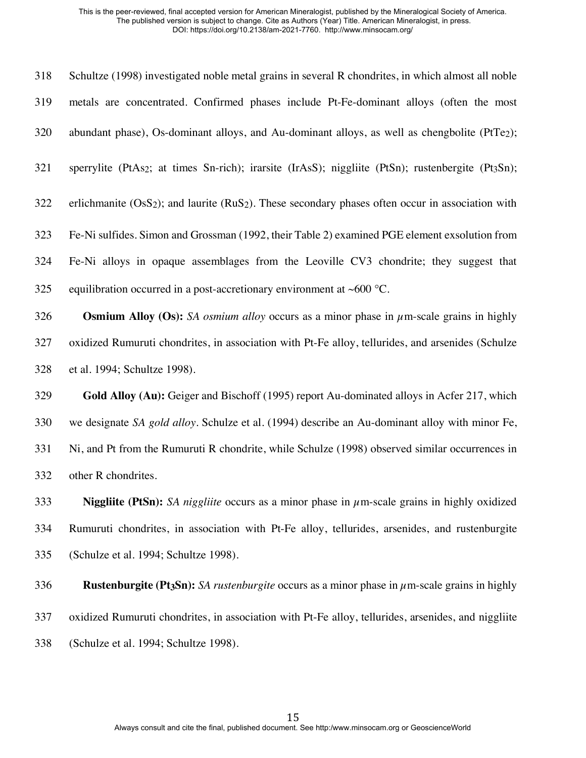| 318 | Schultze (1998) investigated noble metal grains in several R chondrites, in which almost all noble                         |
|-----|----------------------------------------------------------------------------------------------------------------------------|
| 319 | metals are concentrated. Confirmed phases include Pt-Fe-dominant alloys (often the most                                    |
| 320 | abundant phase), Os-dominant alloys, and Au-dominant alloys, as well as chengbolite (PtTe <sub>2</sub> );                  |
| 321 | sperrylite (PtAs <sub>2</sub> ; at times Sn-rich); irarsite (IrAsS); niggliite (PtSn); rustenbergite (Pt <sub>3</sub> Sn); |
| 322 | erlichmanite $(OsS2)$ ; and laurite $(RuS2)$ . These secondary phases often occur in association with                      |
| 323 | Fe-Ni sulfides. Simon and Grossman (1992, their Table 2) examined PGE element exsolution from                              |
| 324 | Fe-Ni alloys in opaque assemblages from the Leoville CV3 chondrite; they suggest that                                      |
| 325 | equilibration occurred in a post-accretionary environment at $~600$ °C.                                                    |
| 326 | <b>Osmium Alloy (Os):</b> SA <i>osmium alloy</i> occurs as a minor phase in $\mu$ m-scale grains in highly                 |
| 327 | oxidized Rumuruti chondrites, in association with Pt-Fe alloy, tellurides, and arsenides (Schulze                          |
| 328 | et al. 1994; Schultze 1998).                                                                                               |
| 329 | Gold Alloy (Au): Geiger and Bischoff (1995) report Au-dominated alloys in Acfer 217, which                                 |
| 330 | we designate SA gold alloy. Schulze et al. (1994) describe an Au-dominant alloy with minor Fe,                             |
| 331 | Ni, and Pt from the Rumuruti R chondrite, while Schulze (1998) observed similar occurrences in                             |
| 332 | other R chondrites.                                                                                                        |

 **Niggliite (PtSn):** *SA niggliite* occurs as a minor phase in µm-scale grains in highly oxidized Rumuruti chondrites, in association with Pt-Fe alloy, tellurides, arsenides, and rustenburgite (Schulze et al. 1994; Schultze 1998).

**Rustenburgite (Pt3Sn):** *SA rustenburgite* occurs as a minor phase in µm-scale grains in highly

oxidized Rumuruti chondrites, in association with Pt-Fe alloy, tellurides, arsenides, and niggliite

(Schulze et al. 1994; Schultze 1998).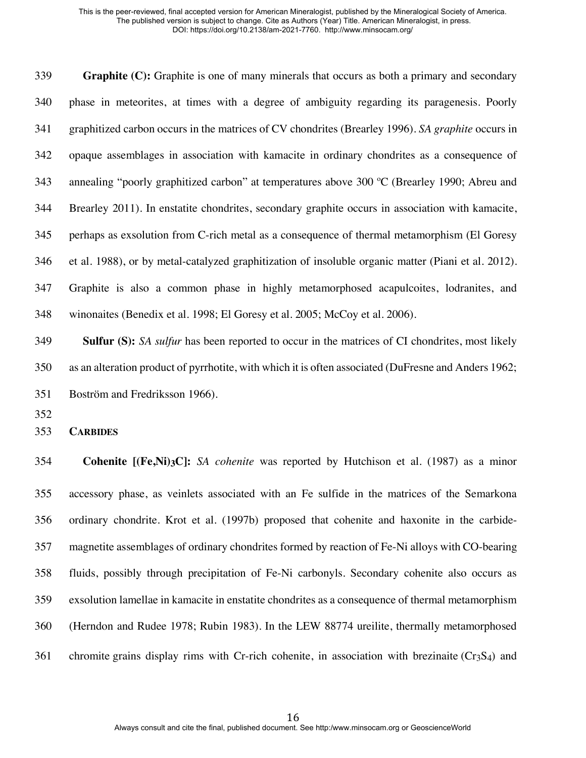**Graphite (C):** Graphite is one of many minerals that occurs as both a primary and secondary phase in meteorites, at times with a degree of ambiguity regarding its paragenesis. Poorly graphitized carbon occurs in the matrices of CV chondrites (Brearley 1996). *SA graphite* occurs in opaque assemblages in association with kamacite in ordinary chondrites as a consequence of annealing "poorly graphitized carbon" at temperatures above 300 ºC (Brearley 1990; Abreu and Brearley 2011). In enstatite chondrites, secondary graphite occurs in association with kamacite, perhaps as exsolution from C-rich metal as a consequence of thermal metamorphism (El Goresy et al. 1988), or by metal-catalyzed graphitization of insoluble organic matter (Piani et al. 2012). Graphite is also a common phase in highly metamorphosed acapulcoites, lodranites, and winonaites (Benedix et al. 1998; El Goresy et al. 2005; McCoy et al. 2006).

 **Sulfur (S):** *SA sulfur* has been reported to occur in the matrices of CI chondrites, most likely as an alteration product of pyrrhotite, with which it is often associated (DuFresne and Anders 1962; Boström and Fredriksson 1966).

**CARBIDES**

 **Cohenite [(Fe,Ni)3C]:** *SA cohenite* was reported by Hutchison et al. (1987) as a minor accessory phase, as veinlets associated with an Fe sulfide in the matrices of the Semarkona ordinary chondrite. Krot et al. (1997b) proposed that cohenite and haxonite in the carbide- magnetite assemblages of ordinary chondrites formed by reaction of Fe-Ni alloys with CO-bearing fluids, possibly through precipitation of Fe-Ni carbonyls. Secondary cohenite also occurs as exsolution lamellae in kamacite in enstatite chondrites as a consequence of thermal metamorphism (Herndon and Rudee 1978; Rubin 1983). In the LEW 88774 ureilite, thermally metamorphosed 361 chromite grains display rims with Cr-rich cohenite, in association with brezinaite ( $Cr_3S_4$ ) and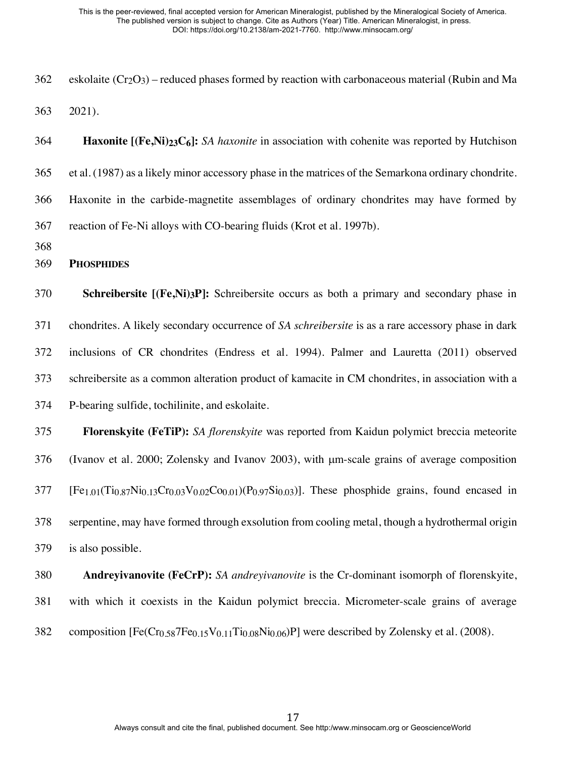- 362 eskolaite  $(Cr_2O_3)$  reduced phases formed by reaction with carbonaceous material (Rubin and Ma 2021).
- **Haxonite [(Fe,Ni)23C6]:** *SA haxonite* in association with cohenite was reported by Hutchison et al. (1987) as a likely minor accessory phase in the matrices of the Semarkona ordinary chondrite. Haxonite in the carbide-magnetite assemblages of ordinary chondrites may have formed by reaction of Fe-Ni alloys with CO-bearing fluids (Krot et al. 1997b).
- 

```
369 PHOSPHIDES
```
 **Schreibersite [(Fe,Ni)3P]:** Schreibersite occurs as both a primary and secondary phase in chondrites. A likely secondary occurrence of *SA schreibersite* is as a rare accessory phase in dark inclusions of CR chondrites (Endress et al. 1994). Palmer and Lauretta (2011) observed schreibersite as a common alteration product of kamacite in CM chondrites, in association with a

P-bearing sulfide, tochilinite, and eskolaite.

## **Florenskyite (FeTiP):** *SA florenskyite* was reported from Kaidun polymict breccia meteorite

(Ivanov et al. 2000; Zolensky and Ivanov 2003), with µm-scale grains of average composition

[Fe<sub>1.01</sub>(Ti<sub>0.87</sub>Ni<sub>0.13</sub>Cr<sub>0.03</sub>V<sub>0.02</sub>Co<sub>0.01</sub>)(P<sub>0.97</sub>Si<sub>0.03</sub>)]. These phosphide grains, found encased in

 serpentine, may have formed through exsolution from cooling metal, though a hydrothermal origin is also possible.

# **Andreyivanovite (FeCrP):** *SA andreyivanovite* is the Cr-dominant isomorph of florenskyite, with which it coexists in the Kaidun polymict breccia. Micrometer-scale grains of average 382 composition  $[Fe(Cr_{0.58}7Fe_{0.15}V_{0.11}Ti_{0.08}Ni_{0.06})P]$  were described by Zolensky et al. (2008).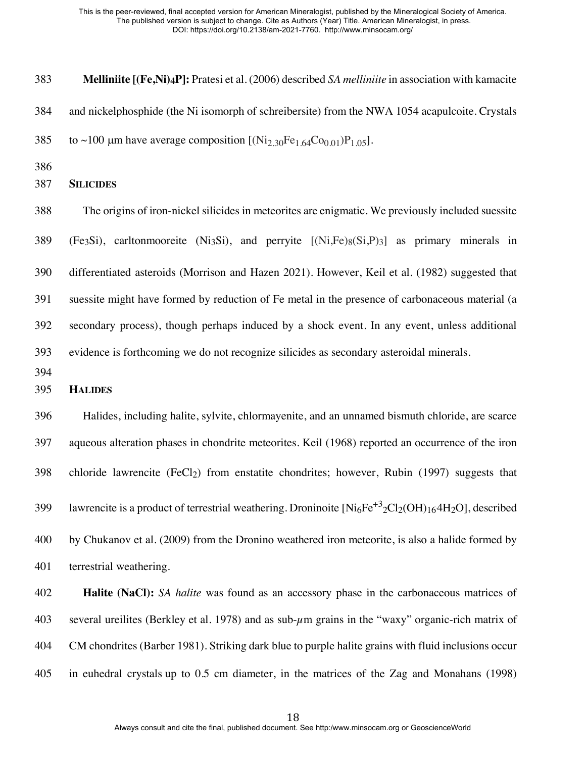**Melliniite [(Fe,Ni)4P]:** Pratesi et al. (2006) described *SA melliniite* in association with kamacite and nickelphosphide (the Ni isomorph of schreibersite) from the NWA 1054 acapulcoite. Crystals 385 to ~100 µm have average composition  $[Ni<sub>2.30</sub>Fe<sub>1.64</sub>Co<sub>0.01</sub>)P<sub>1.05</sub>].$ 

## **SILICIDES**

 The origins of iron-nickel silicides in meteorites are enigmatic. We previously included suessite 389 (Fe3Si), carltonmooreite (Ni3Si), and perryite  $[(Ni,Fe)_{8}(Si, P)_{3}]$  as primary minerals in differentiated asteroids (Morrison and Hazen 2021). However, Keil et al. (1982) suggested that suessite might have formed by reduction of Fe metal in the presence of carbonaceous material (a secondary process), though perhaps induced by a shock event. In any event, unless additional evidence is forthcoming we do not recognize silicides as secondary asteroidal minerals.

## **HALIDES**

 Halides, including halite, sylvite, chlormayenite, and an unnamed bismuth chloride, are scarce aqueous alteration phases in chondrite meteorites. Keil (1968) reported an occurrence of the iron chloride lawrencite (FeCl2) from enstatite chondrites; however, Rubin (1997) suggests that 14.399 lawrencite is a product of terrestrial weathering. Droninoite  $\text{[Ni}_6\text{Fe}^{+3} \text{?Cl}_2(\text{OH})_{16} \text{/} \text{H}_2\text{O}$ , described by Chukanov et al. (2009) from the Dronino weathered iron meteorite, is also a halide formed by terrestrial weathering.

 **Halite (NaCl):** *SA halite* was found as an accessory phase in the carbonaceous matrices of 403 several ureilites (Berkley et al. 1978) and as sub- $\mu$ m grains in the "waxy" organic-rich matrix of CM chondrites (Barber 1981). Striking dark blue to purple halite grains with fluid inclusions occur in euhedral crystals up to 0.5 cm diameter, in the matrices of the Zag and Monahans (1998)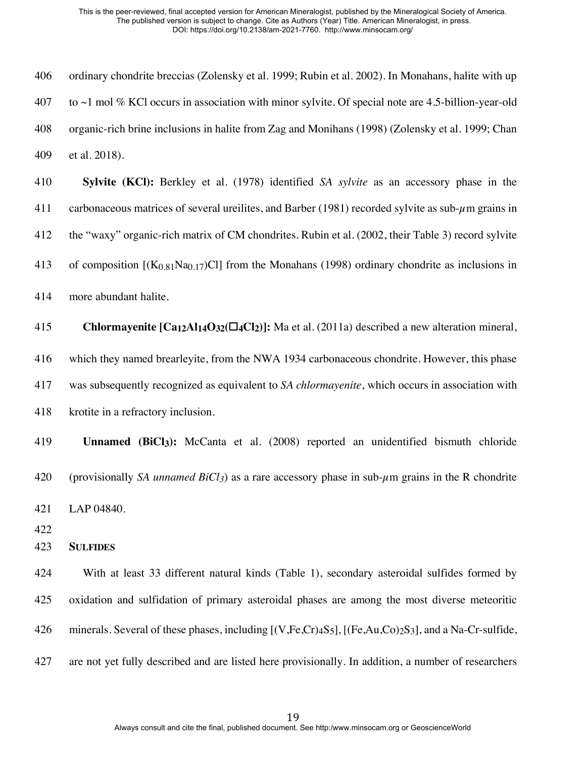| 406 | ordinary chondrite breccias (Zolensky et al. 1999; Rubin et al. 2002). In Monahans, halite with up                                                                      |
|-----|-------------------------------------------------------------------------------------------------------------------------------------------------------------------------|
| 407 | to $\sim$ 1 mol % KCl occurs in association with minor sylvite. Of special note are 4.5-billion-year-old                                                                |
| 408 | organic-rich brine inclusions in halite from Zag and Monihans (1998) (Zolensky et al. 1999; Chan                                                                        |
| 409 | et al. 2018).                                                                                                                                                           |
| 410 | Sylvite (KCl): Berkley et al. (1978) identified SA sylvite as an accessory phase in the                                                                                 |
| 411 | carbonaceous matrices of several ureilites, and Barber (1981) recorded sylvite as sub- $\mu$ m grains in                                                                |
| 412 | the "waxy" organic-rich matrix of CM chondrites. Rubin et al. (2002, their Table 3) record sylvite                                                                      |
| 413 | of composition $[(K_{0.81}Na_{0.17})Cl]$ from the Monahans (1998) ordinary chondrite as inclusions in                                                                   |
| 414 | more abundant halite.                                                                                                                                                   |
| 415 | <b>Chlormayenite [Ca<sub>12</sub>Al<sub>14</sub>O<sub>32</sub>(<math>\Box</math><sub>4</sub>Cl<sub>2</sub>)]: Ma et al. (2011a) described a new alteration mineral,</b> |
| 416 | which they named brearleyite, from the NWA 1934 carbonaceous chondrite. However, this phase                                                                             |
| 417 | was subsequently recognized as equivalent to SA chlormayenite, which occurs in association with                                                                         |
| 418 | krotite in a refractory inclusion.                                                                                                                                      |
| 419 | <b>Unnamed (BiCl3):</b> McCanta et al. (2008) reported an unidentified bismuth chloride                                                                                 |
| 420 | (provisionally SA <i>unnamed BiCl3</i> ) as a rare accessory phase in sub- $\mu$ m grains in the R chondrite                                                            |
| 421 | LAP 04840.                                                                                                                                                              |
| 422 |                                                                                                                                                                         |
| 423 | <b>SULFIDES</b>                                                                                                                                                         |
| 424 | With at least 33 different natural kinds (Table 1), secondary asteroidal sulfides formed by                                                                             |
| 425 | oxidation and sulfidation of primary asteroidal phases are among the most diverse meteoritic                                                                            |
| 426 | minerals. Several of these phases, including $[(V,Fe,Cr)4S_5]$ , $[(Fe,Au,Co)2S_3]$ , and a Na-Cr-sulfide,                                                              |
| 427 | are not yet fully described and are listed here provisionally. In addition, a number of researchers                                                                     |
|     |                                                                                                                                                                         |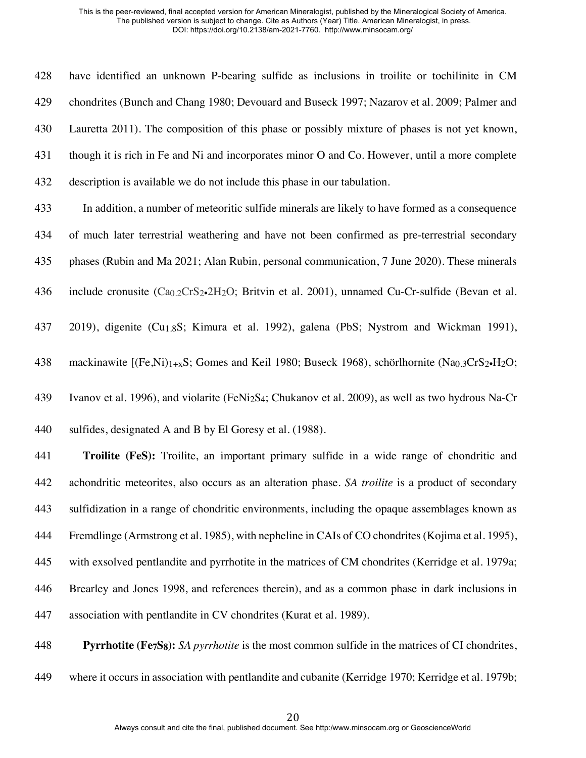have identified an unknown P-bearing sulfide as inclusions in troilite or tochilinite in CM chondrites (Bunch and Chang 1980; Devouard and Buseck 1997; Nazarov et al. 2009; Palmer and Lauretta 2011). The composition of this phase or possibly mixture of phases is not yet known, though it is rich in Fe and Ni and incorporates minor O and Co. However, until a more complete description is available we do not include this phase in our tabulation.

- In addition, a number of meteoritic sulfide minerals are likely to have formed as a consequence of much later terrestrial weathering and have not been confirmed as pre-terrestrial secondary phases (Rubin and Ma 2021; Alan Rubin, personal communication, 7 June 2020). These minerals
- 436 include cronusite  $(Ca_{0.2}CrS_2 \cdot 2H_2O)$ ; Britvin et al. 2001), unnamed Cu-Cr-sulfide (Bevan et al.
- 2019), digenite (Cu1.8S; Kimura et al. 1992), galena (PbS; Nystrom and Wickman 1991),
- 438 mackinawite  $[(Fe,Ni)]_{+x}S$ ; Gomes and Keil 1980; Buseck 1968), schörlhornite (Na<sub>0.3</sub>CrS<sub>2</sub>•H<sub>2</sub>O;
- Ivanov et al. 1996), and violarite (FeNi2S4; Chukanov et al. 2009), as well as two hydrous Na-Cr
- sulfides, designated A and B by El Goresy et al. (1988).

 **Troilite (FeS):** Troilite, an important primary sulfide in a wide range of chondritic and achondritic meteorites, also occurs as an alteration phase. *SA troilite* is a product of secondary sulfidization in a range of chondritic environments, including the opaque assemblages known as Fremdlinge (Armstrong et al. 1985), with nepheline in CAIs of CO chondrites (Kojima et al. 1995), with exsolved pentlandite and pyrrhotite in the matrices of CM chondrites (Kerridge et al. 1979a; Brearley and Jones 1998, and references therein), and as a common phase in dark inclusions in association with pentlandite in CV chondrites (Kurat et al. 1989).

 **Pyrrhotite (Fe7S8):** *SA pyrrhotite* is the most common sulfide in the matrices of CI chondrites, where it occurs in association with pentlandite and cubanite (Kerridge 1970; Kerridge et al. 1979b;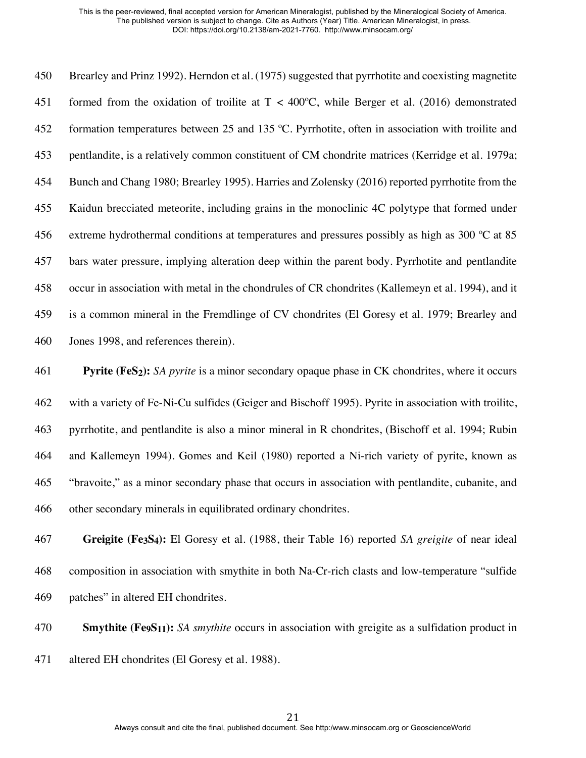Brearley and Prinz 1992). Herndon et al. (1975) suggested that pyrrhotite and coexisting magnetite 451 formed from the oxidation of troilite at  $T < 400^{\circ}$ C, while Berger et al. (2016) demonstrated 452 formation temperatures between 25 and 135 °C. Pyrrhotite, often in association with troilite and pentlandite, is a relatively common constituent of CM chondrite matrices (Kerridge et al. 1979a; Bunch and Chang 1980; Brearley 1995). Harries and Zolensky (2016) reported pyrrhotite from the Kaidun brecciated meteorite, including grains in the monoclinic 4C polytype that formed under extreme hydrothermal conditions at temperatures and pressures possibly as high as 300 ºC at 85 bars water pressure, implying alteration deep within the parent body. Pyrrhotite and pentlandite occur in association with metal in the chondrules of CR chondrites (Kallemeyn et al. 1994), and it is a common mineral in the Fremdlinge of CV chondrites (El Goresy et al. 1979; Brearley and Jones 1998, and references therein).

 **Pyrite (FeS2):** *SA pyrite* is a minor secondary opaque phase in CK chondrites, where it occurs with a variety of Fe-Ni-Cu sulfides (Geiger and Bischoff 1995). Pyrite in association with troilite, pyrrhotite, and pentlandite is also a minor mineral in R chondrites, (Bischoff et al. 1994; Rubin and Kallemeyn 1994). Gomes and Keil (1980) reported a Ni-rich variety of pyrite, known as "bravoite," as a minor secondary phase that occurs in association with pentlandite, cubanite, and other secondary minerals in equilibrated ordinary chondrites.

 **Greigite (Fe3S4):** El Goresy et al. (1988, their Table 16) reported *SA greigite* of near ideal composition in association with smythite in both Na-Cr-rich clasts and low-temperature "sulfide patches" in altered EH chondrites.

 **Smythite (Fe9S11):** *SA smythite* occurs in association with greigite as a sulfidation product in altered EH chondrites (El Goresy et al. 1988).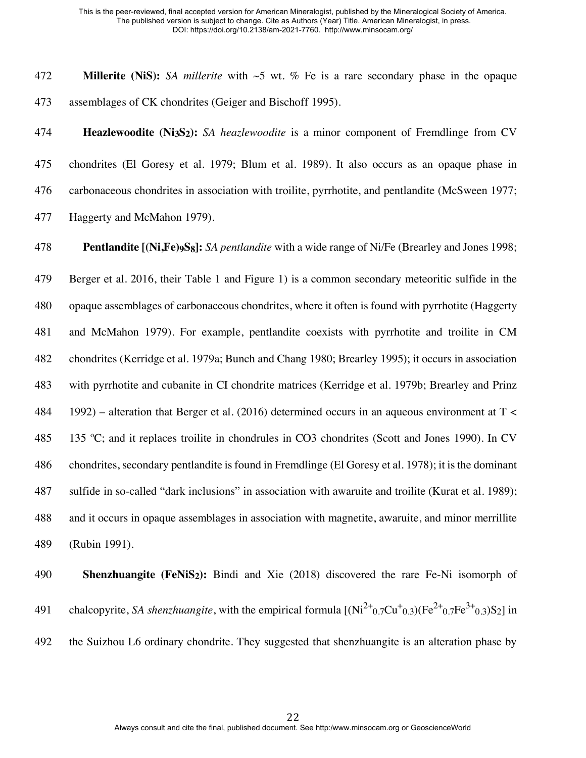**Millerite (NiS):** *SA millerite* with ~5 wt. % Fe is a rare secondary phase in the opaque assemblages of CK chondrites (Geiger and Bischoff 1995).

 **Heazlewoodite (Ni3S2):** *SA heazlewoodite* is a minor component of Fremdlinge from CV chondrites (El Goresy et al. 1979; Blum et al. 1989). It also occurs as an opaque phase in carbonaceous chondrites in association with troilite, pyrrhotite, and pentlandite (McSween 1977; Haggerty and McMahon 1979).

**Pentlandite [(Ni,Fe)9S8]:** *SA pentlandite* with a wide range of Ni/Fe (Brearley and Jones 1998;

 Berger et al. 2016, their Table 1 and Figure 1) is a common secondary meteoritic sulfide in the opaque assemblages of carbonaceous chondrites, where it often is found with pyrrhotite (Haggerty and McMahon 1979). For example, pentlandite coexists with pyrrhotite and troilite in CM chondrites (Kerridge et al. 1979a; Bunch and Chang 1980; Brearley 1995); it occurs in association with pyrrhotite and cubanite in CI chondrite matrices (Kerridge et al. 1979b; Brearley and Prinz 1992) – alteration that Berger et al. (2016) determined occurs in an aqueous environment at T < 135 ºC; and it replaces troilite in chondrules in CO3 chondrites (Scott and Jones 1990). In CV chondrites, secondary pentlandite is found in Fremdlinge (El Goresy et al. 1978); it is the dominant sulfide in so-called "dark inclusions" in association with awaruite and troilite (Kurat et al. 1989); and it occurs in opaque assemblages in association with magnetite, awaruite, and minor merrillite (Rubin 1991).

 **Shenzhuangite (FeNiS2):** Bindi and Xie (2018) discovered the rare Fe-Ni isomorph of 491 chalcopyrite, *SA shenzhuangite*, with the empirical formula  $[(Ni^{2+}0.7Cu^{+}0.3)(Fe^{2+}0.7Fe^{3+}0.3)S_2]$  in the Suizhou L6 ordinary chondrite. They suggested that shenzhuangite is an alteration phase by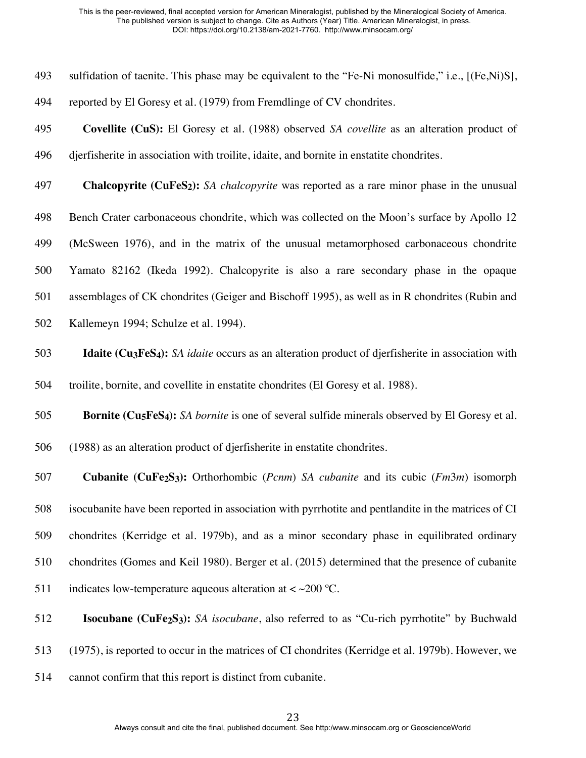| 493 | sulfidation of taenite. This phase may be equivalent to the "Fe-Ni monosulfide," i.e., [(Fe,Ni)S],                                   |
|-----|--------------------------------------------------------------------------------------------------------------------------------------|
| 494 | reported by El Goresy et al. (1979) from Fremdlinge of CV chondrites.                                                                |
| 495 | Covellite (CuS): El Goresy et al. (1988) observed SA covellite as an alteration product of                                           |
| 496 | djerfisherite in association with troilite, idaite, and bornite in enstatite chondrites.                                             |
| 497 | <b>Chalcopyrite (CuFeS<sub>2</sub>):</b> SA chalcopyrite was reported as a rare minor phase in the unusual                           |
| 498 | Bench Crater carbonaceous chondrite, which was collected on the Moon's surface by Apollo 12                                          |
| 499 | (McSween 1976), and in the matrix of the unusual metamorphosed carbonaceous chondrite                                                |
| 500 | Yamato 82162 (Ikeda 1992). Chalcopyrite is also a rare secondary phase in the opaque                                                 |
| 501 | assemblages of CK chondrites (Geiger and Bischoff 1995), as well as in R chondrites (Rubin and                                       |
| 502 | Kallemeyn 1994; Schulze et al. 1994).                                                                                                |
| 503 | <b>Idaite (Cu<sub>3</sub>FeS<sub>4</sub>):</b> SA <i>idaite</i> occurs as an alteration product of djerfisherite in association with |
| 504 | troilite, bornite, and covellite in enstatite chondrites (El Goresy et al. 1988).                                                    |
| 505 | <b>Bornite (Cu<sub>5</sub>FeS<sub>4</sub>):</b> SA <i>bornite</i> is one of several sulfide minerals observed by El Goresy et al.    |
| 506 | (1988) as an alteration product of djerfisherite in enstatite chondrites.                                                            |
| 507 | <b>Cubanite (CuFe2S3):</b> Orthorhombic ( <i>Pcnm</i> ) SA <i>cubanite</i> and its cubic ( $Fm3m$ ) isomorph                         |
| 508 | isocubanite have been reported in association with pyrrhotite and pentlandite in the matrices of CI                                  |
| 509 | chondrites (Kerridge et al. 1979b), and as a minor secondary phase in equilibrated ordinary                                          |
| 510 | chondrites (Gomes and Keil 1980). Berger et al. (2015) determined that the presence of cubanite                                      |
| 511 | indicates low-temperature aqueous alteration at $\langle \sim 200 \degree C$ .                                                       |
| 512 | <b>Isocubane (CuFe2S3):</b> SA <i>isocubane</i> , also referred to as "Cu-rich pyrrhotite" by Buchwald                               |
| 513 | (1975), is reported to occur in the matrices of CI chondrites (Kerridge et al. 1979b). However, we                                   |

cannot confirm that this report is distinct from cubanite.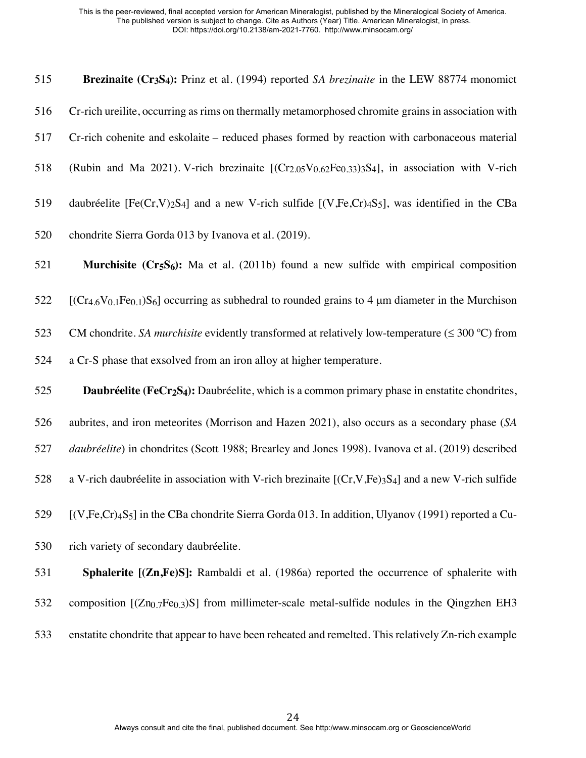**Brezinaite (Cr3S4):** Prinz et al. (1994) reported *SA brezinaite* in the LEW 88774 monomict Cr-rich ureilite, occurring as rims on thermally metamorphosed chromite grains in association with Cr-rich cohenite and eskolaite – reduced phases formed by reaction with carbonaceous material 518 (Rubin and Ma 2021). V-rich brezinaite  $[(Cr<sub>2.05</sub>V<sub>0.62</sub>Fe<sub>0.33</sub>)<sub>3</sub>S<sub>4</sub>]$ , in association with V-rich daubréelite [Fe(Cr,V)2S4] and a new V-rich sulfide [(V,Fe,Cr)4S5], was identified in the CBa chondrite Sierra Gorda 013 by Ivanova et al. (2019). **Murchisite (Cr5S6):** Ma et al. (2011b) found a new sulfide with empirical composition [(Cr<sub>4.6</sub>V<sub>0.1</sub>Fe<sub>0.1</sub>)S<sub>6</sub>] occurring as subhedral to rounded grains to 4 µm diameter in the Murchison 523 CM chondrite. *SA murchisite* evidently transformed at relatively low-temperature ( $\leq 300$  °C) from a Cr-S phase that exsolved from an iron alloy at higher temperature. **Daubréelite (FeCr2S4):** Daubréelite, which is a common primary phase in enstatite chondrites, aubrites, and iron meteorites (Morrison and Hazen 2021), also occurs as a secondary phase (*SA daubréelite*) in chondrites (Scott 1988; Brearley and Jones 1998). Ivanova et al. (2019) described 528 a V-rich daubréelite in association with V-rich brezinaite  $[(Cr, V, Fe)_3S_4]$  and a new V-rich sulfide [(V,Fe,Cr)4S5] in the CBa chondrite Sierra Gorda 013. In addition, Ulyanov (1991) reported a Cu- rich variety of secondary daubréelite. **Sphalerite [(Zn,Fe)S]:** Rambaldi et al. (1986a) reported the occurrence of sphalerite with 532 composition  $[(Zn_{0.7}Fe_{0.3})S]$  from millimeter-scale metal-sulfide nodules in the Qingzhen EH3 enstatite chondrite that appear to have been reheated and remelted. This relatively Zn-rich example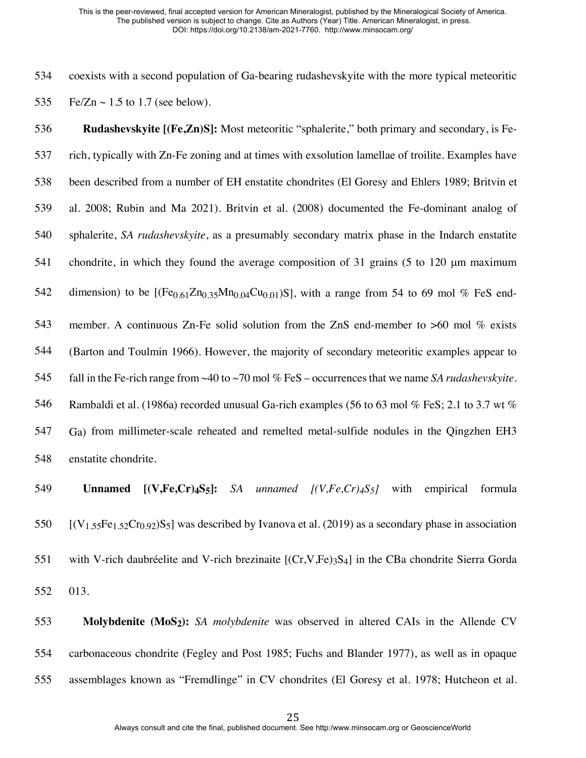coexists with a second population of Ga-bearing rudashevskyite with the more typical meteoritic 535 Fe/Zn  $\sim$  1.5 to 1.7 (see below).

 **Rudashevskyite [(Fe,Zn)S]:** Most meteoritic "sphalerite," both primary and secondary, is Fe- rich, typically with Zn-Fe zoning and at times with exsolution lamellae of troilite. Examples have been described from a number of EH enstatite chondrites (El Goresy and Ehlers 1989; Britvin et al. 2008; Rubin and Ma 2021). Britvin et al. (2008) documented the Fe-dominant analog of sphalerite, *SA rudashevskyite*, as a presumably secondary matrix phase in the Indarch enstatite chondrite, in which they found the average composition of 31 grains (5 to 120 µm maximum 542 dimension) to be  $[(Fe<sub>0.61</sub>Zn<sub>0.35</sub>Mn<sub>0.04</sub>Cu<sub>0.01</sub>)S]$ , with a range from 54 to 69 mol % FeS end- member. A continuous Zn-Fe solid solution from the ZnS end-member to >60 mol % exists (Barton and Toulmin 1966). However, the majority of secondary meteoritic examples appear to fall in the Fe-rich range from ~40 to ~70 mol % FeS – occurrences that we name *SA rudashevskyite*. 546 Rambaldi et al. (1986a) recorded unusual Ga-rich examples (56 to 63 mol % FeS; 2.1 to 3.7 wt % Ga) from millimeter-scale reheated and remelted metal-sulfide nodules in the Qingzhen EH3 enstatite chondrite.

 **Unnamed [(V,Fe,Cr)4S5]:** *SA unnamed [(V,Fe,Cr)4S5]* with empirical formula  $[(V_{1.55}Fe_{1.52}Cr_{0.92})S_5]$  was described by Ivanova et al. (2019) as a secondary phase in association with V-rich daubréelite and V-rich brezinaite [(Cr,V,Fe)3S4] in the CBa chondrite Sierra Gorda 013.

 **Molybdenite (MoS2):** *SA molybdenite* was observed in altered CAIs in the Allende CV carbonaceous chondrite (Fegley and Post 1985; Fuchs and Blander 1977), as well as in opaque assemblages known as "Fremdlinge" in CV chondrites (El Goresy et al. 1978; Hutcheon et al.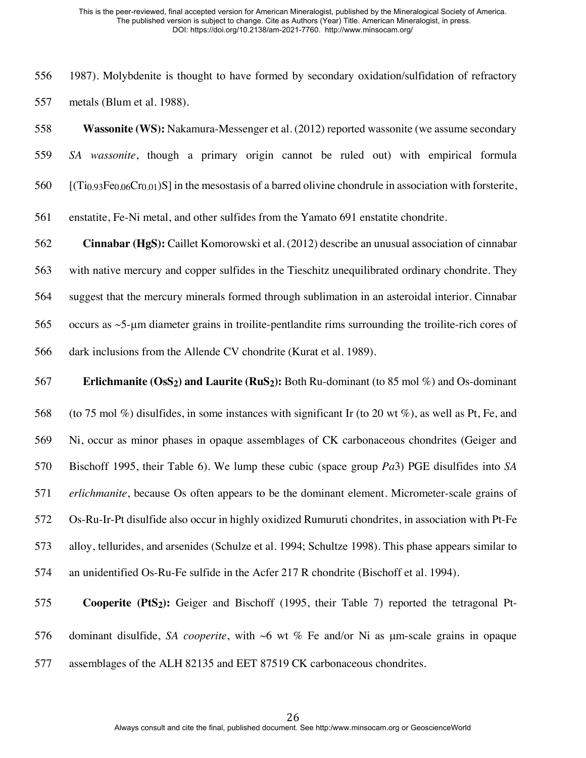1987). Molybdenite is thought to have formed by secondary oxidation/sulfidation of refractory metals (Blum et al. 1988).

 **Wassonite (WS):** Nakamura-Messenger et al. (2012) reported wassonite (we assume secondary *SA wassonite*, though a primary origin cannot be ruled out) with empirical formula 560  $[(T_i)_{93}Fe_0.06Cr_0.01)$ S in the mesostasis of a barred olivine chondrule in association with forsterite,

enstatite, Fe-Ni metal, and other sulfides from the Yamato 691 enstatite chondrite.

 **Cinnabar (HgS):** Caillet Komorowski et al. (2012) describe an unusual association of cinnabar with native mercury and copper sulfides in the Tieschitz unequilibrated ordinary chondrite. They suggest that the mercury minerals formed through sublimation in an asteroidal interior. Cinnabar occurs as ~5-µm diameter grains in troilite-pentlandite rims surrounding the troilite-rich cores of dark inclusions from the Allende CV chondrite (Kurat et al. 1989).

**Erlichmanite (OsS2) and Laurite (RuS2):** Both Ru-dominant (to 85 mol %) and Os-dominant

 (to 75 mol %) disulfides, in some instances with significant Ir (to 20 wt %), as well as Pt, Fe, and Ni, occur as minor phases in opaque assemblages of CK carbonaceous chondrites (Geiger and Bischoff 1995, their Table 6). We lump these cubic (space group *Pa*3) PGE disulfides into *SA erlichmanite*, because Os often appears to be the dominant element. Micrometer-scale grains of Os-Ru-Ir-Pt disulfide also occur in highly oxidized Rumuruti chondrites, in association with Pt-Fe alloy, tellurides, and arsenides (Schulze et al. 1994; Schultze 1998). This phase appears similar to an unidentified Os-Ru-Fe sulfide in the Acfer 217 R chondrite (Bischoff et al. 1994).

 **Cooperite (PtS2):** Geiger and Bischoff (1995, their Table 7) reported the tetragonal Pt- dominant disulfide, *SA cooperite*, with ~6 wt % Fe and/or Ni as µm-scale grains in opaque assemblages of the ALH 82135 and EET 87519 CK carbonaceous chondrites.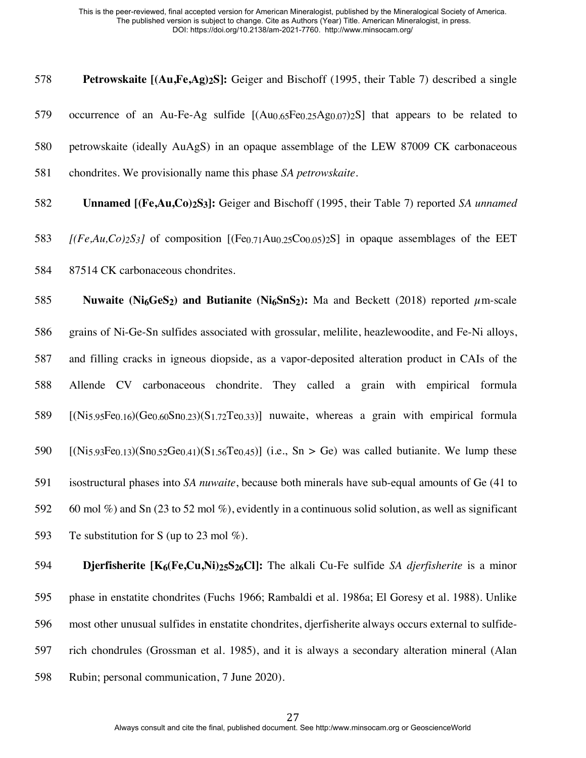| 578        | Petrowskaite [(Au,Fe,Ag) <sub>2</sub> S]: Geiger and Bischoff (1995, their Table 7) described a single                                                                                                                                                                                                                                     |
|------------|--------------------------------------------------------------------------------------------------------------------------------------------------------------------------------------------------------------------------------------------------------------------------------------------------------------------------------------------|
| 579        | occurrence of an Au-Fe-Ag sulfide [(Au0.65Fe0.25Ag0.07)2S] that appears to be related to                                                                                                                                                                                                                                                   |
| 580        | petrowskaite (ideally AuAgS) in an opaque assemblage of the LEW 87009 CK carbonaceous                                                                                                                                                                                                                                                      |
| 581        | chondrites. We provisionally name this phase SA petrowskaite.                                                                                                                                                                                                                                                                              |
| 582        | <b>Unnamed [(Fe,Au,Co)2S3]:</b> Geiger and Bischoff (1995, their Table 7) reported SA unnamed                                                                                                                                                                                                                                              |
| 583        | $[(Fe, Au, Co)_2S_3]$ of composition $[(Fe0.71Au0.25Co0.05)2S]$ in opaque assemblages of the EET                                                                                                                                                                                                                                           |
| 584        | 87514 CK carbonaceous chondrites.                                                                                                                                                                                                                                                                                                          |
| 585        | Nuwaite (Ni <sub>6</sub> GeS <sub>2</sub> ) and Butianite (Ni <sub>6</sub> SnS <sub>2</sub> ): Ma and Beckett (2018) reported $\mu$ m-scale                                                                                                                                                                                                |
| 586        | grains of Ni-Ge-Sn sulfides associated with grossular, melilite, heazlewoodite, and Fe-Ni alloys,                                                                                                                                                                                                                                          |
| 587        | and filling cracks in igneous diopside, as a vapor-deposited alteration product in CAIs of the                                                                                                                                                                                                                                             |
| 588        | Allende CV carbonaceous chondrite. They called a grain with empirical formula                                                                                                                                                                                                                                                              |
| 589        | $[(Ni5.95Fe0.16)(Ge0.60Sn0.23)(S1.72Te0.33)]$ nuwaite, whereas a grain with empirical formula                                                                                                                                                                                                                                              |
| 590        | $[(Ni5.93Fe0.13)(Sn0.52Ge0.41)(S1.56Te0.45)]$ (i.e., Sn > Ge) was called butianite. We lump these                                                                                                                                                                                                                                          |
| 591        | isostructural phases into SA nuwaite, because both minerals have sub-equal amounts of Ge (41 to                                                                                                                                                                                                                                            |
| 592        | 60 mol %) and Sn (23 to 52 mol %), evidently in a continuous solid solution, as well as significant                                                                                                                                                                                                                                        |
| 593        | Te substitution for S (up to 23 mol $\%$ ).                                                                                                                                                                                                                                                                                                |
| $F \cap A$ | $\mathbf{D}^*$ , $\mathbf{C}$ , $\mathbf{C}$ , $\mathbf{D}$ , $\mathbf{C}$ , $\mathbf{D}^*$ , $\mathbf{C}$ , $\mathbf{C}$ , $\mathbf{D}^*$ , $\mathbf{D}^*$ , $\mathbf{D}$ , $\mathbf{D}$ , $\mathbf{D}$ , $\mathbf{D}$ , $\mathbf{D}$ , $\mathbf{D}$ , $\mathbf{D}$ , $\mathbf{D}$ , $\mathbf{D}$ , $\mathbf{D}$ , $\mathbf{D}$ , $\math$ |

 **Djerfisherite [K6(Fe,Cu,Ni)25S26Cl]:** The alkali Cu-Fe sulfide *SA djerfisherite* is a minor phase in enstatite chondrites (Fuchs 1966; Rambaldi et al. 1986a; El Goresy et al. 1988). Unlike most other unusual sulfides in enstatite chondrites, djerfisherite always occurs external to sulfide- rich chondrules (Grossman et al. 1985), and it is always a secondary alteration mineral (Alan Rubin; personal communication, 7 June 2020).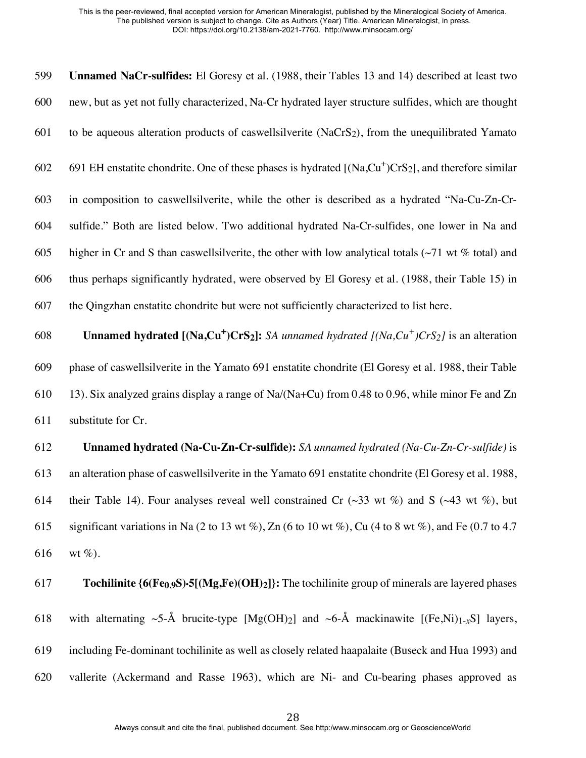**Unnamed NaCr-sulfides:** El Goresy et al. (1988, their Tables 13 and 14) described at least two new, but as yet not fully characterized, Na-Cr hydrated layer structure sulfides, which are thought to be aqueous alteration products of caswellsilverite (NaCrS2), from the unequilibrated Yamato 602 691 EH enstatite chondrite. One of these phases is hydrated  $[(Na, Cu<sup>+</sup>)CrS<sub>2</sub>]$ , and therefore similar in composition to caswellsilverite, while the other is described as a hydrated "Na-Cu-Zn-Cr- sulfide." Both are listed below. Two additional hydrated Na-Cr-sulfides, one lower in Na and 605 higher in Cr and S than caswell silverite, the other with low analytical totals ( $\sim$ 71 wt % total) and thus perhaps significantly hydrated, were observed by El Goresy et al. (1988, their Table 15) in the Qingzhan enstatite chondrite but were not sufficiently characterized to list here. **Unnamed hydrated [(Na,Cu<sup>+</sup>)CrS<sub>2</sub>]:** *SA unnamed hydrated [(Na,Cu<sup>+</sup>)CrS<sub>2</sub>] is an alteration 608 <i>i*  phase of caswellsilverite in the Yamato 691 enstatite chondrite (El Goresy et al. 1988, their Table 13). Six analyzed grains display a range of Na/(Na+Cu) from 0.48 to 0.96, while minor Fe and Zn substitute for Cr. **Unnamed hydrated (Na-Cu-Zn-Cr-sulfide):** *SA unnamed hydrated (Na-Cu-Zn-Cr-sulfide)* is an alteration phase of caswellsilverite in the Yamato 691 enstatite chondrite (El Goresy et al. 1988, 614 their Table 14). Four analyses reveal well constrained Cr ( $\sim$ 33 wt %) and S ( $\sim$ 43 wt %), but 615 significant variations in Na (2 to 13 wt %), Zn (6 to 10 wt %), Cu (4 to 8 wt %), and Fe (0.7 to 4.7 616 wt  $%$ ).

 **Tochilinite {6(Fe0.9S)**•**5[(Mg,Fe)(OH)2]}:** The tochilinite group of minerals are layered phases 618 with alternating ~5-Å brucite-type  $[Mg(OH)_2]$  and ~6-Å mackinawite  $[(Fe,Ni)<sub>1-x</sub>S]$  layers, including Fe-dominant tochilinite as well as closely related haapalaite (Buseck and Hua 1993) and vallerite (Ackermand and Rasse 1963), which are Ni- and Cu-bearing phases approved as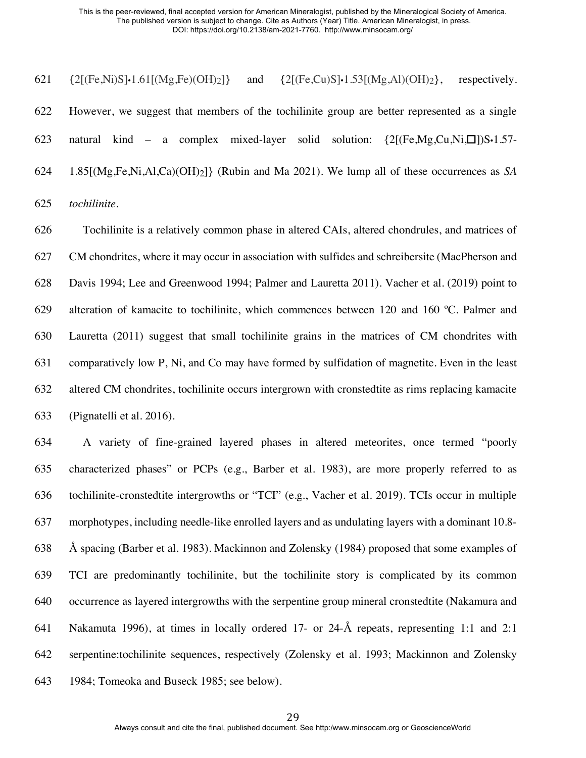$\{2[(Fe,Ni)S] \cdot 1.61[(Mg,Fe)(OH)_2]\}$  and  $\{2[(Fe,Cu)S] \cdot 1.53[(Mg,A)(OH)_2]\}$ , respectively. However, we suggest that members of the tochilinite group are better represented as a single natural kind – a complex mixed-layer solid solution: {2[(Fe,Mg,Cu,Ni,☐])S•1.57- 1.85[(Mg,Fe,Ni,Al,Ca)(OH)2]} (Rubin and Ma 2021). We lump all of these occurrences as *SA tochilinite*.

 Tochilinite is a relatively common phase in altered CAIs, altered chondrules, and matrices of CM chondrites, where it may occur in association with sulfides and schreibersite (MacPherson and Davis 1994; Lee and Greenwood 1994; Palmer and Lauretta 2011). Vacher et al. (2019) point to alteration of kamacite to tochilinite, which commences between 120 and 160 ºC. Palmer and Lauretta (2011) suggest that small tochilinite grains in the matrices of CM chondrites with comparatively low P, Ni, and Co may have formed by sulfidation of magnetite. Even in the least altered CM chondrites, tochilinite occurs intergrown with cronstedtite as rims replacing kamacite (Pignatelli et al. 2016).

 A variety of fine-grained layered phases in altered meteorites, once termed "poorly characterized phases" or PCPs (e.g., Barber et al. 1983), are more properly referred to as tochilinite-cronstedtite intergrowths or "TCI" (e.g., Vacher et al. 2019). TCIs occur in multiple morphotypes, including needle-like enrolled layers and as undulating layers with a dominant 10.8- Å spacing (Barber et al. 1983). Mackinnon and Zolensky (1984) proposed that some examples of TCI are predominantly tochilinite, but the tochilinite story is complicated by its common occurrence as layered intergrowths with the serpentine group mineral cronstedtite (Nakamura and Nakamuta 1996), at times in locally ordered 17- or 24-Å repeats, representing 1:1 and 2:1 serpentine:tochilinite sequences, respectively (Zolensky et al. 1993; Mackinnon and Zolensky 1984; Tomeoka and Buseck 1985; see below).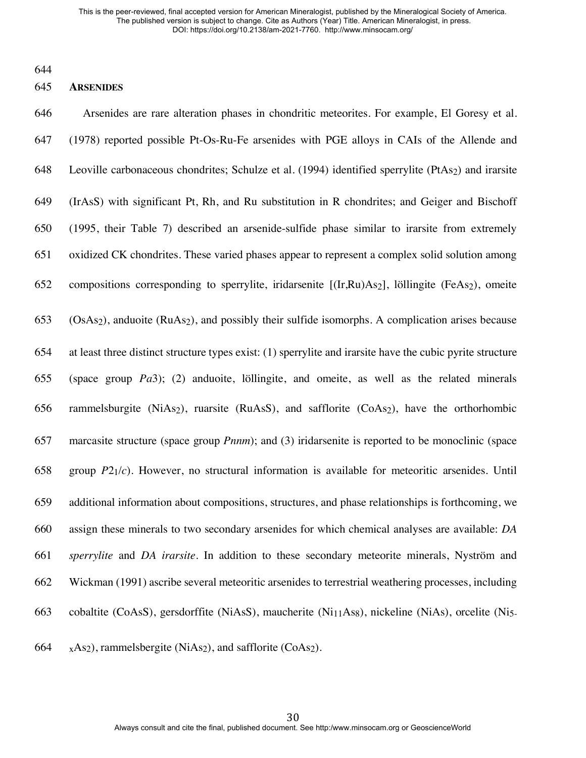## **ARSENIDES**

 Arsenides are rare alteration phases in chondritic meteorites. For example, El Goresy et al. (1978) reported possible Pt-Os-Ru-Fe arsenides with PGE alloys in CAIs of the Allende and 648 Leoville carbonaceous chondrites; Schulze et al. (1994) identified sperrylite (PtAs<sub>2</sub>) and irarsite (IrAsS) with significant Pt, Rh, and Ru substitution in R chondrites; and Geiger and Bischoff (1995, their Table 7) described an arsenide-sulfide phase similar to irarsite from extremely oxidized CK chondrites. These varied phases appear to represent a complex solid solution among compositions corresponding to sperrylite, iridarsenite [(Ir,Ru)As2], löllingite (FeAs2), omeite (OsAs2), anduoite (RuAs2), and possibly their sulfide isomorphs. A complication arises because at least three distinct structure types exist: (1) sperrylite and irarsite have the cubic pyrite structure (space group *Pa*3); (2) anduoite, löllingite, and omeite, as well as the related minerals rammelsburgite (NiAs2), ruarsite (RuAsS), and safflorite (CoAs2), have the orthorhombic marcasite structure (space group *Pnnm*); and (3) iridarsenite is reported to be monoclinic (space group *P*21/*c*). However, no structural information is available for meteoritic arsenides. Until additional information about compositions, structures, and phase relationships is forthcoming, we assign these minerals to two secondary arsenides for which chemical analyses are available: *DA sperrylite* and *DA irarsite*. In addition to these secondary meteorite minerals, Nyström and Wickman (1991) ascribe several meteoritic arsenides to terrestrial weathering processes, including cobaltite (CoAsS), gersdorffite (NiAsS), maucherite (Ni11As8), nickeline (NiAs), orcelite (Ni5-

664  $_X$ As<sub>2</sub>), rammelsbergite (NiAs<sub>2</sub>), and safflorite (CoAs<sub>2</sub>).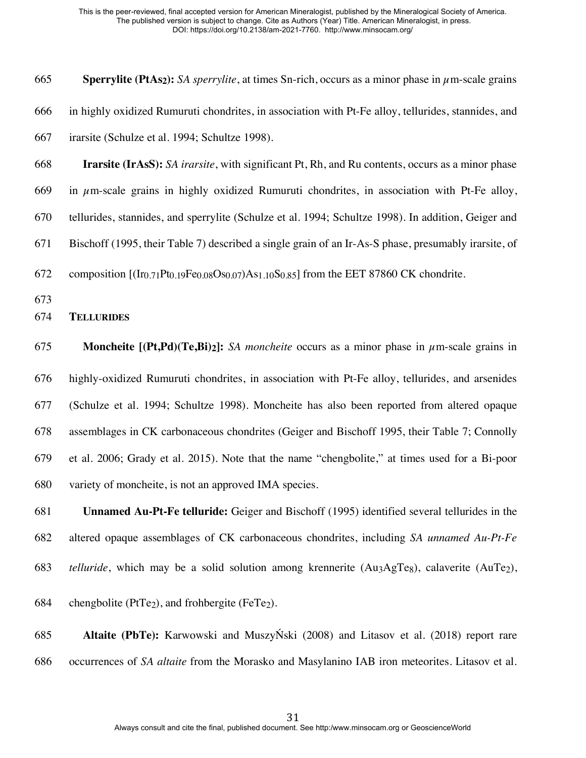**Sperrylite (PtAs2):** *SA sperrylite*, at times Sn-rich, occurs as a minor phase in µm-scale grains in highly oxidized Rumuruti chondrites, in association with Pt-Fe alloy, tellurides, stannides, and irarsite (Schulze et al. 1994; Schultze 1998).

 **Irarsite (IrAsS):** *SA irarsite*, with significant Pt, Rh, and Ru contents, occurs as a minor phase 669 in  $\mu$ m-scale grains in highly oxidized Rumuruti chondrites, in association with Pt-Fe alloy,

tellurides, stannides, and sperrylite (Schulze et al. 1994; Schultze 1998). In addition, Geiger and

Bischoff (1995, their Table 7) described a single grain of an Ir-As-S phase, presumably irarsite, of

672 composition  $[(I_{r0.71}Pt_{0.19}Fe_{0.08}Os_{0.07})As_{1.10}S_{0.85}]$  from the EET 87860 CK chondrite.

## **TELLURIDES**

 **Moncheite [(Pt,Pd)(Te,Bi)2]:** *SA moncheite* occurs as a minor phase in µm-scale grains in highly-oxidized Rumuruti chondrites, in association with Pt-Fe alloy, tellurides, and arsenides (Schulze et al. 1994; Schultze 1998). Moncheite has also been reported from altered opaque assemblages in CK carbonaceous chondrites (Geiger and Bischoff 1995, their Table 7; Connolly et al. 2006; Grady et al. 2015). Note that the name "chengbolite," at times used for a Bi-poor variety of moncheite, is not an approved IMA species.

 **Unnamed Au-Pt-Fe telluride:** Geiger and Bischoff (1995) identified several tellurides in the altered opaque assemblages of CK carbonaceous chondrites, including *SA unnamed Au-Pt-Fe telluride*, which may be a solid solution among krennerite (Au3AgTe8), calaverite (AuTe2),

684 chengbolite ( $P(T_{e2})$ , and frohbergite ( $F_{eT_{e2}}$ ).

 **Altaite (PbTe):** Karwowski and MuszyŃski (2008) and Litasov et al. (2018) report rare occurrences of *SA altaite* from the Morasko and Masylanino IAB iron meteorites. Litasov et al.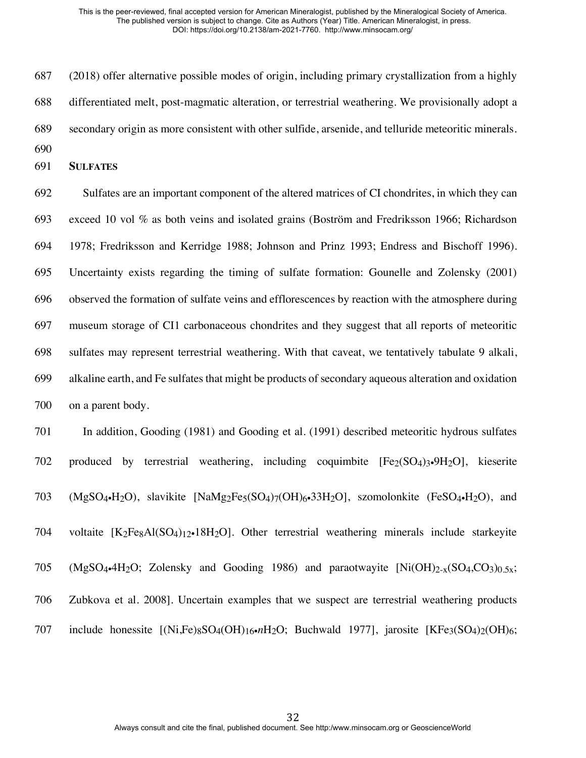(2018) offer alternative possible modes of origin, including primary crystallization from a highly differentiated melt, post-magmatic alteration, or terrestrial weathering. We provisionally adopt a secondary origin as more consistent with other sulfide, arsenide, and telluride meteoritic minerals. 

**SULFATES**

 Sulfates are an important component of the altered matrices of CI chondrites, in which they can exceed 10 vol % as both veins and isolated grains (Boström and Fredriksson 1966; Richardson 1978; Fredriksson and Kerridge 1988; Johnson and Prinz 1993; Endress and Bischoff 1996). Uncertainty exists regarding the timing of sulfate formation: Gounelle and Zolensky (2001) observed the formation of sulfate veins and efflorescences by reaction with the atmosphere during museum storage of CI1 carbonaceous chondrites and they suggest that all reports of meteoritic sulfates may represent terrestrial weathering. With that caveat, we tentatively tabulate 9 alkali, alkaline earth, and Fe sulfates that might be products of secondary aqueous alteration and oxidation on a parent body.

 In addition, Gooding (1981) and Gooding et al. (1991) described meteoritic hydrous sulfates 702 produced by terrestrial weathering, including coquimbite  $[Fe<sub>2</sub>(SO<sub>4</sub>)<sub>3</sub>·9H<sub>2</sub>O]$ , kieserite (MgSO4•H2O), slavikite [NaMg2Fe5(SO4)7(OH)6•33H2O], szomolonkite (FeSO4•H2O), and 704 voltaite  $[K_2Fe_8Al(SO_4)<sub>12</sub>$ -18H<sub>2</sub>O. Other terrestrial weathering minerals include starkeyite 705 (MgSO<sub>4</sub>•4H<sub>2</sub>O; Zolensky and Gooding 1986) and paraotwayite  $[Ni(OH)_{2-x}(SO_4, CO_3)_{0.5x};$  Zubkova et al. 2008]. Uncertain examples that we suspect are terrestrial weathering products 707 include honessite  $[(Ni,Fe)_{8}SO_{4}(OH)_{16} \cdot nH_{2}O; Buchwald 1977],$  jarosite  $[KFe3(SO4)_{2}(OH)_{6};$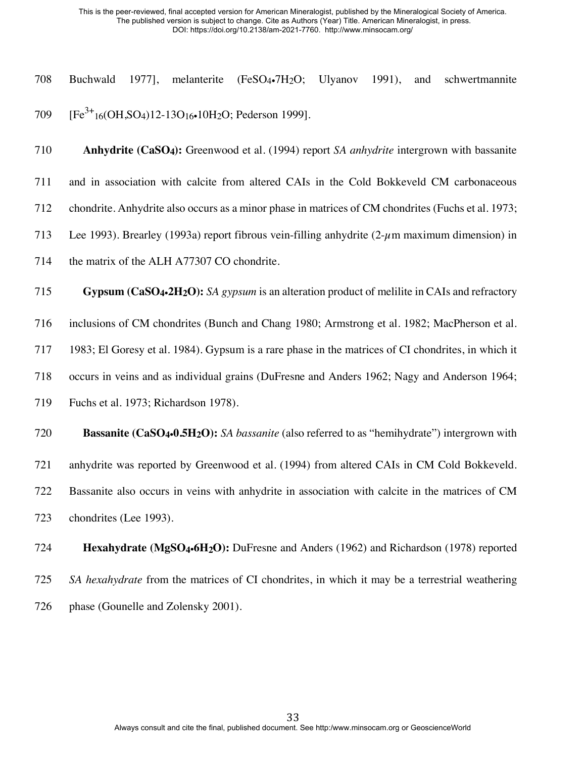| 708 |  | Buchwald 1977], melanterite (FeSO <sub>4</sub> •7H <sub>2</sub> O; Ulyanov 1991), and schwertmannite   |  |  |
|-----|--|--------------------------------------------------------------------------------------------------------|--|--|
|     |  |                                                                                                        |  |  |
|     |  | 709 [Fe <sup>3+</sup> 16(OH,SO <sub>4</sub> )12-13O <sub>16</sub> -10H <sub>2</sub> O; Pederson 1999]. |  |  |

 **Anhydrite (CaSO4):** Greenwood et al. (1994) report *SA anhydrite* intergrown with bassanite and in association with calcite from altered CAIs in the Cold Bokkeveld CM carbonaceous chondrite. Anhydrite also occurs as a minor phase in matrices of CM chondrites (Fuchs et al. 1973; Lee 1993). Brearley (1993a) report fibrous vein-filling anhydrite (2-µm maximum dimension) in 714 the matrix of the ALH A77307 CO chondrite. **Gypsum (CaSO4**•**2H2O):** *SA gypsum* is an alteration product of melilite in CAIs and refractory inclusions of CM chondrites (Bunch and Chang 1980; Armstrong et al. 1982; MacPherson et al. 1983; El Goresy et al. 1984). Gypsum is a rare phase in the matrices of CI chondrites, in which it occurs in veins and as individual grains (DuFresne and Anders 1962; Nagy and Anderson 1964; Fuchs et al. 1973; Richardson 1978).  **Bassanite (CaSO4**•**0.5H2O):** *SA bassanite* (also referred to as "hemihydrate") intergrown with anhydrite was reported by Greenwood et al. (1994) from altered CAIs in CM Cold Bokkeveld. Bassanite also occurs in veins with anhydrite in association with calcite in the matrices of CM

chondrites (Lee 1993).

 **Hexahydrate (MgSO4**•**6H2O):** DuFresne and Anders (1962) and Richardson (1978) reported *SA hexahydrate* from the matrices of CI chondrites, in which it may be a terrestrial weathering 726 phase (Gounelle and Zolensky 2001).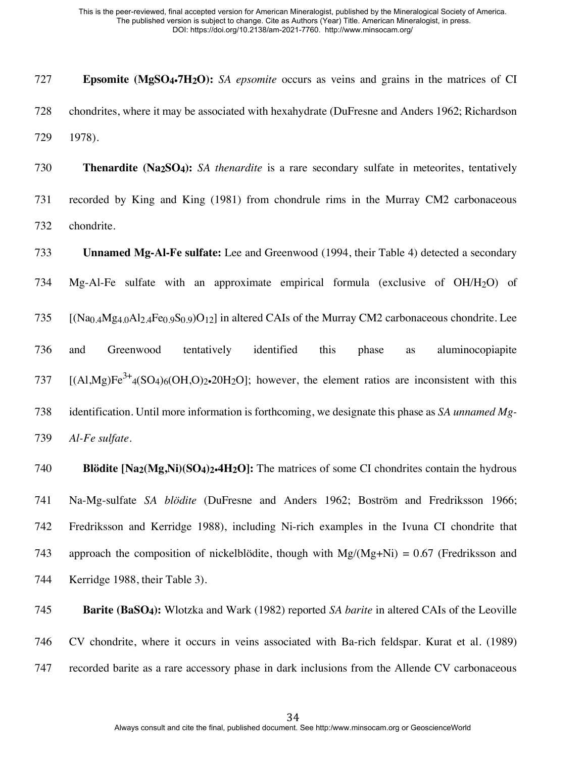**Epsomite (MgSO4**•**7H2O):** *SA epsomite* occurs as veins and grains in the matrices of CI chondrites, where it may be associated with hexahydrate (DuFresne and Anders 1962; Richardson 1978).

 **Thenardite (Na2SO4):** *SA thenardite* is a rare secondary sulfate in meteorites, tentatively recorded by King and King (1981) from chondrule rims in the Murray CM2 carbonaceous chondrite.

 **Unnamed Mg-Al-Fe sulfate:** Lee and Greenwood (1994, their Table 4) detected a secondary Mg-Al-Fe sulfate with an approximate empirical formula (exclusive of OH/H2O) of  $[(Na<sub>0.4</sub>Mg<sub>4.0</sub>Al<sub>2.4</sub>Fe<sub>0.9</sub>S<sub>0.9</sub>)O<sub>12</sub>]$  in altered CAIs of the Murray CM2 carbonaceous chondrite. Lee and Greenwood tentatively identified this phase as aluminocopiapite  $[(A1.Mg)Fe<sup>3+</sup>4(SO4)6(OH, O)<sub>2</sub>•20H<sub>2</sub>O]$ ; however, the element ratios are inconsistent with this identification. Until more information is forthcoming, we designate this phase as *SA unnamed Mg-Al-Fe sulfate*.

 **Blödite [Na2(Mg,Ni)(SO4)2**•**4H2O]:** The matrices of some CI chondrites contain the hydrous Na-Mg-sulfate *SA blödite* (DuFresne and Anders 1962; Boström and Fredriksson 1966; Fredriksson and Kerridge 1988), including Ni-rich examples in the Ivuna CI chondrite that 743 approach the composition of nickelblödite, though with  $Mg/(Mg+Ni) = 0.67$  (Fredriksson and Kerridge 1988, their Table 3).

 **Barite (BaSO4):** Wlotzka and Wark (1982) reported *SA barite* in altered CAIs of the Leoville CV chondrite, where it occurs in veins associated with Ba-rich feldspar. Kurat et al. (1989) recorded barite as a rare accessory phase in dark inclusions from the Allende CV carbonaceous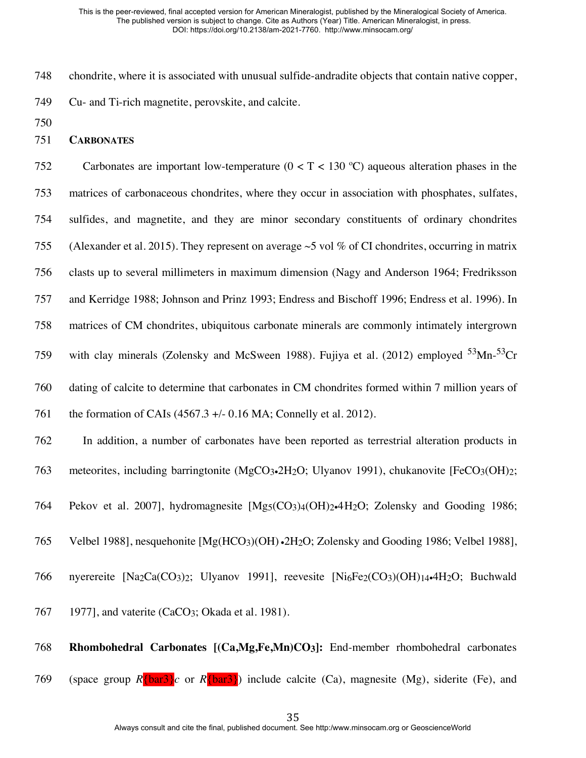- 748 chondrite, where it is associated with unusual sulfide-andradite objects that contain native copper,
- 749 Cu- and Ti-rich magnetite, perovskite, and calcite.
- 750
- 751 **CARBONATES**

752 Carbonates are important low-temperature (0 < T < 130 ºC) aqueous alteration phases in the 753 matrices of carbonaceous chondrites, where they occur in association with phosphates, sulfates, 754 sulfides, and magnetite, and they are minor secondary constituents of ordinary chondrites 755 (Alexander et al. 2015). They represent on average  $\sim$ 5 vol % of CI chondrites, occurring in matrix 756 clasts up to several millimeters in maximum dimension (Nagy and Anderson 1964; Fredriksson 757 and Kerridge 1988; Johnson and Prinz 1993; Endress and Bischoff 1996; Endress et al. 1996). In 758 matrices of CM chondrites, ubiquitous carbonate minerals are commonly intimately intergrown 759 with clay minerals (Zolensky and McSween 1988). Fujiya et al. (2012) employed  $53$ Mn- $53$ Cr 760 dating of calcite to determine that carbonates in CM chondrites formed within 7 million years of 761 the formation of CAIs (4567.3 +/- 0.16 MA; Connelly et al. 2012). 762 In addition, a number of carbonates have been reported as terrestrial alteration products in 763 meteorites, including barringtonite (MgCO<sub>3</sub>•2H<sub>2</sub>O; Ulyanov 1991), chukanovite [FeCO<sub>3</sub>(OH)<sub>2</sub>; 764 Pekov et al. 2007], hydromagnesite [Mg<sub>5</sub>(CO<sub>3</sub>)<sub>4</sub>(OH)<sub>2</sub>•4H<sub>2</sub>O; Zolensky and Gooding 1986; 765 Velbel 1988], nesquehonite [Mg(HCO<sub>3</sub>)(OH) •2H<sub>2</sub>O; Zolensky and Gooding 1986; Velbel 1988], 766 nyerereite  $[Na_2Ca(CO_3)$ : Ulyanov 1991], reevesite  $[Ni_6Fe_2(CO_3)(OH)_{14}$ . 4H<sub>2</sub>O; Buchwald 767 1977], and vaterite (CaCO<sub>3</sub>; Okada et al. 1981).

768 **Rhombohedral Carbonates [(Ca,Mg,Fe,Mn)CO3]:** End-member rhombohedral carbonates 769 (space group  $R\{\text{bar3}\}c$  or  $R\{\text{bar3}\}$ ) include calcite (Ca), magnesite (Mg), siderite (Fe), and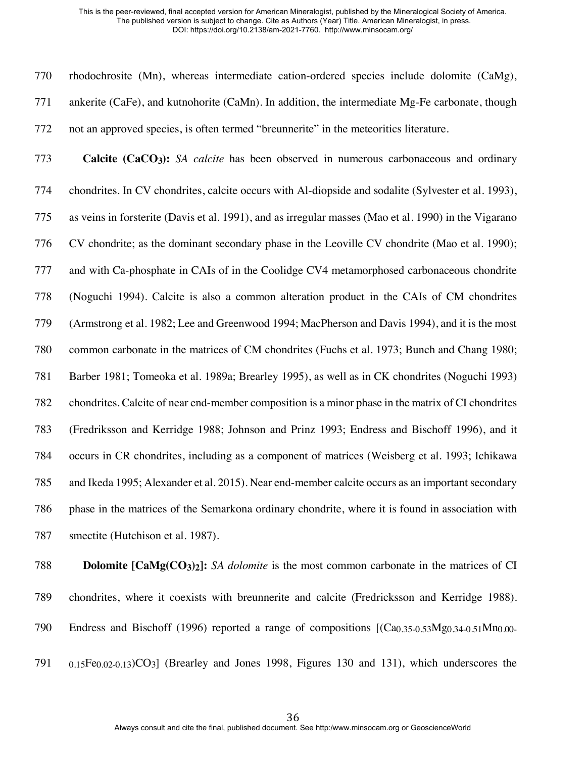rhodochrosite (Mn), whereas intermediate cation-ordered species include dolomite (CaMg), ankerite (CaFe), and kutnohorite (CaMn). In addition, the intermediate Mg-Fe carbonate, though not an approved species, is often termed "breunnerite" in the meteoritics literature.

 **Calcite (CaCO3):** *SA calcite* has been observed in numerous carbonaceous and ordinary chondrites. In CV chondrites, calcite occurs with Al-diopside and sodalite (Sylvester et al. 1993), as veins in forsterite (Davis et al. 1991), and as irregular masses (Mao et al. 1990) in the Vigarano CV chondrite; as the dominant secondary phase in the Leoville CV chondrite (Mao et al. 1990); and with Ca-phosphate in CAIs of in the Coolidge CV4 metamorphosed carbonaceous chondrite (Noguchi 1994). Calcite is also a common alteration product in the CAIs of CM chondrites (Armstrong et al. 1982; Lee and Greenwood 1994; MacPherson and Davis 1994), and it is the most common carbonate in the matrices of CM chondrites (Fuchs et al. 1973; Bunch and Chang 1980; Barber 1981; Tomeoka et al. 1989a; Brearley 1995), as well as in CK chondrites (Noguchi 1993) chondrites. Calcite of near end-member composition is a minor phase in the matrix of CI chondrites (Fredriksson and Kerridge 1988; Johnson and Prinz 1993; Endress and Bischoff 1996), and it occurs in CR chondrites, including as a component of matrices (Weisberg et al. 1993; Ichikawa and Ikeda 1995; Alexander et al. 2015). Near end-member calcite occurs as an important secondary phase in the matrices of the Semarkona ordinary chondrite, where it is found in association with 787 smectite (Hutchison et al. 1987).

 **Dolomite [CaMg(CO3)2]:** *SA dolomite* is the most common carbonate in the matrices of CI chondrites, where it coexists with breunnerite and calcite (Fredricksson and Kerridge 1988). 790 Endress and Bischoff (1996) reported a range of compositions  $[(Ca<sub>0.35-0.53</sub>Mg<sub>0.34-0.51</sub>Mn<sub>0.00-51</sub>$ 0.15Fe0.02-0.13)CO3] (Brearley and Jones 1998, Figures 130 and 131), which underscores the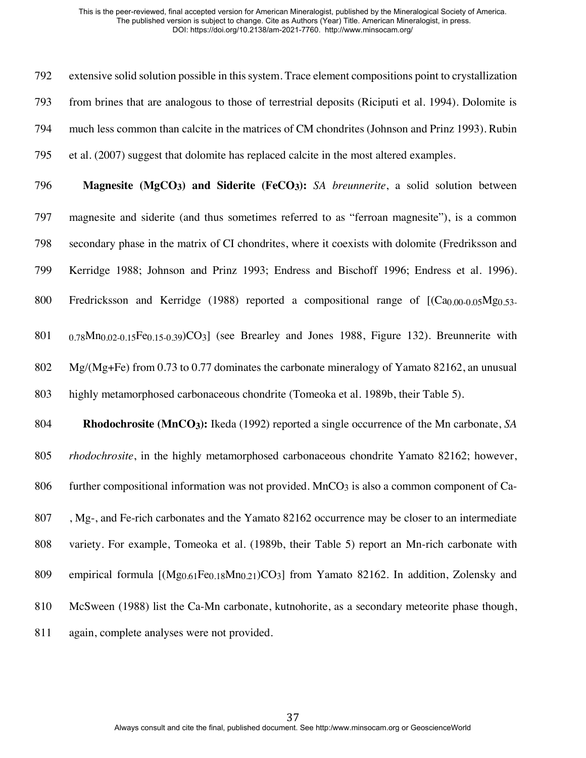extensive solid solution possible in this system. Trace element compositions point to crystallization from brines that are analogous to those of terrestrial deposits (Riciputi et al. 1994). Dolomite is much less common than calcite in the matrices of CM chondrites (Johnson and Prinz 1993). Rubin et al. (2007) suggest that dolomite has replaced calcite in the most altered examples.

 **Magnesite (MgCO3) and Siderite (FeCO3):** *SA breunnerite*, a solid solution between magnesite and siderite (and thus sometimes referred to as "ferroan magnesite"), is a common secondary phase in the matrix of CI chondrites, where it coexists with dolomite (Fredriksson and Kerridge 1988; Johnson and Prinz 1993; Endress and Bischoff 1996; Endress et al. 1996). 800 Fredricksson and Kerridge (1988) reported a compositional range of  $[(Ca<sub>0.00-0.05</sub>Mg<sub>0.53</sub>]$ 0.78Mn0.02-0.15Fe0.15-0.39)CO3] (see Brearley and Jones 1988, Figure 132). Breunnerite with

802 Mg/(Mg+Fe) from 0.73 to 0.77 dominates the carbonate mineralogy of Yamato 82162, an unusual highly metamorphosed carbonaceous chondrite (Tomeoka et al. 1989b, their Table 5).

 **Rhodochrosite (MnCO3):** Ikeda (1992) reported a single occurrence of the Mn carbonate, *SA rhodochrosite*, in the highly metamorphosed carbonaceous chondrite Yamato 82162; however, 806 further compositional information was not provided. MnCO<sub>3</sub> is also a common component of Ca-807, Mg-, and Fe-rich carbonates and the Yamato 82162 occurrence may be closer to an intermediate variety. For example, Tomeoka et al. (1989b, their Table 5) report an Mn-rich carbonate with 809 empirical formula  $[(Mg)_{0.61}Fe_{0.18}Mn_{0.21}CO_3]$  from Yamato 82162. In addition, Zolensky and McSween (1988) list the Ca-Mn carbonate, kutnohorite, as a secondary meteorite phase though, again, complete analyses were not provided.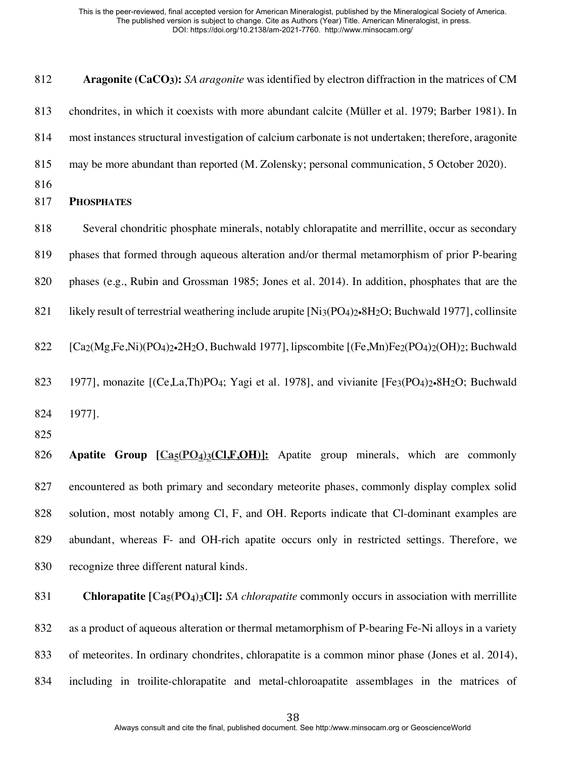**Aragonite (CaCO3):** *SA aragonite* was identified by electron diffraction in the matrices of CM chondrites, in which it coexists with more abundant calcite (Müller et al. 1979; Barber 1981). In most instances structural investigation of calcium carbonate is not undertaken; therefore, aragonite may be more abundant than reported (M. Zolensky; personal communication, 5 October 2020). **PHOSPHATES** 818 Several chondritic phosphate minerals, notably chlorapatite and merrillite, occur as secondary phases that formed through aqueous alteration and/or thermal metamorphism of prior P-bearing phases (e.g., Rubin and Grossman 1985; Jones et al. 2014). In addition, phosphates that are the 821 likely result of terrestrial weathering include arupite  $[Ni_3(PO_4)_2 \cdot 8H_2O$ ; Buchwald 1977], collinsite  $[Ca_2(Mg,Fe,Ni)(PO_4)_2 \cdot 2H_2O$ , Buchwald 1977], lipscombite  $[(Fe,Mn)Fe_2(PO_4)_2(OH)_2;$  Buchwald 823 1977], monazite  $[(Ce, La, Th)PQ<sub>4</sub>; Yagi et al. 1978]$ , and vivianite  $[Fe<sub>3</sub>(PO<sub>4</sub>)<sub>2</sub>•8H<sub>2</sub>O; Buchwald]$  1977]. **Apatite Group [Ca5(PO4)3(Cl,F,OH)]:** Apatite group minerals, which are commonly encountered as both primary and secondary meteorite phases, commonly display complex solid solution, most notably among Cl, F, and OH. Reports indicate that Cl-dominant examples are abundant, whereas F- and OH-rich apatite occurs only in restricted settings. Therefore, we recognize three different natural kinds. **Chlorapatite [Ca5(PO4)3Cl]:** *SA chlorapatite* commonly occurs in association with merrillite as a product of aqueous alteration or thermal metamorphism of P-bearing Fe-Ni alloys in a variety

of meteorites. In ordinary chondrites, chlorapatite is a common minor phase (Jones et al. 2014),

including in troilite-chlorapatite and metal-chloroapatite assemblages in the matrices of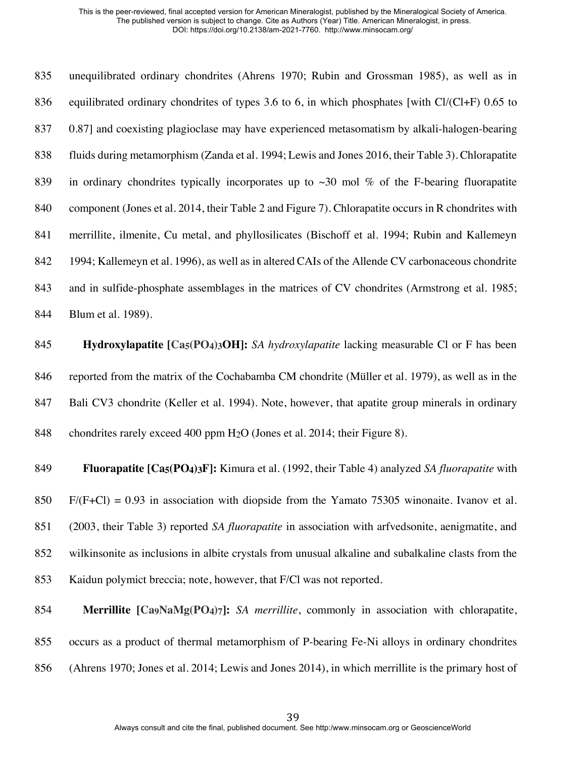unequilibrated ordinary chondrites (Ahrens 1970; Rubin and Grossman 1985), as well as in 836 equilibrated ordinary chondrites of types 3.6 to 6, in which phosphates [with Cl/(Cl+F) 0.65 to 0.87] and coexisting plagioclase may have experienced metasomatism by alkali-halogen-bearing fluids during metamorphism (Zanda et al. 1994; Lewis and Jones 2016, their Table 3). Chlorapatite 839 in ordinary chondrites typically incorporates up to  $\sim$ 30 mol % of the F-bearing fluorapatite component (Jones et al. 2014, their Table 2 and Figure 7). Chlorapatite occurs in R chondrites with merrillite, ilmenite, Cu metal, and phyllosilicates (Bischoff et al. 1994; Rubin and Kallemeyn 1994; Kallemeyn et al. 1996), as well as in altered CAIs of the Allende CV carbonaceous chondrite 843 and in sulfide-phosphate assemblages in the matrices of CV chondrites (Armstrong et al. 1985; Blum et al. 1989).

 **Hydroxylapatite [Ca5(PO4)3OH]:** *SA hydroxylapatite* lacking measurable Cl or F has been reported from the matrix of the Cochabamba CM chondrite (Müller et al. 1979), as well as in the 847 Bali CV3 chondrite (Keller et al. 1994). Note, however, that apatite group minerals in ordinary 848 chondrites rarely exceed 400 ppm  $H_2O$  (Jones et al. 2014; their Figure 8).

 **Fluorapatite [Ca5(PO4)3F]:** Kimura et al. (1992, their Table 4) analyzed *SA fluorapatite* with F/(F+Cl) = 0.93 in association with diopside from the Yamato 75305 winonaite. Ivanov et al. (2003, their Table 3) reported *SA fluorapatite* in association with arfvedsonite, aenigmatite, and wilkinsonite as inclusions in albite crystals from unusual alkaline and subalkaline clasts from the Kaidun polymict breccia; note, however, that F/Cl was not reported.

# **Merrillite [Ca9NaMg(PO4)7]:** *SA merrillite*, commonly in association with chlorapatite, occurs as a product of thermal metamorphism of P-bearing Fe-Ni alloys in ordinary chondrites

(Ahrens 1970; Jones et al. 2014; Lewis and Jones 2014), in which merrillite is the primary host of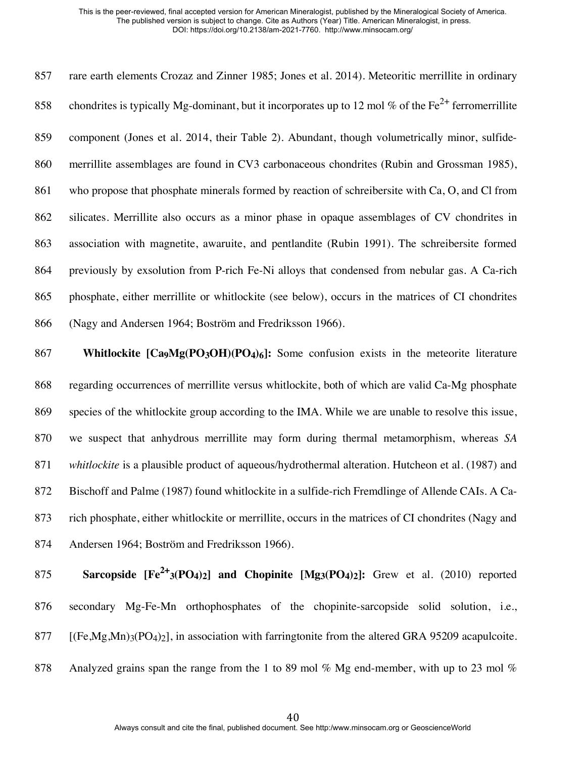rare earth elements Crozaz and Zinner 1985; Jones et al. 2014). Meteoritic merrillite in ordinary 858 chondrites is typically Mg-dominant, but it incorporates up to 12 mol % of the  $Fe^{2+}$  ferromerrillite component (Jones et al. 2014, their Table 2). Abundant, though volumetrically minor, sulfide- merrillite assemblages are found in CV3 carbonaceous chondrites (Rubin and Grossman 1985), 861 who propose that phosphate minerals formed by reaction of schreibersite with Ca, O, and Cl from silicates. Merrillite also occurs as a minor phase in opaque assemblages of CV chondrites in association with magnetite, awaruite, and pentlandite (Rubin 1991). The schreibersite formed previously by exsolution from P-rich Fe-Ni alloys that condensed from nebular gas. A Ca-rich phosphate, either merrillite or whitlockite (see below), occurs in the matrices of CI chondrites (Nagy and Andersen 1964; Boström and Fredriksson 1966).

 **Whitlockite [Ca9Mg(PO3OH)(PO4)6]:** Some confusion exists in the meteorite literature regarding occurrences of merrillite versus whitlockite, both of which are valid Ca-Mg phosphate species of the whitlockite group according to the IMA. While we are unable to resolve this issue, we suspect that anhydrous merrillite may form during thermal metamorphism, whereas *SA whitlockite* is a plausible product of aqueous/hydrothermal alteration. Hutcheon et al. (1987) and Bischoff and Palme (1987) found whitlockite in a sulfide-rich Fremdlinge of Allende CAIs. A Ca- rich phosphate, either whitlockite or merrillite, occurs in the matrices of CI chondrites (Nagy and Andersen 1964; Boström and Fredriksson 1966).

**Sarcopside**  $[Fe^{2+}(PO_4)_2]$  **and Chopinite**  $[Mg_3(PO_4)_2]$ **:** Grew et al. (2010) reported secondary Mg-Fe-Mn orthophosphates of the chopinite-sarcopside solid solution, i.e., 877 [ $(Fe, Mg, Mn)_{3}(PO_{4})_{2}$ ], in association with farringtonite from the altered GRA 95209 acapulcoite. 878 Analyzed grains span the range from the 1 to 89 mol % Mg end-member, with up to 23 mol %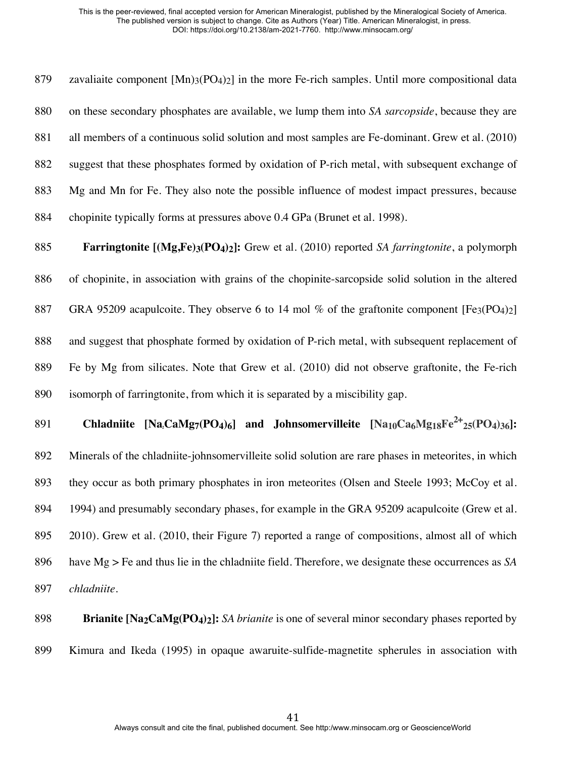zavaliaite component [Mn)3(PO4)2] in the more Fe-rich samples. Until more compositional data on these secondary phosphates are available, we lump them into *SA sarcopside*, because they are all members of a continuous solid solution and most samples are Fe-dominant. Grew et al. (2010) suggest that these phosphates formed by oxidation of P-rich metal, with subsequent exchange of Mg and Mn for Fe. They also note the possible influence of modest impact pressures, because chopinite typically forms at pressures above 0.4 GPa (Brunet et al. 1998).

 **Farringtonite [(Mg,Fe)3(PO4)2]:** Grew et al. (2010) reported *SA farringtonite*, a polymorph of chopinite, in association with grains of the chopinite-sarcopside solid solution in the altered 887 GRA 95209 acapulcoite. They observe 6 to 14 mol % of the graftonite component  $[Fe<sub>3</sub>(PO<sub>4</sub>)<sub>2</sub>]$  and suggest that phosphate formed by oxidation of P-rich metal, with subsequent replacement of Fe by Mg from silicates. Note that Grew et al. (2010) did not observe graftonite, the Fe-rich isomorph of farringtonite, from which it is separated by a miscibility gap.

**Chladniite**  $[Na_2CaMg_7(PO_4)_6]$  **and Johnsomervilleite**  $[Na_{10}Ca_6Mg_{18}Fe^{2+}{}_{25}(PO_4)_{36}]$ : Minerals of the chladniite-johnsomervilleite solid solution are rare phases in meteorites, in which they occur as both primary phosphates in iron meteorites (Olsen and Steele 1993; McCoy et al. 1994) and presumably secondary phases, for example in the GRA 95209 acapulcoite (Grew et al. 2010). Grew et al. (2010, their Figure 7) reported a range of compositions, almost all of which have Mg > Fe and thus lie in the chladniite field. Therefore, we designate these occurrences as *SA chladniite*.

 **Brianite [Na2CaMg(PO4)2]:** *SA brianite* is one of several minor secondary phases reported by Kimura and Ikeda (1995) in opaque awaruite-sulfide-magnetite spherules in association with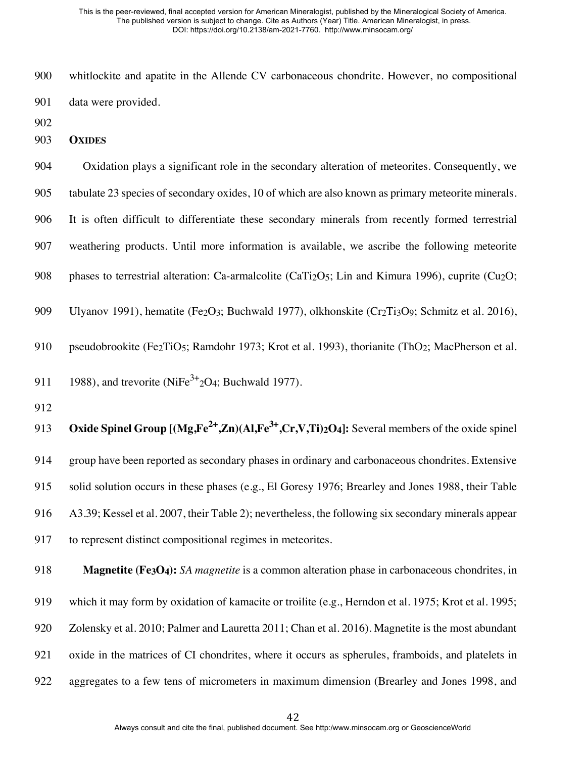whitlockite and apatite in the Allende CV carbonaceous chondrite. However, no compositional data were provided.

- 
- **OXIDES**

 Oxidation plays a significant role in the secondary alteration of meteorites. Consequently, we tabulate 23 species of secondary oxides, 10 of which are also known as primary meteorite minerals. It is often difficult to differentiate these secondary minerals from recently formed terrestrial weathering products. Until more information is available, we ascribe the following meteorite 908 phases to terrestrial alteration: Ca-armalcolite (CaTi<sub>2</sub>O<sub>5</sub>; Lin and Kimura 1996), cuprite (Cu<sub>2</sub>O; 909 Ulyanov 1991), hematite (Fe<sub>2</sub>O<sub>3</sub>; Buchwald 1977), olkhonskite (Cr<sub>2</sub>Ti<sub>3</sub>O<sub>9</sub>; Schmitz et al. 2016), 910 pseudobrookite (Fe<sub>2</sub>TiO<sub>5</sub>; Ramdohr 1973; Krot et al. 1993), thorianite (ThO<sub>2</sub>; MacPherson et al. 911 1988), and trevorite (NiFe<sup>3+</sup><sub>2</sub>O<sub>4</sub>; Buchwald 1977).

**Oxide Spinel Group**  $[(Mg,Fe^{2+},Zn)(Al,Fe^{3+},Cr,V,Ti)_{2}O_4]$ **:** Several members of the oxide spinel group have been reported as secondary phases in ordinary and carbonaceous chondrites. Extensive solid solution occurs in these phases (e.g., El Goresy 1976; Brearley and Jones 1988, their Table A3.39; Kessel et al. 2007, their Table 2); nevertheless, the following six secondary minerals appear to represent distinct compositional regimes in meteorites.

**Magnetite** (Fe<sub>3</sub>O<sub>4</sub>): *SA magnetite* is a common alteration phase in carbonaceous chondrites, in which it may form by oxidation of kamacite or troilite (e.g., Herndon et al. 1975; Krot et al. 1995; Zolensky et al. 2010; Palmer and Lauretta 2011; Chan et al. 2016). Magnetite is the most abundant oxide in the matrices of CI chondrites, where it occurs as spherules, framboids, and platelets in aggregates to a few tens of micrometers in maximum dimension (Brearley and Jones 1998, and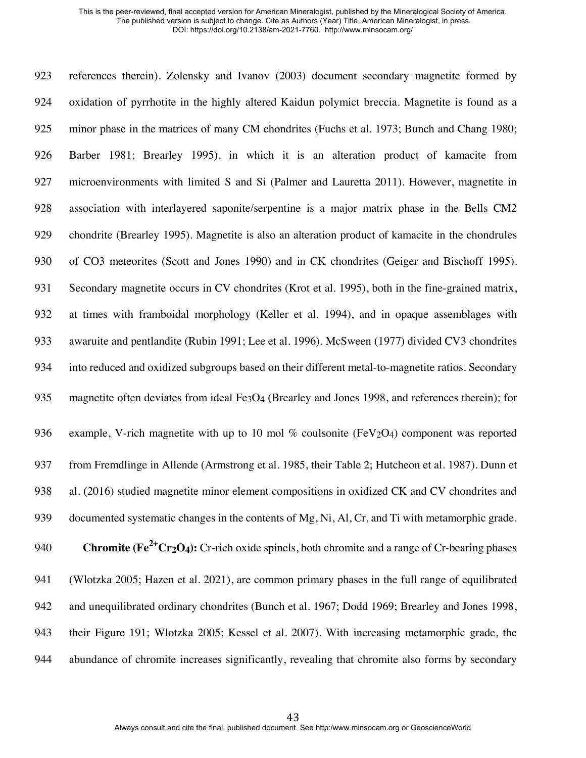references therein). Zolensky and Ivanov (2003) document secondary magnetite formed by oxidation of pyrrhotite in the highly altered Kaidun polymict breccia. Magnetite is found as a minor phase in the matrices of many CM chondrites (Fuchs et al. 1973; Bunch and Chang 1980; Barber 1981; Brearley 1995), in which it is an alteration product of kamacite from 927 microenvironments with limited S and Si (Palmer and Lauretta 2011). However, magnetite in association with interlayered saponite/serpentine is a major matrix phase in the Bells CM2 chondrite (Brearley 1995). Magnetite is also an alteration product of kamacite in the chondrules of CO3 meteorites (Scott and Jones 1990) and in CK chondrites (Geiger and Bischoff 1995). 931 Secondary magnetite occurs in CV chondrites (Krot et al. 1995), both in the fine-grained matrix, at times with framboidal morphology (Keller et al. 1994), and in opaque assemblages with awaruite and pentlandite (Rubin 1991; Lee et al. 1996). McSween (1977) divided CV3 chondrites into reduced and oxidized subgroups based on their different metal-to-magnetite ratios. Secondary magnetite often deviates from ideal Fe3O4 (Brearley and Jones 1998, and references therein); for 936 example, V-rich magnetite with up to 10 mol % coulsonite ( $FeV<sub>2</sub>O<sub>4</sub>$ ) component was reported from Fremdlinge in Allende (Armstrong et al. 1985, their Table 2; Hutcheon et al. 1987). Dunn et al. (2016) studied magnetite minor element compositions in oxidized CK and CV chondrites and 939 documented systematic changes in the contents of Mg, Ni, Al, Cr, and Ti with metamorphic grade. **Chromite (Fe<sup>2+</sup>Cr<sub>2</sub>O<sub>4</sub>):** Cr-rich oxide spinels, both chromite and a range of Cr-bearing phases (Wlotzka 2005; Hazen et al. 2021), are common primary phases in the full range of equilibrated and unequilibrated ordinary chondrites (Bunch et al. 1967; Dodd 1969; Brearley and Jones 1998, their Figure 191; Wlotzka 2005; Kessel et al. 2007). With increasing metamorphic grade, the abundance of chromite increases significantly, revealing that chromite also forms by secondary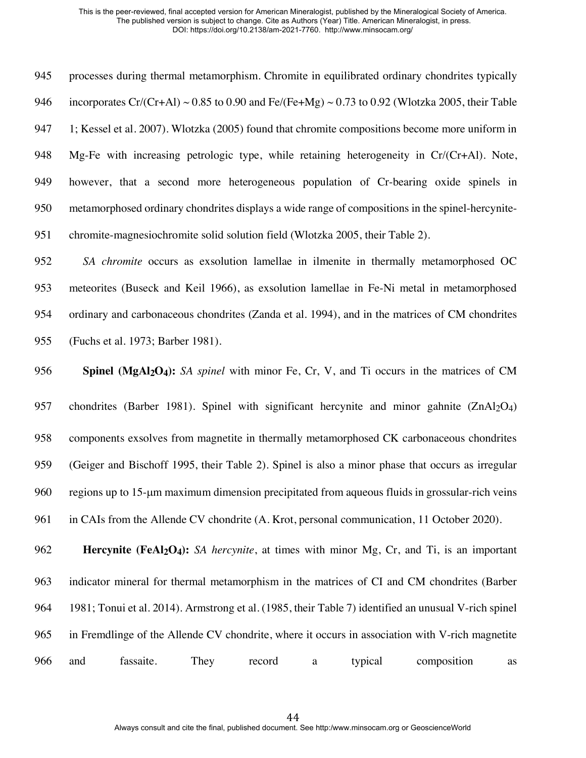processes during thermal metamorphism. Chromite in equilibrated ordinary chondrites typically 946 incorporates Cr/(Cr+Al) ~ 0.85 to 0.90 and Fe/(Fe+Mg) ~ 0.73 to 0.92 (Wlotzka 2005, their Table 1; Kessel et al. 2007). Wlotzka (2005) found that chromite compositions become more uniform in Mg-Fe with increasing petrologic type, while retaining heterogeneity in Cr/(Cr+Al). Note, however, that a second more heterogeneous population of Cr-bearing oxide spinels in metamorphosed ordinary chondrites displays a wide range of compositions in the spinel-hercynite-chromite-magnesiochromite solid solution field (Wlotzka 2005, their Table 2).

 *SA chromite* occurs as exsolution lamellae in ilmenite in thermally metamorphosed OC meteorites (Buseck and Keil 1966), as exsolution lamellae in Fe-Ni metal in metamorphosed ordinary and carbonaceous chondrites (Zanda et al. 1994), and in the matrices of CM chondrites (Fuchs et al. 1973; Barber 1981).

 **Spinel (MgAl2O4):** *SA spinel* with minor Fe, Cr, V, and Ti occurs in the matrices of CM 957 chondrites (Barber 1981). Spinel with significant hercynite and minor gahnite  $(ZnAl<sub>2</sub>O<sub>4</sub>)$  components exsolves from magnetite in thermally metamorphosed CK carbonaceous chondrites (Geiger and Bischoff 1995, their Table 2). Spinel is also a minor phase that occurs as irregular regions up to 15-µm maximum dimension precipitated from aqueous fluids in grossular-rich veins in CAIs from the Allende CV chondrite (A. Krot, personal communication, 11 October 2020).

 **Hercynite (FeAl2O4):** *SA hercynite*, at times with minor Mg, Cr, and Ti, is an important indicator mineral for thermal metamorphism in the matrices of CI and CM chondrites (Barber 1981; Tonui et al. 2014). Armstrong et al. (1985, their Table 7) identified an unusual V-rich spinel in Fremdlinge of the Allende CV chondrite, where it occurs in association with V-rich magnetite and fassaite. They record a typical composition as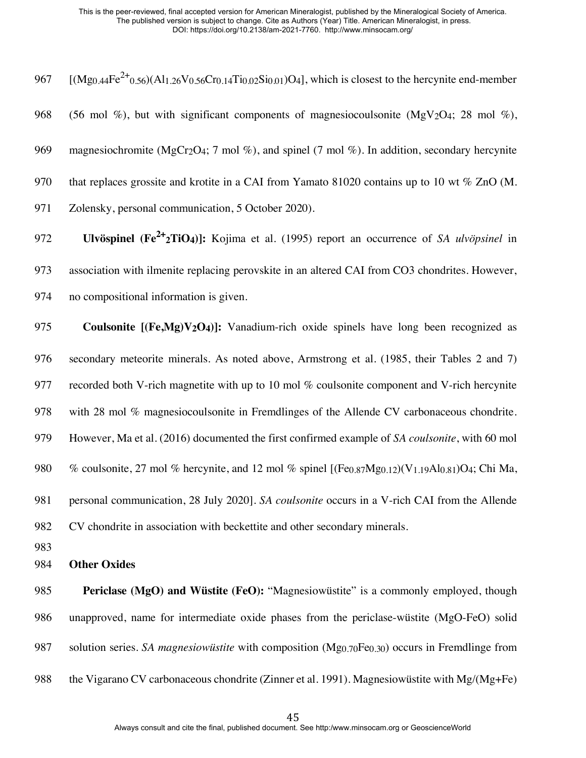| 967 | $[(Mg_{0.44}Fe^{2+}0.56)(Al_{1.26}V_{0.56}Cr_{0.14}Ti_{0.02}Si_{0.01})O_4]$ , which is closest to the hercynite end-member                                     |
|-----|----------------------------------------------------------------------------------------------------------------------------------------------------------------|
| 968 | (56 mol %), but with significant components of magnesiocoulsonite (MgV <sub>2</sub> O <sub>4</sub> ; 28 mol %),                                                |
| 969 | magnesiochromite (MgCr <sub>2</sub> O <sub>4</sub> ; 7 mol %), and spinel (7 mol %). In addition, secondary hercynite                                          |
| 970 | that replaces grossite and krotite in a CAI from Yamato 81020 contains up to 10 wt $\%$ ZnO (M.                                                                |
| 971 | Zolensky, personal communication, 5 October 2020).                                                                                                             |
| 972 | Ulvöspinel ( $\text{Fe}^{2+}$ 2TiO <sub>4</sub> )]: Kojima et al. (1995) report an occurrence of SA <i>ulvöpsinel</i> in                                       |
| 973 | association with ilmenite replacing perovskite in an altered CAI from CO3 chondrites. However,                                                                 |
| 974 | no compositional information is given.                                                                                                                         |
| 975 | Coulsonite $[(Fe, Mg)V2O4)]$ : Vanadium-rich oxide spinels have long been recognized as                                                                        |
| 976 | secondary meteorite minerals. As noted above, Armstrong et al. (1985, their Tables 2 and 7)                                                                    |
| 977 | recorded both V-rich magnetite with up to 10 mol % coulsonite component and V-rich hercynite                                                                   |
| 978 | with 28 mol % magnesiocoulsonite in Fremdlinges of the Allende CV carbonaceous chondrite.                                                                      |
| 979 | However, Ma et al. (2016) documented the first confirmed example of SA coulsonite, with 60 mol                                                                 |
| 980 | % coulsonite, 27 mol % hercynite, and 12 mol % spinel [(Fe <sub>0.87</sub> Mg <sub>0.12</sub> )(V <sub>1.19</sub> Al <sub>0.81</sub> )O <sub>4</sub> ; Chi Ma, |
| 981 | personal communication, 28 July 2020]. SA coulsonite occurs in a V-rich CAI from the Allende                                                                   |
| 982 | CV chondrite in association with beckettite and other secondary minerals.                                                                                      |
| 983 |                                                                                                                                                                |
| 984 | <b>Other Oxides</b>                                                                                                                                            |
| 985 | Periclase (MgO) and Wüstite (FeO): "Magnesiowüstite" is a commonly employed, though                                                                            |
| 986 | unapproved, name for intermediate oxide phases from the periclase-wüstite (MgO-FeO) solid                                                                      |
| 987 | solution series. SA <i>magnesiowiistite</i> with composition $(Mg_{0.70}Fe_{0.30})$ occurs in Fremdlinge from                                                  |

988 the Vigarano CV carbonaceous chondrite (Zinner et al. 1991). Magnesiowüstite with Mg/(Mg+Fe)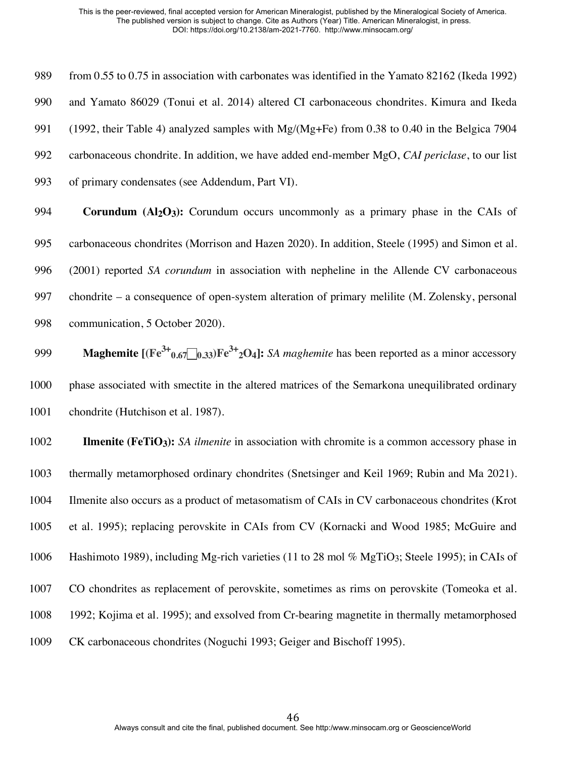from 0.55 to 0.75 in association with carbonates was identified in the Yamato 82162 (Ikeda 1992) and Yamato 86029 (Tonui et al. 2014) altered CI carbonaceous chondrites. Kimura and Ikeda (1992, their Table 4) analyzed samples with Mg/(Mg+Fe) from 0.38 to 0.40 in the Belgica 7904 carbonaceous chondrite. In addition, we have added end-member MgO, *CAI periclase*, to our list of primary condensates (see Addendum, Part VI).

**Corundum (Al<sub>2</sub>O<sub>3</sub>):** Corundum occurs uncommonly as a primary phase in the CAIs of carbonaceous chondrites (Morrison and Hazen 2020). In addition, Steele (1995) and Simon et al. (2001) reported *SA corundum* in association with nepheline in the Allende CV carbonaceous chondrite – a consequence of open-system alteration of primary melilite (M. Zolensky, personal communication, 5 October 2020).

**Maghemite**  $[(Fe^{3+}0.67 \cdot 0.33)Fe^{3+}2O4]$ : *SA maghemite* has been reported as a minor accessory phase associated with smectite in the altered matrices of the Semarkona unequilibrated ordinary 1001 chondrite (Hutchison et al. 1987).

**Ilmenite** (FeTiO<sub>3</sub>): *SA ilmenite* in association with chromite is a common accessory phase in thermally metamorphosed ordinary chondrites (Snetsinger and Keil 1969; Rubin and Ma 2021). Ilmenite also occurs as a product of metasomatism of CAIs in CV carbonaceous chondrites (Krot et al. 1995); replacing perovskite in CAIs from CV (Kornacki and Wood 1985; McGuire and Hashimoto 1989), including Mg-rich varieties (11 to 28 mol % MgTiO3; Steele 1995); in CAIs of CO chondrites as replacement of perovskite, sometimes as rims on perovskite (Tomeoka et al. 1992; Kojima et al. 1995); and exsolved from Cr-bearing magnetite in thermally metamorphosed CK carbonaceous chondrites (Noguchi 1993; Geiger and Bischoff 1995).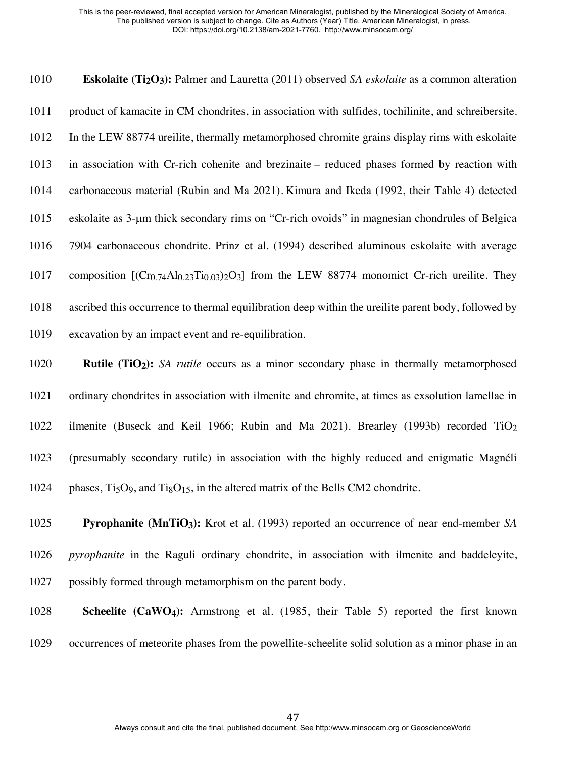**Eskolaite (Ti2O3):** Palmer and Lauretta (2011) observed *SA eskolaite* as a common alteration product of kamacite in CM chondrites, in association with sulfides, tochilinite, and schreibersite. In the LEW 88774 ureilite, thermally metamorphosed chromite grains display rims with eskolaite in association with Cr-rich cohenite and brezinaite – reduced phases formed by reaction with carbonaceous material (Rubin and Ma 2021). Kimura and Ikeda (1992, their Table 4) detected eskolaite as 3-µm thick secondary rims on "Cr-rich ovoids" in magnesian chondrules of Belgica 7904 carbonaceous chondrite. Prinz et al. (1994) described aluminous eskolaite with average 1017 composition  $[(C_{T0.74}Al_{0.23}Ti_{0.03})_2O_3]$  from the LEW 88774 monomict Cr-rich ureilite. They ascribed this occurrence to thermal equilibration deep within the ureilite parent body, followed by excavation by an impact event and re-equilibration.

 **Rutile (TiO2):** *SA rutile* occurs as a minor secondary phase in thermally metamorphosed ordinary chondrites in association with ilmenite and chromite, at times as exsolution lamellae in ilmenite (Buseck and Keil 1966; Rubin and Ma 2021). Brearley (1993b) recorded TiO2 (presumably secondary rutile) in association with the highly reduced and enigmatic Magnéli 1024 phases, Ti<sub>5</sub>O<sub>9</sub>, and Ti<sub>8</sub>O<sub>15</sub>, in the altered matrix of the Bells CM2 chondrite.

 **Pyrophanite (MnTiO3):** Krot et al. (1993) reported an occurrence of near end-member *SA pyrophanite* in the Raguli ordinary chondrite, in association with ilmenite and baddeleyite, possibly formed through metamorphism on the parent body.

## **Scheelite (CaWO4):** Armstrong et al. (1985, their Table 5) reported the first known occurrences of meteorite phases from the powellite-scheelite solid solution as a minor phase in an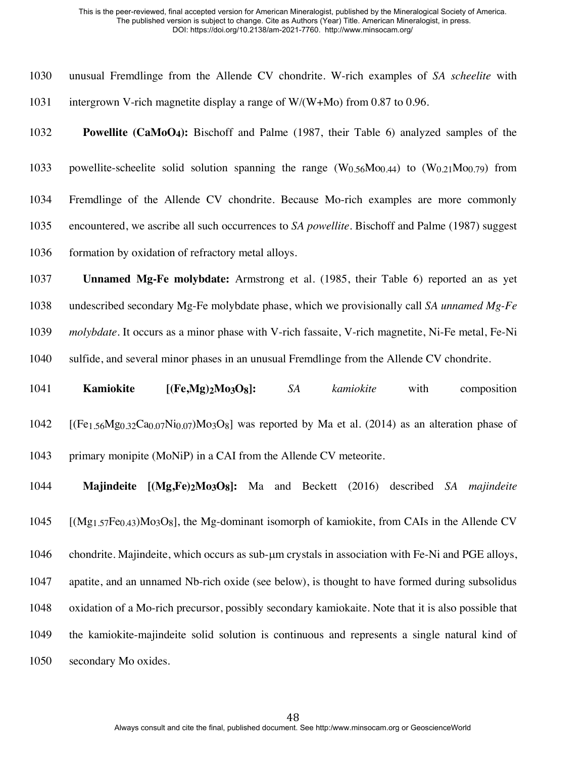| 1030 | unusual Fremdlinge from the Allende CV chondrite. W-rich examples of SA scheelite with                                                                                     |
|------|----------------------------------------------------------------------------------------------------------------------------------------------------------------------------|
| 1031 | intergrown V-rich magnetite display a range of $W/(W+Mo)$ from 0.87 to 0.96.                                                                                               |
| 1032 | <b>Powellite (CaMoO4):</b> Bischoff and Palme (1987, their Table 6) analyzed samples of the                                                                                |
| 1033 | powellite-scheelite solid solution spanning the range $(W_{0.56}Mo_{0.44})$ to $(W_{0.21}Mo_{0.79})$ from                                                                  |
| 1034 | Fremdlinge of the Allende CV chondrite. Because Mo-rich examples are more commonly                                                                                         |
| 1035 | encountered, we ascribe all such occurrences to SA powellite. Bischoff and Palme (1987) suggest                                                                            |
| 1036 | formation by oxidation of refractory metal alloys.                                                                                                                         |
| 1037 | Unnamed Mg-Fe molybdate: Armstrong et al. (1985, their Table 6) reported an as yet                                                                                         |
| 1038 | undescribed secondary Mg-Fe molybdate phase, which we provisionally call SA unnamed Mg-Fe                                                                                  |
| 1039 | <i>molybdate</i> . It occurs as a minor phase with V-rich fassaite, V-rich magnetite, Ni-Fe metal, Fe-Ni                                                                   |
| 1040 | sulfide, and several minor phases in an unusual Fremdlinge from the Allende CV chondrite.                                                                                  |
|      |                                                                                                                                                                            |
| 1041 | Kamiokite<br>$[(Fe, Mg)_2Mo_3O_8]:$<br>SA<br>kamiokite<br>composition<br>with                                                                                              |
| 1042 | [(Fe <sub>1.56</sub> Mg <sub>0.32</sub> Ca <sub>0.07</sub> Ni <sub>0.07</sub> )Mo <sub>3</sub> O <sub>8</sub> ] was reported by Ma et al. (2014) as an alteration phase of |
| 1043 | primary monipite (MoNiP) in a CAI from the Allende CV meteorite.                                                                                                           |
| 1044 | Majindeite [(Mg,Fe)2Mo3O8]: Ma and Beckett (2016) described SA majindeite                                                                                                  |
| 1045 | $[(Mg_{1,57}Fe_{0,43})M_{03}O_8]$ , the Mg-dominant isomorph of kamiokite, from CAIs in the Allende CV                                                                     |
| 1046 | chondrite. Majindeite, which occurs as sub-um crystals in association with Fe-Ni and PGE alloys,                                                                           |
| 1047 | apatite, and an unnamed Nb-rich oxide (see below), is thought to have formed during subsolidus                                                                             |
| 1048 | oxidation of a Mo-rich precursor, possibly secondary kamiokaite. Note that it is also possible that                                                                        |
| 1049 | the kamiokite-majindeite solid solution is continuous and represents a single natural kind of                                                                              |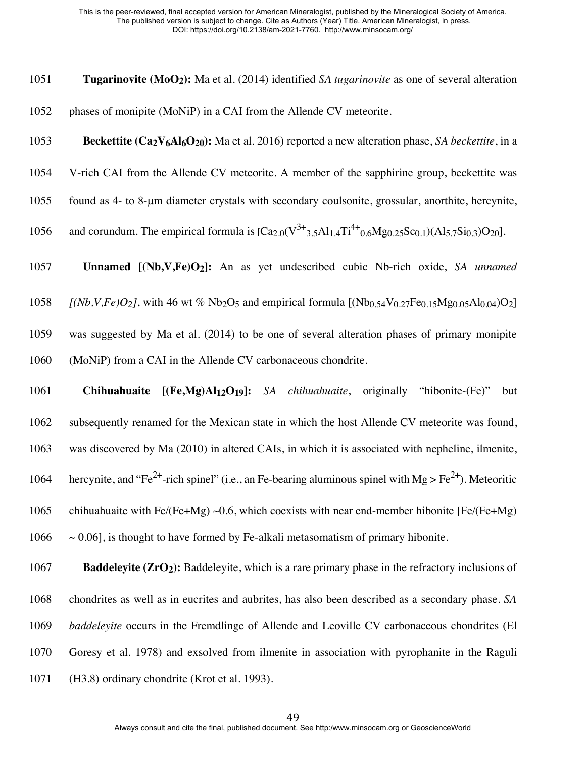**Tugarinovite (MoO2):** Ma et al. (2014) identified *SA tugarinovite* as one of several alteration phases of monipite (MoNiP) in a CAI from the Allende CV meteorite.

**Beckettite (Ca2V6Al6O20):** Ma et al. 2016) reported a new alteration phase, *SA beckettite*, in a

- V-rich CAI from the Allende CV meteorite. A member of the sapphirine group, beckettite was
- found as 4- to 8-µm diameter crystals with secondary coulsonite, grossular, anorthite, hercynite,
- 1056 and corundum. The empirical formula is  $[Ca_{2,0}(V^{3+}3.5Al_{1.4}Ti^{4+}0.6Mg_{0.25}Sc_{0.1})(Al_{5.7}Si_{0.3})O_{20}]$ .

**Unnamed [(Nb,V,Fe)O2]:** An as yet undescribed cubic Nb-rich oxide, *SA unnamed* 

- *[(Nb,V,Fe)O<sub>2</sub>]*, with 46 wt % Nb<sub>2</sub>O<sub>5</sub> and empirical formula  $[(Nb_{0.54}V_{0.27}Fe_{0.15}Mg_{0.05}Al_{0.04})O_2]$
- was suggested by Ma et al. (2014) to be one of several alteration phases of primary monipite (MoNiP) from a CAI in the Allende CV carbonaceous chondrite.

 **Chihuahuaite [(Fe,Mg)Al12O19]:** *SA chihuahuaite*, originally "hibonite-(Fe)" but subsequently renamed for the Mexican state in which the host Allende CV meteorite was found, was discovered by Ma (2010) in altered CAIs, in which it is associated with nepheline, ilmenite, 1064 hercynite, and "Fe<sup>2+</sup>-rich spinel" (i.e., an Fe-bearing aluminous spinel with Mg > Fe<sup>2+</sup>). Meteoritic 1065 chihuahuaite with Fe/(Fe+Mg) ~0.6, which coexists with near end-member hibonite [Fe/(Fe+Mg)  $\sim$  0.06], is thought to have formed by Fe-alkali metasomatism of primary hibonite.

**Baddeleyite (ZrO<sub>2</sub>):** Baddeleyite, which is a rare primary phase in the refractory inclusions of chondrites as well as in eucrites and aubrites, has also been described as a secondary phase. *SA baddeleyite* occurs in the Fremdlinge of Allende and Leoville CV carbonaceous chondrites (El Goresy et al. 1978) and exsolved from ilmenite in association with pyrophanite in the Raguli (H3.8) ordinary chondrite (Krot et al. 1993).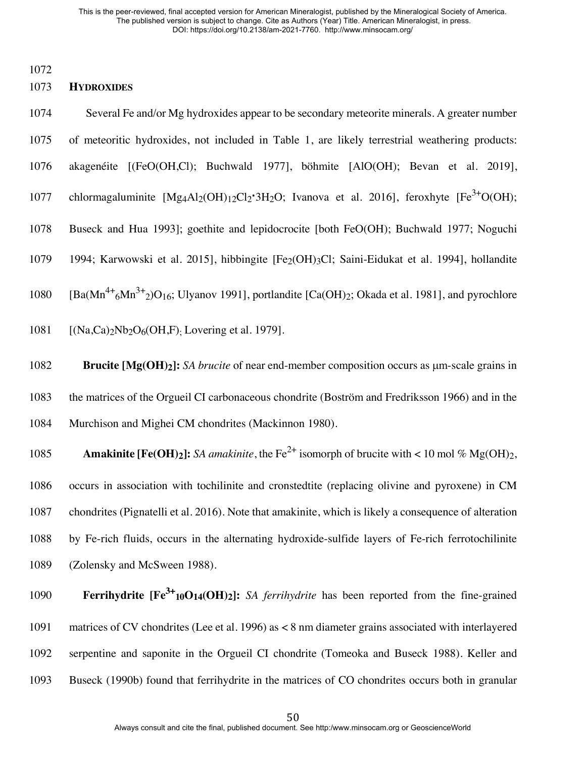1072

### 1073 **HYDROXIDES**

1074 Several Fe and/or Mg hydroxides appear to be secondary meteorite minerals. A greater number 1075 of meteoritic hydroxides, not included in Table 1, are likely terrestrial weathering products: 1076 akagenéite [(FeO(OH,Cl); Buchwald 1977], böhmite [AlO(OH); Bevan et al. 2019], 1077 chlormagaluminite [Mg4Al2(OH)<sub>12</sub>Cl2⋅3H<sub>2</sub>O; Ivanova et al. 2016], feroxhyte [Fe<sup>3+</sup>O(OH); 1078 Buseck and Hua 1993]; goethite and lepidocrocite [both FeO(OH); Buchwald 1977; Noguchi 1079 1994; Karwowski et al. 2015], hibbingite [Fe<sub>2</sub>(OH)3Cl; Saini-Eidukat et al. 1994], hollandite 1080 [Ba( $\text{Mn}^{4+6}\text{Mn}^{3+}$ <sub>2</sub>)O<sub>16</sub>; Ulyanov 1991], portlandite [Ca(OH)<sub>2</sub>; Okada et al. 1981], and pyrochlore 1081  $[(Na, Ca)_2Nb_2O_6(OH, F)$ . Lovering et al. 1979].

1082 **Brucite [Mg(OH)2]:** *SA brucite* of near end-member composition occurs as µm-scale grains in 1083 the matrices of the Orgueil CI carbonaceous chondrite (Boström and Fredriksson 1966) and in the 1084 Murchison and Mighei CM chondrites (Mackinnon 1980).

**Amakinite [Fe(OH)2]:** *SA amakinite*, the Fe<sup>2+</sup> isomorph of brucite with < 10 mol % Mg(OH)2, occurs in association with tochilinite and cronstedtite (replacing olivine and pyroxene) in CM chondrites (Pignatelli et al. 2016). Note that amakinite, which is likely a consequence of alteration by Fe-rich fluids, occurs in the alternating hydroxide-sulfide layers of Fe-rich ferrotochilinite (Zolensky and McSween 1988).

**Ferrihydrite**  $[Fe^{3+1}10O14(OH)_2]$ **:** *SA ferrihydrite* has been reported from the fine-grained matrices of CV chondrites (Lee et al. 1996) as < 8 nm diameter grains associated with interlayered serpentine and saponite in the Orgueil CI chondrite (Tomeoka and Buseck 1988). Keller and Buseck (1990b) found that ferrihydrite in the matrices of CO chondrites occurs both in granular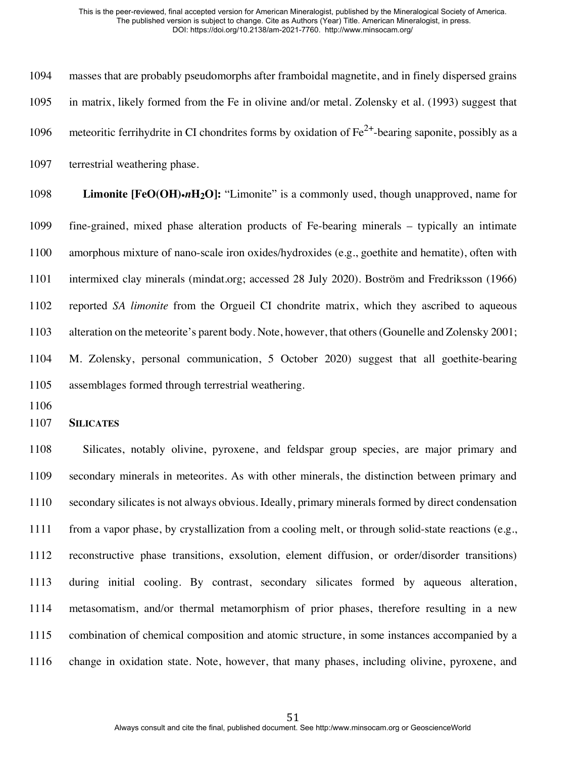masses that are probably pseudomorphs after framboidal magnetite, and in finely dispersed grains in matrix, likely formed from the Fe in olivine and/or metal. Zolensky et al. (1993) suggest that 1096 - meteoritic ferrihydrite in CI chondrites forms by oxidation of  $Fe^{2+}$ -bearing saponite, possibly as a terrestrial weathering phase.

 **Limonite [FeO(OH)**•*n***H2O]:** "Limonite" is a commonly used, though unapproved, name for fine-grained, mixed phase alteration products of Fe-bearing minerals – typically an intimate amorphous mixture of nano-scale iron oxides/hydroxides (e.g., goethite and hematite), often with intermixed clay minerals (mindat.org; accessed 28 July 2020). Boström and Fredriksson (1966) reported *SA limonite* from the Orgueil CI chondrite matrix, which they ascribed to aqueous alteration on the meteorite's parent body. Note, however, that others (Gounelle and Zolensky 2001; M. Zolensky, personal communication, 5 October 2020) suggest that all goethite-bearing assemblages formed through terrestrial weathering.

**SILICATES**

 Silicates, notably olivine, pyroxene, and feldspar group species, are major primary and secondary minerals in meteorites. As with other minerals, the distinction between primary and secondary silicates is not always obvious. Ideally, primary minerals formed by direct condensation from a vapor phase, by crystallization from a cooling melt, or through solid-state reactions (e.g., reconstructive phase transitions, exsolution, element diffusion, or order/disorder transitions) during initial cooling. By contrast, secondary silicates formed by aqueous alteration, metasomatism, and/or thermal metamorphism of prior phases, therefore resulting in a new combination of chemical composition and atomic structure, in some instances accompanied by a change in oxidation state. Note, however, that many phases, including olivine, pyroxene, and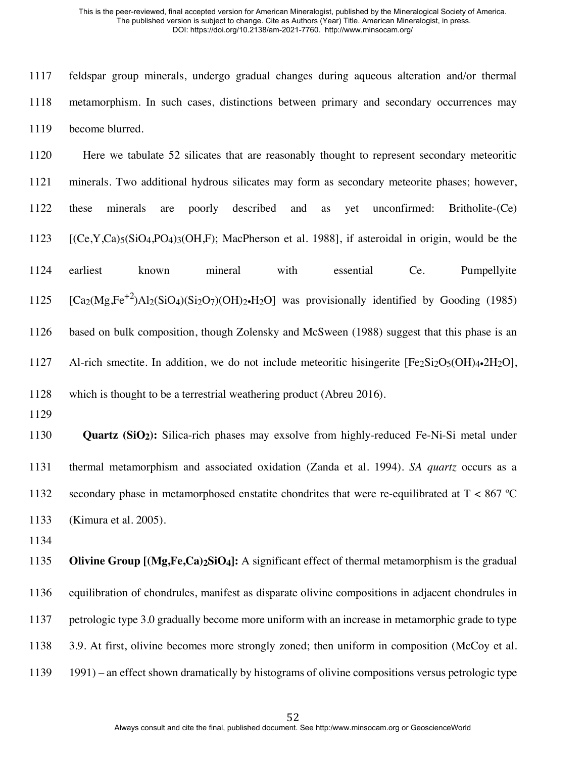feldspar group minerals, undergo gradual changes during aqueous alteration and/or thermal metamorphism. In such cases, distinctions between primary and secondary occurrences may become blurred.

 Here we tabulate 52 silicates that are reasonably thought to represent secondary meteoritic minerals. Two additional hydrous silicates may form as secondary meteorite phases; however, these minerals are poorly described and as yet unconfirmed: Britholite-(Ce) [(Ce,Y,Ca)<sub>5</sub>(SiO<sub>4</sub>,PO<sub>4</sub>)<sub>3</sub>(OH,F); MacPherson et al. 1988], if asteroidal in origin, would be the earliest known mineral with essential Ce. Pumpellyite  $[Ca_2(Mg,Fe^{+2})A]_2(SiO_4)(Si_2O_7)(OH)_2 \cdot H_2O]$  was provisionally identified by Gooding (1985) based on bulk composition, though Zolensky and McSween (1988) suggest that this phase is an 1127 Al-rich smectite. In addition, we do not include meteoritic hisingerite [Fe2Si2O5(OH)4•2H2O], which is thought to be a terrestrial weathering product (Abreu 2016).

 **Quartz (SiO2):** Silica-rich phases may exsolve from highly-reduced Fe-Ni-Si metal under thermal metamorphism and associated oxidation (Zanda et al. 1994). *SA quartz* occurs as a 1132 secondary phase in metamorphosed enstatite chondrites that were re-equilibrated at  $T < 867$  °C (Kimura et al. 2005).

 **Olivine Group [(Mg,Fe,Ca)2SiO4]:** A significant effect of thermal metamorphism is the gradual equilibration of chondrules, manifest as disparate olivine compositions in adjacent chondrules in petrologic type 3.0 gradually become more uniform with an increase in metamorphic grade to type 3.9. At first, olivine becomes more strongly zoned; then uniform in composition (McCoy et al. 1991) – an effect shown dramatically by histograms of olivine compositions versus petrologic type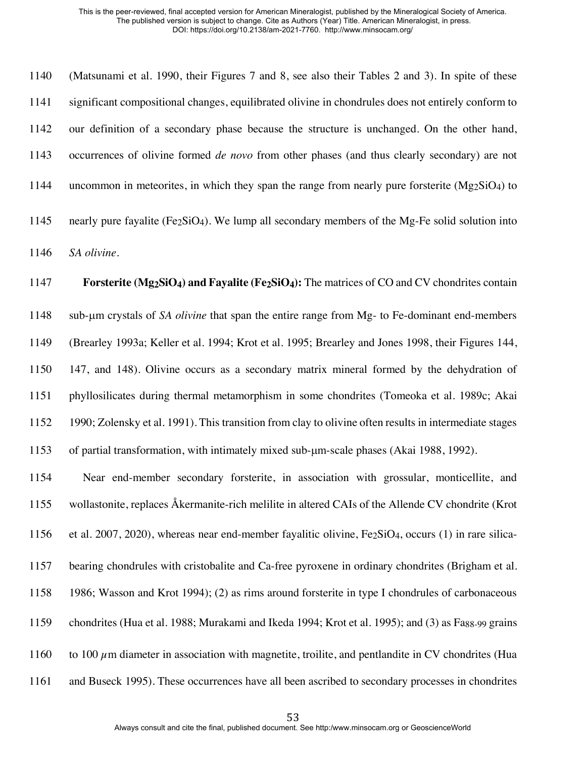(Matsunami et al. 1990, their Figures 7 and 8, see also their Tables 2 and 3). In spite of these significant compositional changes, equilibrated olivine in chondrules does not entirely conform to our definition of a secondary phase because the structure is unchanged. On the other hand, occurrences of olivine formed *de novo* from other phases (and thus clearly secondary) are not 1144 uncommon in meteorites, in which they span the range from nearly pure forsterite ( $Mg_2SiO_4$ ) to 1145 nearly pure fayalite ( $Fe<sub>2</sub>SiO<sub>4</sub>$ ). We lump all secondary members of the Mg-Fe solid solution into *SA olivine*. 1147 **Forsterite (Mg<sub>2</sub>SiO<sub>4</sub>) and Fayalite (Fe<sub>2</sub>SiO<sub>4</sub>): The matrices of CO and CV chondrites contain**  sub-µm crystals of *SA olivine* that span the entire range from Mg- to Fe-dominant end-members (Brearley 1993a; Keller et al. 1994; Krot et al. 1995; Brearley and Jones 1998, their Figures 144, 147, and 148). Olivine occurs as a secondary matrix mineral formed by the dehydration of phyllosilicates during thermal metamorphism in some chondrites (Tomeoka et al. 1989c; Akai

 1990; Zolensky et al. 1991). This transition from clay to olivine often results in intermediate stages of partial transformation, with intimately mixed sub-µm-scale phases (Akai 1988, 1992).

 Near end-member secondary forsterite, in association with grossular, monticellite, and wollastonite, replaces Åkermanite-rich melilite in altered CAIs of the Allende CV chondrite (Krot 1156 et al. 2007, 2020), whereas near end-member fayalitic olivine,  $Fe_2SiO<sub>4</sub>$ , occurs (1) in rare silica- bearing chondrules with cristobalite and Ca-free pyroxene in ordinary chondrites (Brigham et al. 1986; Wasson and Krot 1994); (2) as rims around forsterite in type I chondrules of carbonaceous 1159 chondrites (Hua et al. 1988; Murakami and Ikeda 1994; Krot et al. 1995); and (3) as Fa<sub>88-99</sub> grains 1160 to 100  $\mu$ m diameter in association with magnetite, troilite, and pentlandite in CV chondrites (Hua and Buseck 1995). These occurrences have all been ascribed to secondary processes in chondrites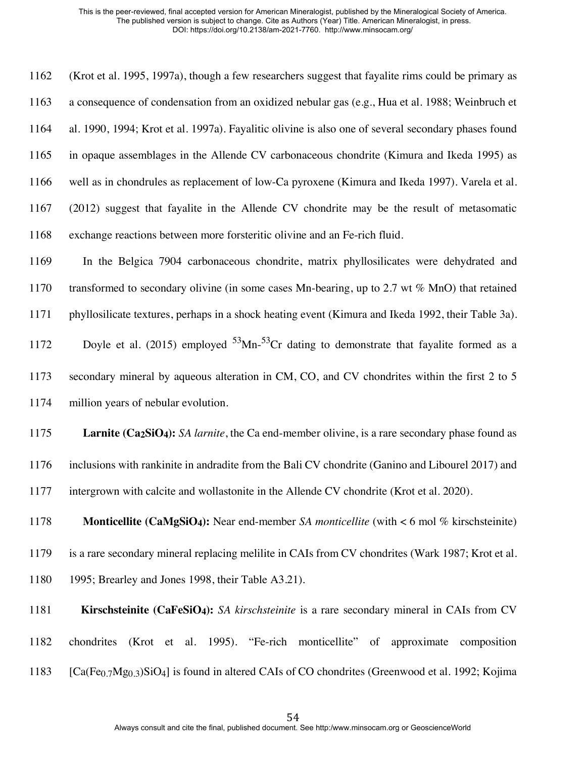(Krot et al. 1995, 1997a), though a few researchers suggest that fayalite rims could be primary as a consequence of condensation from an oxidized nebular gas (e.g., Hua et al. 1988; Weinbruch et al. 1990, 1994; Krot et al. 1997a). Fayalitic olivine is also one of several secondary phases found in opaque assemblages in the Allende CV carbonaceous chondrite (Kimura and Ikeda 1995) as well as in chondrules as replacement of low-Ca pyroxene (Kimura and Ikeda 1997). Varela et al. (2012) suggest that fayalite in the Allende CV chondrite may be the result of metasomatic exchange reactions between more forsteritic olivine and an Fe-rich fluid.

 In the Belgica 7904 carbonaceous chondrite, matrix phyllosilicates were dehydrated and 1170 transformed to secondary olivine (in some cases Mn-bearing, up to 2.7 wt  $\%$  MnO) that retained phyllosilicate textures, perhaps in a shock heating event (Kimura and Ikeda 1992, their Table 3a). 1172 Doyle et al. (2015) employed Mn- $53$ Cr dating to demonstrate that fayalite formed as a secondary mineral by aqueous alteration in CM, CO, and CV chondrites within the first 2 to 5 million years of nebular evolution.

 **Larnite (Ca2SiO4):** *SA larnite*, the Ca end-member olivine, is a rare secondary phase found as inclusions with rankinite in andradite from the Bali CV chondrite (Ganino and Libourel 2017) and intergrown with calcite and wollastonite in the Allende CV chondrite (Krot et al. 2020).

 **Monticellite (CaMgSiO4):** Near end-member *SA monticellite* (with < 6 mol % kirschsteinite) is a rare secondary mineral replacing melilite in CAIs from CV chondrites (Wark 1987; Krot et al. 1995; Brearley and Jones 1998, their Table A3.21).

**Kirschsteinite (CaFeSiO4):** *SA kirschsteinite* is a rare secondary mineral in CAIs from CV chondrites (Krot et al. 1995). "Fe-rich monticellite" of approximate composition 1183  $[Ca(Fe_{0.7}Mg_{0.3})SiO_4]$  is found in altered CAIs of CO chondrites (Greenwood et al. 1992; Kojima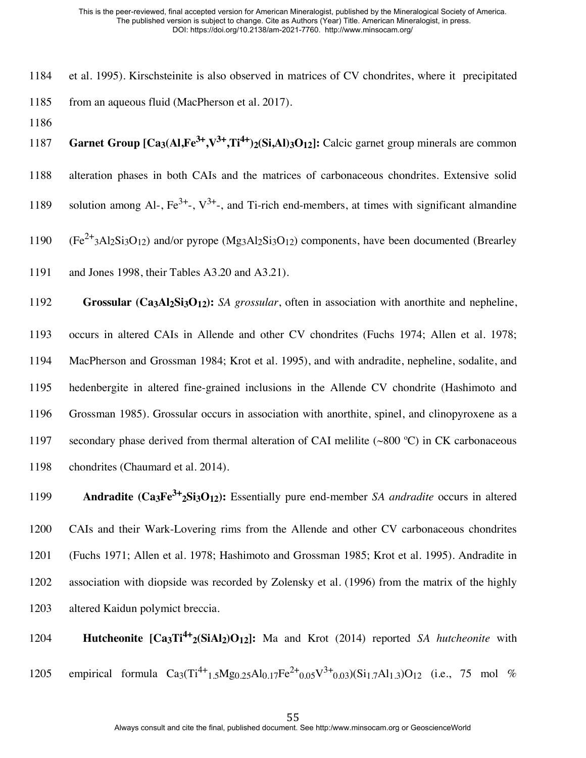- 1184 et al. 1995). Kirschsteinite is also observed in matrices of CV chondrites, where it precipitated 1185 from an aqueous fluid (MacPherson et al. 2017).
- 1186

1187 **Garnet Group [Ca3(Al,Fe<sup>3+</sup>,V<sup>3+</sup>,Ti<sup>4+</sup>)2(Si,Al)3O12]:** Calcic garnet group minerals are common 1188 alteration phases in both CAIs and the matrices of carbonaceous chondrites. Extensive solid 1189 solution among Al-,  $Fe^{3+}$ -,  $V^{3+}$ -, and Ti-rich end-members, at times with significant almandine

 $(1190 \text{ (Fe}^{2+}3\text{Al}_2\text{Si}_3\text{O}_{12})$  and/or pyrope  $(\text{Mg}_3\text{Al}_2\text{Si}_3\text{O}_{12})$  components, have been documented (Brearley

1191 and Jones 1998, their Tables A3.20 and A3.21).

 **Grossular (Ca3Al2Si3O12):** *SA grossular*, often in association with anorthite and nepheline, occurs in altered CAIs in Allende and other CV chondrites (Fuchs 1974; Allen et al. 1978; MacPherson and Grossman 1984; Krot et al. 1995), and with andradite, nepheline, sodalite, and hedenbergite in altered fine-grained inclusions in the Allende CV chondrite (Hashimoto and Grossman 1985). Grossular occurs in association with anorthite, spinel, and clinopyroxene as a 1197 secondary phase derived from thermal alteration of CAI melilite (~800 °C) in CK carbonaceous chondrites (Chaumard et al. 2014).

**Andradite (Ca<sub>3</sub>Fe<sup>3+</sup><sub>2</sub>Si<sub>3</sub>O<sub>12</sub>):** Essentially pure end-member *SA andradite* occurs in altered CAIs and their Wark-Lovering rims from the Allende and other CV carbonaceous chondrites (Fuchs 1971; Allen et al. 1978; Hashimoto and Grossman 1985; Krot et al. 1995). Andradite in association with diopside was recorded by Zolensky et al. (1996) from the matrix of the highly altered Kaidun polymict breccia.

1204 **Hutcheonite**  $\text{[Ca}_3\text{Ti}^{4+}_2\text{(SiAl}_2)\text{O}_{12}$ : Ma and Krot (2014) reported *SA hutcheonite* with 1205 empirical formula  $Ca_3(Ti^{4+1} \cdot 5Mg_{0.25}Al_{0.17}Fe^{2+}0.05V^{3+}0.03)(Si_{1.7}Al_{1.3})O_{12}$  (i.e., 75 mol %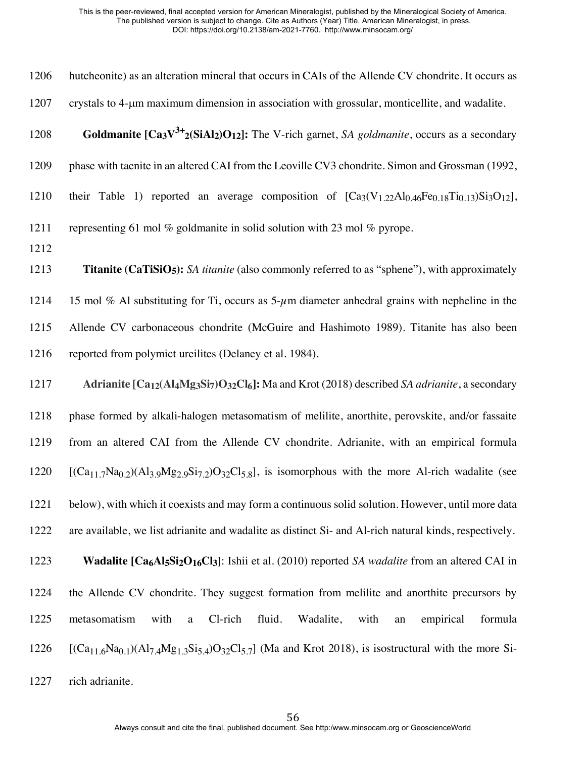| 1206 | hutcheonite) as an alteration mineral that occurs in CAIs of the Allende CV chondrite. It occurs as                    |
|------|------------------------------------------------------------------------------------------------------------------------|
| 1207 | crystals to 4-µm maximum dimension in association with grossular, monticellite, and wadalite.                          |
| 1208 | <b>Goldmanite <math>[Ca_3V^{3+}{}_2(SiAl_2)O_{12}]</math>:</b> The V-rich garnet, SA goldmanite, occurs as a secondary |
| 1209 | phase with taenite in an altered CAI from the Leoville CV3 chondrite. Simon and Grossman (1992,                        |
| 1210 | their Table 1) reported an average composition of $[Ca_3(V_{1.22}Al_{0.46}Fe_{0.18}Ti_{0.13})Si_3O_{12}]$ ,            |
| 1211 | representing 61 mol $\%$ goldmanite in solid solution with 23 mol $\%$ pyrope.                                         |
| 1212 |                                                                                                                        |
| 1213 | <b>Titanite (CaTiSiO5):</b> SA titanite (also commonly referred to as "sphene"), with approximately                    |

1214 15 mol % Al substituting for Ti, occurs as  $5-\mu$ m diameter anhedral grains with nepheline in the Allende CV carbonaceous chondrite (McGuire and Hashimoto 1989). Titanite has also been reported from polymict ureilites (Delaney et al. 1984).

 **Adrianite [Ca12(Al4Mg3Si7)O32Cl6]:** Ma and Krot (2018) described *SA adrianite*, a secondary phase formed by alkali-halogen metasomatism of melilite, anorthite, perovskite, and/or fassaite from an altered CAI from the Allende CV chondrite. Adrianite, with an empirical formula [(Ca<sub>11.7</sub>Na<sub>0.2</sub>)(Al<sub>3.9</sub>Mg<sub>2.9</sub>Si<sub>7.2</sub>)O<sub>32</sub>Cl<sub>5.8</sub>], is isomorphous with the more Al-rich wadalite (see below), with which it coexists and may form a continuous solid solution. However, until more data are available, we list adrianite and wadalite as distinct Si- and Al-rich natural kinds, respectively. **Wadalite [Ca<sub>6</sub>Al<sub>5</sub>Si<sub>2</sub>O<sub>16</sub>Cl<sub>3</sub>]:** Ishii et al. (2010) reported *SA wadalite* from an altered CAI in the Allende CV chondrite. They suggest formation from melilite and anorthite precursors by metasomatism with a Cl-rich fluid. Wadalite, with an empirical formula  $[(Ca_{11.6}Na_{0.1})(Al_{7.4}Mg_{1.3}Si_{5.4})O_{32}Cl_{5.7}]$  (Ma and Krot 2018), is isostructural with the more Si-

rich adrianite.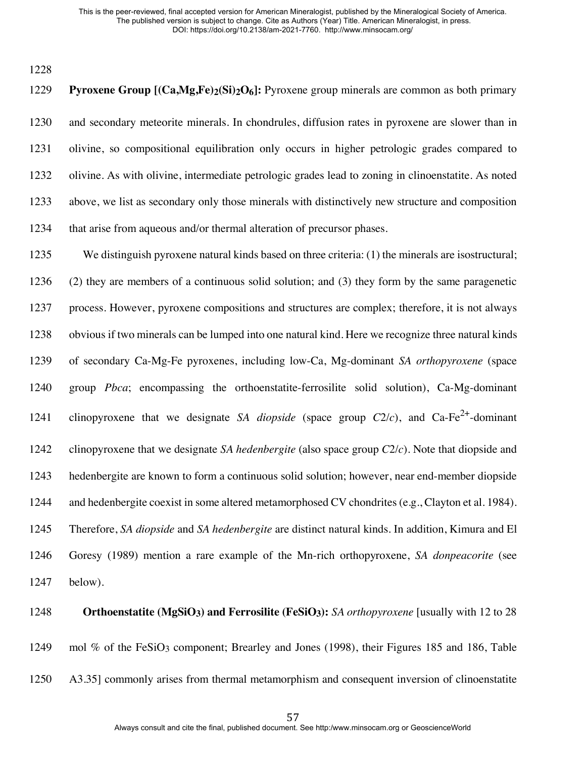**Pyroxene Group [(Ca,Mg,Fe)2(Si)2O6]:** Pyroxene group minerals are common as both primary and secondary meteorite minerals. In chondrules, diffusion rates in pyroxene are slower than in olivine, so compositional equilibration only occurs in higher petrologic grades compared to olivine. As with olivine, intermediate petrologic grades lead to zoning in clinoenstatite. As noted above, we list as secondary only those minerals with distinctively new structure and composition 1234 that arise from aqueous and/or thermal alteration of precursor phases.

 We distinguish pyroxene natural kinds based on three criteria: (1) the minerals are isostructural; (2) they are members of a continuous solid solution; and (3) they form by the same paragenetic process. However, pyroxene compositions and structures are complex; therefore, it is not always obvious if two minerals can be lumped into one natural kind. Here we recognize three natural kinds of secondary Ca-Mg-Fe pyroxenes, including low-Ca, Mg-dominant *SA orthopyroxene* (space group *Pbca*; encompassing the orthoenstatite-ferrosilite solid solution), Ca-Mg-dominant 1241 clinopyroxene that we designate *SA diopside* (space group  $C2/c$ ), and  $Ca-Fe^{2+}$ -dominant clinopyroxene that we designate *SA hedenbergite* (also space group *C*2/*c*). Note that diopside and hedenbergite are known to form a continuous solid solution; however, near end-member diopside and hedenbergite coexist in some altered metamorphosed CV chondrites (e.g., Clayton et al. 1984). Therefore, *SA diopside* and *SA hedenbergite* are distinct natural kinds. In addition, Kimura and El Goresy (1989) mention a rare example of the Mn-rich orthopyroxene, *SA donpeacorite* (see below).

# **Orthoenstatite (MgSiO3) and Ferrosilite (FeSiO3):** *SA orthopyroxene* [usually with 12 to 28 1249 mol % of the FeSiO<sub>3</sub> component; Brearley and Jones (1998), their Figures 185 and 186, Table A3.35] commonly arises from thermal metamorphism and consequent inversion of clinoenstatite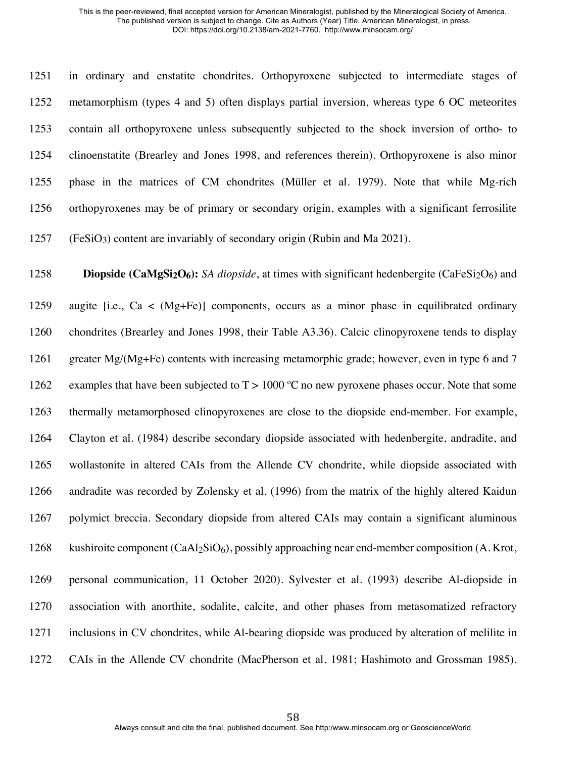in ordinary and enstatite chondrites. Orthopyroxene subjected to intermediate stages of metamorphism (types 4 and 5) often displays partial inversion, whereas type 6 OC meteorites contain all orthopyroxene unless subsequently subjected to the shock inversion of ortho- to clinoenstatite (Brearley and Jones 1998, and references therein). Orthopyroxene is also minor phase in the matrices of CM chondrites (Müller et al. 1979). Note that while Mg-rich orthopyroxenes may be of primary or secondary origin, examples with a significant ferrosilite (FeSiO3) content are invariably of secondary origin (Rubin and Ma 2021).

**Diopside (CaMgSi<sub>2</sub>O<sub>6</sub>):** *SA diopside*, at times with significant hedenbergite (CaFeSi<sub>2</sub>O<sub>6</sub>) and 1259 augite [i.e.,  $Ca < (Mg + Fe)$ ] components, occurs as a minor phase in equilibrated ordinary chondrites (Brearley and Jones 1998, their Table A3.36). Calcic clinopyroxene tends to display 1261 greater  $Mg/(Mg+Fe)$  contents with increasing metamorphic grade; however, even in type 6 and 7 1262 examples that have been subjected to  $T > 1000$  °C no new pyroxene phases occur. Note that some thermally metamorphosed clinopyroxenes are close to the diopside end-member. For example, Clayton et al. (1984) describe secondary diopside associated with hedenbergite, andradite, and wollastonite in altered CAIs from the Allende CV chondrite, while diopside associated with andradite was recorded by Zolensky et al. (1996) from the matrix of the highly altered Kaidun polymict breccia. Secondary diopside from altered CAIs may contain a significant aluminous kushiroite component (CaAl2SiO6), possibly approaching near end-member composition (A. Krot, personal communication, 11 October 2020). Sylvester et al. (1993) describe Al-diopside in association with anorthite, sodalite, calcite, and other phases from metasomatized refractory inclusions in CV chondrites, while Al-bearing diopside was produced by alteration of melilite in CAIs in the Allende CV chondrite (MacPherson et al. 1981; Hashimoto and Grossman 1985).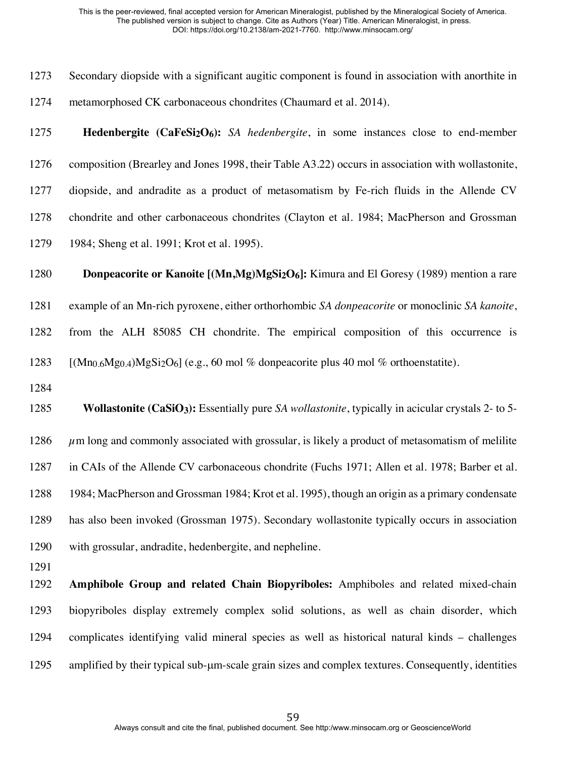| 1273 | Secondary diopside with a significant augitic component is found in association with anorthite in                 |
|------|-------------------------------------------------------------------------------------------------------------------|
| 1274 | metamorphosed CK carbonaceous chondrites (Chaumard et al. 2014).                                                  |
| 1275 | <b>Hedenbergite</b> ( $CaFeSi2O6$ ): SA hedenbergite, in some instances close to end-member                       |
| 1276 | composition (Brearley and Jones 1998, their Table A3.22) occurs in association with wollastonite,                 |
| 1277 | diopside, and andradite as a product of metasomatism by Fe-rich fluids in the Allende CV                          |
| 1278 | chondrite and other carbonaceous chondrites (Clayton et al. 1984; MacPherson and Grossman                         |
| 1279 | 1984; Sheng et al. 1991; Krot et al. 1995).                                                                       |
| 1280 | <b>Donpeacorite or Kanoite [(Mn,Mg)MgSi<sub>2</sub>O<sub>6</sub>]:</b> Kimura and El Goresy (1989) mention a rare |
| 1281 | example of an Mn-rich pyroxene, either orthorhombic SA donpeacorite or monoclinic SA kanoite,                     |
| 1282 | from the ALH 85085 CH chondrite. The empirical composition of this occurrence is                                  |
| 1283 | $[(Mn0.6Mg0.4)MgSi2O6]$ (e.g., 60 mol % donpeacorite plus 40 mol % orthoenstatite).                               |
| 1284 |                                                                                                                   |
| 1285 | <b>Wollastonite (CaSiO3):</b> Essentially pure SA wollastonite, typically in acicular crystals 2- to 5-           |
| 1286 | $\mu$ m long and commonly associated with grossular, is likely a product of metasomatism of melilite              |
| 1287 | in CAIs of the Allende CV carbonaceous chondrite (Fuchs 1971; Allen et al. 1978; Barber et al.                    |
| 1288 | 1984; MacPherson and Grossman 1984; Krot et al. 1995), though an origin as a primary condensate                   |
| 1289 | has also been invoked (Grossman 1975). Secondary wollastonite typically occurs in association                     |
| 1290 | with grossular, andradite, hedenbergite, and nepheline.                                                           |
| 1291 |                                                                                                                   |
| 1292 | Amphibole Group and related Chain Biopyriboles: Amphiboles and related mixed-chain                                |
| 1293 | biopyriboles display extremely complex solid solutions, as well as chain disorder, which                          |
| 1294 | complicates identifying valid mineral species as well as historical natural kinds – challenges                    |
|      |                                                                                                                   |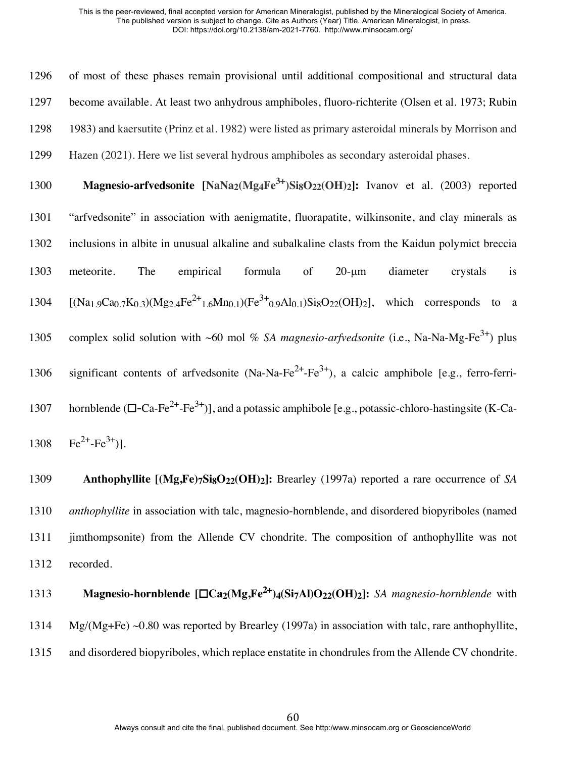of most of these phases remain provisional until additional compositional and structural data become available. At least two anhydrous amphiboles, fluoro-richterite (Olsen et al. 1973; Rubin 1983) and kaersutite (Prinz et al. 1982) were listed as primary asteroidal minerals by Morrison and Hazen (2021). Here we list several hydrous amphiboles as secondary asteroidal phases.

1300 **Magnesio-arfvedsonite** [NaNa<sub>2</sub>(Mg<sub>4</sub>Fe<sup>3+</sup>)Si<sub>8</sub>O<sub>22</sub>(OH)<sub>2</sub>]: Ivanov et al. (2003) reported 1301 "arfvedsonite" in association with aenigmatite, fluorapatite, wilkinsonite, and clay minerals as 1302 inclusions in albite in unusual alkaline and subalkaline clasts from the Kaidun polymict breccia 1303 meteorite. The empirical formula of 20-µm diameter crystals is  $1304$  [(Na<sub>1.9</sub>Ca<sub>0.7</sub>K<sub>0.3</sub>)(Mg<sub>2.4</sub>Fe<sup>2+</sup><sub>1.6</sub>M<sub>n0.1</sub>)(Fe<sup>3+</sup><sub>0.9</sub>Al<sub>0.1</sub>)Si<sub>8</sub>O<sub>22</sub>(OH)<sub>2</sub>], which corresponds to a 1305 complex solid solution with ~60 mol % *SA magnesio-arfvedsonite* (i.e., Na-Na-Mg-Fe<sup>3+</sup>) plus 1306 significant contents of arfvedsonite (Na-Na-Fe<sup>2+</sup>-Fe<sup>3+</sup>), a calcic amphibole [e.g., ferro-ferri-1307 hornblende  $(\square$ -Ca-Fe<sup>2+</sup>-Fe<sup>3+</sup>)], and a potassic amphibole [e.g., potassic-chloro-hastingsite (K-Ca-1308  $\text{Fe}^{2+}-\text{Fe}^{3+}$ )].

 **Anthophyllite [(Mg,Fe)7Si8O22(OH)2]:** Brearley (1997a) reported a rare occurrence of *SA anthophyllite* in association with talc, magnesio-hornblende, and disordered biopyriboles (named jimthompsonite) from the Allende CV chondrite. The composition of anthophyllite was not recorded.

**Magnesio-hornblende [□Ca<sub>2</sub>(Mg,Fe<sup>2+</sup>)<sub>4</sub>(Si7Al)O<sub>22</sub>(OH)<sub>2</sub>]:** *SA magnesio-hornblende* **with** 1314 Mg/(Mg+Fe) ~0.80 was reported by Brearley (1997a) in association with talc, rare anthophyllite, 1315 and disordered biopyriboles, which replace enstatite in chondrules from the Allende CV chondrite.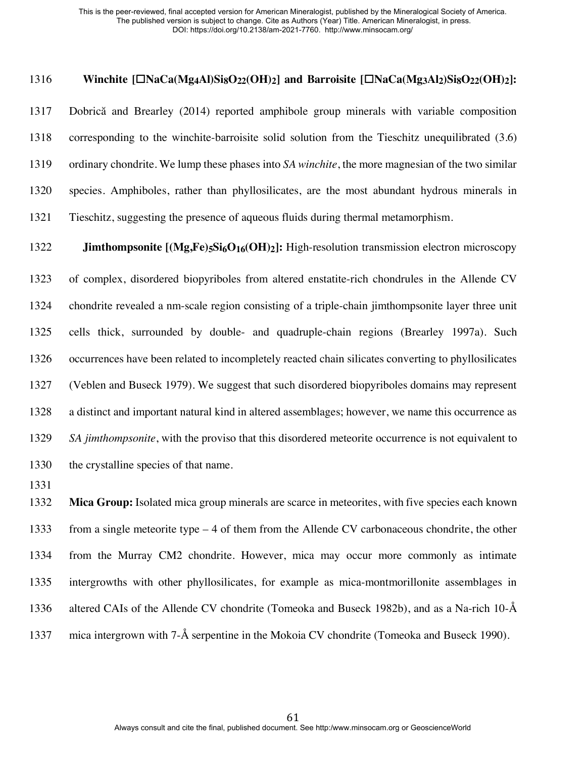### **Winchite [**☐**NaCa(Mg4Al)Si8O22(OH)2] and Barroisite [**☐**NaCa(Mg3Al2)Si8O22(OH)2]:**

 Dobrică and Brearley (2014) reported amphibole group minerals with variable composition corresponding to the winchite-barroisite solid solution from the Tieschitz unequilibrated (3.6) ordinary chondrite. We lump these phases into *SA winchite*, the more magnesian of the two similar species. Amphiboles, rather than phyllosilicates, are the most abundant hydrous minerals in Tieschitz, suggesting the presence of aqueous fluids during thermal metamorphism.

**Jimthompsonite**  $[(Mg,Fe)_5Si_6O_{16}(OH)_2]$ : High-resolution transmission electron microscopy of complex, disordered biopyriboles from altered enstatite-rich chondrules in the Allende CV chondrite revealed a nm-scale region consisting of a triple-chain jimthompsonite layer three unit cells thick, surrounded by double- and quadruple-chain regions (Brearley 1997a). Such occurrences have been related to incompletely reacted chain silicates converting to phyllosilicates (Veblen and Buseck 1979). We suggest that such disordered biopyriboles domains may represent a distinct and important natural kind in altered assemblages; however, we name this occurrence as *SA jimthompsonite*, with the proviso that this disordered meteorite occurrence is not equivalent to the crystalline species of that name.

 **Mica Group:** Isolated mica group minerals are scarce in meteorites, with five species each known from a single meteorite type – 4 of them from the Allende CV carbonaceous chondrite, the other from the Murray CM2 chondrite. However, mica may occur more commonly as intimate intergrowths with other phyllosilicates, for example as mica-montmorillonite assemblages in altered CAIs of the Allende CV chondrite (Tomeoka and Buseck 1982b), and as a Na-rich 10-Å mica intergrown with 7-Å serpentine in the Mokoia CV chondrite (Tomeoka and Buseck 1990).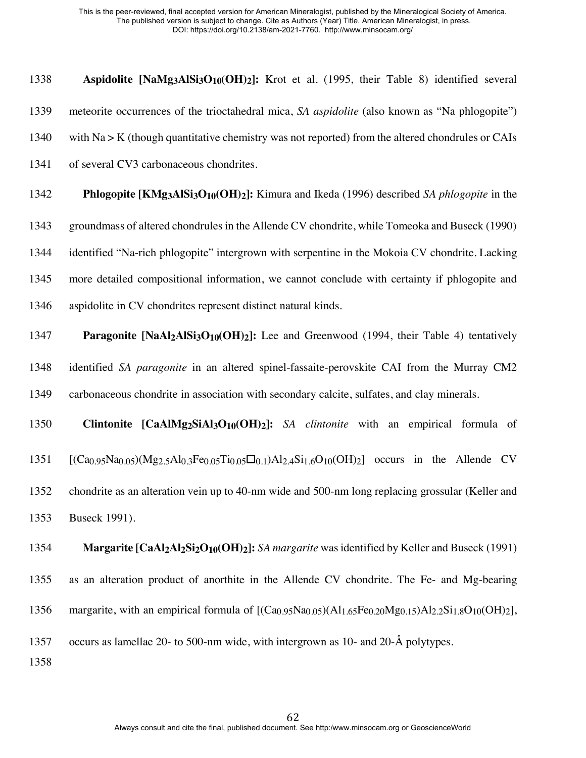**Aspidolite [NaMg3AlSi3O10(OH)2]:** Krot et al. (1995, their Table 8) identified several meteorite occurrences of the trioctahedral mica, *SA aspidolite* (also known as "Na phlogopite") with Na > K (though quantitative chemistry was not reported) from the altered chondrules or CAIs of several CV3 carbonaceous chondrites.

 **Phlogopite [KMg3AlSi3O10(OH)2]:** Kimura and Ikeda (1996) described *SA phlogopite* in the groundmass of altered chondrules in the Allende CV chondrite, while Tomeoka and Buseck (1990) identified "Na-rich phlogopite" intergrown with serpentine in the Mokoia CV chondrite. Lacking more detailed compositional information, we cannot conclude with certainty if phlogopite and aspidolite in CV chondrites represent distinct natural kinds.

1347 **Paragonite [NaAl2AlSi3O<sub>10</sub>(OH)2]:** Lee and Greenwood (1994, their Table 4) tentatively identified *SA paragonite* in an altered spinel-fassaite-perovskite CAI from the Murray CM2 carbonaceous chondrite in association with secondary calcite, sulfates, and clay minerals.

 **Clintonite [CaAlMg2SiAl3O10(OH)2]:** *SA clintonite* with an empirical formula of  $[(Ca_{0.95}Na_{0.05})(Mg_{2.5}Al_{0.3}Fe_{0.05}Ti_{0.05}\Box_{0.1})Al_{2.4}Si_{1.6}O_{10}(OH)_{2}]$  occurs in the Allende CV chondrite as an alteration vein up to 40-nm wide and 500-nm long replacing grossular (Keller and Buseck 1991).

 **Margarite [CaAl2Al2Si2O10(OH)2]:** *SA margarite* was identified by Keller and Buseck (1991) as an alteration product of anorthite in the Allende CV chondrite. The Fe- and Mg-bearing 1356 margarite, with an empirical formula of  $[(Ca_{0.95}Na_{0.05})(Al_{1.65}Fe_{0.20}Mg_{0.15})Al_{2.2}Si_{1.8}O_{10}(OH)_2]$ , occurs as lamellae 20- to 500-nm wide, with intergrown as 10- and 20-Å polytypes.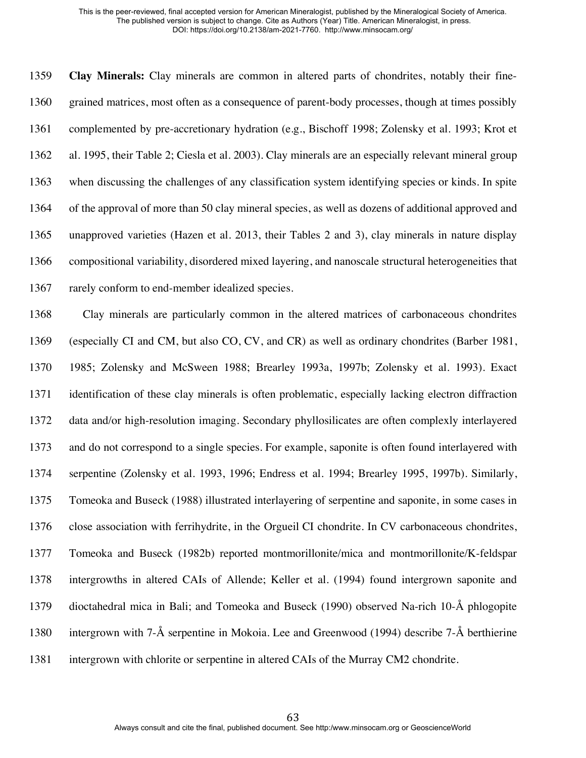**Clay Minerals:** Clay minerals are common in altered parts of chondrites, notably their fine- grained matrices, most often as a consequence of parent-body processes, though at times possibly complemented by pre-accretionary hydration (e.g., Bischoff 1998; Zolensky et al. 1993; Krot et al. 1995, their Table 2; Ciesla et al. 2003). Clay minerals are an especially relevant mineral group when discussing the challenges of any classification system identifying species or kinds. In spite of the approval of more than 50 clay mineral species, as well as dozens of additional approved and unapproved varieties (Hazen et al. 2013, their Tables 2 and 3), clay minerals in nature display compositional variability, disordered mixed layering, and nanoscale structural heterogeneities that rarely conform to end-member idealized species.

 Clay minerals are particularly common in the altered matrices of carbonaceous chondrites (especially CI and CM, but also CO, CV, and CR) as well as ordinary chondrites (Barber 1981, 1985; Zolensky and McSween 1988; Brearley 1993a, 1997b; Zolensky et al. 1993). Exact identification of these clay minerals is often problematic, especially lacking electron diffraction data and/or high-resolution imaging. Secondary phyllosilicates are often complexly interlayered and do not correspond to a single species. For example, saponite is often found interlayered with serpentine (Zolensky et al. 1993, 1996; Endress et al. 1994; Brearley 1995, 1997b). Similarly, Tomeoka and Buseck (1988) illustrated interlayering of serpentine and saponite, in some cases in close association with ferrihydrite, in the Orgueil CI chondrite. In CV carbonaceous chondrites, Tomeoka and Buseck (1982b) reported montmorillonite/mica and montmorillonite/K-feldspar intergrowths in altered CAIs of Allende; Keller et al. (1994) found intergrown saponite and dioctahedral mica in Bali; and Tomeoka and Buseck (1990) observed Na-rich 10-Å phlogopite intergrown with 7-Å serpentine in Mokoia. Lee and Greenwood (1994) describe 7-Å berthierine intergrown with chlorite or serpentine in altered CAIs of the Murray CM2 chondrite.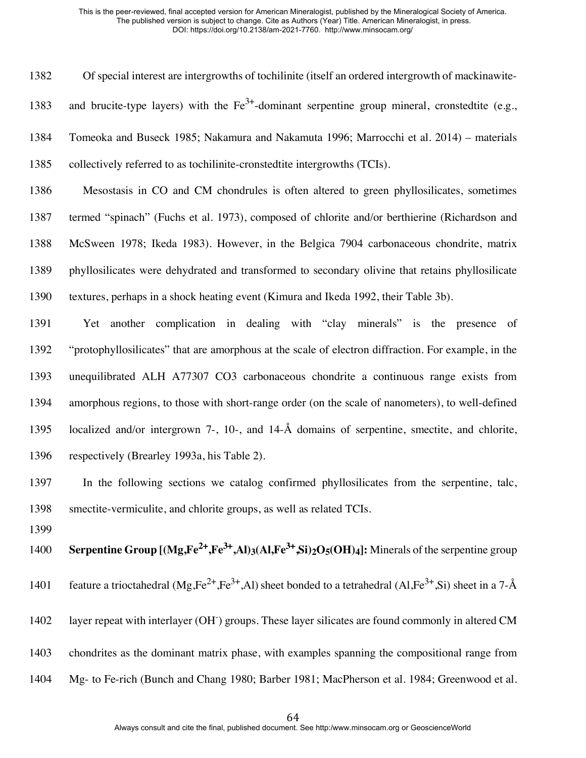Of special interest are intergrowths of tochilinite (itself an ordered intergrowth of mackinawite-1383 and brucite-type layers) with the  $Fe^{3+}$ -dominant serpentine group mineral, cronstedtite (e.g., Tomeoka and Buseck 1985; Nakamura and Nakamuta 1996; Marrocchi et al. 2014) – materials collectively referred to as tochilinite-cronstedtite intergrowths (TCIs). Mesostasis in CO and CM chondrules is often altered to green phyllosilicates, sometimes termed "spinach" (Fuchs et al. 1973), composed of chlorite and/or berthierine (Richardson and McSween 1978; Ikeda 1983). However, in the Belgica 7904 carbonaceous chondrite, matrix phyllosilicates were dehydrated and transformed to secondary olivine that retains phyllosilicate textures, perhaps in a shock heating event (Kimura and Ikeda 1992, their Table 3b). Yet another complication in dealing with "clay minerals" is the presence of "protophyllosilicates" that are amorphous at the scale of electron diffraction. For example, in the unequilibrated ALH A77307 CO3 carbonaceous chondrite a continuous range exists from amorphous regions, to those with short-range order (on the scale of nanometers), to well-defined localized and/or intergrown 7-, 10-, and 14-Å domains of serpentine, smectite, and chlorite, respectively (Brearley 1993a, his Table 2). In the following sections we catalog confirmed phyllosilicates from the serpentine, talc, smectite-vermiculite, and chlorite groups, as well as related TCIs. **Serpentine Group [(Mg,Fe<sup>2+</sup>,Fe<sup>3+</sup>,Al)3(Al,Fe<sup>3+</sup>,Si)<sub>2</sub>O<sub>5</sub>(OH)4]: Minerals of the serpentine group** 1401 feature a trioctahedral (Mg,Fe<sup>2+</sup>,Fe<sup>3+</sup>,Al) sheet bonded to a tetrahedral (Al,Fe<sup>3+</sup>,Si) sheet in a 7-Å

- 1402 layer repeat with interlayer (OH<sup>-</sup>) groups. These layer silicates are found commonly in altered CM
- chondrites as the dominant matrix phase, with examples spanning the compositional range from
- Mg- to Fe-rich (Bunch and Chang 1980; Barber 1981; MacPherson et al. 1984; Greenwood et al.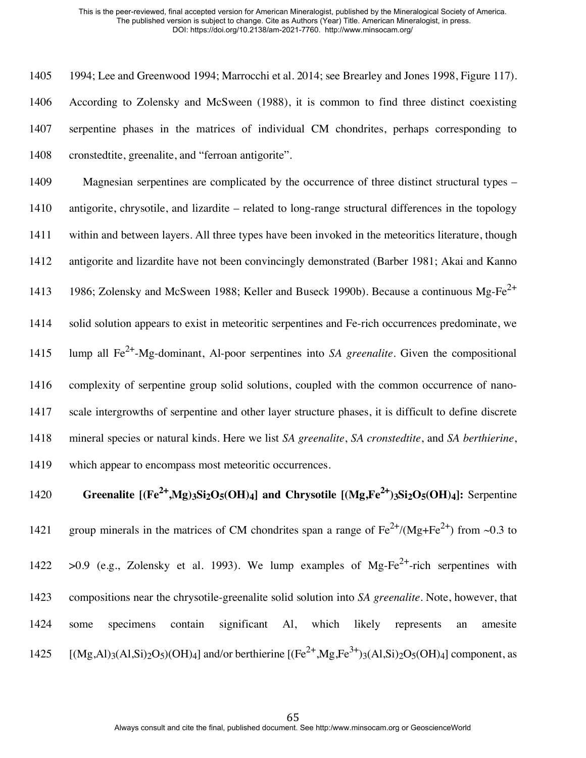1994; Lee and Greenwood 1994; Marrocchi et al. 2014; see Brearley and Jones 1998, Figure 117). According to Zolensky and McSween (1988), it is common to find three distinct coexisting serpentine phases in the matrices of individual CM chondrites, perhaps corresponding to cronstedtite, greenalite, and "ferroan antigorite".

 Magnesian serpentines are complicated by the occurrence of three distinct structural types – antigorite, chrysotile, and lizardite – related to long-range structural differences in the topology within and between layers. All three types have been invoked in the meteoritics literature, though antigorite and lizardite have not been convincingly demonstrated (Barber 1981; Akai and Kanno 1413 1986; Zolensky and McSween 1988; Keller and Buseck 1990b). Because a continuous Mg-Fe<sup>2+</sup> solid solution appears to exist in meteoritic serpentines and Fe-rich occurrences predominate, we lump all Fe2+ -Mg-dominant, Al-poor serpentines into *SA greenalite*. Given the compositional complexity of serpentine group solid solutions, coupled with the common occurrence of nano- scale intergrowths of serpentine and other layer structure phases, it is difficult to define discrete mineral species or natural kinds. Here we list *SA greenalite*, *SA cronstedtite*, and *SA berthierine*, which appear to encompass most meteoritic occurrences.

**Greenalite**  $[(Fe^{2+}, Mg)_3Si_2O_5(OH)_4]$  and Chrysotile  $[(Mg_5Fe^{2+})_3Si_2O_5(OH)_4]$ : Serpentine 1421 group minerals in the matrices of CM chondrites span a range of  $Fe^{2+}/(Mg+Fe^{2+})$  from ~0.3 to  $>0.9$  (e.g., Zolensky et al. 1993). We lump examples of Mg-Fe<sup>2+</sup>-rich serpentines with compositions near the chrysotile-greenalite solid solution into *SA greenalite*. Note, however, that some specimens contain significant Al, which likely represents an amesite  $[({\rm Mg},{\rm Al})_3({\rm Al},\rm{Si})_2{\rm O}_5)({\rm OH})_4]$  and/or berthierine  $[({\rm Fe}^{2+},\rm{Mg},{\rm Fe}^{3+})_3({\rm Al},\rm{Si})_2{\rm O}_5({\rm OH})_4]$  component, as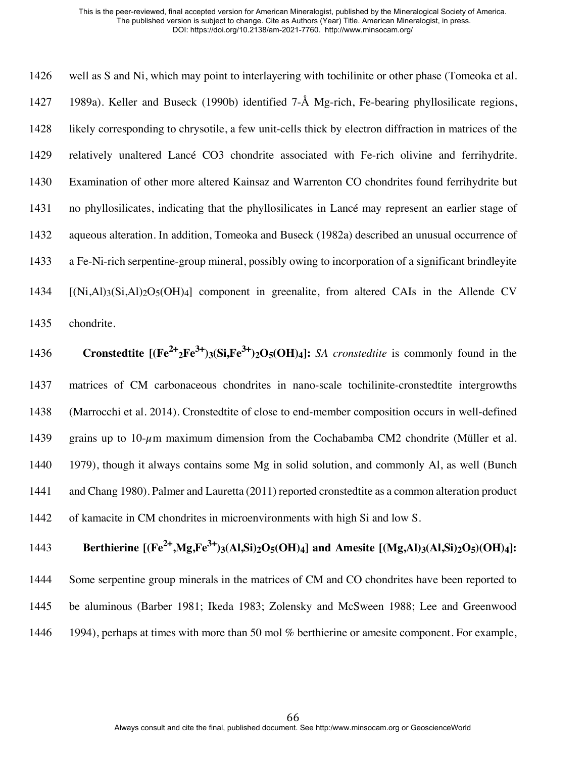well as S and Ni, which may point to interlayering with tochilinite or other phase (Tomeoka et al. 1989a). Keller and Buseck (1990b) identified 7-Å Mg-rich, Fe-bearing phyllosilicate regions, likely corresponding to chrysotile, a few unit-cells thick by electron diffraction in matrices of the relatively unaltered Lancé CO3 chondrite associated with Fe-rich olivine and ferrihydrite. Examination of other more altered Kainsaz and Warrenton CO chondrites found ferrihydrite but no phyllosilicates, indicating that the phyllosilicates in Lancé may represent an earlier stage of aqueous alteration. In addition, Tomeoka and Buseck (1982a) described an unusual occurrence of a Fe-Ni-rich serpentine-group mineral, possibly owing to incorporation of a significant brindleyite  $[(Ni,Al)_3(Si,Al)_2O_5(OH)_4]$  component in greenalite, from altered CAIs in the Allende CV chondrite.

**Cronstedtite**  $[(Fe^{2+}2Fe^{3+})3(Si,Fe^{3+})2O5(OH)4]$ : *SA cronstedtite* is commonly found in the matrices of CM carbonaceous chondrites in nano-scale tochilinite-cronstedtite intergrowths (Marrocchi et al. 2014). Cronstedtite of close to end-member composition occurs in well-defined 1439 grains up to 10- $\mu$ m maximum dimension from the Cochabamba CM2 chondrite (Müller et al. 1979), though it always contains some Mg in solid solution, and commonly Al, as well (Bunch and Chang 1980). Palmer and Lauretta (2011) reported cronstedtite as a common alteration product of kamacite in CM chondrites in microenvironments with high Si and low S.

**Berthierine**  $[(Fe^{2+}, Mg, Fe^{3+})_3(Al, Si)_2O_5(OH)_4]$  and Amesite  $[(Mg, Al)_3(Al, Si)_2O_5(OH)_4]$ :

 Some serpentine group minerals in the matrices of CM and CO chondrites have been reported to be aluminous (Barber 1981; Ikeda 1983; Zolensky and McSween 1988; Lee and Greenwood

1446 1994), perhaps at times with more than 50 mol % berthierine or amesite component. For example,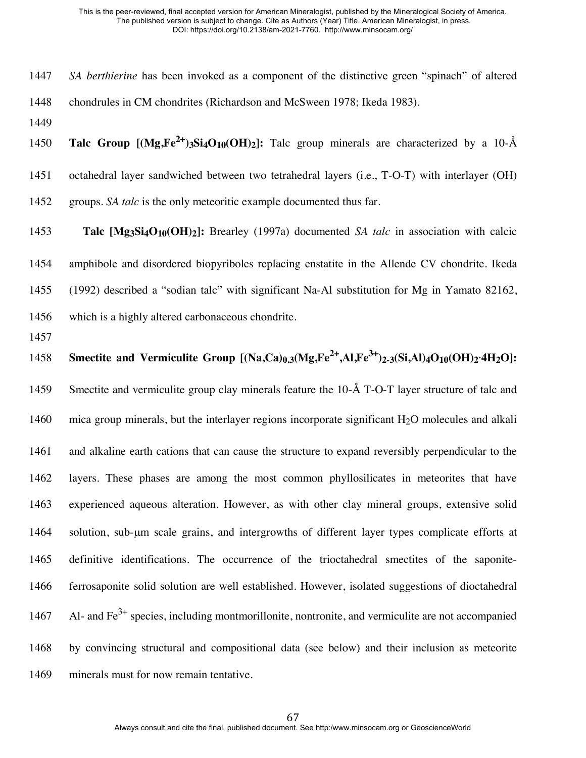- *SA berthierine* has been invoked as a component of the distinctive green "spinach" of altered chondrules in CM chondrites (Richardson and McSween 1978; Ikeda 1983).
- 

1450 **Talc Group**  $[(Mg,Fe^{2+})_3Si_4O_{10}(OH)_2]$ : Talc group minerals are characterized by a 10-Å octahedral layer sandwiched between two tetrahedral layers (i.e., T-O-T) with interlayer (OH) groups. *SA talc* is the only meteoritic example documented thus far.

 **Talc [Mg3Si4O10(OH)2]:** Brearley (1997a) documented *SA talc* in association with calcic amphibole and disordered biopyriboles replacing enstatite in the Allende CV chondrite. Ikeda (1992) described a "sodian talc" with significant Na-Al substitution for Mg in Yamato 82162, which is a highly altered carbonaceous chondrite.

1458 **Smectite and Vermiculite Group [(Na,Ca)<sub>0.3</sub>(Mg,Fe<sup>2+</sup>,Al,Fe<sup>3+</sup>)<sub>2-3</sub>(Si,Al)<sub>4</sub>O<sub>10</sub>(OH)<sub>2</sub>·4H<sub>2</sub>O]:** 

 Smectite and vermiculite group clay minerals feature the 10-Å T-O-T layer structure of talc and 1460 mica group minerals, but the interlayer regions incorporate significant H<sub>2</sub>O molecules and alkali and alkaline earth cations that can cause the structure to expand reversibly perpendicular to the layers. These phases are among the most common phyllosilicates in meteorites that have experienced aqueous alteration. However, as with other clay mineral groups, extensive solid solution, sub-µm scale grains, and intergrowths of different layer types complicate efforts at definitive identifications. The occurrence of the trioctahedral smectites of the saponite- ferrosaponite solid solution are well established. However, isolated suggestions of dioctahedral 1467 Al- and  $Fe<sup>3+</sup>$  species, including montmorillonite, nontronite, and vermiculite are not accompanied by convincing structural and compositional data (see below) and their inclusion as meteorite minerals must for now remain tentative.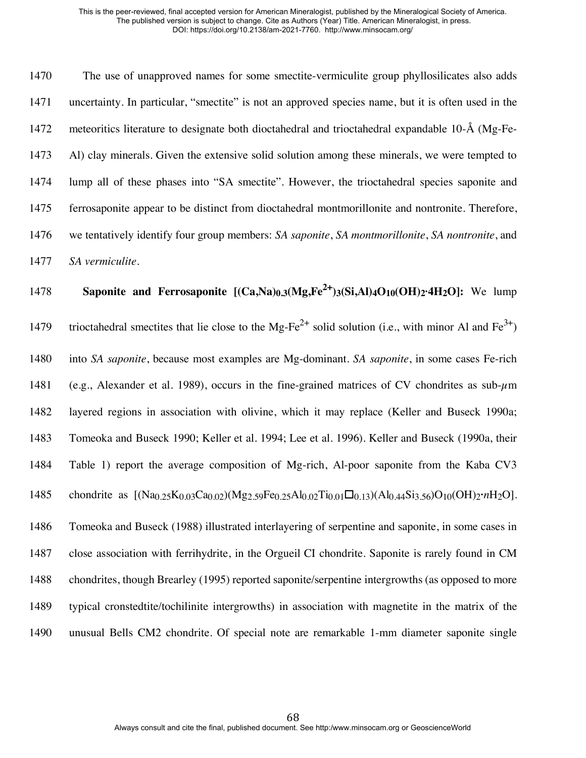The use of unapproved names for some smectite-vermiculite group phyllosilicates also adds uncertainty. In particular, "smectite" is not an approved species name, but it is often used in the meteoritics literature to designate both dioctahedral and trioctahedral expandable 10-Å (Mg-Fe- Al) clay minerals. Given the extensive solid solution among these minerals, we were tempted to lump all of these phases into "SA smectite". However, the trioctahedral species saponite and ferrosaponite appear to be distinct from dioctahedral montmorillonite and nontronite. Therefore, we tentatively identify four group members: *SA saponite*, *SA montmorillonite*, *SA nontronite*, and *SA vermiculite*.

**Saponite and Ferrosaponite**  $[(Ca,Na)_0,(Mg,Fe^{2+})_3(Si,Al)_4O_{10}(OH)_2.4H_2O]$ : We lump 1479 trioctahedral smectites that lie close to the Mg-Fe<sup>2+</sup> solid solution (i.e., with minor Al and Fe<sup>3+</sup>) into *SA saponite*, because most examples are Mg-dominant. *SA saponite*, in some cases Fe-rich 1481 (e.g., Alexander et al. 1989), occurs in the fine-grained matrices of CV chondrites as sub- $\mu$ m layered regions in association with olivine, which it may replace (Keller and Buseck 1990a; Tomeoka and Buseck 1990; Keller et al. 1994; Lee et al. 1996). Keller and Buseck (1990a, their Table 1) report the average composition of Mg-rich, Al-poor saponite from the Kaba CV3 chondrite as [(Na0.25K0.03Ca0.02)(Mg2.59Fe0.25Al0.02Ti0.01☐0.13)(Al0.44Si3.56)O10(OH)2**·***n*H2O]. Tomeoka and Buseck (1988) illustrated interlayering of serpentine and saponite, in some cases in close association with ferrihydrite, in the Orgueil CI chondrite. Saponite is rarely found in CM chondrites, though Brearley (1995) reported saponite/serpentine intergrowths (as opposed to more typical cronstedtite/tochilinite intergrowths) in association with magnetite in the matrix of the unusual Bells CM2 chondrite. Of special note are remarkable 1-mm diameter saponite single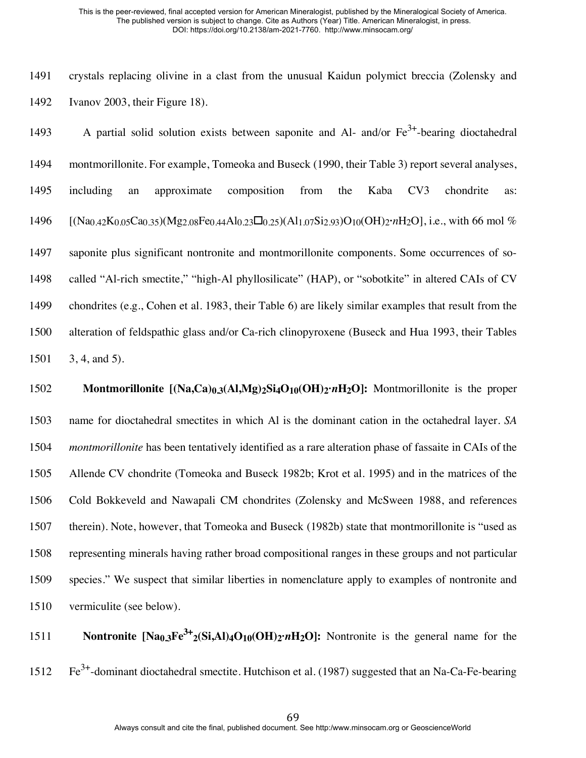crystals replacing olivine in a clast from the unusual Kaidun polymict breccia (Zolensky and Ivanov 2003, their Figure 18).

1493 A partial solid solution exists between saponite and Al- and/or  $Fe^{3+}$ -bearing dioctahedral montmorillonite. For example, Tomeoka and Buseck (1990, their Table 3) report several analyses, including an approximate composition from the Kaba CV3 chondrite as: [(Na0.42K0.05Ca0.35)(Mg2.08Fe0.44Al0.23☐0.25)(Al1.07Si2.93)O10(OH)2**·***n*H2O], i.e., with 66 mol % saponite plus significant nontronite and montmorillonite components. Some occurrences of so- called "Al-rich smectite," "high-Al phyllosilicate" (HAP), or "sobotkite" in altered CAIs of CV chondrites (e.g., Cohen et al. 1983, their Table 6) are likely similar examples that result from the alteration of feldspathic glass and/or Ca-rich clinopyroxene (Buseck and Hua 1993, their Tables 3, 4, and 5).

 **Montmorillonite [(Na,Ca)0.3(Al,Mg)2Si4O10(OH)2·***n***H2O]:** Montmorillonite is the proper name for dioctahedral smectites in which Al is the dominant cation in the octahedral layer. *SA montmorillonite* has been tentatively identified as a rare alteration phase of fassaite in CAIs of the Allende CV chondrite (Tomeoka and Buseck 1982b; Krot et al. 1995) and in the matrices of the Cold Bokkeveld and Nawapali CM chondrites (Zolensky and McSween 1988, and references therein). Note, however, that Tomeoka and Buseck (1982b) state that montmorillonite is "used as representing minerals having rather broad compositional ranges in these groups and not particular species." We suspect that similar liberties in nomenclature apply to examples of nontronite and vermiculite (see below).

**Nontronite**  $\text{[Na}_{0,3}\text{Fe}^{3+}{}_{2}\text{(Si,Al)}{}_{4}\text{O}_{10}\text{(OH)}{}_{2}{}^{.}{}_{n}\text{H}_{2}\text{O}$ **: Nontronite is the general name for the** 1512  $\text{Fe}^{3+}$ -dominant dioctahedral smectite. Hutchison et al. (1987) suggested that an Na-Ca-Fe-bearing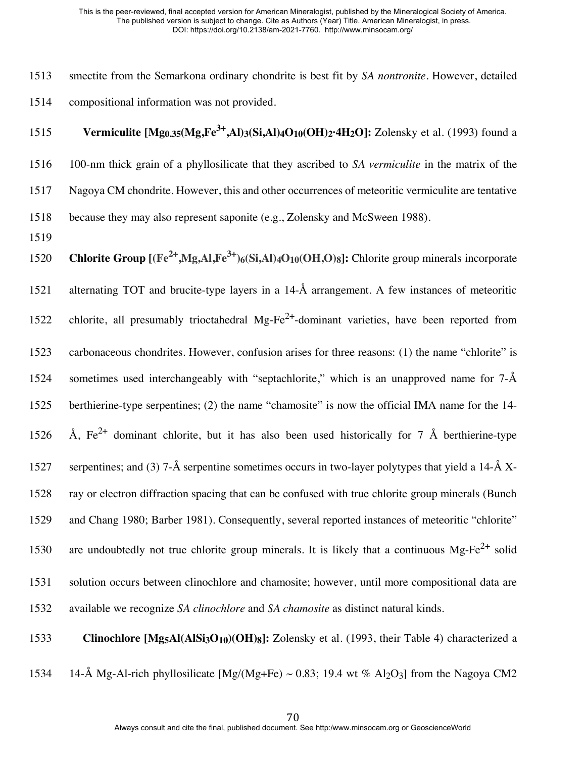1513 smectite from the Semarkona ordinary chondrite is best fit by *SA nontronite*. However, detailed 1514 compositional information was not provided.

**Vermiculite [Mg<sub>0.35</sub>(Mg,Fe<sup>3+</sup>,Al)<sub>3</sub>(Si,Al)<sub>4</sub>O<sub>10</sub>(OH)<sub>2</sub>·4H<sub>2</sub>O]: Zolensky et al. (1993) found a** 1516 100-nm thick grain of a phyllosilicate that they ascribed to *SA vermiculite* in the matrix of the

1517 Nagoya CM chondrite. However, this and other occurrences of meteoritic vermiculite are tentative

1518 because they may also represent saponite (e.g., Zolensky and McSween 1988).

1519

**Chlorite Group**  $[(Fe^{2+}, Mg, Al,Fe^{3+})_{6}(Si, Al)_{4}O_{10}(OH, O)_{8}]$ **:** Chlorite group minerals incorporate alternating TOT and brucite-type layers in a 14-Å arrangement. A few instances of meteoritic 1522 chlorite, all presumably trioctahedral Mg-Fe<sup>2+</sup>-dominant varieties, have been reported from carbonaceous chondrites. However, confusion arises for three reasons: (1) the name "chlorite" is sometimes used interchangeably with "septachlorite," which is an unapproved name for 7-Å berthierine-type serpentines; (2) the name "chamosite" is now the official IMA name for the 14-  $\AA$ , Fe<sup>2+</sup> dominant chlorite, but it has also been used historically for 7 Å berthierine-type 1527 serpentines; and (3) 7-Å serpentine sometimes occurs in two-layer polytypes that yield a 14-Å X- ray or electron diffraction spacing that can be confused with true chlorite group minerals (Bunch and Chang 1980; Barber 1981). Consequently, several reported instances of meteoritic "chlorite" 1530 are undoubtedly not true chlorite group minerals. It is likely that a continuous Mg-Fe<sup>2+</sup> solid solution occurs between clinochlore and chamosite; however, until more compositional data are available we recognize *SA clinochlore* and *SA chamosite* as distinct natural kinds.

1533 **Clinochlore [Mg5Al(AlSi3O10)(OH)8]:** Zolensky et al. (1993, their Table 4) characterized a

1534 14-Å Mg-Al-rich phyllosilicate  $[Mg/(Mg+Fe) \sim 0.83; 19.4 \text{ wt } \%$  Al<sub>2</sub>O<sub>3</sub> from the Nagoya CM2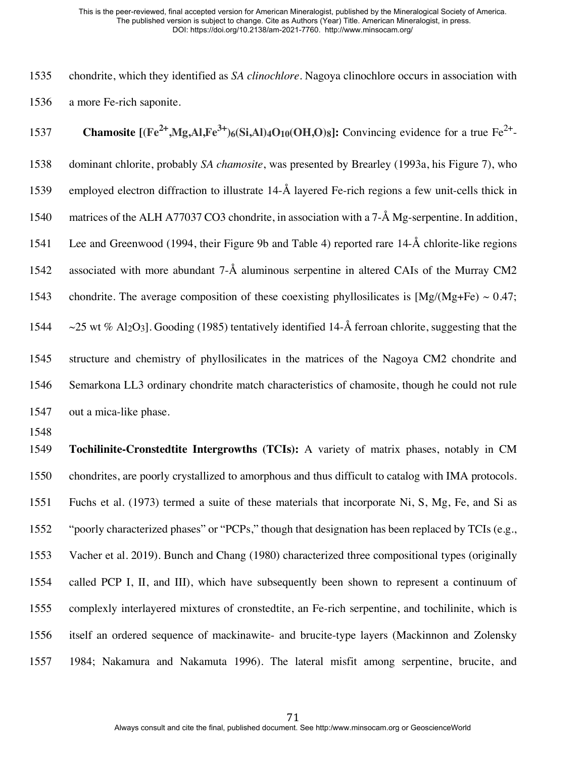chondrite, which they identified as *SA clinochlore*. Nagoya clinochlore occurs in association with a more Fe-rich saponite.

**Chamosite**  $[(Fe^{2+}, Mg, Al,Fe^{3+})_6(Si, Al)_{4}O_{10}(OH, O)_{8}]$ : Convincing evidence for a true Fe<sup>2+</sup>- dominant chlorite, probably *SA chamosite*, was presented by Brearley (1993a, his Figure 7), who employed electron diffraction to illustrate 14-Å layered Fe-rich regions a few unit-cells thick in matrices of the ALH A77037 CO3 chondrite, in association with a 7-Å Mg-serpentine. In addition, Lee and Greenwood (1994, their Figure 9b and Table 4) reported rare 14-Å chlorite-like regions associated with more abundant 7-Å aluminous serpentine in altered CAIs of the Murray CM2 1543 chondrite. The average composition of these coexisting phyllosilicates is  $[Mg/(Mg+Fe) \sim 0.47;$  $\sim$  25 wt % Al<sub>2</sub>O<sub>3</sub>]. Gooding (1985) tentatively identified 14-Å ferroan chlorite, suggesting that the structure and chemistry of phyllosilicates in the matrices of the Nagoya CM2 chondrite and Semarkona LL3 ordinary chondrite match characteristics of chamosite, though he could not rule out a mica-like phase.

 **Tochilinite-Cronstedtite Intergrowths (TCIs):** A variety of matrix phases, notably in CM chondrites, are poorly crystallized to amorphous and thus difficult to catalog with IMA protocols. Fuchs et al. (1973) termed a suite of these materials that incorporate Ni, S, Mg, Fe, and Si as "poorly characterized phases" or "PCPs," though that designation has been replaced by TCIs (e.g., Vacher et al. 2019). Bunch and Chang (1980) characterized three compositional types (originally called PCP I, II, and III), which have subsequently been shown to represent a continuum of complexly interlayered mixtures of cronstedtite, an Fe-rich serpentine, and tochilinite, which is itself an ordered sequence of mackinawite- and brucite-type layers (Mackinnon and Zolensky 1984; Nakamura and Nakamuta 1996). The lateral misfit among serpentine, brucite, and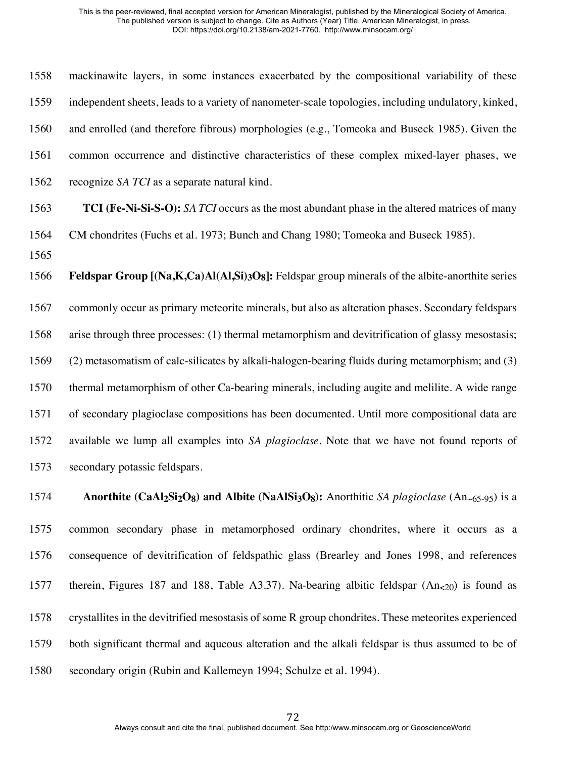mackinawite layers, in some instances exacerbated by the compositional variability of these independent sheets, leads to a variety of nanometer-scale topologies, including undulatory, kinked, and enrolled (and therefore fibrous) morphologies (e.g., Tomeoka and Buseck 1985). Given the common occurrence and distinctive characteristics of these complex mixed-layer phases, we recognize *SA TCI* as a separate natural kind. **TCI (Fe-Ni-Si-S-O):** *SA TCI* occurs as the most abundant phase in the altered matrices of many CM chondrites (Fuchs et al. 1973; Bunch and Chang 1980; Tomeoka and Buseck 1985). **Feldspar Group [(Na,K,Ca)Al(Al,Si)3O8]:** Feldspar group minerals of the albite-anorthite series commonly occur as primary meteorite minerals, but also as alteration phases. Secondary feldspars arise through three processes: (1) thermal metamorphism and devitrification of glassy mesostasis; (2) metasomatism of calc-silicates by alkali-halogen-bearing fluids during metamorphism; and (3) thermal metamorphism of other Ca-bearing minerals, including augite and melilite. A wide range of secondary plagioclase compositions has been documented. Until more compositional data are available we lump all examples into *SA plagioclase*. Note that we have not found reports of secondary potassic feldspars.

 **Anorthite (CaAl2Si2O8) and Albite (NaAlSi3O8):** Anorthitic *SA plagioclase* (An~65-95) is a common secondary phase in metamorphosed ordinary chondrites, where it occurs as a consequence of devitrification of feldspathic glass (Brearley and Jones 1998, and references 1577 therein, Figures 187 and 188, Table A3.37). Na-bearing albitic feldspar  $(An<sub>0</sub>)$  is found as crystallites in the devitrified mesostasis of some R group chondrites. These meteorites experienced both significant thermal and aqueous alteration and the alkali feldspar is thus assumed to be of secondary origin (Rubin and Kallemeyn 1994; Schulze et al. 1994).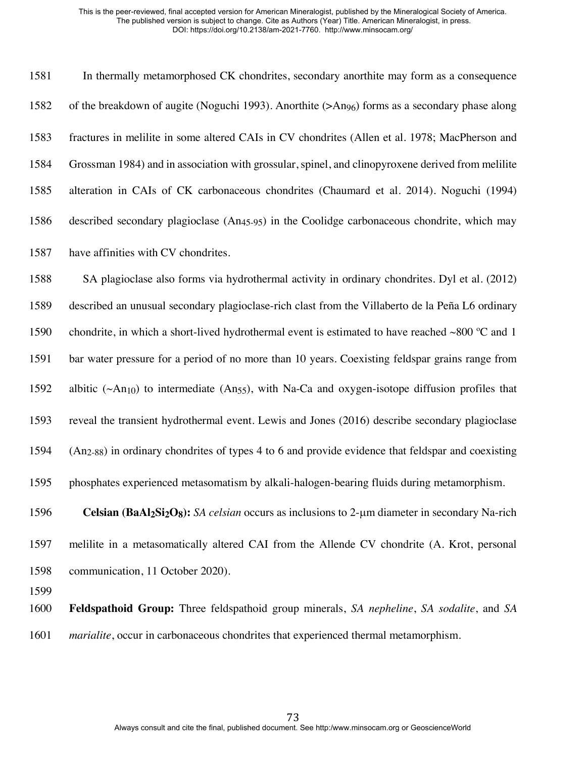In thermally metamorphosed CK chondrites, secondary anorthite may form as a consequence of the breakdown of augite (Noguchi 1993). Anorthite (>An96) forms as a secondary phase along fractures in melilite in some altered CAIs in CV chondrites (Allen et al. 1978; MacPherson and Grossman 1984) and in association with grossular, spinel, and clinopyroxene derived from melilite alteration in CAIs of CK carbonaceous chondrites (Chaumard et al. 2014). Noguchi (1994) described secondary plagioclase (An45-95) in the Coolidge carbonaceous chondrite, which may have affinities with CV chondrites.

 SA plagioclase also forms via hydrothermal activity in ordinary chondrites. Dyl et al. (2012) described an unusual secondary plagioclase-rich clast from the Villaberto de la Peña L6 ordinary 1590 chondrite, in which a short-lived hydrothermal event is estimated to have reached  $\sim800$  °C and 1 bar water pressure for a period of no more than 10 years. Coexisting feldspar grains range from 1592 albitic ( $\sim$ An<sub>10</sub>) to intermediate (An<sub>55</sub>), with Na-Ca and oxygen-isotope diffusion profiles that reveal the transient hydrothermal event. Lewis and Jones (2016) describe secondary plagioclase (An2-88) in ordinary chondrites of types 4 to 6 and provide evidence that feldspar and coexisting phosphates experienced metasomatism by alkali-halogen-bearing fluids during metamorphism.

 **Celsian (BaAl2Si2O8):** *SA celsian* occurs as inclusions to 2-µm diameter in secondary Na-rich melilite in a metasomatically altered CAI from the Allende CV chondrite (A. Krot, personal communication, 11 October 2020).

 **Feldspathoid Group:** Three feldspathoid group minerals, *SA nepheline*, *SA sodalite*, and *SA marialite*, occur in carbonaceous chondrites that experienced thermal metamorphism.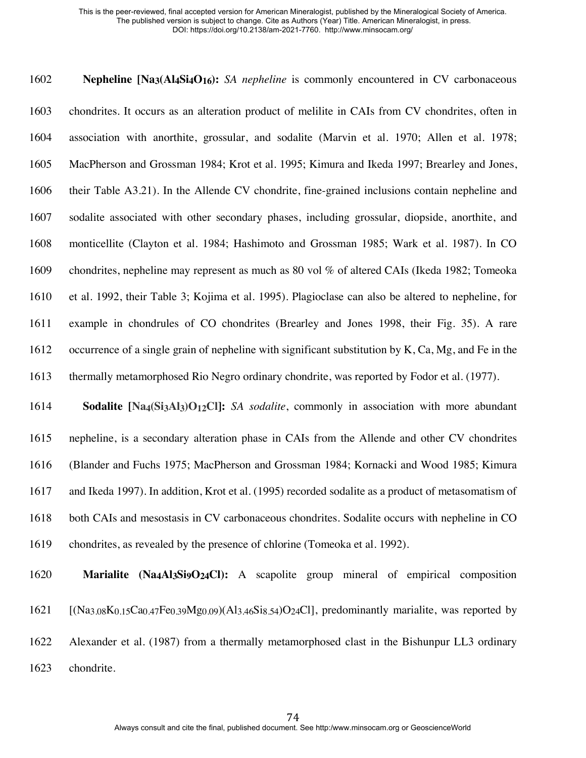**Nepheline [Na3(Al4Si4O16):** *SA nepheline* is commonly encountered in CV carbonaceous chondrites. It occurs as an alteration product of melilite in CAIs from CV chondrites, often in association with anorthite, grossular, and sodalite (Marvin et al. 1970; Allen et al. 1978; MacPherson and Grossman 1984; Krot et al. 1995; Kimura and Ikeda 1997; Brearley and Jones, their Table A3.21). In the Allende CV chondrite, fine-grained inclusions contain nepheline and sodalite associated with other secondary phases, including grossular, diopside, anorthite, and monticellite (Clayton et al. 1984; Hashimoto and Grossman 1985; Wark et al. 1987). In CO chondrites, nepheline may represent as much as 80 vol % of altered CAIs (Ikeda 1982; Tomeoka et al. 1992, their Table 3; Kojima et al. 1995). Plagioclase can also be altered to nepheline, for example in chondrules of CO chondrites (Brearley and Jones 1998, their Fig. 35). A rare occurrence of a single grain of nepheline with significant substitution by K, Ca, Mg, and Fe in the 1613 thermally metamorphosed Rio Negro ordinary chondrite, was reported by Fodor et al. (1977). **Sodalite [Na4(Si3Al3)O12Cl]:** *SA sodalite*, commonly in association with more abundant

 nepheline, is a secondary alteration phase in CAIs from the Allende and other CV chondrites (Blander and Fuchs 1975; MacPherson and Grossman 1984; Kornacki and Wood 1985; Kimura and Ikeda 1997). In addition, Krot et al. (1995) recorded sodalite as a product of metasomatism of both CAIs and mesostasis in CV carbonaceous chondrites. Sodalite occurs with nepheline in CO chondrites, as revealed by the presence of chlorine (Tomeoka et al. 1992).

 **Marialite (Na4Al3Si9O24Cl):** A scapolite group mineral of empirical composition [(Na3.08K0.15Ca0.47Fe0.39Mg0.09)(Al3.46Si8.54)O24Cl], predominantly marialite, was reported by Alexander et al. (1987) from a thermally metamorphosed clast in the Bishunpur LL3 ordinary chondrite.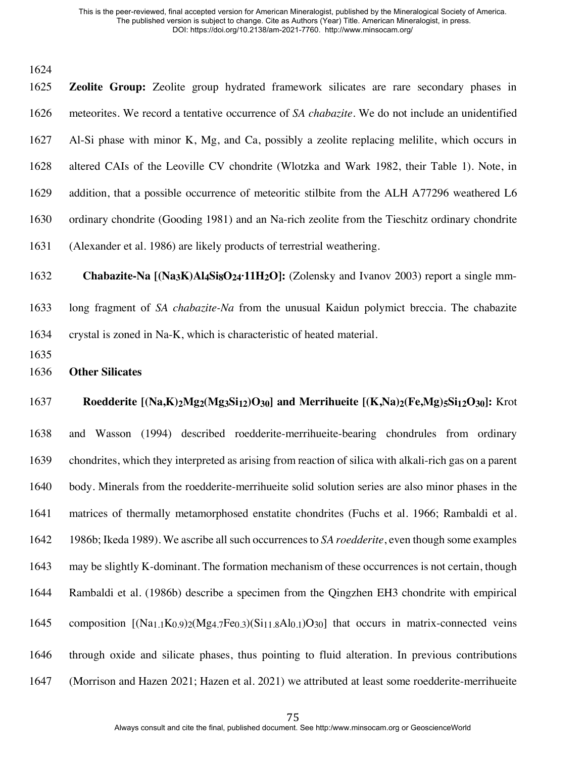**Zeolite Group:** Zeolite group hydrated framework silicates are rare secondary phases in meteorites. We record a tentative occurrence of *SA chabazite*. We do not include an unidentified Al-Si phase with minor K, Mg, and Ca, possibly a zeolite replacing melilite, which occurs in altered CAIs of the Leoville CV chondrite (Wlotzka and Wark 1982, their Table 1). Note, in addition, that a possible occurrence of meteoritic stilbite from the ALH A77296 weathered L6 ordinary chondrite (Gooding 1981) and an Na-rich zeolite from the Tieschitz ordinary chondrite (Alexander et al. 1986) are likely products of terrestrial weathering.

**Chabazite-Na [(Na3K)Al4Si8O24·11H2O]:** (Zolensky and Ivanov 2003) report a single mm-

 long fragment of *SA chabazite-Na* from the unusual Kaidun polymict breccia. The chabazite crystal is zoned in Na-K, which is characteristic of heated material.

- 
- **Other Silicates**

 **Roedderite [(Na,K)2Mg2(Mg3Si12)O30] and Merrihueite [(K,Na)2(Fe,Mg)5Si12O30]:** Krot and Wasson (1994) described roedderite-merrihueite-bearing chondrules from ordinary chondrites, which they interpreted as arising from reaction of silica with alkali-rich gas on a parent body. Minerals from the roedderite-merrihueite solid solution series are also minor phases in the matrices of thermally metamorphosed enstatite chondrites (Fuchs et al. 1966; Rambaldi et al. 1986b; Ikeda 1989). We ascribe all such occurrences to *SA roedderite*, even though some examples may be slightly K-dominant. The formation mechanism of these occurrences is not certain, though Rambaldi et al. (1986b) describe a specimen from the Qingzhen EH3 chondrite with empirical 1645 composition  $[(Na<sub>1.1</sub>K<sub>0.9</sub>)<sub>2</sub>(Mg<sub>4.7</sub>Fe<sub>0.3</sub>)(Si<sub>11.8</sub>Al<sub>0.1</sub>)O<sub>30</sub>] that occurs in matrix-connected$ 

through oxide and silicate phases, thus pointing to fluid alteration. In previous contributions

(Morrison and Hazen 2021; Hazen et al. 2021) we attributed at least some roedderite-merrihueite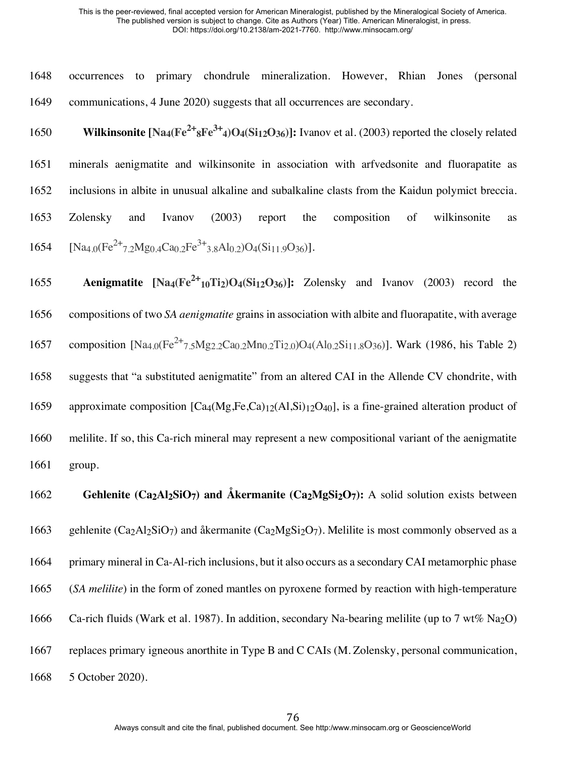|  |  | 1648 occurrences to primary chondrule mineralization. However, Rhian Jones (personal |  |  |
|--|--|--------------------------------------------------------------------------------------|--|--|
|  |  | 1649 communications, 4 June 2020) suggests that all occurrences are secondary.       |  |  |

1650 **Wilkinsonite**  $[Na_4(Fe^{2+} sFe^{3+} 4)O_4(Si_{12}O_{36})]$ **:** Ivanov et al. (2003) reported the closely related

 minerals aenigmatite and wilkinsonite in association with arfvedsonite and fluorapatite as inclusions in albite in unusual alkaline and subalkaline clasts from the Kaidun polymict breccia. Zolensky and Ivanov (2003) report the composition of wilkinsonite as 1654 [Na<sub>4.0</sub>(Fe<sup>2+</sup>7.2Mg<sub>0.4</sub>Ca<sub>0.2</sub>Fe<sup>3+</sup>3.8Al<sub>0.2</sub>)O<sub>4</sub>(Si<sub>11.9</sub>O<sub>36</sub>)].

**Aenigmatite**  $[Na_4(Fe^{2+}_{10}Ti_2)O_4(Si_{12}O_{36})]$ **:** Zolensky and Ivanov (2003) record the 1656 compositions of two *SA aenigmatite* grains in association with albite and fluorapatite, with average 1657 composition  $[Na4.0(Fe^{2+}7.5Mg2.2Ca0.2Mn0.2Ti2.0)O_4(Al0.2Si11.8O36)]$ . Wark (1986, his Table 2) 1658 suggests that "a substituted aenigmatite" from an altered CAI in the Allende CV chondrite, with 1659 approximate composition  $\text{[Ca}_{4}\text{(Mg,Fe,Ca)}_{12}\text{(Al,Si)}_{12}\text{O}_{40}\text{]}$ , is a fine-grained alteration product of 1660 melilite. If so, this Ca-rich mineral may represent a new compositional variant of the aenigmatite 1661 group. 1662 **Gehlenite (Ca2Al2SiO7) and Åkermanite (Ca2MgSi2O7):** A solid solution exists between

1663 gehlenite (Ca<sub>2</sub>Al<sub>2</sub>SiO<sub>7</sub>) and åkermanite (Ca<sub>2</sub>MgSi<sub>2</sub>O<sub>7</sub>). Melilite is most commonly observed as a

1664 primary mineral in Ca-Al-rich inclusions, but it also occurs as a secondary CAI metamorphic phase

1665 (*SA melilite*) in the form of zoned mantles on pyroxene formed by reaction with high-temperature

1666 Ca-rich fluids (Wark et al. 1987). In addition, secondary Na-bearing melilite (up to 7 wt% Na<sub>2</sub>O)

1667 replaces primary igneous anorthite in Type B and C CAIs (M. Zolensky, personal communication,

1668 5 October 2020).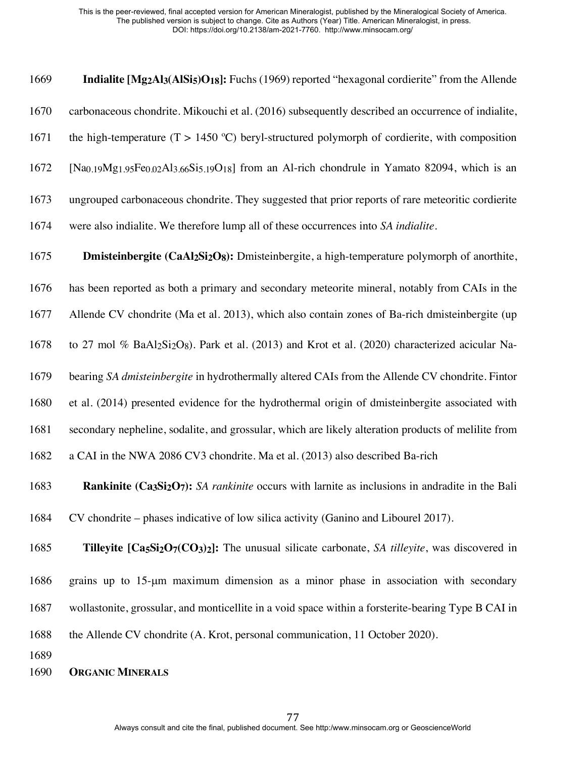| 1669 | <b>Indialite [Mg<sub>2</sub>Al<sub>3</sub>(AlS<sub>1</sub>5)O<sub>18</sub>]:</b> Fuchs (1969) reported "hexagonal cordierite" from the Allende                           |
|------|--------------------------------------------------------------------------------------------------------------------------------------------------------------------------|
| 1670 | carbonaceous chondrite. Mikouchi et al. (2016) subsequently described an occurrence of indialite,                                                                        |
| 1671 | the high-temperature $(T > 1450 \degree C)$ beryl-structured polymorph of cordierite, with composition                                                                   |
| 1672 | [Na <sub>0.19</sub> Mg <sub>1.95</sub> Fe <sub>0.02</sub> Al <sub>3.66</sub> Si <sub>5.19</sub> O <sub>18</sub> ] from an Al-rich chondrule in Yamato 82094, which is an |
| 1673 | ungrouped carbonaceous chondrite. They suggested that prior reports of rare meteoritic cordierite                                                                        |
| 1674 | were also indialite. We therefore lump all of these occurrences into SA <i>indialite</i> .                                                                               |

 **Dmisteinbergite (CaAl2Si2O8):** Dmisteinbergite, a high-temperature polymorph of anorthite, has been reported as both a primary and secondary meteorite mineral, notably from CAIs in the Allende CV chondrite (Ma et al. 2013), which also contain zones of Ba-rich dmisteinbergite (up 1678 to 27 mol % BaAl2Si2O8). Park et al. (2013) and Krot et al. (2020) characterized acicular Na- bearing *SA dmisteinbergite* in hydrothermally altered CAIs from the Allende CV chondrite. Fintor et al. (2014) presented evidence for the hydrothermal origin of dmisteinbergite associated with secondary nepheline, sodalite, and grossular, which are likely alteration products of melilite from a CAI in the NWA 2086 CV3 chondrite. Ma et al. (2013) also described Ba-rich **Rankinite (Ca3Si2O7):** *SA rankinite* occurs with larnite as inclusions in andradite in the Bali

CV chondrite – phases indicative of low silica activity (Ganino and Libourel 2017).

**Tilleyite [Ca5Si2O7(CO3)2]:** The unusual silicate carbonate, *SA tilleyite*, was discovered in

grains up to 15-µm maximum dimension as a minor phase in association with secondary

wollastonite, grossular, and monticellite in a void space within a forsterite-bearing Type B CAI in

1688 the Allende CV chondrite (A. Krot, personal communication, 11 October 2020).

## **ORGANIC MINERALS**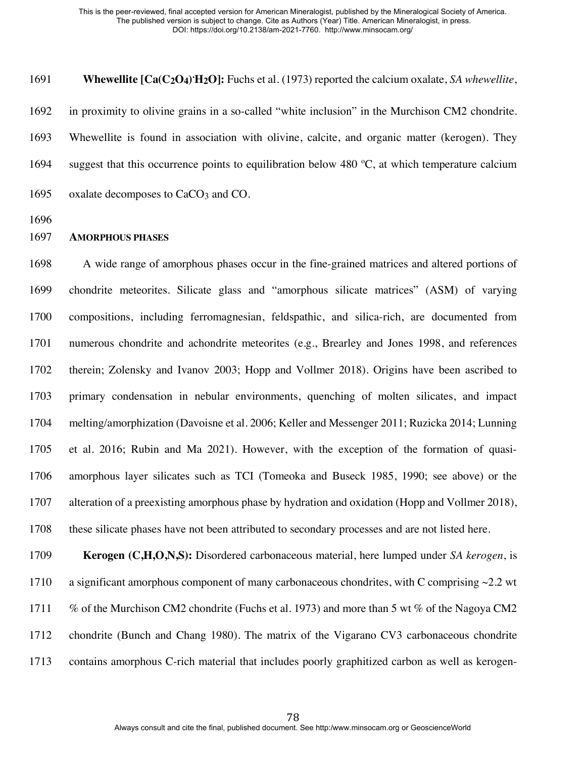1691 **Whewellite [Ca(C<sub>2</sub>O<sub>4</sub>)'H<sub>2</sub>O]:** Fuchs et al. (1973) reported the calcium oxalate, *SA whewellite*, in proximity to olivine grains in a so-called "white inclusion" in the Murchison CM2 chondrite.

 Whewellite is found in association with olivine, calcite, and organic matter (kerogen). They 1694 suggest that this occurrence points to equilibration below 480  $\degree$ C, at which temperature calcium

- 1695 oxalate decomposes to CaCO<sub>3</sub> and CO.
- 

## **AMORPHOUS PHASES**

 A wide range of amorphous phases occur in the fine-grained matrices and altered portions of chondrite meteorites. Silicate glass and "amorphous silicate matrices" (ASM) of varying compositions, including ferromagnesian, feldspathic, and silica-rich, are documented from numerous chondrite and achondrite meteorites (e.g., Brearley and Jones 1998, and references therein; Zolensky and Ivanov 2003; Hopp and Vollmer 2018). Origins have been ascribed to primary condensation in nebular environments, quenching of molten silicates, and impact melting/amorphization (Davoisne et al. 2006; Keller and Messenger 2011; Ruzicka 2014; Lunning et al. 2016; Rubin and Ma 2021). However, with the exception of the formation of quasi- amorphous layer silicates such as TCI (Tomeoka and Buseck 1985, 1990; see above) or the alteration of a preexisting amorphous phase by hydration and oxidation (Hopp and Vollmer 2018), these silicate phases have not been attributed to secondary processes and are not listed here.

 **Kerogen (C,H,O,N,S):** Disordered carbonaceous material, here lumped under *SA kerogen*, is 1710 a significant amorphous component of many carbonaceous chondrites, with C comprising  $\sim$ 2.2 wt % of the Murchison CM2 chondrite (Fuchs et al. 1973) and more than 5 wt % of the Nagoya CM2 chondrite (Bunch and Chang 1980). The matrix of the Vigarano CV3 carbonaceous chondrite contains amorphous C-rich material that includes poorly graphitized carbon as well as kerogen-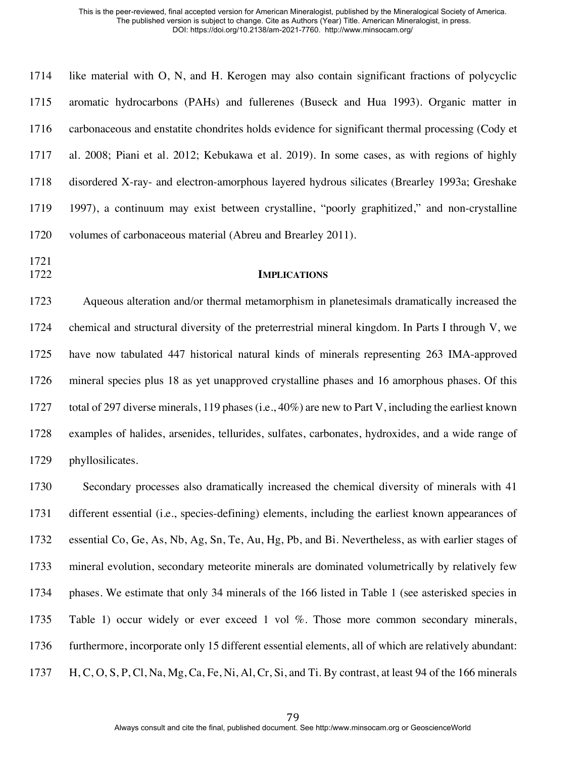| 1714 | like material with O, N, and H. Kerogen may also contain significant fractions of polycyclic     |
|------|--------------------------------------------------------------------------------------------------|
| 1715 | aromatic hydrocarbons (PAHs) and fullerenes (Buseck and Hua 1993). Organic matter in             |
| 1716 | carbonaceous and enstatite chondrites holds evidence for significant thermal processing (Cody et |
| 1717 | al. 2008; Piani et al. 2012; Kebukawa et al. 2019). In some cases, as with regions of highly     |
| 1718 | disordered X-ray- and electron-amorphous layered hydrous silicates (Brearley 1993a; Greshake     |
| 1719 | 1997), a continuum may exist between crystalline, "poorly graphitized," and non-crystalline      |
| 1720 | volumes of carbonaceous material (Abreu and Brearley 2011).                                      |
| 1721 |                                                                                                  |

## **IMPLICATIONS**

 Aqueous alteration and/or thermal metamorphism in planetesimals dramatically increased the chemical and structural diversity of the preterrestrial mineral kingdom. In Parts I through V, we have now tabulated 447 historical natural kinds of minerals representing 263 IMA-approved mineral species plus 18 as yet unapproved crystalline phases and 16 amorphous phases. Of this total of 297 diverse minerals, 119 phases (i.e., 40%) are new to Part V, including the earliest known examples of halides, arsenides, tellurides, sulfates, carbonates, hydroxides, and a wide range of phyllosilicates.

 Secondary processes also dramatically increased the chemical diversity of minerals with 41 different essential (i.e., species-defining) elements, including the earliest known appearances of essential Co, Ge, As, Nb, Ag, Sn, Te, Au, Hg, Pb, and Bi. Nevertheless, as with earlier stages of mineral evolution, secondary meteorite minerals are dominated volumetrically by relatively few phases. We estimate that only 34 minerals of the 166 listed in Table 1 (see asterisked species in 1735 Table 1) occur widely or ever exceed 1 vol %. Those more common secondary minerals, 1736 furthermore, incorporate only 15 different essential elements, all of which are relatively abundant: H, C, O, S, P, Cl, Na, Mg, Ca, Fe, Ni, Al, Cr, Si, and Ti. By contrast, at least 94 of the 166 minerals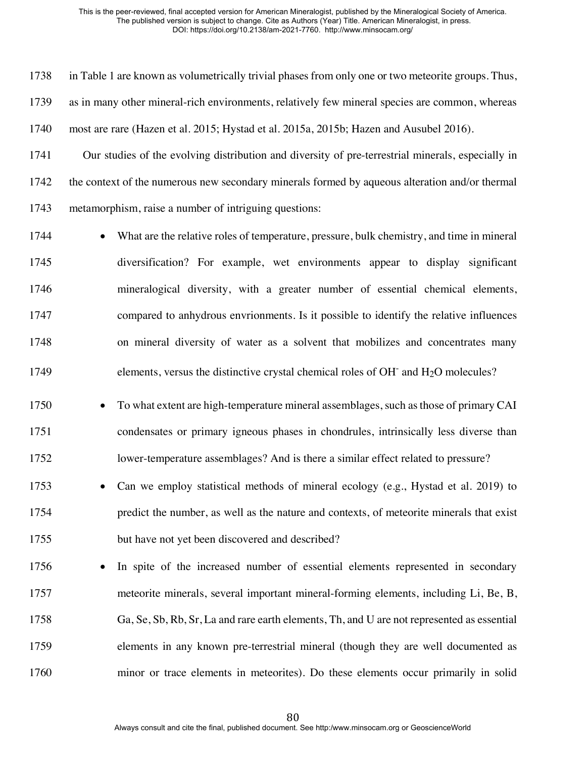in Table 1 are known as volumetrically trivial phases from only one or two meteorite groups. Thus,

as in many other mineral-rich environments, relatively few mineral species are common, whereas

most are rare (Hazen et al. 2015; Hystad et al. 2015a, 2015b; Hazen and Ausubel 2016).

 Our studies of the evolving distribution and diversity of pre-terrestrial minerals, especially in the context of the numerous new secondary minerals formed by aqueous alteration and/or thermal metamorphism, raise a number of intriguing questions:

1744 • What are the relative roles of temperature, pressure, bulk chemistry, and time in mineral diversification? For example, wet environments appear to display significant mineralogical diversity, with a greater number of essential chemical elements, compared to anhydrous envrionments. Is it possible to identify the relative influences on mineral diversity of water as a solvent that mobilizes and concentrates many 1749 elements, versus the distinctive crystal chemical roles of  $OH<sub>-</sub>$  and  $H<sub>2</sub>O$  molecules?

1750 • To what extent are high-temperature mineral assemblages, such as those of primary CAI condensates or primary igneous phases in chondrules, intrinsically less diverse than lower-temperature assemblages? And is there a similar effect related to pressure?

 • Can we employ statistical methods of mineral ecology (e.g., Hystad et al. 2019) to predict the number, as well as the nature and contexts, of meteorite minerals that exist but have not yet been discovered and described?

 • In spite of the increased number of essential elements represented in secondary meteorite minerals, several important mineral-forming elements, including Li, Be, B, Ga, Se, Sb, Rb, Sr, La and rare earth elements, Th, and U are not represented as essential elements in any known pre-terrestrial mineral (though they are well documented as minor or trace elements in meteorites). Do these elements occur primarily in solid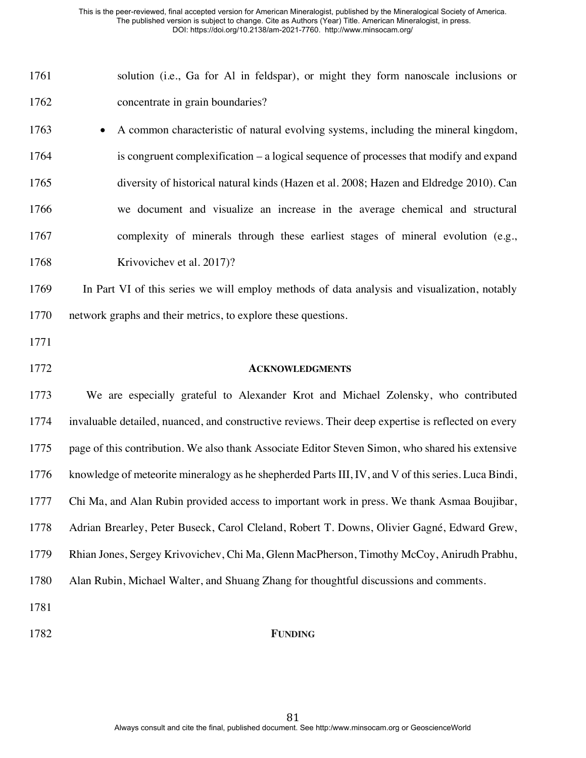| 1761 | solution (i.e., Ga for Al in feldspar), or might they form nanoscale inclusions or |  |  |  |  |  |  |
|------|------------------------------------------------------------------------------------|--|--|--|--|--|--|
| 1762 | concentrate in grain boundaries?                                                   |  |  |  |  |  |  |

 • A common characteristic of natural evolving systems, including the mineral kingdom, is congruent complexification – a logical sequence of processes that modify and expand diversity of historical natural kinds (Hazen et al. 2008; Hazen and Eldredge 2010). Can we document and visualize an increase in the average chemical and structural complexity of minerals through these earliest stages of mineral evolution (e.g., Krivovichev et al. 2017)?

 In Part VI of this series we will employ methods of data analysis and visualization, notably network graphs and their metrics, to explore these questions.

## **ACKNOWLEDGMENTS**

 We are especially grateful to Alexander Krot and Michael Zolensky, who contributed invaluable detailed, nuanced, and constructive reviews. Their deep expertise is reflected on every page of this contribution. We also thank Associate Editor Steven Simon, who shared his extensive knowledge of meteorite mineralogy as he shepherded Parts III, IV, and V of this series. Luca Bindi, Chi Ma, and Alan Rubin provided access to important work in press. We thank Asmaa Boujibar, Adrian Brearley, Peter Buseck, Carol Cleland, Robert T. Downs, Olivier Gagné, Edward Grew, Rhian Jones, Sergey Krivovichev, Chi Ma, Glenn MacPherson, Timothy McCoy, Anirudh Prabhu, Alan Rubin, Michael Walter, and Shuang Zhang for thoughtful discussions and comments. 

- 
- **FUNDING**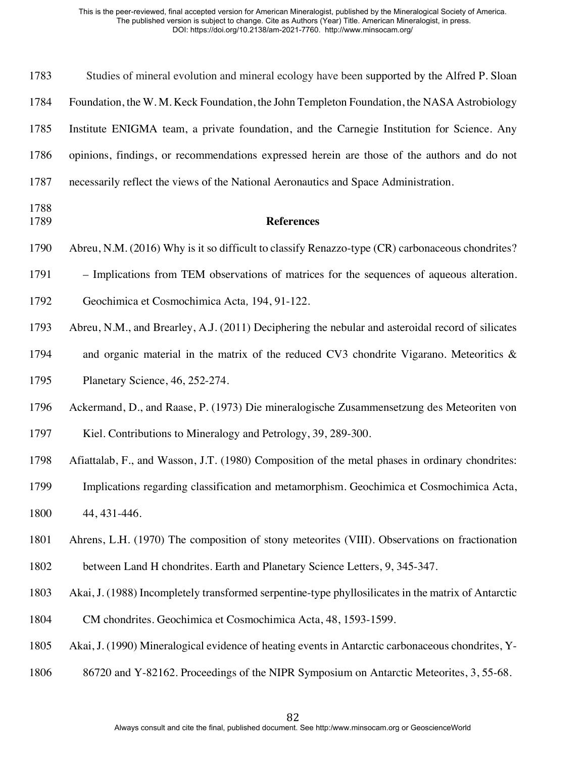| 1783         | Studies of mineral evolution and mineral ecology have been supported by the Alfred P. Sloan         |
|--------------|-----------------------------------------------------------------------------------------------------|
| 1784         | Foundation, the W.M. Keck Foundation, the John Templeton Foundation, the NASA Astrobiology          |
| 1785         | Institute ENIGMA team, a private foundation, and the Carnegie Institution for Science. Any          |
| 1786         | opinions, findings, or recommendations expressed herein are those of the authors and do not         |
| 1787         | necessarily reflect the views of the National Aeronautics and Space Administration.                 |
| 1788<br>1789 | <b>References</b>                                                                                   |
| 1790         | Abreu, N.M. (2016) Why is it so difficult to classify Renazzo-type (CR) carbonaceous chondrites?    |
| 1791         | - Implications from TEM observations of matrices for the sequences of aqueous alteration.           |
| 1792         | Geochimica et Cosmochimica Acta, 194, 91-122.                                                       |
| 1793         | Abreu, N.M., and Brearley, A.J. (2011) Deciphering the nebular and asteroidal record of silicates   |
| 1794         | and organic material in the matrix of the reduced CV3 chondrite Vigarano. Meteoritics &             |
| 1795         | Planetary Science, 46, 252-274.                                                                     |
| 1796         | Ackermand, D., and Raase, P. (1973) Die mineralogische Zusammensetzung des Meteoriten von           |
| 1797         | Kiel. Contributions to Mineralogy and Petrology, 39, 289-300.                                       |
| 1798         | Afiattalab, F., and Wasson, J.T. (1980) Composition of the metal phases in ordinary chondrites:     |
| 1799         | Implications regarding classification and metamorphism. Geochimica et Cosmochimica Acta,            |
| 1800         | 44, 431-446.                                                                                        |
| 1801         | Ahrens, L.H. (1970) The composition of stony meteorites (VIII). Observations on fractionation       |
| 1802         | between Land H chondrites. Earth and Planetary Science Letters, 9, 345-347.                         |
| 1803         | Akai, J. (1988) Incompletely transformed serpentine-type phyllosilicates in the matrix of Antarctic |
| 1804         | CM chondrites. Geochimica et Cosmochimica Acta, 48, 1593-1599.                                      |
| 1805         | Akai, J. (1990) Mineralogical evidence of heating events in Antarctic carbonaceous chondrites, Y-   |
| 1806         | 86720 and Y-82162. Proceedings of the NIPR Symposium on Antarctic Meteorites, 3, 55-68.             |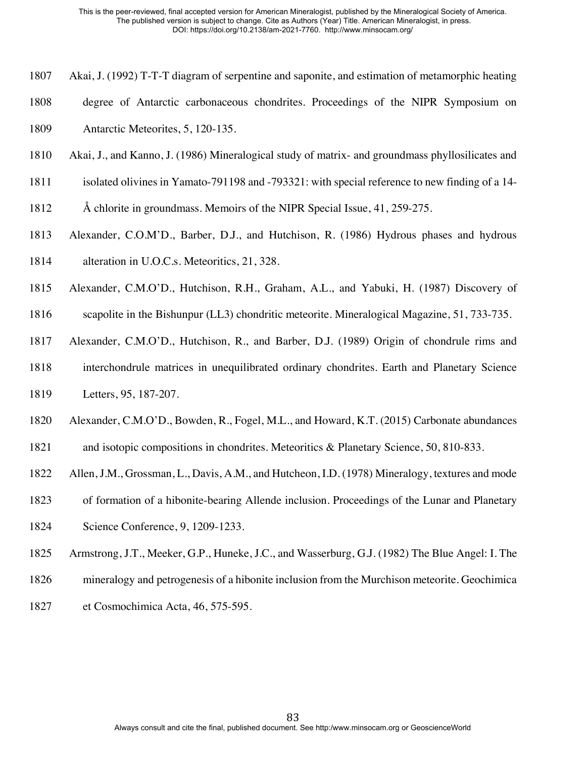- Akai, J. (1992) T-T-T diagram of serpentine and saponite, and estimation of metamorphic heating
- degree of Antarctic carbonaceous chondrites. Proceedings of the NIPR Symposium on Antarctic Meteorites, 5, 120-135.
- Akai, J., and Kanno, J. (1986) Mineralogical study of matrix- and groundmass phyllosilicates and
- isolated olivines in Yamato-791198 and -793321: with special reference to new finding of a 14-
- Å chlorite in groundmass. Memoirs of the NIPR Special Issue, 41, 259-275.
- Alexander, C.O.M'D., Barber, D.J., and Hutchison, R. (1986) Hydrous phases and hydrous alteration in U.O.C.s. Meteoritics, 21, 328.
- Alexander, C.M.O'D., Hutchison, R.H., Graham, A.L., and Yabuki, H. (1987) Discovery of
- scapolite in the Bishunpur (LL3) chondritic meteorite. Mineralogical Magazine, 51, 733-735.
- Alexander, C.M.O'D., Hutchison, R., and Barber, D.J. (1989) Origin of chondrule rims and
- interchondrule matrices in unequilibrated ordinary chondrites. Earth and Planetary Science Letters, 95, 187-207.
- Alexander, C.M.O'D., Bowden, R., Fogel, M.L., and Howard, K.T. (2015) Carbonate abundances
- and isotopic compositions in chondrites. Meteoritics & Planetary Science, 50, 810-833.
- Allen, J.M., Grossman, L., Davis, A.M., and Hutcheon, I.D. (1978) Mineralogy, textures and mode
- of formation of a hibonite-bearing Allende inclusion. Proceedings of the Lunar and Planetary
- Science Conference, 9, 1209-1233.
- Armstrong, J.T., Meeker, G.P., Huneke, J.C., and Wasserburg, G.J. (1982) The Blue Angel: I. The
- mineralogy and petrogenesis of a hibonite inclusion from the Murchison meteorite. Geochimica
- et Cosmochimica Acta, 46, 575-595.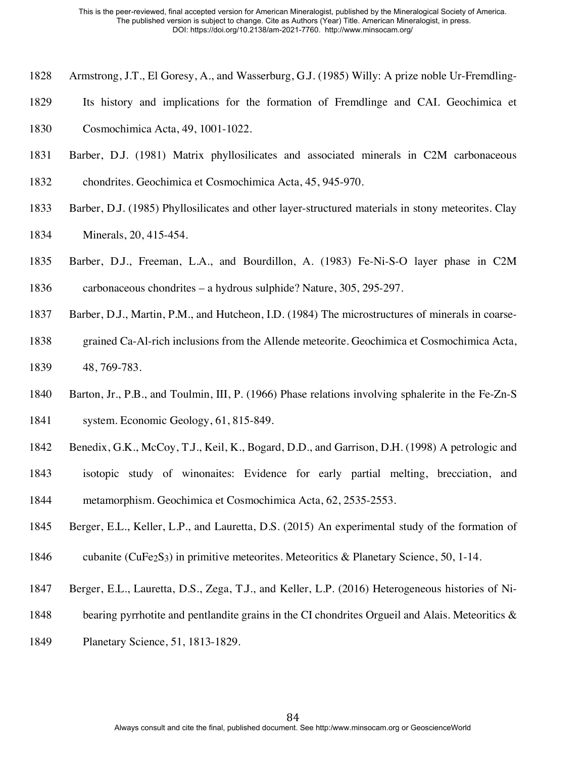- Armstrong, J.T., El Goresy, A., and Wasserburg, G.J. (1985) Willy: A prize noble Ur-Fremdling-
- Its history and implications for the formation of Fremdlinge and CAI. Geochimica et

Cosmochimica Acta, 49, 1001-1022.

- Barber, D.J. (1981) Matrix phyllosilicates and associated minerals in C2M carbonaceous
- chondrites. Geochimica et Cosmochimica Acta, 45, 945-970.
- Barber, D.J. (1985) Phyllosilicates and other layer-structured materials in stony meteorites. Clay Minerals, 20, 415-454.
- Barber, D.J., Freeman, L.A., and Bourdillon, A. (1983) Fe-Ni-S-O layer phase in C2M carbonaceous chondrites – a hydrous sulphide? Nature, 305, 295-297.
- Barber, D.J., Martin, P.M., and Hutcheon, I.D. (1984) The microstructures of minerals in coarse-
- grained Ca-Al-rich inclusions from the Allende meteorite. Geochimica et Cosmochimica Acta, 48, 769-783.
- Barton, Jr., P.B., and Toulmin, III, P. (1966) Phase relations involving sphalerite in the Fe-Zn-S system. Economic Geology, 61, 815-849.
- Benedix, G.K., McCoy, T.J., Keil, K., Bogard, D.D., and Garrison, D.H. (1998) A petrologic and
- isotopic study of winonaites: Evidence for early partial melting, brecciation, and metamorphism. Geochimica et Cosmochimica Acta, 62, 2535-2553.
- Berger, E.L., Keller, L.P., and Lauretta, D.S. (2015) An experimental study of the formation of
- 1846 cubanite (CuFe<sub>2</sub>S<sub>3</sub>) in primitive meteorites. Meteoritics & Planetary Science, 50, 1-14.
- Berger, E.L., Lauretta, D.S., Zega, T.J., and Keller, L.P. (2016) Heterogeneous histories of Ni-
- 1848 bearing pyrrhotite and pentlandite grains in the CI chondrites Orgueil and Alais. Meteoritics &
- Planetary Science, 51, 1813-1829.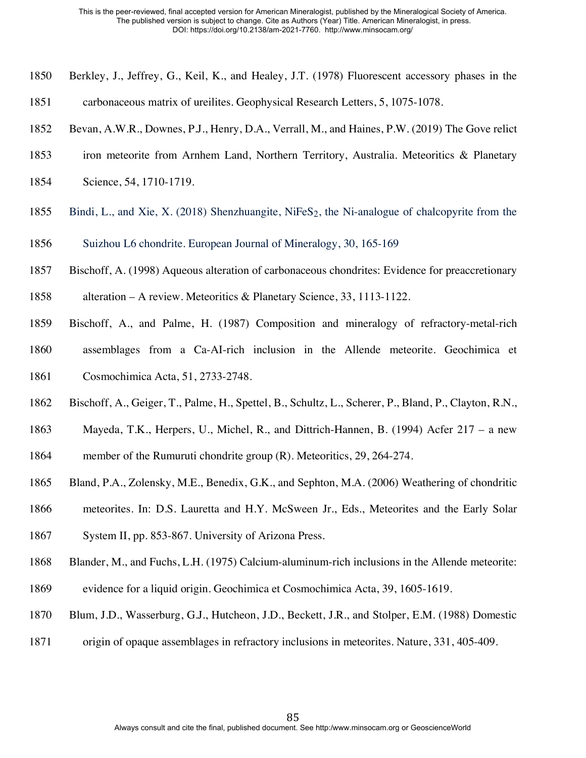- Berkley, J., Jeffrey, G., Keil, K., and Healey, J.T. (1978) Fluorescent accessory phases in the
- carbonaceous matrix of ureilites. Geophysical Research Letters, 5, 1075-1078.
- Bevan, A.W.R., Downes, P.J., Henry, D.A., Verrall, M., and Haines, P.W. (2019) The Gove relict
- iron meteorite from Arnhem Land, Northern Territory, Australia. Meteoritics & Planetary
- Science, 54, 1710-1719.
- Bindi, L., and Xie, X. (2018) Shenzhuangite, NiFeS2, the Ni-analogue of chalcopyrite from the
- Suizhou L6 chondrite. European Journal of Mineralogy, 30, 165-169
- Bischoff, A. (1998) Aqueous alteration of carbonaceous chondrites: Evidence for preaccretionary
- alteration A review. Meteoritics & Planetary Science, 33, 1113-1122.
- Bischoff, A., and Palme, H. (1987) Composition and mineralogy of refractory-metal-rich assemblages from a Ca-AI-rich inclusion in the Allende meteorite. Geochimica et Cosmochimica Acta, 51, 2733-2748.
- Bischoff, A., Geiger, T., Palme, H., Spettel, B., Schultz, L., Scherer, P., Bland, P., Clayton, R.N.,
- Mayeda, T.K., Herpers, U., Michel, R., and Dittrich-Hannen, B. (1994) Acfer 217 a new member of the Rumuruti chondrite group (R). Meteoritics, 29, 264-274.
- Bland, P.A., Zolensky, M.E., Benedix, G.K., and Sephton, M.A. (2006) Weathering of chondritic
- meteorites. In: D.S. Lauretta and H.Y. McSween Jr., Eds., Meteorites and the Early Solar
- System II, pp. 853-867. University of Arizona Press.
- Blander, M., and Fuchs, L.H. (1975) Calcium-aluminum-rich inclusions in the Allende meteorite:
- evidence for a liquid origin. Geochimica et Cosmochimica Acta, 39, 1605-1619.
- Blum, J.D., Wasserburg, G.J., Hutcheon, J.D., Beckett, J.R., and Stolper, E.M. (1988) Domestic
- 1871 origin of opaque assemblages in refractory inclusions in meteorites. Nature, 331, 405-409.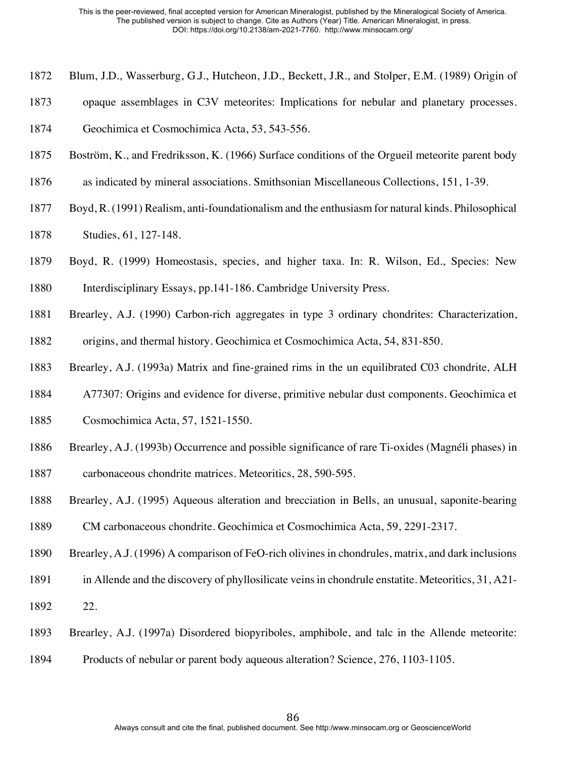- Blum, J.D., Wasserburg, G.J., Hutcheon, J.D., Beckett, J.R., and Stolper, E.M. (1989) Origin of
- opaque assemblages in C3V meteorites: Implications for nebular and planetary processes.

Geochimica et Cosmochimica Acta, 53, 543-556.

- Boström, K., and Fredriksson, K. (1966) Surface conditions of the Orgueil meteorite parent body
- as indicated by mineral associations. Smithsonian Miscellaneous Collections, 151, 1-39.
- Boyd, R. (1991) Realism, anti-foundationalism and the enthusiasm for natural kinds. Philosophical
- Studies, 61, 127-148.
- Boyd, R. (1999) Homeostasis, species, and higher taxa. In: R. Wilson, Ed., Species: New Interdisciplinary Essays, pp.141-186. Cambridge University Press.
- Brearley, A.J. (1990) Carbon-rich aggregates in type 3 ordinary chondrites: Characterization,
- origins, and thermal history. Geochimica et Cosmochimica Acta, 54, 831-850.
- Brearley, A.J. (1993a) Matrix and fine-grained rims in the un equilibrated C03 chondrite, ALH
- A77307: Origins and evidence for diverse, primitive nebular dust components. Geochimica et
- Cosmochimica Acta, 57, 1521-1550.
- Brearley, A.J. (1993b) Occurrence and possible significance of rare Ti-oxides (Magnéli phases) in
- carbonaceous chondrite matrices. Meteoritics, 28, 590-595.
- Brearley, A.J. (1995) Aqueous alteration and brecciation in Bells, an unusual, saponite-bearing CM carbonaceous chondrite. Geochimica et Cosmochimica Acta, 59, 2291-2317.
- Brearley, A.J. (1996) A comparison of FeO-rich olivines in chondrules, matrix, and dark inclusions
- in Allende and the discovery of phyllosilicate veins in chondrule enstatite. Meteoritics, 31, A21-
- 22.
- Brearley, A.J. (1997a) Disordered biopyriboles, amphibole, and talc in the Allende meteorite:
- Products of nebular or parent body aqueous alteration? Science, 276, 1103-1105.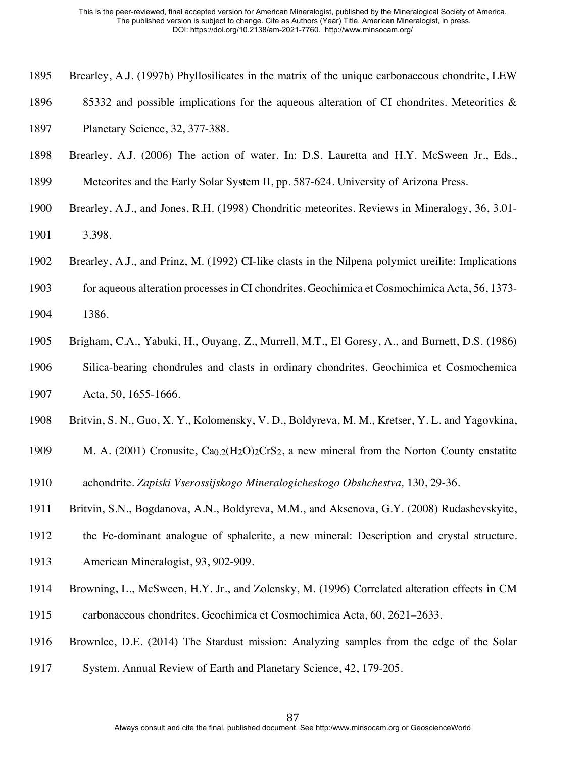- Brearley, A.J. (1997b) Phyllosilicates in the matrix of the unique carbonaceous chondrite, LEW
- 1896 85332 and possible implications for the aqueous alteration of CI chondrites. Meteoritics &
- Planetary Science, 32, 377-388.
- Brearley, A.J. (2006) The action of water. In: D.S. Lauretta and H.Y. McSween Jr., Eds.,
- Meteorites and the Early Solar System II, pp. 587-624. University of Arizona Press.
- Brearley, A.J., and Jones, R.H. (1998) Chondritic meteorites. Reviews in Mineralogy, 36, 3.01- 3.398.
- Brearley, A.J., and Prinz, M. (1992) CI-like clasts in the Nilpena polymict ureilite: Implications
- for aqueous alteration processes in CI chondrites. Geochimica et Cosmochimica Acta, 56, 1373- 1386.
- Brigham, C.A., Yabuki, H., Ouyang, Z., Murrell, M.T., El Goresy, A., and Burnett, D.S. (1986) Silica-bearing chondrules and clasts in ordinary chondrites. Geochimica et Cosmochemica Acta, 50, 1655-1666.
- Britvin, S. N., Guo, X. Y., Kolomensky, V. D., Boldyreva, M. M., Kretser, Y. L. and Yagovkina,
- 1909 M. A. (2001) Cronusite,  $Ca_{0.2}(H_2O)_2CrS_2$ , a new mineral from the Norton County enstatite
- achondrite. *Zapiski Vserossijskogo Mineralogicheskogo Obshchestva,* 130, 29-36.
- Britvin, S.N., Bogdanova, A.N., Boldyreva, M.M., and Aksenova, G.Y. (2008) Rudashevskyite,
- the Fe-dominant analogue of sphalerite, a new mineral: Description and crystal structure.
- American Mineralogist, 93, 902-909.
- Browning, L., McSween, H.Y. Jr., and Zolensky, M. (1996) Correlated alteration effects in CM
- carbonaceous chondrites. Geochimica et Cosmochimica Acta, 60, 2621–2633.
- Brownlee, D.E. (2014) The Stardust mission: Analyzing samples from the edge of the Solar
- System. Annual Review of Earth and Planetary Science, 42, 179-205.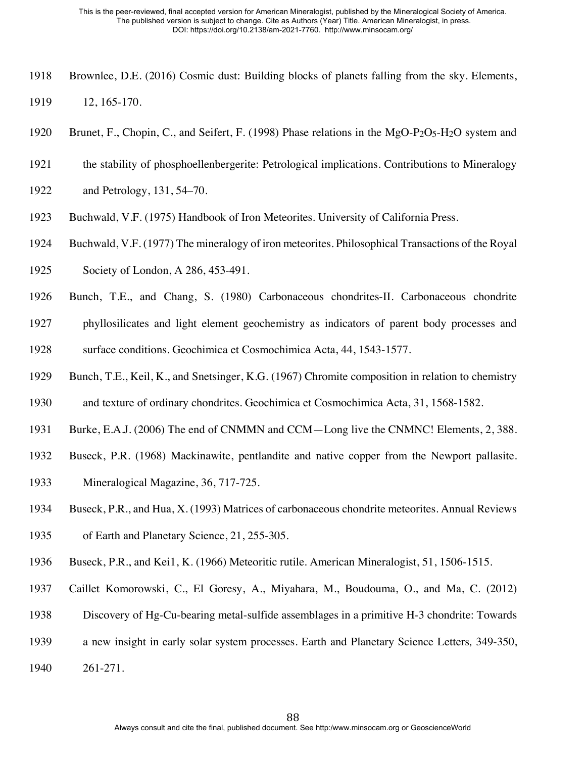- Brownlee, D.E. (2016) Cosmic dust: Building blocks of planets falling from the sky. Elements, 12, 165-170.
- 1920 Brunet, F., Chopin, C., and Seifert, F. (1998) Phase relations in the MgO-P<sub>2</sub>O<sub>5</sub>-H<sub>2</sub>O system and
- the stability of phosphoellenbergerite: Petrological implications. Contributions to Mineralogy
- and Petrology, 131, 54–70.
- Buchwald, V.F. (1975) Handbook of Iron Meteorites. University of California Press.
- Buchwald, V.F. (1977) The mineralogy of iron meteorites. Philosophical Transactions of the Royal
- Society of London, A 286, 453-491.
- Bunch, T.E., and Chang, S. (1980) Carbonaceous chondrites-II. Carbonaceous chondrite
- phyllosilicates and light element geochemistry as indicators of parent body processes and surface conditions. Geochimica et Cosmochimica Acta, 44, 1543-1577.
- Bunch, T.E., Keil, K., and Snetsinger, K.G. (1967) Chromite composition in relation to chemistry
- and texture of ordinary chondrites. Geochimica et Cosmochimica Acta, 31, 1568-1582.
- Burke, E.A.J. (2006) The end of CNMMN and CCM—Long live the CNMNC! Elements, 2, 388.
- Buseck, P.R. (1968) Mackinawite, pentlandite and native copper from the Newport pallasite.
- Mineralogical Magazine, 36, 717-725.
- Buseck, P.R., and Hua, X. (1993) Matrices of carbonaceous chondrite meteorites. Annual Reviews
- of Earth and Planetary Science, 21, 255-305.
- Buseck, P.R., and Kei1, K. (1966) Meteoritic rutile. American Mineralogist, 51, 1506-1515.
- Caillet Komorowski, C., El Goresy, A., Miyahara, M., Boudouma, O., and Ma, C. (2012)
- Discovery of Hg-Cu-bearing metal-sulfide assemblages in a primitive H-3 chondrite: Towards
- a new insight in early solar system processes. Earth and Planetary Science Letters*,* 349-350,
- 261-271.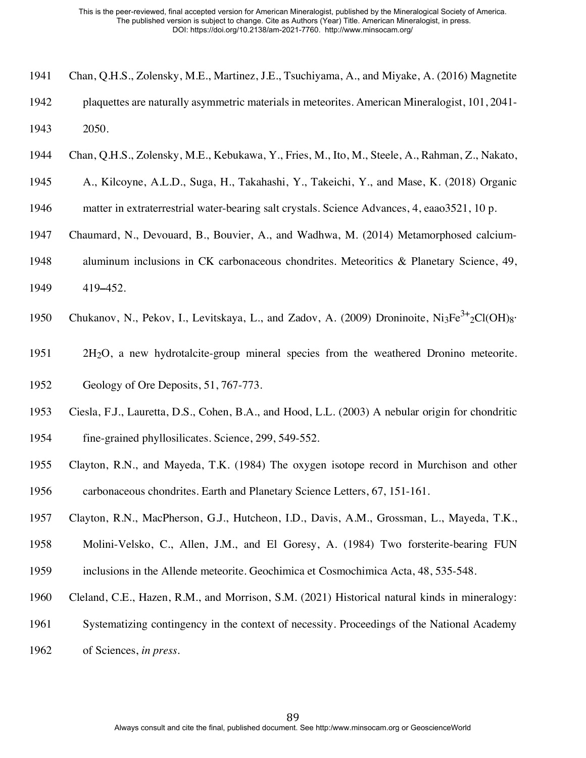- Chan, Q.H.S., Zolensky, M.E., Martinez, J.E., Tsuchiyama, A., and Miyake, A. (2016) Magnetite
- plaquettes are naturally asymmetric materials in meteorites. American Mineralogist, 101, 2041- 2050.
- Chan, Q.H.S., Zolensky, M.E., Kebukawa, Y., Fries, M., Ito, M., Steele, A., Rahman, Z., Nakato,
- A., Kilcoyne, A.L.D., Suga, H., Takahashi, Y., Takeichi, Y., and Mase, K. (2018) Organic
- matter in extraterrestrial water-bearing salt crystals. Science Advances, 4, eaao3521, 10 p.
- Chaumard, N., Devouard, B., Bouvier, A., and Wadhwa, M. (2014) Metamorphosed calcium-
- aluminum inclusions in CK carbonaceous chondrites. Meteoritics & Planetary Science, 49,
- 419**–**452.
- 1950 Chukanov, N., Pekov, I., Levitskaya, L., and Zadov, A. (2009) Droninoite, Ni3Fe<sup>3+</sup>2Cl(OH)8·
- 2H2O, a new hydrotalcite-group mineral species from the weathered Dronino meteorite.
- Geology of Ore Deposits, 51, 767-773.
- Ciesla, F.J., Lauretta, D.S., Cohen, B.A., and Hood, L.L. (2003) A nebular origin for chondritic
- fine-grained phyllosilicates. Science, 299, 549-552.
- Clayton, R.N., and Mayeda, T.K. (1984) The oxygen isotope record in Murchison and other carbonaceous chondrites. Earth and Planetary Science Letters, 67, 151-161.
- Clayton, R.N., MacPherson, G.J., Hutcheon, I.D., Davis, A.M., Grossman, L., Mayeda, T.K.,
- Molini-Velsko, C., Allen, J.M., and El Goresy, A. (1984) Two forsterite-bearing FUN
- inclusions in the Allende meteorite. Geochimica et Cosmochimica Acta, 48, 535-548.
- Cleland, C.E., Hazen, R.M., and Morrison, S.M. (2021) Historical natural kinds in mineralogy:
- Systematizing contingency in the context of necessity. Proceedings of the National Academy
- of Sciences, *in press*.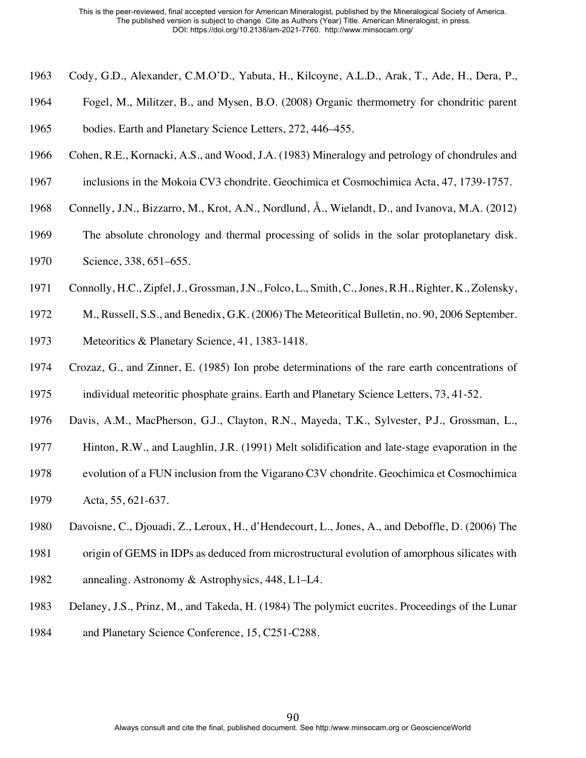- Cody, G.D., Alexander, C.M.O'D., Yabuta, H., Kilcoyne, A.L.D., Arak, T., Ade, H., Dera, P.,
- Fogel, M., Militzer, B., and Mysen, B.O. (2008) Organic thermometry for chondritic parent

bodies. Earth and Planetary Science Letters, 272, 446–455.

- Cohen, R.E., Kornacki, A.S., and Wood, J.A. (1983) Mineralogy and petrology of chondrules and
- inclusions in the Mokoia CV3 chondrite. Geochimica et Cosmochimica Acta, 47, 1739-1757.
- Connelly, J.N., Bizzarro, M., Krot, A.N., Nordlund, Å., Wielandt, D., and Ivanova, M.A. (2012)
- The absolute chronology and thermal processing of solids in the solar protoplanetary disk. Science, 338, 651–655.
- Connolly, H.C., Zipfel, J., Grossman, J.N., Folco, L., Smith, C., Jones, R.H., Righter, K., Zolensky,
- M., Russell, S.S., and Benedix, G.K. (2006) The Meteoritical Bulletin, no. 90, 2006 September.
- Meteoritics & Planetary Science, 41, 1383-1418.
- Crozaz, G., and Zinner, E. (1985) Ion probe determinations of the rare earth concentrations of individual meteoritic phosphate grains. Earth and Planetary Science Letters, 73, 41-52.
- Davis, A.M., MacPherson, G.J., Clayton, R.N., Mayeda, T.K., Sylvester, P.J., Grossman, L.,
- Hinton, R.W., and Laughlin, J.R. (1991) Melt solidification and late-stage evaporation in the
- evolution of a FUN inclusion from the Vigarano C3V chondrite. Geochimica et Cosmochimica
- Acta, 55, 621-637.
- Davoisne, C., Djouadi, Z., Leroux, H., d'Hendecourt, L., Jones, A., and Deboffle, D. (2006) The
- origin of GEMS in IDPs as deduced from microstructural evolution of amorphous silicates with
- annealing. Astronomy & Astrophysics, 448, L1–L4.
- Delaney, J.S., Prinz, M., and Takeda, H. (1984) The polymict eucrites. Proceedings of the Lunar
- and Planetary Science Conference, 15, C251-C288.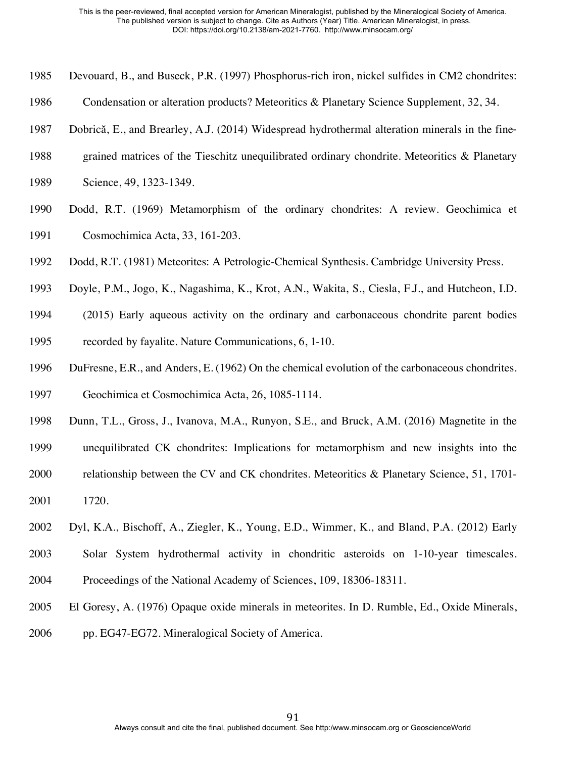- Devouard, B., and Buseck, P.R. (1997) Phosphorus-rich iron, nickel sulfides in CM2 chondrites:
- Condensation or alteration products? Meteoritics & Planetary Science Supplement, 32, 34.
- Dobrică, E., and Brearley, A.J. (2014) Widespread hydrothermal alteration minerals in the fine-
- grained matrices of the Tieschitz unequilibrated ordinary chondrite. Meteoritics & Planetary
- Science, 49, 1323-1349.
- Dodd, R.T. (1969) Metamorphism of the ordinary chondrites: A review. Geochimica et Cosmochimica Acta, 33, 161-203.
- Dodd, R.T. (1981) Meteorites: A Petrologic-Chemical Synthesis. Cambridge University Press.
- Doyle, P.M., Jogo, K., Nagashima, K., Krot, A.N., Wakita, S., Ciesla, F.J., and Hutcheon, I.D.
- (2015) Early aqueous activity on the ordinary and carbonaceous chondrite parent bodies recorded by fayalite. Nature Communications, 6, 1-10.
- DuFresne, E.R., and Anders, E. (1962) On the chemical evolution of the carbonaceous chondrites. Geochimica et Cosmochimica Acta, 26, 1085-1114.
- Dunn, T.L., Gross, J., Ivanova, M.A., Runyon, S.E., and Bruck, A.M. (2016) Magnetite in the
- unequilibrated CK chondrites: Implications for metamorphism and new insights into the
- relationship between the CV and CK chondrites. Meteoritics & Planetary Science, 51, 1701- 1720.
- Dyl, K.A., Bischoff, A., Ziegler, K., Young, E.D., Wimmer, K., and Bland, P.A. (2012) Early
- Solar System hydrothermal activity in chondritic asteroids on 1-10-year timescales. Proceedings of the National Academy of Sciences, 109, 18306-18311.
- El Goresy, A. (1976) Opaque oxide minerals in meteorites. In D. Rumble, Ed., Oxide Minerals,
- pp. EG47-EG72. Mineralogical Society of America.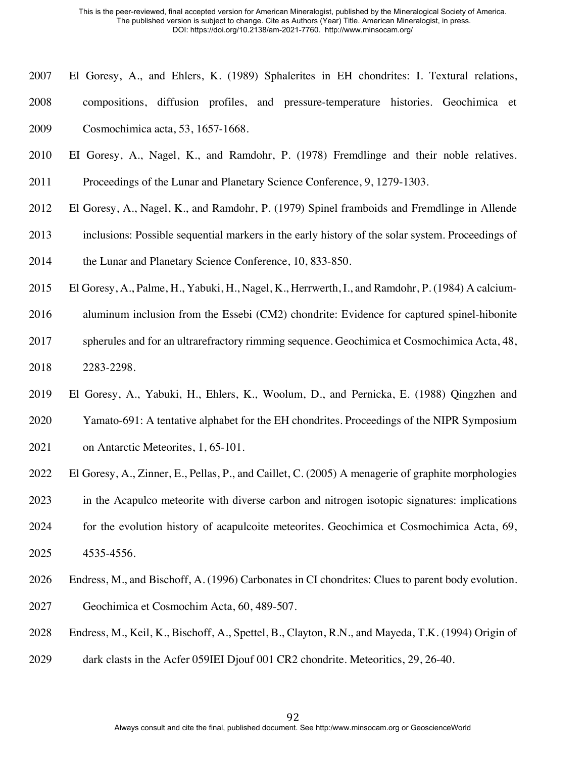- El Goresy, A., and Ehlers, K. (1989) Sphalerites in EH chondrites: I. Textural relations,
- compositions, diffusion profiles, and pressure-temperature histories. Geochimica et Cosmochimica acta, 53, 1657-1668.
- EI Goresy, A., Nagel, K., and Ramdohr, P. (1978) Fremdlinge and their noble relatives.
- Proceedings of the Lunar and Planetary Science Conference, 9, 1279-1303.
- El Goresy, A., Nagel, K., and Ramdohr, P. (1979) Spinel framboids and Fremdlinge in Allende
- inclusions: Possible sequential markers in the early history of the solar system. Proceedings of
- 2014 the Lunar and Planetary Science Conference, 10, 833-850.
- El Goresy, A., Palme, H., Yabuki, H., Nagel, K., Herrwerth, I., and Ramdohr, P. (1984) A calcium-
- aluminum inclusion from the Essebi (CM2) chondrite: Evidence for captured spinel-hibonite
- spherules and for an ultrarefractory rimming sequence. Geochimica et Cosmochimica Acta, 48, 2283-2298.
- El Goresy, A., Yabuki, H., Ehlers, K., Woolum, D., and Pernicka, E. (1988) Qingzhen and Yamato-691: A tentative alphabet for the EH chondrites. Proceedings of the NIPR Symposium
- on Antarctic Meteorites, 1, 65-101.
- El Goresy, A., Zinner, E., Pellas, P., and Caillet, C. (2005) A menagerie of graphite morphologies
- in the Acapulco meteorite with diverse carbon and nitrogen isotopic signatures: implications
- for the evolution history of acapulcoite meteorites. Geochimica et Cosmochimica Acta, 69, 4535-4556.
- Endress, M., and Bischoff, A. (1996) Carbonates in CI chondrites: Clues to parent body evolution.
- Geochimica et Cosmochim Acta, 60, 489-507.
- Endress, M., Keil, K., Bischoff, A., Spettel, B., Clayton, R.N., and Mayeda, T.K. (1994) Origin of
- dark clasts in the Acfer 059IEI Djouf 001 CR2 chondrite. Meteoritics, 29, 26-40.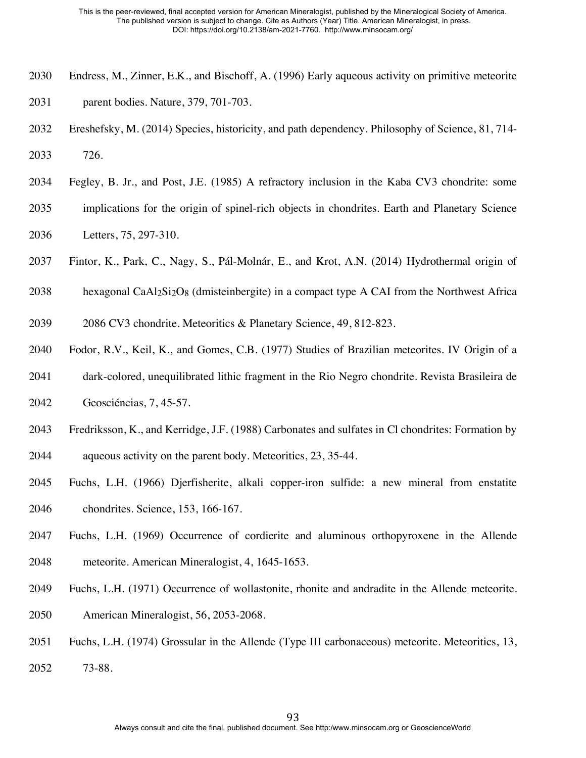- Endress, M., Zinner, E.K., and Bischoff, A. (1996) Early aqueous activity on primitive meteorite parent bodies. Nature, 379, 701-703.
- Ereshefsky, M. (2014) Species, historicity, and path dependency. Philosophy of Science, 81, 714- 726.
- Fegley, B. Jr., and Post, J.E. (1985) A refractory inclusion in the Kaba CV3 chondrite: some
- implications for the origin of spinel-rich objects in chondrites. Earth and Planetary Science Letters, 75, 297-310.
- Fintor, K., Park, C., Nagy, S., Pál-Molnár, E., and Krot, A.N. (2014) Hydrothermal origin of
- 2038 hexagonal CaAl $2\overline{2}$ O<sub>8</sub> (dmisteinbergite) in a compact type A CAI from the Northwest Africa
- 2086 CV3 chondrite. Meteoritics & Planetary Science, 49, 812-823.
- Fodor, R.V., Keil, K., and Gomes, C.B. (1977) Studies of Brazilian meteorites. IV Origin of a
- dark-colored, unequilibrated lithic fragment in the Rio Negro chondrite. Revista Brasileira de Geosciéncias, 7, 45-57.
- Fredriksson, K., and Kerridge, J.F. (1988) Carbonates and sulfates in Cl chondrites: Formation by aqueous activity on the parent body. Meteoritics, 23, 35-44.
- Fuchs, L.H. (1966) Djerfisherite, alkali copper-iron sulfide: a new mineral from enstatite chondrites. Science, 153, 166-167.
- Fuchs, L.H. (1969) Occurrence of cordierite and aluminous orthopyroxene in the Allende meteorite. American Mineralogist, 4, 1645-1653.
- Fuchs, L.H. (1971) Occurrence of wollastonite, rhonite and andradite in the Allende meteorite. American Mineralogist, 56, 2053-2068.
- Fuchs, L.H. (1974) Grossular in the Allende (Type III carbonaceous) meteorite. Meteoritics, 13, 73-88.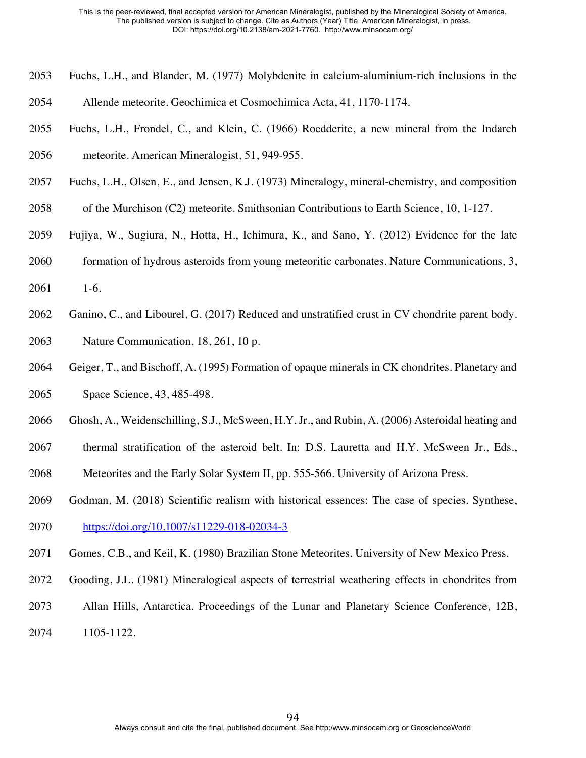- Fuchs, L.H., and Blander, M. (1977) Molybdenite in calcium-aluminium-rich inclusions in the Allende meteorite. Geochimica et Cosmochimica Acta, 41, 1170-1174.
- Fuchs, L.H., Frondel, C., and Klein, C. (1966) Roedderite, a new mineral from the Indarch meteorite. American Mineralogist, 51, 949-955.
- Fuchs, L.H., Olsen, E., and Jensen, K.J. (1973) Mineralogy, mineral-chemistry, and composition
- of the Murchison (C2) meteorite. Smithsonian Contributions to Earth Science, 10, 1-127.
- Fujiya, W., Sugiura, N., Hotta, H., Ichimura, K., and Sano, Y. (2012) Evidence for the late
- formation of hydrous asteroids from young meteoritic carbonates. Nature Communications, 3,
- 1-6.
- Ganino, C., and Libourel, G. (2017) Reduced and unstratified crust in CV chondrite parent body. Nature Communication, 18, 261, 10 p.
- Geiger, T., and Bischoff, A. (1995) Formation of opaque minerals in CK chondrites. Planetary and Space Science, 43, 485-498.
- Ghosh, A., Weidenschilling, S.J., McSween, H.Y. Jr., and Rubin, A. (2006) Asteroidal heating and
- thermal stratification of the asteroid belt. In: D.S. Lauretta and H.Y. McSween Jr., Eds.,
- Meteorites and the Early Solar System II, pp. 555-566. University of Arizona Press.
- Godman, M. (2018) Scientific realism with historical essences: The case of species. Synthese, https://doi.org/10.1007/s11229-018-02034-3
- Gomes, C.B., and Keil, K. (1980) Brazilian Stone Meteorites. University of New Mexico Press.
- Gooding, J.L. (1981) Mineralogical aspects of terrestrial weathering effects in chondrites from
- Allan Hills, Antarctica. Proceedings of the Lunar and Planetary Science Conference, 12B,
- 1105-1122.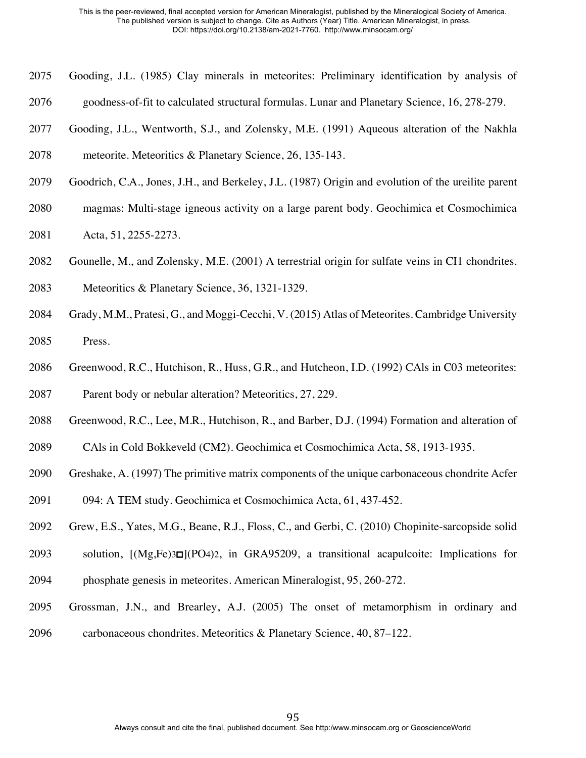- Gooding, J.L. (1985) Clay minerals in meteorites: Preliminary identification by analysis of
- goodness-of-fit to calculated structural formulas. Lunar and Planetary Science, 16, 278-279.
- Gooding, J.L., Wentworth, S.J., and Zolensky, M.E. (1991) Aqueous alteration of the Nakhla

meteorite. Meteoritics & Planetary Science, 26, 135-143.

- Goodrich, C.A., Jones, J.H., and Berkeley, J.L. (1987) Origin and evolution of the ureilite parent
- magmas: Multi-stage igneous activity on a large parent body. Geochimica et Cosmochimica
- Acta, 51, 2255-2273.
- Gounelle, M., and Zolensky, M.E. (2001) A terrestrial origin for sulfate veins in CI1 chondrites.
- Meteoritics & Planetary Science, 36, 1321-1329.
- Grady, M.M., Pratesi, G., and Moggi-Cecchi, V. (2015) Atlas of Meteorites. Cambridge University Press.
- 2086 Greenwood, R.C., Hutchison, R., Huss, G.R., and Hutcheon, I.D. (1992) CAls in C03 meteorites: Parent body or nebular alteration? Meteoritics, 27, 229.
- Greenwood, R.C., Lee, M.R., Hutchison, R., and Barber, D.J. (1994) Formation and alteration of
- CAls in Cold Bokkeveld (CM2). Geochimica et Cosmochimica Acta, 58, 1913-1935.
- Greshake, A. (1997) The primitive matrix components of the unique carbonaceous chondrite Acfer
- 094: A TEM study. Geochimica et Cosmochimica Acta, 61, 437-452.
- Grew, E.S., Yates, M.G., Beane, R.J., Floss, C., and Gerbi, C. (2010) Chopinite-sarcopside solid
- solution, [(Mg,Fe)3□](PO4)2, in GRA95209, a transitional acapulcoite: Implications for phosphate genesis in meteorites. American Mineralogist, 95, 260-272.
- Grossman, J.N., and Brearley, A.J. (2005) The onset of metamorphism in ordinary and carbonaceous chondrites. Meteoritics & Planetary Science, 40, 87–122.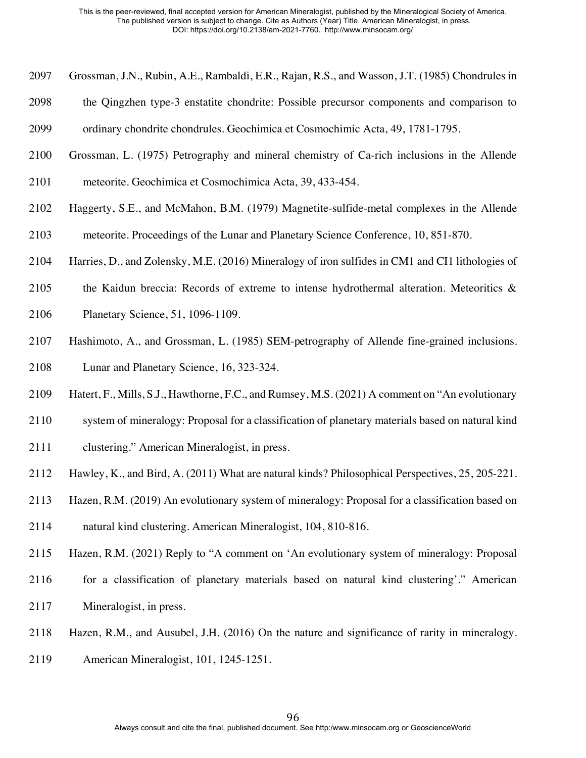- Grossman, J.N., Rubin, A.E., Rambaldi, E.R., Rajan, R.S., and Wasson, J.T. (1985) Chondrules in
- the Qingzhen type-3 enstatite chondrite: Possible precursor components and comparison to
- ordinary chondrite chondrules. Geochimica et Cosmochimic Acta, 49, 1781-1795.
- Grossman, L. (1975) Petrography and mineral chemistry of Ca-rich inclusions in the Allende
- meteorite. Geochimica et Cosmochimica Acta, 39, 433-454.
- Haggerty, S.E., and McMahon, B.M. (1979) Magnetite-sulfide-metal complexes in the Allende
- meteorite. Proceedings of the Lunar and Planetary Science Conference, 10, 851-870.
- Harries, D., and Zolensky, M.E. (2016) Mineralogy of iron sulfides in CM1 and CI1 lithologies of
- 2105 the Kaidun breccia: Records of extreme to intense hydrothermal alteration. Meteoritics  $\&$
- Planetary Science, 51, 1096-1109.
- Hashimoto, A., and Grossman, L. (1985) SEM-petrography of Allende fine-grained inclusions. Lunar and Planetary Science, 16, 323-324.
- Hatert, F., Mills, S.J., Hawthorne, F.C., and Rumsey, M.S. (2021) A comment on "An evolutionary
- system of mineralogy: Proposal for a classification of planetary materials based on natural kind
- clustering." American Mineralogist, in press.
- Hawley, K., and Bird, A. (2011) What are natural kinds? Philosophical Perspectives, 25, 205-221.
- Hazen, R.M. (2019) An evolutionary system of mineralogy: Proposal for a classification based on
- natural kind clustering. American Mineralogist, 104, 810-816.
- Hazen, R.M. (2021) Reply to "A comment on 'An evolutionary system of mineralogy: Proposal 2116 for a classification of planetary materials based on natural kind clustering'." American
- Mineralogist, in press.
- Hazen, R.M., and Ausubel, J.H. (2016) On the nature and significance of rarity in mineralogy.
- American Mineralogist, 101, 1245-1251.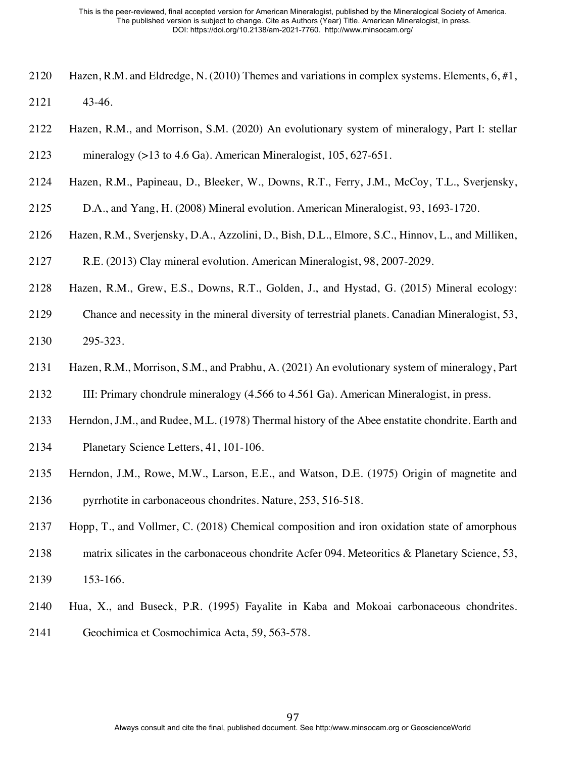- Hazen, R.M. and Eldredge, N. (2010) Themes and variations in complex systems. Elements, 6, #1, 43-46.
- Hazen, R.M., and Morrison, S.M. (2020) An evolutionary system of mineralogy, Part I: stellar
- mineralogy (>13 to 4.6 Ga). American Mineralogist, 105, 627-651.
- Hazen, R.M., Papineau, D., Bleeker, W., Downs, R.T., Ferry, J.M., McCoy, T.L., Sverjensky,
- D.A., and Yang, H. (2008) Mineral evolution. American Mineralogist, 93, 1693-1720.
- Hazen, R.M., Sverjensky, D.A., Azzolini, D., Bish, D.L., Elmore, S.C., Hinnov, L., and Milliken,
- R.E. (2013) Clay mineral evolution. American Mineralogist, 98, 2007-2029.
- Hazen, R.M., Grew, E.S., Downs, R.T., Golden, J., and Hystad, G. (2015) Mineral ecology:
- Chance and necessity in the mineral diversity of terrestrial planets. Canadian Mineralogist, 53, 295-323.
- Hazen, R.M., Morrison, S.M., and Prabhu, A. (2021) An evolutionary system of mineralogy, Part
- III: Primary chondrule mineralogy (4.566 to 4.561 Ga). American Mineralogist, in press.
- Herndon, J.M., and Rudee, M.L. (1978) Thermal history of the Abee enstatite chondrite. Earth and
- Planetary Science Letters, 41, 101-106.
- Herndon, J.M., Rowe, M.W., Larson, E.E., and Watson, D.E. (1975) Origin of magnetite and pyrrhotite in carbonaceous chondrites. Nature, 253, 516-518.
- Hopp, T., and Vollmer, C. (2018) Chemical composition and iron oxidation state of amorphous
- 2138 matrix silicates in the carbonaceous chondrite Acfer 094. Meteoritics & Planetary Science, 53,
- 153-166.
- Hua, X., and Buseck, P.R. (1995) Fayalite in Kaba and Mokoai carbonaceous chondrites. Geochimica et Cosmochimica Acta, 59, 563-578.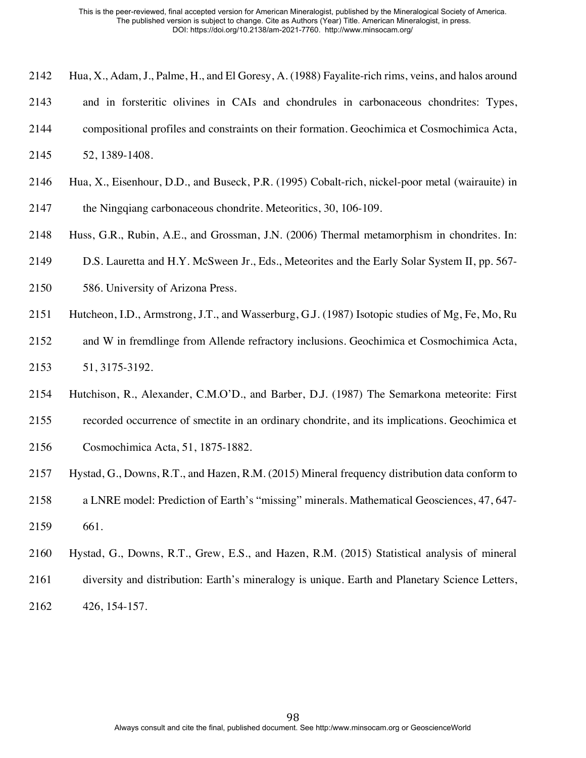- Hua, X., Adam, J., Palme, H., and El Goresy, A. (1988) Fayalite-rich rims, veins, and halos around
- and in forsteritic olivines in CAIs and chondrules in carbonaceous chondrites: Types,
- compositional profiles and constraints on their formation. Geochimica et Cosmochimica Acta,
- 52, 1389-1408.
- Hua, X., Eisenhour, D.D., and Buseck, P.R. (1995) Cobalt-rich, nickel-poor metal (wairauite) in
- the Ningqiang carbonaceous chondrite. Meteoritics, 30, 106-109.
- Huss, G.R., Rubin, A.E., and Grossman, J.N. (2006) Thermal metamorphism in chondrites. In:
- D.S. Lauretta and H.Y. McSween Jr., Eds., Meteorites and the Early Solar System II, pp. 567-
- 586. University of Arizona Press.
- Hutcheon, I.D., Armstrong, J.T., and Wasserburg, G.J. (1987) Isotopic studies of Mg, Fe, Mo, Ru
- and W in fremdlinge from Allende refractory inclusions. Geochimica et Cosmochimica Acta, 51, 3175-3192.
- Hutchison, R., Alexander, C.M.O'D., and Barber, D.J. (1987) The Semarkona meteorite: First
- recorded occurrence of smectite in an ordinary chondrite, and its implications. Geochimica et
- Cosmochimica Acta, 51, 1875-1882.
- Hystad, G., Downs, R.T., and Hazen, R.M. (2015) Mineral frequency distribution data conform to
- a LNRE model: Prediction of Earth's "missing" minerals. Mathematical Geosciences, 47, 647- 661.
- Hystad, G., Downs, R.T., Grew, E.S., and Hazen, R.M. (2015) Statistical analysis of mineral
- diversity and distribution: Earth's mineralogy is unique. Earth and Planetary Science Letters,
- 426, 154-157.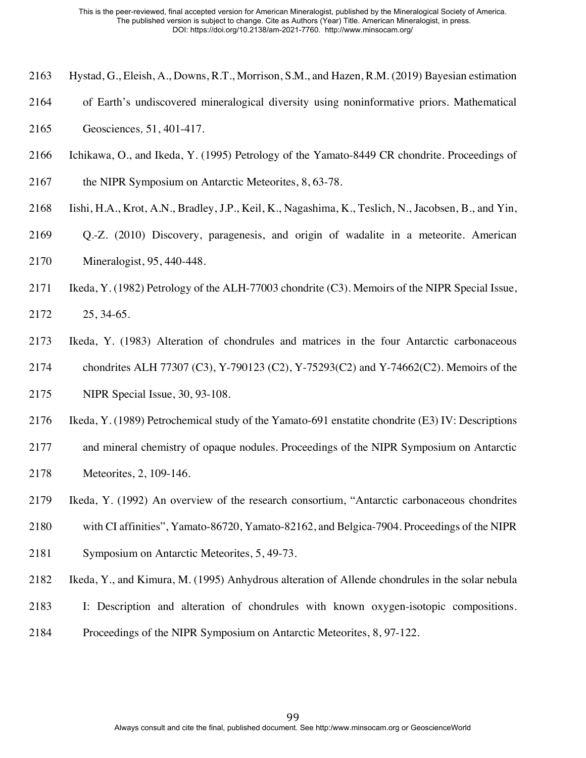- Hystad, G., Eleish, A., Downs, R.T., Morrison, S.M., and Hazen, R.M. (2019) Bayesian estimation
- of Earth's undiscovered mineralogical diversity using noninformative priors. Mathematical
- Geosciences*,* 51, 401-417.
- Ichikawa, O., and Ikeda, Y. (1995) Petrology of the Yamato-8449 CR chondrite. Proceedings of
- 2167 the NIPR Symposium on Antarctic Meteorites, 8, 63-78.
- Iishi, H.A., Krot, A.N., Bradley, J.P., Keil, K., Nagashima, K., Teslich, N., Jacobsen, B., and Yin,
- Q.-Z. (2010) Discovery, paragenesis, and origin of wadalite in a meteorite. American Mineralogist, 95, 440-448.
- Ikeda, Y. (1982) Petrology of the ALH-77003 chondrite (C3). Memoirs of the NIPR Special Issue, 25, 34-65.
- Ikeda, Y. (1983) Alteration of chondrules and matrices in the four Antarctic carbonaceous
- chondrites ALH 77307 (C3), Y-790123 (C2), Y-75293(C2) and Y-74662(C2). Memoirs of the
- NIPR Special Issue, 30, 93-108.
- Ikeda, Y. (1989) Petrochemical study of the Yamato-691 enstatite chondrite (E3) IV: Descriptions
- and mineral chemistry of opaque nodules. Proceedings of the NIPR Symposium on Antarctic Meteorites, 2, 109-146.
- Ikeda, Y. (1992) An overview of the research consortium, "Antarctic carbonaceous chondrites
- with CI affinities", Yamato-86720, Yamato-82162, and Belgica-7904. Proceedings of the NIPR
- Symposium on Antarctic Meteorites, 5, 49-73.
- Ikeda, Y., and Kimura, M. (1995) Anhydrous alteration of Allende chondrules in the solar nebula
- I: Description and alteration of chondrules with known oxygen-isotopic compositions.
- Proceedings of the NIPR Symposium on Antarctic Meteorites, 8, 97-122.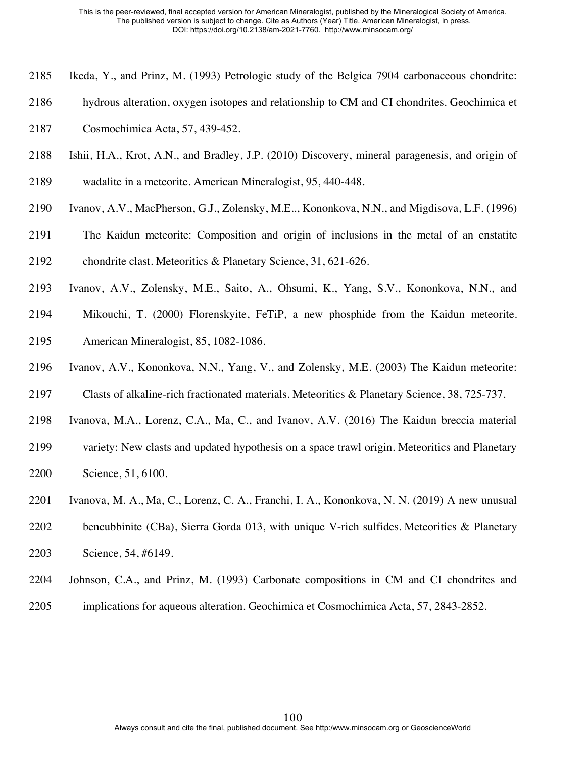- Ikeda, Y., and Prinz, M. (1993) Petrologic study of the Belgica 7904 carbonaceous chondrite:
- hydrous alteration, oxygen isotopes and relationship to CM and CI chondrites. Geochimica et
- Cosmochimica Acta, 57, 439-452.
- Ishii, H.A., Krot, A.N., and Bradley, J.P. (2010) Discovery, mineral paragenesis, and origin of
- wadalite in a meteorite. American Mineralogist, 95, 440-448.
- Ivanov, A.V., MacPherson, G.J., Zolensky, M.E.., Kononkova, N.N., and Migdisova, L.F. (1996)
- The Kaidun meteorite: Composition and origin of inclusions in the metal of an enstatite chondrite clast. Meteoritics & Planetary Science, 31, 621-626.
- Ivanov, A.V., Zolensky, M.E., Saito, A., Ohsumi, K., Yang, S.V., Kononkova, N.N., and
- Mikouchi, T. (2000) Florenskyite, FeTiP, a new phosphide from the Kaidun meteorite. American Mineralogist, 85, 1082-1086.
- Ivanov, A.V., Kononkova, N.N., Yang, V., and Zolensky, M.E. (2003) The Kaidun meteorite:
- Clasts of alkaline-rich fractionated materials. Meteoritics & Planetary Science, 38, 725-737.
- Ivanova, M.A., Lorenz, C.A., Ma, C., and Ivanov, A.V. (2016) The Kaidun breccia material
- variety: New clasts and updated hypothesis on a space trawl origin. Meteoritics and Planetary Science, 51, 6100.
- Ivanova, M. A., Ma, C., Lorenz, C. A., Franchi, I. A., Kononkova, N. N. (2019) A new unusual
- bencubbinite (CBa), Sierra Gorda 013, with unique V-rich sulfides. Meteoritics & Planetary Science, 54, #6149.
- Johnson, C.A., and Prinz, M. (1993) Carbonate compositions in CM and CI chondrites and
- implications for aqueous alteration. Geochimica et Cosmochimica Acta, 57, 2843-2852.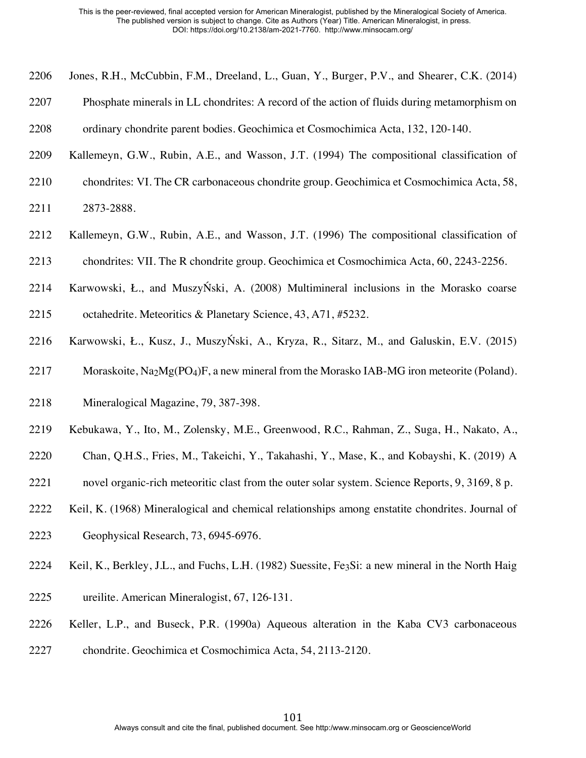- Jones, R.H., McCubbin, F.M., Dreeland, L., Guan, Y., Burger, P.V., and Shearer, C.K. (2014)
- Phosphate minerals in LL chondrites: A record of the action of fluids during metamorphism on
- ordinary chondrite parent bodies. Geochimica et Cosmochimica Acta, 132, 120-140.
- Kallemeyn, G.W., Rubin, A.E., and Wasson, J.T. (1994) The compositional classification of
- chondrites: VI. The CR carbonaceous chondrite group. Geochimica et Cosmochimica Acta, 58,
- 2873-2888.
- Kallemeyn, G.W., Rubin, A.E., and Wasson, J.T. (1996) The compositional classification of
- chondrites: VII. The R chondrite group. Geochimica et Cosmochimica Acta, 60, 2243-2256.
- Karwowski, Ł., and MuszyŃski, A. (2008) Multimineral inclusions in the Morasko coarse
- octahedrite. Meteoritics & Planetary Science, 43, A71, #5232.
- Karwowski, Ł., Kusz, J., MuszyŃski, A., Kryza, R., Sitarz, M., and Galuskin, E.V. (2015)
- 2217 Moraskoite,  $\text{Na}_2\text{Mg}(\text{PO}_4)$ F, a new mineral from the Morasko IAB-MG iron meteorite (Poland).
- Mineralogical Magazine, 79, 387-398.
- Kebukawa, Y., Ito, M., Zolensky, M.E., Greenwood, R.C., Rahman, Z., Suga, H., Nakato, A.,
- Chan, Q.H.S., Fries, M., Takeichi, Y., Takahashi, Y., Mase, K., and Kobayshi, K. (2019) A
- novel organic-rich meteoritic clast from the outer solar system. Science Reports, 9, 3169, 8 p.
- Keil, K. (1968) Mineralogical and chemical relationships among enstatite chondrites. Journal of
- Geophysical Research, 73, 6945-6976.
- Keil, K., Berkley, J.L., and Fuchs, L.H. (1982) Suessite, Fe3Si: a new mineral in the North Haig
- ureilite. American Mineralogist, 67, 126-131.
- Keller, L.P., and Buseck, P.R. (1990a) Aqueous alteration in the Kaba CV3 carbonaceous
- chondrite. Geochimica et Cosmochimica Acta, 54, 2113-2120.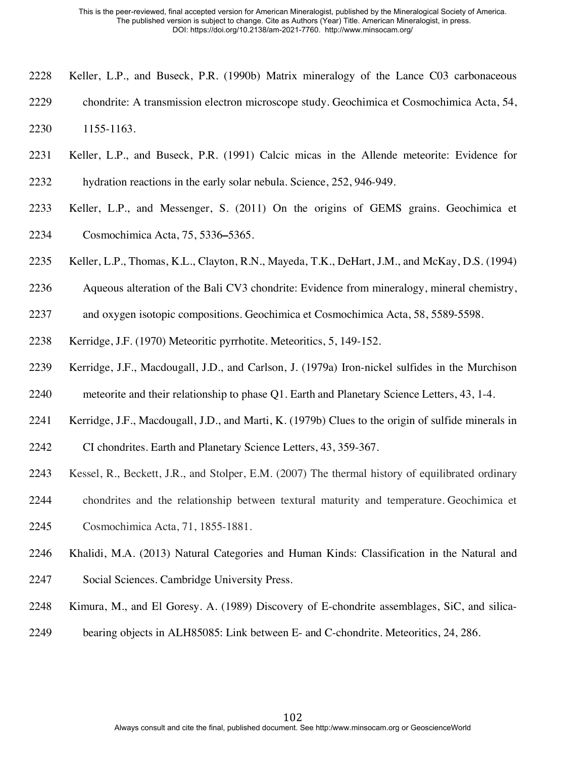- Keller, L.P., and Buseck, P.R. (1990b) Matrix mineralogy of the Lance C03 carbonaceous
- chondrite: A transmission electron microscope study. Geochimica et Cosmochimica Acta, 54,
- 1155-1163.
- Keller, L.P., and Buseck, P.R. (1991) Calcic micas in the Allende meteorite: Evidence for
- hydration reactions in the early solar nebula. Science, 252, 946-949.
- Keller, L.P., and Messenger, S. (2011) On the origins of GEMS grains. Geochimica et Cosmochimica Acta, 75, 5336**–**5365.
- Keller, L.P., Thomas, K.L., Clayton, R.N., Mayeda, T.K., DeHart, J.M., and McKay, D.S. (1994)
- Aqueous alteration of the Bali CV3 chondrite: Evidence from mineralogy, mineral chemistry,
- and oxygen isotopic compositions. Geochimica et Cosmochimica Acta, 58, 5589-5598.
- Kerridge, J.F. (1970) Meteoritic pyrrhotite. Meteoritics, 5, 149-152.
- Kerridge, J.F., Macdougall, J.D., and Carlson, J. (1979a) Iron-nickel sulfides in the Murchison
- meteorite and their relationship to phase Q1. Earth and Planetary Science Letters, 43, 1-4.
- Kerridge, J.F., Macdougall, J.D., and Marti, K. (1979b) Clues to the origin of sulfide minerals in
- CI chondrites. Earth and Planetary Science Letters, 43, 359-367.
- Kessel, R., Beckett, J.R., and Stolper, E.M. (2007) The thermal history of equilibrated ordinary
- chondrites and the relationship between textural maturity and temperature. Geochimica et
- Cosmochimica Acta, 71, 1855-1881.
- Khalidi, M.A. (2013) Natural Categories and Human Kinds: Classification in the Natural and Social Sciences. Cambridge University Press.
- Kimura, M., and El Goresy. A. (1989) Discovery of E-chondrite assemblages, SiC, and silica-
- bearing objects in ALH85085: Link between E- and C-chondrite. Meteoritics, 24, 286.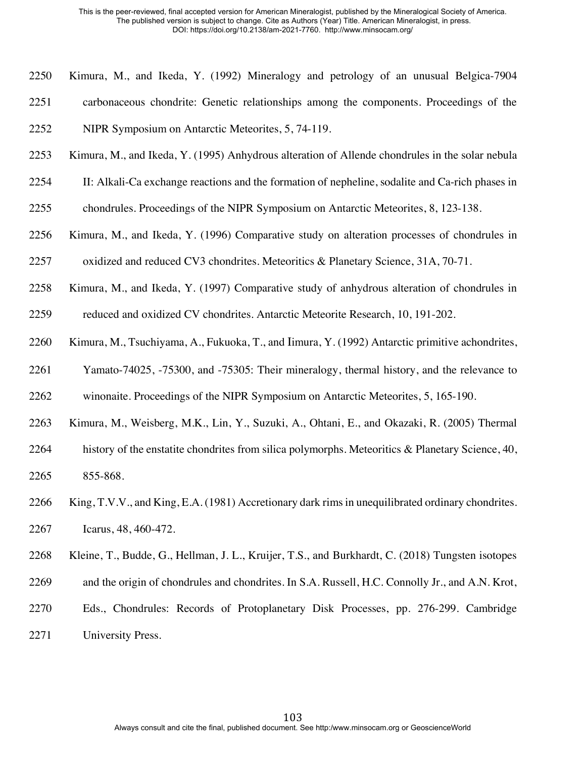- Kimura, M., and Ikeda, Y. (1992) Mineralogy and petrology of an unusual Belgica-7904 carbonaceous chondrite: Genetic relationships among the components. Proceedings of the NIPR Symposium on Antarctic Meteorites, 5, 74-119.
- Kimura, M., and Ikeda, Y. (1995) Anhydrous alteration of Allende chondrules in the solar nebula
- II: Alkali-Ca exchange reactions and the formation of nepheline, sodalite and Ca-rich phases in
- chondrules. Proceedings of the NIPR Symposium on Antarctic Meteorites, 8, 123-138.
- Kimura, M., and Ikeda, Y. (1996) Comparative study on alteration processes of chondrules in oxidized and reduced CV3 chondrites. Meteoritics & Planetary Science, 31A, 70-71.
- Kimura, M., and Ikeda, Y. (1997) Comparative study of anhydrous alteration of chondrules in
- reduced and oxidized CV chondrites. Antarctic Meteorite Research, 10, 191-202.
- Kimura, M., Tsuchiyama, A., Fukuoka, T., and Iimura, Y. (1992) Antarctic primitive achondrites,
- Yamato-74025, -75300, and -75305: Their mineralogy, thermal history, and the relevance to winonaite. Proceedings of the NIPR Symposium on Antarctic Meteorites, 5, 165-190.
- 
- Kimura, M., Weisberg, M.K., Lin, Y., Suzuki, A., Ohtani, E., and Okazaki, R. (2005) Thermal
- 2264 history of the enstatite chondrites from silica polymorphs. Meteoritics & Planetary Science, 40, 855-868.
- King, T.V.V., and King, E.A. (1981) Accretionary dark rims in unequilibrated ordinary chondrites. Icarus, 48, 460-472.
- Kleine, T., Budde, G., Hellman, J. L., Kruijer, T.S., and Burkhardt, C. (2018) Tungsten isotopes
- and the origin of chondrules and chondrites. In S.A. Russell, H.C. Connolly Jr., and A.N. Krot,
- Eds., Chondrules: Records of Protoplanetary Disk Processes, pp. 276-299. Cambridge
- University Press.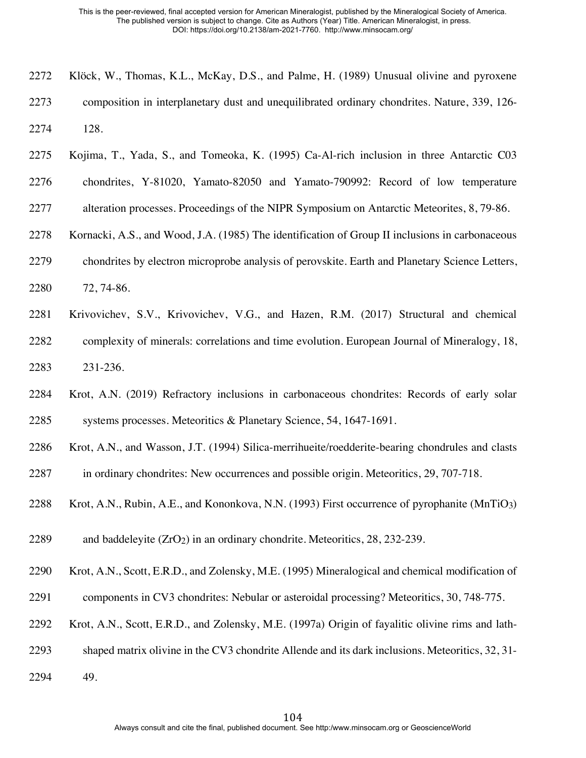| 2272 | Klöck, W., Thomas, K.L., McKay, D.S., and Palme, H. (1989) Unusual olivine and pyroxene      |
|------|----------------------------------------------------------------------------------------------|
| 2273 | composition in interplanetary dust and unequilibrated ordinary chondrites. Nature, 339, 126- |
| 2274 | 128.                                                                                         |

- Kojima, T., Yada, S., and Tomeoka, K. (1995) Ca-Al-rich inclusion in three Antarctic C03
- chondrites, Y-81020, Yamato-82050 and Yamato-790992: Record of low temperature
- 2277 alteration processes. Proceedings of the NIPR Symposium on Antarctic Meteorites, 8, 79-86.
- Kornacki, A.S., and Wood, J.A. (1985) The identification of Group II inclusions in carbonaceous
- chondrites by electron microprobe analysis of perovskite. Earth and Planetary Science Letters,
- 72, 74-86.
- Krivovichev, S.V., Krivovichev, V.G., and Hazen, R.M. (2017) Structural and chemical complexity of minerals: correlations and time evolution. European Journal of Mineralogy, 18, 231-236.
- Krot, A.N. (2019) Refractory inclusions in carbonaceous chondrites: Records of early solar systems processes. Meteoritics & Planetary Science, 54, 1647-1691.
- Krot, A.N., and Wasson, J.T. (1994) Silica-merrihueite/roedderite-bearing chondrules and clasts
- in ordinary chondrites: New occurrences and possible origin. Meteoritics, 29, 707-718.
- 2288 Krot, A.N., Rubin, A.E., and Kononkova, N.N. (1993) First occurrence of pyrophanite (MnTiO3)
- 2289 and baddeleyite  $(ZrO<sub>2</sub>)$  in an ordinary chondrite. Meteoritics, 28, 232-239.
- Krot, A.N., Scott, E.R.D., and Zolensky, M.E. (1995) Mineralogical and chemical modification of
- components in CV3 chondrites: Nebular or asteroidal processing? Meteoritics, 30, 748-775.
- Krot, A.N., Scott, E.R.D., and Zolensky, M.E. (1997a) Origin of fayalitic olivine rims and lath-
- shaped matrix olivine in the CV3 chondrite Allende and its dark inclusions. Meteoritics, 32, 31-
- 49.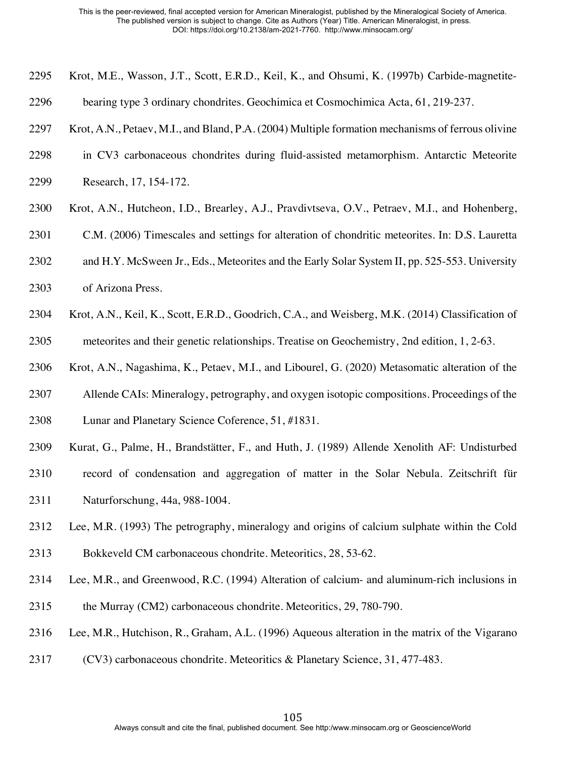- Krot, M.E., Wasson, J.T., Scott, E.R.D., Keil, K., and Ohsumi, K. (1997b) Carbide-magnetite-
- bearing type 3 ordinary chondrites. Geochimica et Cosmochimica Acta, 61, 219-237.
- Krot, A.N., Petaev, M.I., and Bland, P.A. (2004) Multiple formation mechanisms of ferrous olivine
- in CV3 carbonaceous chondrites during fluid-assisted metamorphism. Antarctic Meteorite
- Research, 17, 154-172.
- Krot, A.N., Hutcheon, I.D., Brearley, A.J., Pravdivtseva, O.V., Petraev, M.I., and Hohenberg,
- C.M. (2006) Timescales and settings for alteration of chondritic meteorites. In: D.S. Lauretta
- and H.Y. McSween Jr., Eds., Meteorites and the Early Solar System II, pp. 525-553. University
- of Arizona Press.
- Krot, A.N., Keil, K., Scott, E.R.D., Goodrich, C.A., and Weisberg, M.K. (2014) Classification of meteorites and their genetic relationships. Treatise on Geochemistry, 2nd edition, 1, 2-63.
- Krot, A.N., Nagashima, K., Petaev, M.I., and Libourel, G. (2020) Metasomatic alteration of the
- Allende CAIs: Mineralogy, petrography, and oxygen isotopic compositions. Proceedings of the Lunar and Planetary Science Coference, 51, #1831.
- Kurat, G., Palme, H., Brandstätter, F., and Huth, J. (1989) Allende Xenolith AF: Undisturbed
- record of condensation and aggregation of matter in the Solar Nebula. Zeitschrift für Naturforschung, 44a, 988-1004.
- Lee, M.R. (1993) The petrography, mineralogy and origins of calcium sulphate within the Cold Bokkeveld CM carbonaceous chondrite. Meteoritics, 28, 53-62.
- Lee, M.R., and Greenwood, R.C. (1994) Alteration of calcium- and aluminum-rich inclusions in
- 2315 the Murray (CM2) carbonaceous chondrite. Meteoritics, 29, 780-790.
- Lee, M.R., Hutchison, R., Graham, A.L. (1996) Aqueous alteration in the matrix of the Vigarano
- (CV3) carbonaceous chondrite. Meteoritics & Planetary Science, 31, 477-483.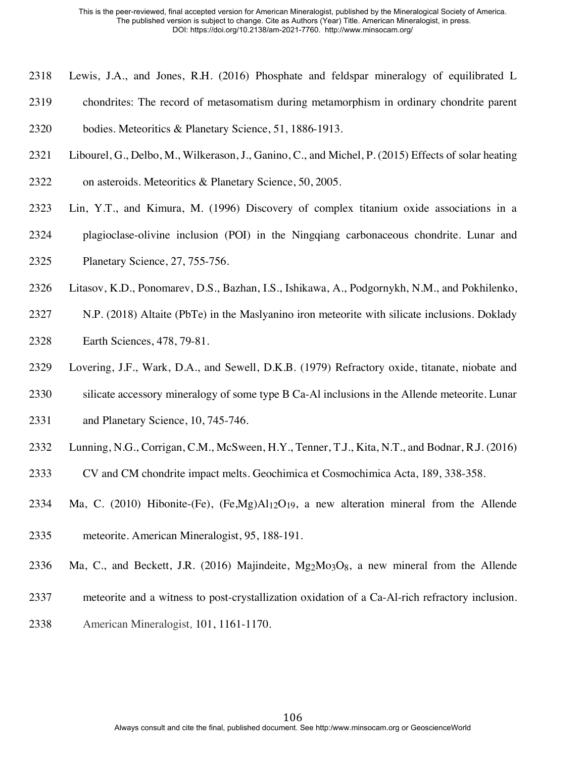- Lewis, J.A., and Jones, R.H. (2016) Phosphate and feldspar mineralogy of equilibrated L
- chondrites: The record of metasomatism during metamorphism in ordinary chondrite parent

bodies. Meteoritics & Planetary Science, 51, 1886-1913.

- Libourel, G., Delbo, M., Wilkerason, J., Ganino, C., and Michel, P. (2015) Effects of solar heating
- on asteroids. Meteoritics & Planetary Science, 50, 2005.
- Lin, Y.T., and Kimura, M. (1996) Discovery of complex titanium oxide associations in a plagioclase-olivine inclusion (POI) in the Ningqiang carbonaceous chondrite. Lunar and Planetary Science, 27, 755-756.
- Litasov, K.D., Ponomarev, D.S., Bazhan, I.S., Ishikawa, A., Podgornykh, N.M., and Pokhilenko,
- N.P. (2018) Altaite (PbTe) in the Maslyanino iron meteorite with silicate inclusions. Doklady Earth Sciences, 478, 79-81.
- Lovering, J.F., Wark, D.A., and Sewell, D.K.B. (1979) Refractory oxide, titanate, niobate and
- silicate accessory mineralogy of some type B Ca-Al inclusions in the Allende meteorite. Lunar
- 2331 and Planetary Science, 10, 745-746.
- Lunning, N.G., Corrigan, C.M., McSween, H.Y., Tenner, T.J., Kita, N.T., and Bodnar, R.J. (2016)
- CV and CM chondrite impact melts. Geochimica et Cosmochimica Acta, 189, 338-358.
- 2334 Ma, C. (2010) Hibonite-(Fe),  $(Fe, Mg)Al<sub>12</sub>O<sub>19</sub>$ , a new alteration mineral from the Allende
- meteorite. American Mineralogist, 95, 188-191.
- Ma, C., and Beckett, J.R. (2016) Majindeite, Mg2Mo3O8, a new mineral from the Allende
- meteorite and a witness to post-crystallization oxidation of a Ca-Al-rich refractory inclusion.
- American Mineralogist*,* 101, 1161-1170.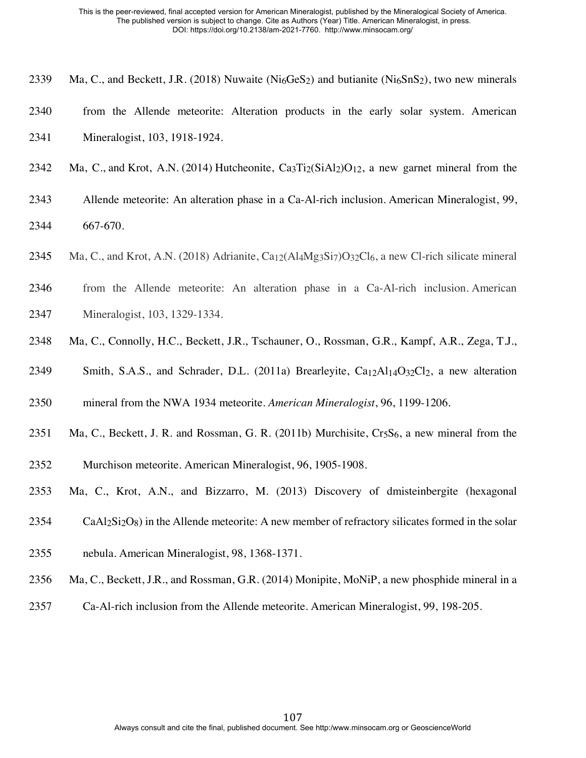- 2339 Ma, C., and Beckett, J.R. (2018) Nuwaite ( $Ni<sub>6</sub>GeS<sub>2</sub>$ ) and butianite ( $Ni<sub>6</sub>SnS<sub>2</sub>$ ), two new minerals
- from the Allende meteorite: Alteration products in the early solar system. American Mineralogist, 103, 1918-1924.
- 2342 Ma, C., and Krot, A.N. (2014) Hutcheonite,  $Ca<sub>3</sub>Ti<sub>2</sub>(SiAl<sub>2</sub>)O<sub>12</sub>$ , a new garnet mineral from the
- Allende meteorite: An alteration phase in a Ca-Al-rich inclusion. American Mineralogist, 99, 667-670.
- 2345 Ma, C., and Krot, A.N. (2018) Adrianite,  $Ca_{12}(Al_4Mg_3Si_7)O_{32}Cl_6$ , a new Cl-rich silicate mineral
- from the Allende meteorite: An alteration phase in a Ca-Al-rich inclusion. American Mineralogist, 103, 1329-1334.
- Ma, C., Connolly, H.C., Beckett, J.R., Tschauner, O., Rossman, G.R., Kampf, A.R., Zega, T.J.,
- 2349 Smith, S.A.S., and Schrader, D.L. (2011a) Brearleyite,  $Ca_{12}Al_{14}O_{32}Cl_2$ , a new alteration
- mineral from the NWA 1934 meteorite. *American Mineralogist*, 96, 1199-1206.
- 2351 Ma, C., Beckett, J. R. and Rossman, G. R. (2011b) Murchisite, Cr<sub>5</sub>S<sub>6</sub>, a new mineral from the
- Murchison meteorite. American Mineralogist, 96, 1905-1908.
- Ma, C., Krot, A.N., and Bizzarro, M. (2013) Discovery of dmisteinbergite (hexagonal
- CaAl<sub>2</sub>Si<sub>2</sub>O<sub>8</sub>) in the Allende meteorite: A new member of refractory silicates formed in the solar
- nebula. American Mineralogist, 98, 1368-1371.
- Ma, C., Beckett, J.R., and Rossman, G.R. (2014) Monipite, MoNiP, a new phosphide mineral in a
- Ca-Al-rich inclusion from the Allende meteorite. American Mineralogist, 99, 198-205.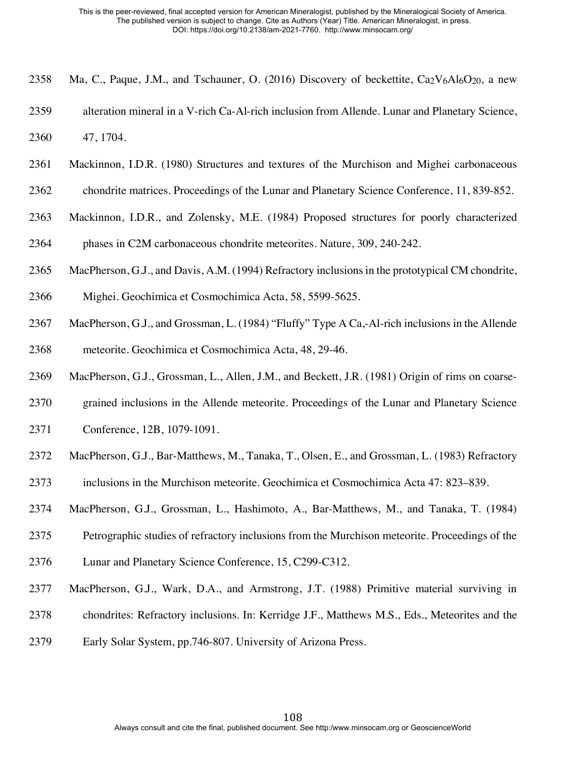- 2358 Ma, C., Paque, J.M., and Tschauner, O. (2016) Discovery of beckettite,  $Ca_2V_6Al_6O_{20}$ , a new
- alteration mineral in a V-rich Ca-Al-rich inclusion from Allende. Lunar and Planetary Science, 47, 1704.
- Mackinnon, I.D.R. (1980) Structures and textures of the Murchison and Mighei carbonaceous
- chondrite matrices. Proceedings of the Lunar and Planetary Science Conference, 11, 839-852.
- Mackinnon, I.D.R., and Zolensky, M.E. (1984) Proposed structures for poorly characterized phases in C2M carbonaceous chondrite meteorites. Nature, 309, 240-242.
- MacPherson, G.J., and Davis, A.M. (1994) Refractory inclusions in the prototypical CM chondrite,
- Mighei. Geochimica et Cosmochimica Acta, 58, 5599-5625.
- MacPherson, G.J., and Grossman, L. (1984) "Fluffy" Type A Ca,-Al-rich inclusions in the Allende meteorite. Geochimica et Cosmochimica Acta, 48, 29-46.
- MacPherson, G.J., Grossman, L., Allen, J.M., and Beckett, J.R. (1981) Origin of rims on coarse-
- grained inclusions in the Allende meteorite. Proceedings of the Lunar and Planetary Science
- Conference, 12B, 1079-1091.
- MacPherson, G.J., Bar-Matthews, M., Tanaka, T., Olsen, E., and Grossman, L. (1983) Refractory inclusions in the Murchison meteorite. Geochimica et Cosmochimica Acta 47: 823–839.
- MacPherson, G.J., Grossman, L., Hashimoto, A., Bar-Matthews, M., and Tanaka, T. (1984)
- Petrographic studies of refractory inclusions from the Murchison meteorite. Proceedings of the
- Lunar and Planetary Science Conference, 15, C299-C312.
- MacPherson, G.J., Wark, D.A., and Armstrong, J.T. (1988) Primitive material surviving in
- chondrites: Refractory inclusions. In: Kerridge J.F., Matthews M.S., Eds., Meteorites and the
- Early Solar System, pp.746-807. University of Arizona Press.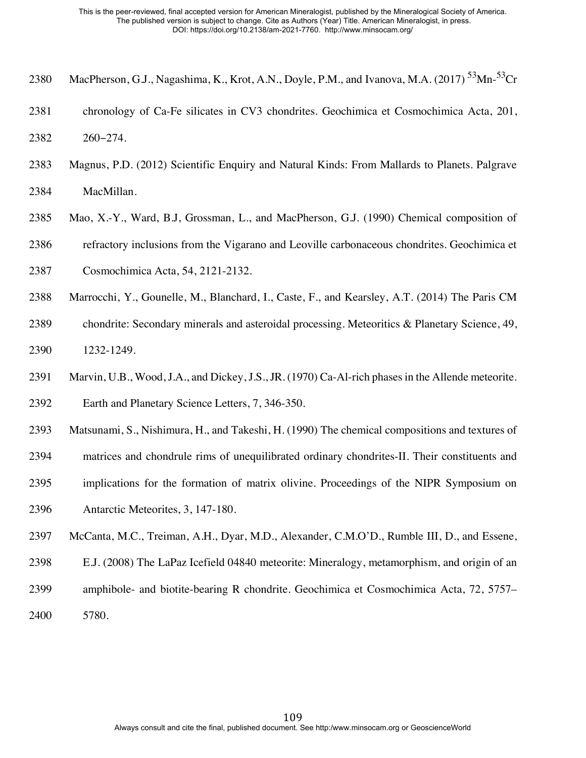- 2380 MacPherson, G.J., Nagashima, K., Krot, A.N., Doyle, P.M., and Ivanova, M.A. (2017)  $^{53}$ Mn- $^{53}$ Cr
- chronology of Ca-Fe silicates in CV3 chondrites. Geochimica et Cosmochimica Acta, 201, 260‒274.
- Magnus, P.D. (2012) Scientific Enquiry and Natural Kinds: From Mallards to Planets. Palgrave MacMillan.
- Mao, X.-Y., Ward, B.J, Grossman, L., and MacPherson, G.J. (1990) Chemical composition of
- refractory inclusions from the Vigarano and Leoville carbonaceous chondrites. Geochimica et
- Cosmochimica Acta, 54, 2121-2132.
- Marrocchi, Y., Gounelle, M., Blanchard, I., Caste, F., and Kearsley, A.T. (2014) The Paris CM
- chondrite: Secondary minerals and asteroidal processing. Meteoritics & Planetary Science, 49, 1232-1249.
- Marvin, U.B., Wood, J.A., and Dickey, J.S., JR. (1970) Ca-Al-rich phases in the Allende meteorite. Earth and Planetary Science Letters, 7, 346-350.
- Matsunami, S., Nishimura, H., and Takeshi, H. (1990) The chemical compositions and textures of
- matrices and chondrule rims of unequilibrated ordinary chondrites-II. Their constituents and
- implications for the formation of matrix olivine. Proceedings of the NIPR Symposium on
- Antarctic Meteorites, 3, 147-180.
- McCanta, M.C., Treiman, A.H., Dyar, M.D., Alexander, C.M.O'D., Rumble III, D., and Essene,
- E.J. (2008) The LaPaz Icefield 04840 meteorite: Mineralogy, metamorphism, and origin of an
- amphibole- and biotite-bearing R chondrite. Geochimica et Cosmochimica Acta, 72, 5757–
- 5780.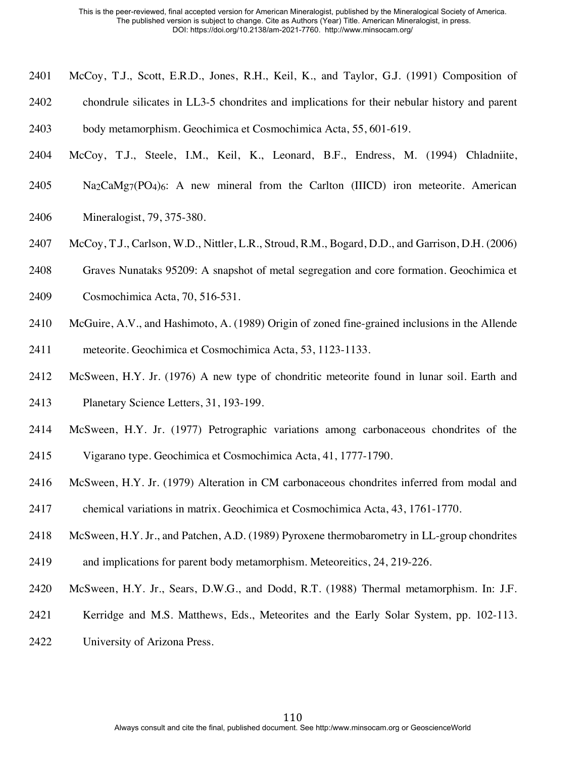- McCoy, T.J., Scott, E.R.D., Jones, R.H., Keil, K., and Taylor, G.J. (1991) Composition of
- chondrule silicates in LL3-5 chondrites and implications for their nebular history and parent
- body metamorphism. Geochimica et Cosmochimica Acta, 55, 601-619.
- McCoy, T.J., Steele, I.M., Keil, K., Leonard, B.F., Endress, M. (1994) Chladniite,
- Na<sub>2</sub>CaMg<sub>7</sub>(PO<sub>4</sub>)<sub>6</sub>: A new mineral from the Carlton (IIICD) iron meteorite. American
- Mineralogist, 79, 375-380.
- McCoy, T.J., Carlson, W.D., Nittler, L.R., Stroud, R.M., Bogard, D.D., and Garrison, D.H. (2006)
- Graves Nunataks 95209: A snapshot of metal segregation and core formation. Geochimica et
- Cosmochimica Acta, 70, 516-531.
- McGuire, A.V., and Hashimoto, A. (1989) Origin of zoned fine-grained inclusions in the Allende
- meteorite. Geochimica et Cosmochimica Acta, 53, 1123-1133.
- McSween, H.Y. Jr. (1976) A new type of chondritic meteorite found in lunar soil. Earth and Planetary Science Letters, 31, 193-199.
- McSween, H.Y. Jr. (1977) Petrographic variations among carbonaceous chondrites of the
- Vigarano type. Geochimica et Cosmochimica Acta, 41, 1777-1790.
- McSween, H.Y. Jr. (1979) Alteration in CM carbonaceous chondrites inferred from modal and
- chemical variations in matrix. Geochimica et Cosmochimica Acta, 43, 1761-1770.
- McSween, H.Y. Jr., and Patchen, A.D. (1989) Pyroxene thermobarometry in LL-group chondrites
- and implications for parent body metamorphism. Meteoreitics, 24, 219-226.
- McSween, H.Y. Jr., Sears, D.W.G., and Dodd, R.T. (1988) Thermal metamorphism. In: J.F.
- Kerridge and M.S. Matthews, Eds., Meteorites and the Early Solar System, pp. 102-113.
- University of Arizona Press.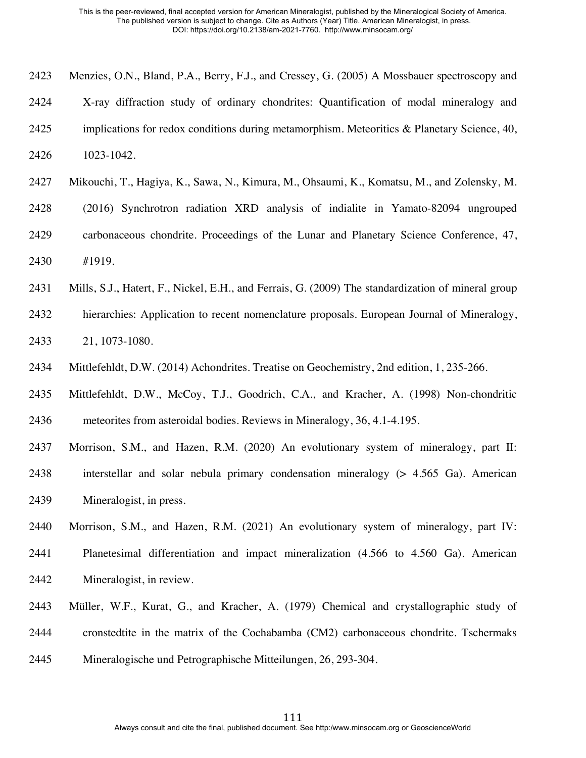- Menzies, O.N., Bland, P.A., Berry, F.J., and Cressey, G. (2005) A Mossbauer spectroscopy and X-ray diffraction study of ordinary chondrites: Quantification of modal mineralogy and 2425 implications for redox conditions during metamorphism. Meteoritics  $\&$  Planetary Science, 40, 1023-1042.
- Mikouchi, T., Hagiya, K., Sawa, N., Kimura, M., Ohsaumi, K., Komatsu, M., and Zolensky, M.
- (2016) Synchrotron radiation XRD analysis of indialite in Yamato-82094 ungrouped carbonaceous chondrite. Proceedings of the Lunar and Planetary Science Conference, 47, #1919.
- Mills, S.J., Hatert, F., Nickel, E.H., and Ferrais, G. (2009) The standardization of mineral group
- hierarchies: Application to recent nomenclature proposals. European Journal of Mineralogy, 21, 1073-1080.
- Mittlefehldt, D.W. (2014) Achondrites. Treatise on Geochemistry, 2nd edition, 1, 235-266.
- Mittlefehldt, D.W., McCoy, T.J., Goodrich, C.A., and Kracher, A. (1998) Non-chondritic meteorites from asteroidal bodies. Reviews in Mineralogy, 36, 4.1-4.195.
- Morrison, S.M., and Hazen, R.M. (2020) An evolutionary system of mineralogy, part II: interstellar and solar nebula primary condensation mineralogy (> 4.565 Ga). American Mineralogist, in press.
- Morrison, S.M., and Hazen, R.M. (2021) An evolutionary system of mineralogy, part IV: Planetesimal differentiation and impact mineralization (4.566 to 4.560 Ga). American Mineralogist, in review.
- Müller, W.F., Kurat, G., and Kracher, A. (1979) Chemical and crystallographic study of cronstedtite in the matrix of the Cochabamba (CM2) carbonaceous chondrite. Tschermaks Mineralogische und Petrographische Mitteilungen, 26, 293-304.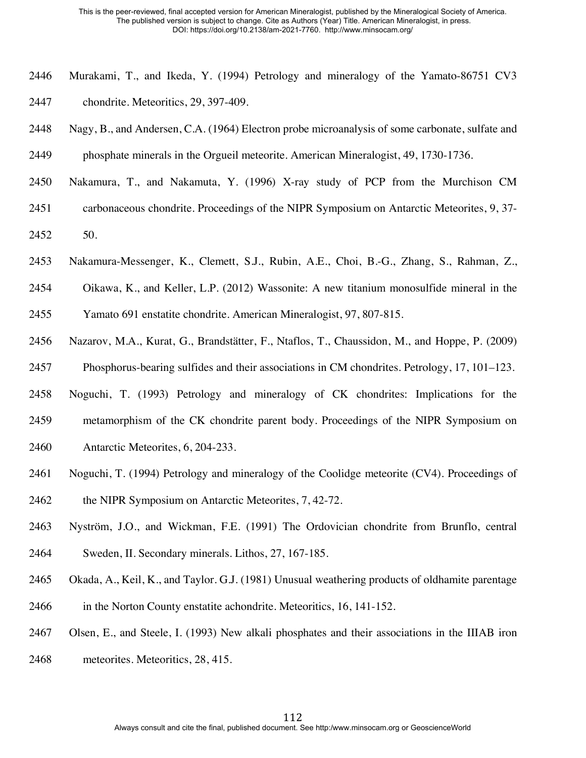- Murakami, T., and Ikeda, Y. (1994) Petrology and mineralogy of the Yamato-86751 CV3 chondrite. Meteoritics, 29, 397-409.
- Nagy, B., and Andersen, C.A. (1964) Electron probe microanalysis of some carbonate, sulfate and phosphate minerals in the Orgueil meteorite. American Mineralogist, 49, 1730-1736.
- Nakamura, T., and Nakamuta, Y. (1996) X-ray study of PCP from the Murchison CM
- carbonaceous chondrite. Proceedings of the NIPR Symposium on Antarctic Meteorites, 9, 37-
- 50.
- Nakamura-Messenger, K., Clemett, S.J., Rubin, A.E., Choi, B.-G., Zhang, S., Rahman, Z.,
- Oikawa, K., and Keller, L.P. (2012) Wassonite: A new titanium monosulfide mineral in the
- Yamato 691 enstatite chondrite. American Mineralogist, 97, 807-815.
- Nazarov, M.A., Kurat, G., Brandstätter, F., Ntaflos, T., Chaussidon, M., and Hoppe, P. (2009) Phosphorus-bearing sulfides and their associations in CM chondrites. Petrology, 17, 101–123.
- Noguchi, T. (1993) Petrology and mineralogy of CK chondrites: Implications for the metamorphism of the CK chondrite parent body. Proceedings of the NIPR Symposium on
- Antarctic Meteorites, 6, 204-233.
- Noguchi, T. (1994) Petrology and mineralogy of the Coolidge meteorite (CV4). Proceedings of
- 2462 the NIPR Symposium on Antarctic Meteorites, 7, 42-72.
- Nyström, J.O., and Wickman, F.E. (1991) The Ordovician chondrite from Brunflo, central Sweden, II. Secondary minerals. Lithos, 27, 167-185.
- Okada, A., Keil, K., and Taylor. G.J. (1981) Unusual weathering products of oldhamite parentage
- in the Norton County enstatite achondrite. Meteoritics, 16, 141-152.
- Olsen, E., and Steele, I. (1993) New alkali phosphates and their associations in the IIIAB iron
- meteorites. Meteoritics, 28, 415.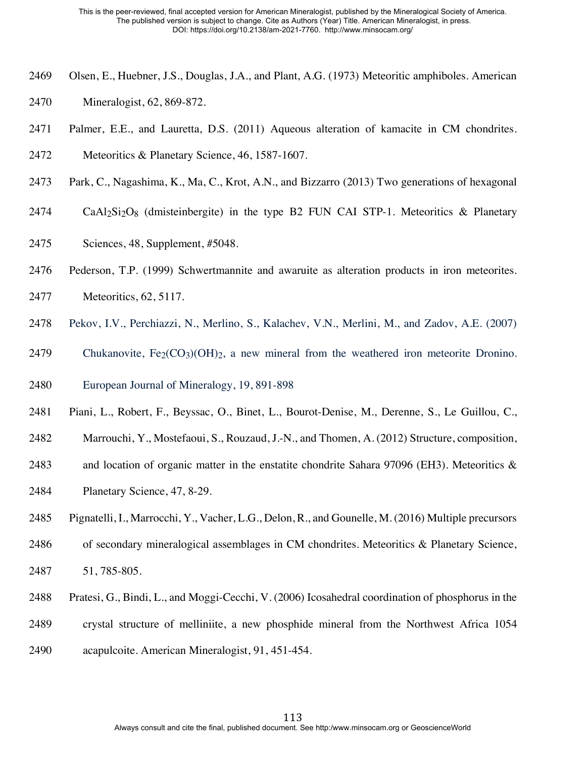- Olsen, E., Huebner, J.S., Douglas, J.A., and Plant, A.G. (1973) Meteoritic amphiboles. American
- Mineralogist, 62, 869-872.
- Palmer, E.E., and Lauretta, D.S. (2011) Aqueous alteration of kamacite in CM chondrites. Meteoritics & Planetary Science, 46, 1587-1607.
- Park, C., Nagashima, K., Ma, C., Krot, A.N., and Bizzarro (2013) Two generations of hexagonal
- CaAl<sub>2</sub>Si<sub>2</sub>O<sub>8</sub> (dmisteinbergite) in the type B<sub>2</sub> FUN CAI STP-1. Meteoritics & Planetary
- Sciences, 48, Supplement, #5048.
- Pederson, T.P. (1999) Schwertmannite and awaruite as alteration products in iron meteorites.
- Meteoritics, 62, 5117.
- Pekov, I.V., Perchiazzi, N., Merlino, S., Kalachev, V.N., Merlini, M., and Zadov, A.E. (2007)
- 2479 Chukanovite,  $Fe_2(CO_3)(OH)_{2}$ , a new mineral from the weathered iron meteorite Dronino.
- European Journal of Mineralogy, 19, 891-898
- Piani, L., Robert, F., Beyssac, O., Binet, L., Bourot-Denise, M., Derenne, S., Le Guillou, C.,
- Marrouchi, Y., Mostefaoui, S., Rouzaud, J.-N., and Thomen, A. (2012) Structure, composition,
- 2483 and location of organic matter in the enstatite chondrite Sahara 97096 (EH3). Meteoritics  $\&$
- Planetary Science, 47, 8-29.
- Pignatelli, I., Marrocchi, Y., Vacher, L.G., Delon, R., and Gounelle, M. (2016) Multiple precursors
- of secondary mineralogical assemblages in CM chondrites. Meteoritics & Planetary Science, 51, 785-805.
- Pratesi, G., Bindi, L., and Moggi-Cecchi, V. (2006) Icosahedral coordination of phosphorus in the
- crystal structure of melliniite, a new phosphide mineral from the Northwest Africa 1054
- acapulcoite. American Mineralogist, 91, 451-454.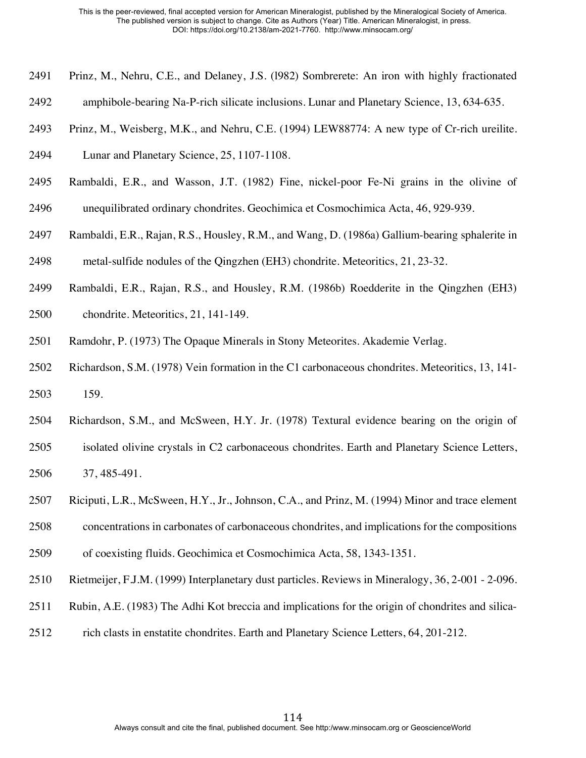- Prinz, M., Nehru, C.E., and Delaney, J.S. (l982) Sombrerete: An iron with highly fractionated
- amphibole-bearing Na-P-rich silicate inclusions. Lunar and Planetary Science, 13, 634-635.
- Prinz, M., Weisberg, M.K., and Nehru, C.E. (1994) LEW88774: A new type of Cr-rich ureilite.

Lunar and Planetary Science, 25, 1107-1108.

- Rambaldi, E.R., and Wasson, J.T. (1982) Fine, nickel-poor Fe-Ni grains in the olivine of unequilibrated ordinary chondrites. Geochimica et Cosmochimica Acta, 46, 929-939.
- 
- Rambaldi, E.R., Rajan, R.S., Housley, R.M., and Wang, D. (1986a) Gallium-bearing sphalerite in
- metal-sulfide nodules of the Qingzhen (EH3) chondrite. Meteoritics, 21, 23-32.
- Rambaldi, E.R., Rajan, R.S., and Housley, R.M. (1986b) Roedderite in the Qingzhen (EH3)
- chondrite. Meteoritics, 21, 141-149.
- Ramdohr, P. (1973) The Opaque Minerals in Stony Meteorites. Akademie Verlag.
- Richardson, S.M. (1978) Vein formation in the C1 carbonaceous chondrites. Meteoritics, 13, 141- 159.
- Richardson, S.M., and McSween, H.Y. Jr. (1978) Textural evidence bearing on the origin of
- isolated olivine crystals in C2 carbonaceous chondrites. Earth and Planetary Science Letters, 37, 485-491.
- Riciputi, L.R., McSween, H.Y., Jr., Johnson, C.A., and Prinz, M. (1994) Minor and trace element
- concentrations in carbonates of carbonaceous chondrites, and implications for the compositions
- of coexisting fluids. Geochimica et Cosmochimica Acta, 58, 1343-1351.
- Rietmeijer, F.J.M. (1999) Interplanetary dust particles. Reviews in Mineralogy, 36, 2-001 2-096.
- Rubin, A.E. (1983) The Adhi Kot breccia and implications for the origin of chondrites and silica-
- rich clasts in enstatite chondrites. Earth and Planetary Science Letters, 64, 201-212.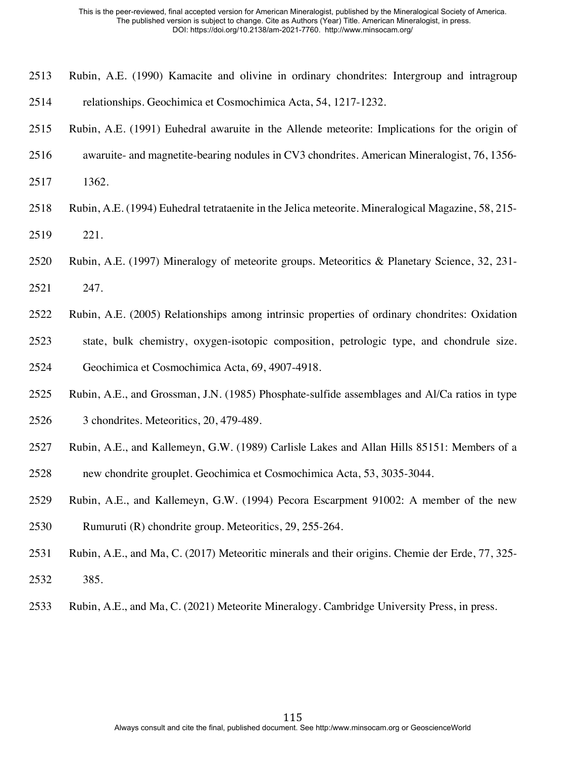- Rubin, A.E. (1990) Kamacite and olivine in ordinary chondrites: Intergroup and intragroup relationships. Geochimica et Cosmochimica Acta, 54, 1217-1232.
- Rubin, A.E. (1991) Euhedral awaruite in the Allende meteorite: Implications for the origin of
- awaruite- and magnetite-bearing nodules in CV3 chondrites. American Mineralogist, 76, 1356-
- 1362.
- Rubin, A.E. (1994) Euhedral tetrataenite in the Jelica meteorite. Mineralogical Magazine, 58, 215-
- 221.
- Rubin, A.E. (1997) Mineralogy of meteorite groups. Meteoritics & Planetary Science, 32, 231-
- 247.
- Rubin, A.E. (2005) Relationships among intrinsic properties of ordinary chondrites: Oxidation
- state, bulk chemistry, oxygen-isotopic composition, petrologic type, and chondrule size. Geochimica et Cosmochimica Acta, 69, 4907-4918.
- Rubin, A.E., and Grossman, J.N. (1985) Phosphate-sulfide assemblages and Al/Ca ratios in type 3 chondrites. Meteoritics, 20, 479-489.
- Rubin, A.E., and Kallemeyn, G.W. (1989) Carlisle Lakes and Allan Hills 85151: Members of a new chondrite grouplet. Geochimica et Cosmochimica Acta, 53, 3035-3044.
- Rubin, A.E., and Kallemeyn, G.W. (1994) Pecora Escarpment 91002: A member of the new Rumuruti (R) chondrite group. Meteoritics, 29, 255-264.
- Rubin, A.E., and Ma, C. (2017) Meteoritic minerals and their origins. Chemie der Erde, 77, 325-
- 385.
- Rubin, A.E., and Ma, C. (2021) Meteorite Mineralogy. Cambridge University Press, in press.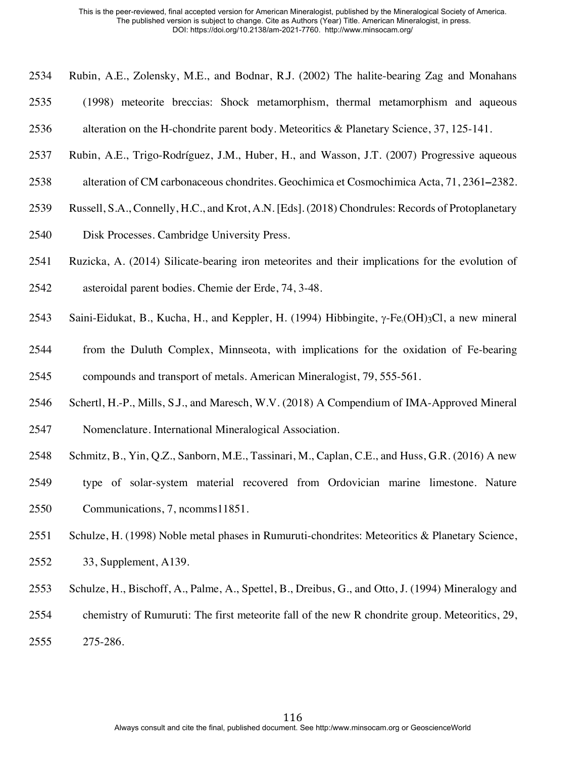- Rubin, A.E., Zolensky, M.E., and Bodnar, R.J. (2002) The halite-bearing Zag and Monahans
- (1998) meteorite breccias: Shock metamorphism, thermal metamorphism and aqueous
- alteration on the H-chondrite parent body. Meteoritics & Planetary Science, 37, 125-141.
- Rubin, A.E., Trigo-Rodríguez, J.M., Huber, H., and Wasson, J.T. (2007) Progressive aqueous
- alteration of CM carbonaceous chondrites. Geochimica et Cosmochimica Acta, 71, 2361**–**2382.
- Russell, S.A., Connelly, H.C., and Krot, A.N. [Eds]. (2018) Chondrules: Records of Protoplanetary
- Disk Processes. Cambridge University Press.
- Ruzicka, A. (2014) Silicate-bearing iron meteorites and their implications for the evolution of
- asteroidal parent bodies. Chemie der Erde, 74, 3-48.
- 2543 Saini-Eidukat, B., Kucha, H., and Keppler, H. (1994) Hibbingite,  $\gamma$ -Fe<sub>2</sub>(OH)<sub>3</sub>Cl, a new mineral
- from the Duluth Complex, Minnseota, with implications for the oxidation of Fe-bearing compounds and transport of metals. American Mineralogist, 79, 555-561.
- Schertl, H.-P., Mills, S.J., and Maresch, W.V. (2018) A Compendium of IMA-Approved Mineral
- Nomenclature. International Mineralogical Association.
- Schmitz, B., Yin, Q.Z., Sanborn, M.E., Tassinari, M., Caplan, C.E., and Huss, G.R. (2016) A new
- type of solar-system material recovered from Ordovician marine limestone. Nature Communications, 7, ncomms11851.
- Schulze, H. (1998) Noble metal phases in Rumuruti-chondrites: Meteoritics & Planetary Science,
- 33, Supplement, A139.
- Schulze, H., Bischoff, A., Palme, A., Spettel, B., Dreibus, G., and Otto, J. (1994) Mineralogy and
- chemistry of Rumuruti: The first meteorite fall of the new R chondrite group. Meteoritics, 29,
- 275-286.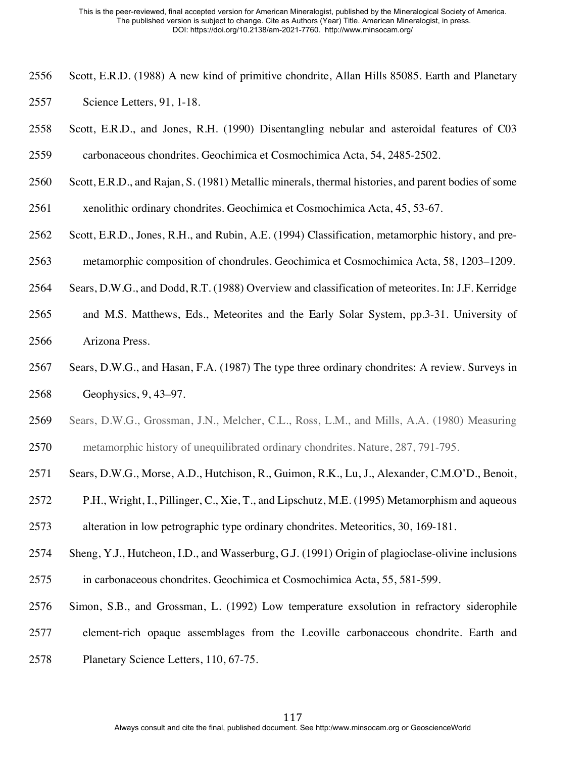- Scott, E.R.D. (1988) A new kind of primitive chondrite, Allan Hills 85085. Earth and Planetary Science Letters, 91, 1-18.
- Scott, E.R.D., and Jones, R.H. (1990) Disentangling nebular and asteroidal features of C03 carbonaceous chondrites. Geochimica et Cosmochimica Acta, 54, 2485-2502.
- Scott, E.R.D., and Rajan, S. (1981) Metallic minerals, thermal histories, and parent bodies of some
- xenolithic ordinary chondrites. Geochimica et Cosmochimica Acta, 45, 53-67.
- Scott, E.R.D., Jones, R.H., and Rubin, A.E. (1994) Classification, metamorphic history, and pre-
- metamorphic composition of chondrules. Geochimica et Cosmochimica Acta, 58, 1203–1209.
- Sears, D.W.G., and Dodd, R.T. (1988) Overview and classification of meteorites. In: J.F. Kerridge
- and M.S. Matthews, Eds., Meteorites and the Early Solar System, pp.3-31. University of Arizona Press.
- Sears, D.W.G., and Hasan, F.A. (1987) The type three ordinary chondrites: A review. Surveys in Geophysics, 9, 43–97.
- Sears, D.W.G., Grossman, J.N., Melcher, C.L., Ross, L.M., and Mills, A.A. (1980) Measuring metamorphic history of unequilibrated ordinary chondrites. Nature, 287, 791-795.
- Sears, D.W.G., Morse, A.D., Hutchison, R., Guimon, R.K., Lu, J., Alexander, C.M.O'D., Benoit,
- P.H., Wright, I., Pillinger, C., Xie, T., and Lipschutz, M.E. (1995) Metamorphism and aqueous
- alteration in low petrographic type ordinary chondrites. Meteoritics, 30, 169-181.
- Sheng, Y.J., Hutcheon, I.D., and Wasserburg, G.J. (1991) Origin of plagioclase-olivine inclusions in carbonaceous chondrites. Geochimica et Cosmochimica Acta, 55, 581-599.
- Simon, S.B., and Grossman, L. (1992) Low temperature exsolution in refractory siderophile
- element-rich opaque assemblages from the Leoville carbonaceous chondrite. Earth and
- Planetary Science Letters, 110, 67-75.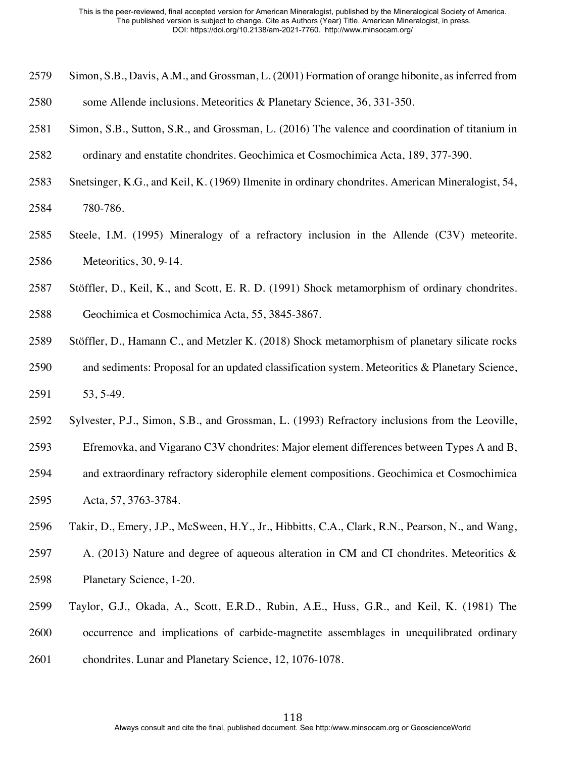- Simon, S.B., Davis, A.M., and Grossman, L. (2001) Formation of orange hibonite, as inferred from
- some Allende inclusions. Meteoritics & Planetary Science, 36, 331-350.
- Simon, S.B., Sutton, S.R., and Grossman, L. (2016) The valence and coordination of titanium in
- ordinary and enstatite chondrites. Geochimica et Cosmochimica Acta, 189, 377-390.
- Snetsinger, K.G., and Keil, K. (1969) Ilmenite in ordinary chondrites. American Mineralogist, 54, 780-786.
- Steele, I.M. (1995) Mineralogy of a refractory inclusion in the Allende (C3V) meteorite. Meteoritics, 30, 9-14.
- Stöffler, D., Keil, K., and Scott, E. R. D. (1991) Shock metamorphism of ordinary chondrites.
- Geochimica et Cosmochimica Acta, 55, 3845-3867.
- Stöffler, D., Hamann C., and Metzler K. (2018) Shock metamorphism of planetary silicate rocks and sediments: Proposal for an updated classification system. Meteoritics & Planetary Science, 53, 5-49.
- Sylvester, P.J., Simon, S.B., and Grossman, L. (1993) Refractory inclusions from the Leoville,
- Efremovka, and Vigarano C3V chondrites: Major element differences between Types A and B,
- and extraordinary refractory siderophile element compositions. Geochimica et Cosmochimica Acta, 57, 3763-3784.
- Takir, D., Emery, J.P., McSween, H.Y., Jr., Hibbitts, C.A., Clark, R.N., Pearson, N., and Wang,
- 2597 A. (2013) Nature and degree of aqueous alteration in CM and CI chondrites. Meteoritics & Planetary Science, 1-20.
- Taylor, G.J., Okada, A., Scott, E.R.D., Rubin, A.E., Huss, G.R., and Keil, K. (1981) The occurrence and implications of carbide-magnetite assemblages in unequilibrated ordinary chondrites. Lunar and Planetary Science, 12, 1076-1078.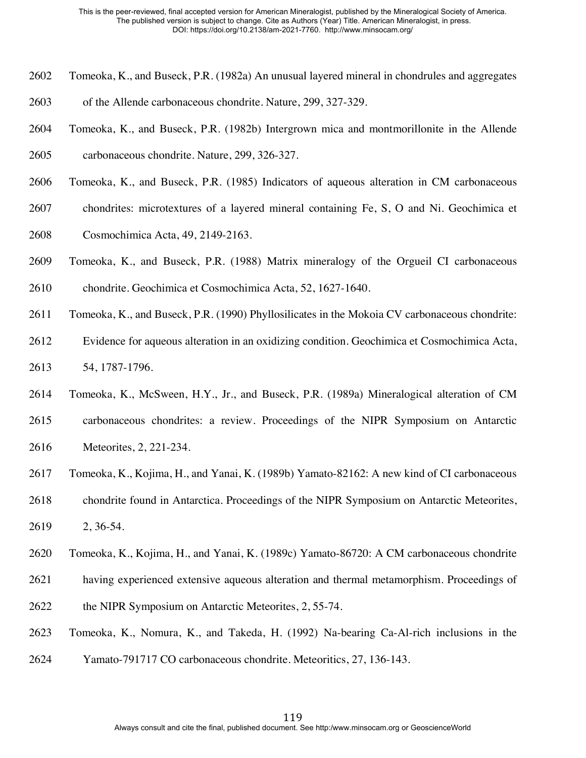- Tomeoka, K., and Buseck, P.R. (1982a) An unusual layered mineral in chondrules and aggregates
- of the Allende carbonaceous chondrite. Nature, 299, 327-329.
- Tomeoka, K., and Buseck, P.R. (1982b) Intergrown mica and montmorillonite in the Allende carbonaceous chondrite. Nature, 299, 326-327.
- Tomeoka, K., and Buseck, P.R. (1985) Indicators of aqueous alteration in CM carbonaceous
- chondrites: microtextures of a layered mineral containing Fe, S, O and Ni. Geochimica et
- Cosmochimica Acta, 49, 2149-2163.
- Tomeoka, K., and Buseck, P.R. (1988) Matrix mineralogy of the Orgueil CI carbonaceous chondrite. Geochimica et Cosmochimica Acta, 52, 1627-1640.
- Tomeoka, K., and Buseck, P.R. (1990) Phyllosilicates in the Mokoia CV carbonaceous chondrite:
- Evidence for aqueous alteration in an oxidizing condition. Geochimica et Cosmochimica Acta, 54, 1787-1796.
- Tomeoka, K., McSween, H.Y., Jr., and Buseck, P.R. (1989a) Mineralogical alteration of CM
- carbonaceous chondrites: a review. Proceedings of the NIPR Symposium on Antarctic Meteorites, 2, 221-234.
- Tomeoka, K., Kojima, H., and Yanai, K. (1989b) Yamato-82162: A new kind of CI carbonaceous
- chondrite found in Antarctica. Proceedings of the NIPR Symposium on Antarctic Meteorites,
- 2, 36-54.
- Tomeoka, K., Kojima, H., and Yanai, K. (1989c) Yamato-86720: A CM carbonaceous chondrite
- having experienced extensive aqueous alteration and thermal metamorphism. Proceedings of
- the NIPR Symposium on Antarctic Meteorites, 2, 55-74.
- Tomeoka, K., Nomura, K., and Takeda, H. (1992) Na-bearing Ca-Al-rich inclusions in the
- Yamato-791717 CO carbonaceous chondrite. Meteoritics, 27, 136-143.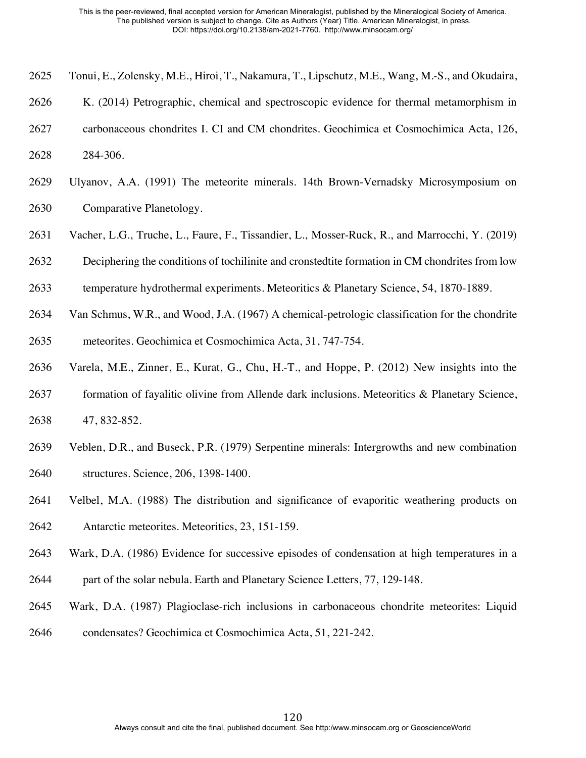- Tonui, E., Zolensky, M.E., Hiroi, T., Nakamura, T., Lipschutz, M.E., Wang, M.-S., and Okudaira,
- K. (2014) Petrographic, chemical and spectroscopic evidence for thermal metamorphism in
- carbonaceous chondrites I. CI and CM chondrites. Geochimica et Cosmochimica Acta, 126, 284-306.
- 
- Ulyanov, A.A. (1991) The meteorite minerals. 14th Brown-Vernadsky Microsymposium on Comparative Planetology.
- Vacher, L.G., Truche, L., Faure, F., Tissandier, L., Mosser-Ruck, R., and Marrocchi, Y. (2019)
- Deciphering the conditions of tochilinite and cronstedtite formation in CM chondrites from low
- temperature hydrothermal experiments. Meteoritics & Planetary Science, 54, 1870-1889.
- Van Schmus, W.R., and Wood, J.A. (1967) A chemical-petrologic classification for the chondrite meteorites. Geochimica et Cosmochimica Acta, 31, 747-754.
- Varela, M.E., Zinner, E., Kurat, G., Chu, H.-T., and Hoppe, P. (2012) New insights into the
- formation of fayalitic olivine from Allende dark inclusions. Meteoritics & Planetary Science, 47, 832-852.
- Veblen, D.R., and Buseck, P.R. (1979) Serpentine minerals: Intergrowths and new combination structures. Science, 206, 1398-1400.
- Velbel, M.A. (1988) The distribution and significance of evaporitic weathering products on Antarctic meteorites. Meteoritics, 23, 151-159.
- Wark, D.A. (1986) Evidence for successive episodes of condensation at high temperatures in a
- part of the solar nebula. Earth and Planetary Science Letters, 77, 129-148.
- Wark, D.A. (1987) Plagioclase-rich inclusions in carbonaceous chondrite meteorites: Liquid condensates? Geochimica et Cosmochimica Acta, 51, 221-242.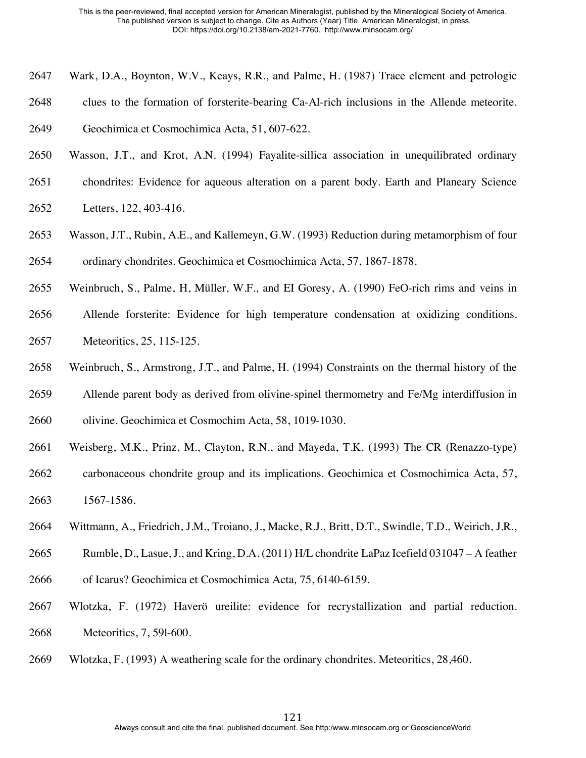- Wark, D.A., Boynton, W.V., Keays, R.R., and Palme, H. (1987) Trace element and petrologic
- clues to the formation of forsterite-bearing Ca-Al-rich inclusions in the Allende meteorite.

Geochimica et Cosmochimica Acta, 51, 607-622.

- Wasson, J.T., and Krot, A.N. (1994) Fayalite-sillica association in unequilibrated ordinary
- chondrites: Evidence for aqueous alteration on a parent body. Earth and Planeary Science Letters, 122, 403-416.
- Wasson, J.T., Rubin, A.E., and Kallemeyn, G.W. (1993) Reduction during metamorphism of four ordinary chondrites. Geochimica et Cosmochimica Acta, 57, 1867-1878.
- Weinbruch, S., Palme, H, Müller, W.F., and EI Goresy, A. (1990) FeO-rich rims and veins in
- Allende forsterite: Evidence for high temperature condensation at oxidizing conditions. Meteoritics, 25, 115-125.
- Weinbruch, S., Armstrong, J.T., and Palme, H. (1994) Constraints on the thermal history of the Allende parent body as derived from olivine-spinel thermometry and Fe/Mg interdiffusion in
- olivine. Geochimica et Cosmochim Acta, 58, 1019-1030.
- Weisberg, M.K., Prinz, M., Clayton, R.N., and Mayeda, T.K. (1993) The CR (Renazzo-type)
- carbonaceous chondrite group and its implications. Geochimica et Cosmochimica Acta, 57, 1567-1586.
- Wittmann, A., Friedrich, J.M., Troiano, J., Macke, R.J., Britt, D.T., Swindle, T.D., Weirich, J.R.,
- Rumble, D., Lasue, J., and Kring, D.A. (2011) H/L chondrite LaPaz Icefield 031047 A feather
- of Icarus? Geochimica et Cosmochimica Acta*,* 75, 6140-6159.
- Wlotzka, F. (1972) Haverö ureilite: evidence for recrystallization and partial reduction. Meteoritics, 7, 59l-600.
- Wlotzka, F. (1993) A weathering scale for the ordinary chondrites. Meteoritics, 28,460.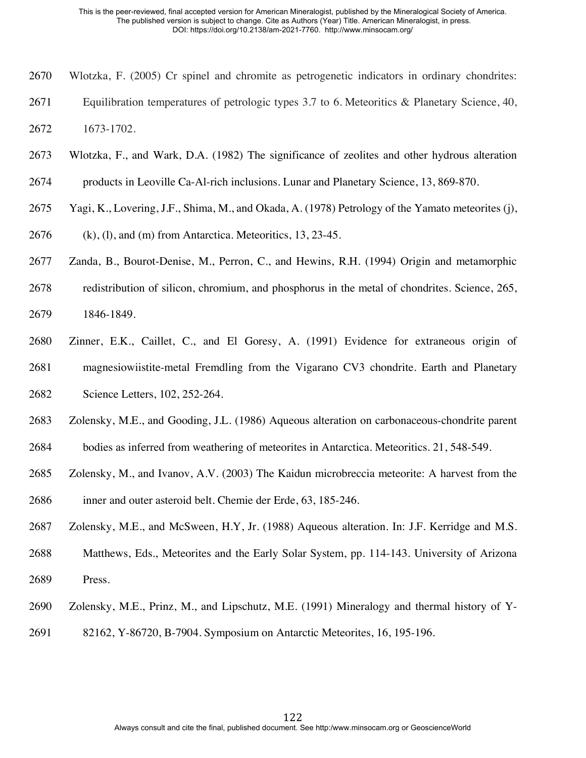- Wlotzka, F. (2005) Cr spinel and chromite as petrogenetic indicators in ordinary chondrites:
- Equilibration temperatures of petrologic types 3.7 to 6. Meteoritics & Planetary Science, 40,
- 1673-1702.
- Wlotzka, F., and Wark, D.A. (1982) The significance of zeolites and other hydrous alteration
- products in Leoville Ca-Al-rich inclusions. Lunar and Planetary Science, 13, 869-870.
- Yagi, K., Lovering, J.F., Shima, M., and Okada, A. (1978) Petrology of the Yamato meteorites (j),
- (k), (l), and (m) from Antarctica. Meteoritics, 13, 23-45.
- Zanda, B., Bourot-Denise, M., Perron, C., and Hewins, R.H. (1994) Origin and metamorphic
- redistribution of silicon, chromium, and phosphorus in the metal of chondrites. Science, 265, 1846-1849.
- Zinner, E.K., Caillet, C., and El Goresy, A. (1991) Evidence for extraneous origin of magnesiowiistite-metal Fremdling from the Vigarano CV3 chondrite. Earth and Planetary Science Letters, 102, 252-264.
- Zolensky, M.E., and Gooding, J.L. (1986) Aqueous alteration on carbonaceous-chondrite parent
- bodies as inferred from weathering of meteorites in Antarctica. Meteoritics. 21, 548-549.
- Zolensky, M., and Ivanov, A.V. (2003) The Kaidun microbreccia meteorite: A harvest from the inner and outer asteroid belt. Chemie der Erde, 63, 185-246.
- Zolensky, M.E., and McSween, H.Y, Jr. (1988) Aqueous alteration. In: J.F. Kerridge and M.S.
- Matthews, Eds., Meteorites and the Early Solar System, pp. 114-143. University of Arizona Press.
- Zolensky, M.E., Prinz, M., and Lipschutz, M.E. (1991) Mineralogy and thermal history of Y-
- 82162, Y-86720, B-7904. Symposium on Antarctic Meteorites, 16, 195-196.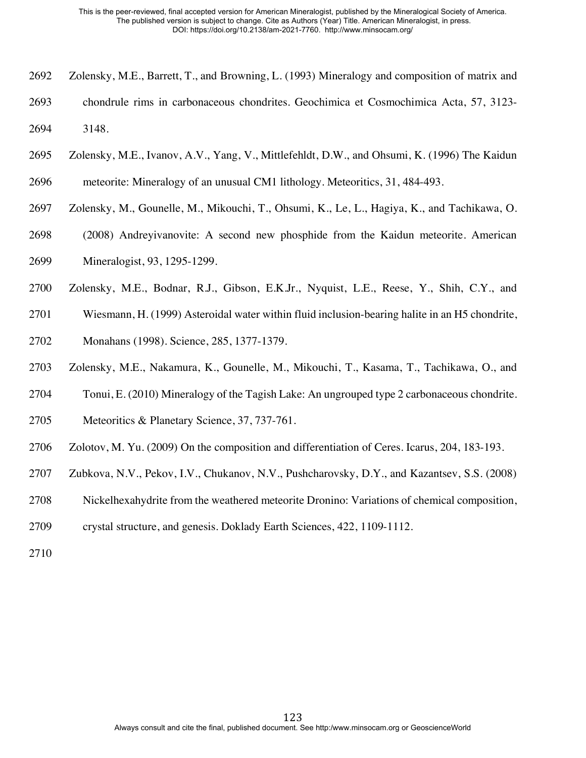- Zolensky, M.E., Barrett, T., and Browning, L. (1993) Mineralogy and composition of matrix and
- chondrule rims in carbonaceous chondrites. Geochimica et Cosmochimica Acta, 57, 3123- 3148.
- Zolensky, M.E., Ivanov, A.V., Yang, V., Mittlefehldt, D.W., and Ohsumi, K. (1996) The Kaidun
- meteorite: Mineralogy of an unusual CM1 lithology. Meteoritics, 31, 484-493.
- Zolensky, M., Gounelle, M., Mikouchi, T., Ohsumi, K., Le, L., Hagiya, K., and Tachikawa, O.
- (2008) Andreyivanovite: A second new phosphide from the Kaidun meteorite. American Mineralogist, 93, 1295-1299.
- Zolensky, M.E., Bodnar, R.J., Gibson, E.K.Jr., Nyquist, L.E., Reese, Y., Shih, C.Y., and
- Wiesmann, H. (1999) Asteroidal water within fluid inclusion-bearing halite in an H5 chondrite,
- Monahans (1998). Science, 285, 1377-1379.
- Zolensky, M.E., Nakamura, K., Gounelle, M., Mikouchi, T., Kasama, T., Tachikawa, O., and
- Tonui, E. (2010) Mineralogy of the Tagish Lake: An ungrouped type 2 carbonaceous chondrite.
- Meteoritics & Planetary Science, 37, 737-761.
- Zolotov, M. Yu. (2009) On the composition and differentiation of Ceres. Icarus, 204, 183-193.
- Zubkova, N.V., Pekov, I.V., Chukanov, N.V., Pushcharovsky, D.Y., and Kazantsev, S.S. (2008)
- Nickelhexahydrite from the weathered meteorite Dronino: Variations of chemical composition,
- crystal structure, and genesis. Doklady Earth Sciences, 422, 1109-1112.
-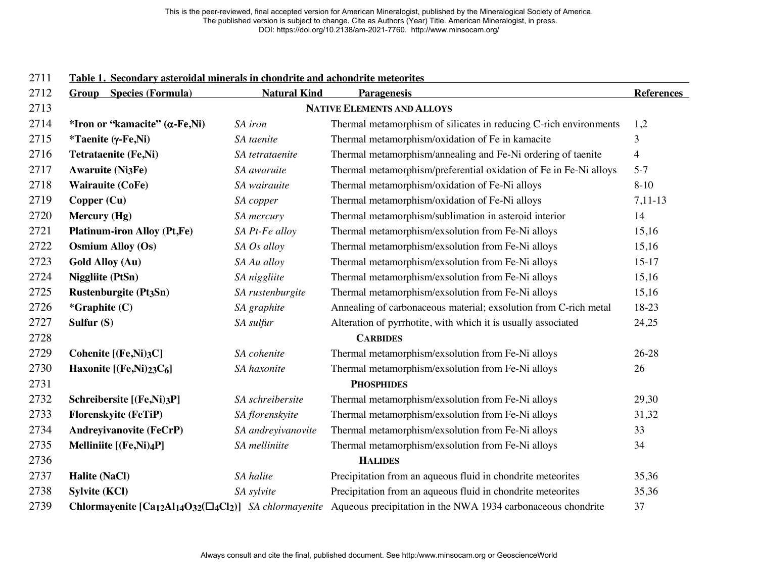| <i>LI</i> 11 | <u>l'able 1. Secondary asteroidal minerals in chondrite and achondrite meteorites</u> |                     |                                                                                                                                         |                   |
|--------------|---------------------------------------------------------------------------------------|---------------------|-----------------------------------------------------------------------------------------------------------------------------------------|-------------------|
| 2712         | <b>Group</b> Species (Formula)                                                        | <b>Natural Kind</b> | <b>Paragenesis</b>                                                                                                                      | <b>References</b> |
| 2713         |                                                                                       |                     | <b>NATIVE ELEMENTS AND ALLOYS</b>                                                                                                       |                   |
| 2714         | *Iron or "kamacite" (α-Fe,Ni)                                                         | SA iron             | Thermal metamorphism of silicates in reducing C-rich environments                                                                       | 1,2               |
| 2715         | <i>*</i> Taenite (γ-Fe,Ni)                                                            | SA taenite          | Thermal metamorphism/oxidation of Fe in kamacite                                                                                        | 3                 |
| 2716         | <b>Tetrataenite (Fe,Ni)</b>                                                           | SA tetrataenite     | Thermal metamorphism/annealing and Fe-Ni ordering of taenite                                                                            | $\overline{4}$    |
| 2717         | <b>Awaruite (Ni3Fe)</b>                                                               | SA awaruite         | Thermal metamorphism/preferential oxidation of Fe in Fe-Ni alloys                                                                       | $5 - 7$           |
| 2718         | <b>Wairauite (CoFe)</b>                                                               | SA wairauite        | Thermal metamorphism/oxidation of Fe-Ni alloys                                                                                          | $8 - 10$          |
| 2719         | Copper (Cu)                                                                           | SA copper           | Thermal metamorphism/oxidation of Fe-Ni alloys                                                                                          | $7,11-13$         |
| 2720         | Mercury (Hg)                                                                          | SA mercury          | Thermal metamorphism/sublimation in asteroid interior                                                                                   | 14                |
| 2721         | <b>Platinum-iron Alloy (Pt,Fe)</b>                                                    | SA Pt-Fe alloy      | Thermal metamorphism/exsolution from Fe-Ni alloys                                                                                       | 15,16             |
| 2722         | <b>Osmium Alloy (Os)</b>                                                              | SA Os alloy         | Thermal metamorphism/exsolution from Fe-Ni alloys                                                                                       | 15,16             |
| 2723         | <b>Gold Alloy (Au)</b>                                                                | SA Au alloy         | Thermal metamorphism/exsolution from Fe-Ni alloys                                                                                       | $15-17$           |
| 2724         | <b>Niggliite (PtSn)</b>                                                               | SA niggliite        | Thermal metamorphism/exsolution from Fe-Ni alloys                                                                                       | 15,16             |
| 2725         | <b>Rustenburgite (Pt3Sn)</b>                                                          | SA rustenburgite    | Thermal metamorphism/exsolution from Fe-Ni alloys                                                                                       | 15,16             |
| 2726         | *Graphite (C)                                                                         | SA graphite         | Annealing of carbonaceous material; exsolution from C-rich metal                                                                        | 18-23             |
| 2727         | Sulfur $(S)$                                                                          | SA sulfur           | Alteration of pyrrhotite, with which it is usually associated                                                                           | 24,25             |
| 2728         |                                                                                       |                     | <b>CARBIDES</b>                                                                                                                         |                   |
| 2729         | Cohenite [(Fe,Ni)3C]                                                                  | SA cohenite         | Thermal metamorphism/exsolution from Fe-Ni alloys                                                                                       | 26-28             |
| 2730         | Haxonite [(Fe,Ni)23C6]                                                                | SA haxonite         | Thermal metamorphism/exsolution from Fe-Ni alloys                                                                                       | 26                |
| 2731         |                                                                                       |                     | <b>PHOSPHIDES</b>                                                                                                                       |                   |
| 2732         | Schreibersite [(Fe,Ni)3P]                                                             | SA schreibersite    | Thermal metamorphism/exsolution from Fe-Ni alloys                                                                                       | 29,30             |
| 2733         | Florenskyite (FeTiP)                                                                  | SA florenskyite     | Thermal metamorphism/exsolution from Fe-Ni alloys                                                                                       | 31,32             |
| 2734         | <b>Andreyivanovite (FeCrP)</b>                                                        | SA andreyivanovite  | Thermal metamorphism/exsolution from Fe-Ni alloys                                                                                       | 33                |
| 2735         | Melliniite [(Fe,Ni)4P]                                                                | SA melliniite       | Thermal metamorphism/exsolution from Fe-Ni alloys                                                                                       | 34                |
| 2736         |                                                                                       |                     | <b>HALIDES</b>                                                                                                                          |                   |
| 2737         | <b>Halite (NaCl)</b>                                                                  | SA halite           | Precipitation from an aqueous fluid in chondrite meteorites                                                                             | 35,36             |
| 2738         | <b>Sylvite (KCl)</b>                                                                  | SA sylvite          | Precipitation from an aqueous fluid in chondrite meteorites                                                                             | 35,36             |
| 2739         |                                                                                       |                     | <b>Chlormayenite [Ca12Al14O32(<math>\Box</math>4Cl2)]</b> SA chlormayenite Aqueous precipitation in the NWA 1934 carbonaceous chondrite | 37                |

## **Table 1. Secondary asteroidal minerals in chondrite and achondrite meteorites**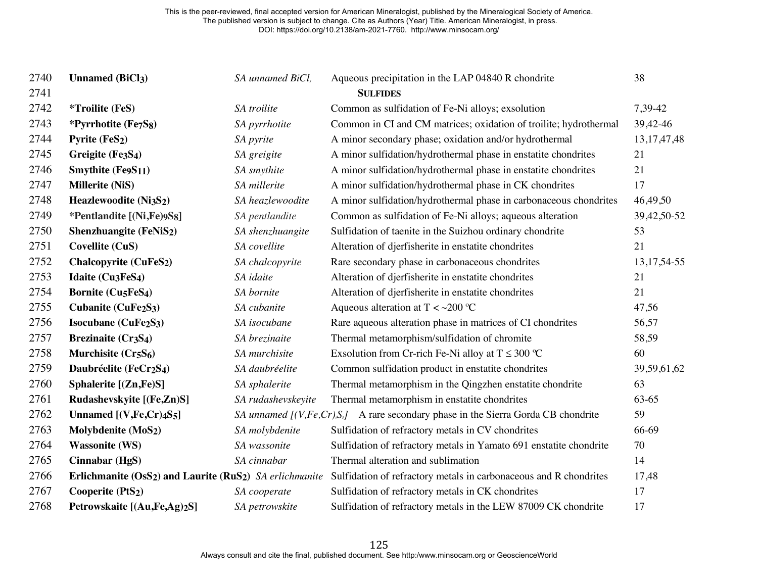| 2740 | <b>Unnamed (BiCl3)</b>                                                           | SA unnamed BiCl,   | Aqueous precipitation in the LAP 04840 R chondrite                                    | 38              |
|------|----------------------------------------------------------------------------------|--------------------|---------------------------------------------------------------------------------------|-----------------|
| 2741 |                                                                                  |                    | <b>SULFIDES</b>                                                                       |                 |
| 2742 | <i>*Troilite</i> (FeS)                                                           | SA troilite        | Common as sulfidation of Fe-Ni alloys; exsolution                                     | 7,39-42         |
| 2743 | *Pyrrhotite (Fe7S8)                                                              | SA pyrrhotite      | Common in CI and CM matrices; oxidation of troilite; hydrothermal                     | 39,42-46        |
| 2744 | Pyrite (FeS2)                                                                    | SA pyrite          | A minor secondary phase; oxidation and/or hydrothermal                                | 13, 17, 47, 48  |
| 2745 | Greigite (Fe3S4)                                                                 | SA greigite        | A minor sulfidation/hydrothermal phase in enstatite chondrites                        | 21              |
| 2746 | Smythite $(Fe9S11)$                                                              | SA smythite        | A minor sulfidation/hydrothermal phase in enstatite chondrites                        | 21              |
| 2747 | <b>Millerite (NiS)</b>                                                           | SA millerite       | A minor sulfidation/hydrothermal phase in CK chondrites                               | 17              |
| 2748 | Heazlewoodite (Ni3S2)                                                            | SA heazlewoodite   | A minor sulfidation/hydrothermal phase in carbonaceous chondrites                     | 46,49,50        |
| 2749 | *Pentlandite [(Ni,Fe)9S8]                                                        | SA pentlandite     | Common as sulfidation of Fe-Ni alloys; aqueous alteration                             | 39,42,50-52     |
| 2750 | Shenzhuangite (FeNiS2)                                                           | SA shenzhuangite   | Sulfidation of taenite in the Suizhou ordinary chondrite                              | 53              |
| 2751 | <b>Covellite (CuS)</b>                                                           | SA covellite       | Alteration of djerfisherite in enstatite chondrites                                   | 21              |
| 2752 | <b>Chalcopyrite (CuFeS2)</b>                                                     | SA chalcopyrite    | Rare secondary phase in carbonaceous chondrites                                       | 13, 17, 54 - 55 |
| 2753 | Idaite (Cu3FeS4)                                                                 | SA idaite          | Alteration of djerfisherite in enstatite chondrites                                   | 21              |
| 2754 | <b>Bornite (Cu5FeS4)</b>                                                         | SA bornite         | Alteration of djerfisherite in enstatite chondrites                                   | 21              |
| 2755 | Cubanite (CuFe <sub>2</sub> S <sub>3</sub> )                                     | SA cubanite        | Aqueous alteration at T < ~ 200 °C                                                    | 47,56           |
| 2756 | Isocubane (CuFe <sub>2</sub> S <sub>3</sub> )                                    | SA isocubane       | Rare aqueous alteration phase in matrices of CI chondrites                            | 56,57           |
| 2757 | <b>Brezinaite (Cr3S4)</b>                                                        | SA brezinaite      | Thermal metamorphism/sulfidation of chromite                                          | 58,59           |
| 2758 | Murchisite (Cr5S6)                                                               | SA murchisite      | Exsolution from Cr-rich Fe-Ni alloy at $T \leq 300$ °C                                | 60              |
| 2759 | Daubréelite (FeCr <sub>2</sub> S <sub>4</sub> )                                  | SA daubréelite     | Common sulfidation product in enstatite chondrites                                    | 39,59,61,62     |
| 2760 | Sphalerite [(Zn,Fe)S]                                                            | SA sphalerite      | Thermal metamorphism in the Qingzhen enstatite chondrite                              | 63              |
| 2761 | Rudashevskyite [(Fe,Zn)S]                                                        | SA rudashevskeyite | Thermal metamorphism in enstatite chondrites                                          | 63-65           |
| 2762 | Unnamed $[(V,Fe,Cr)4S5]$                                                         |                    | SA unnamed $[(V, Fe, Cr), S]$ A rare secondary phase in the Sierra Gorda CB chondrite | 59              |
| 2763 | Molybdenite (MoS <sub>2</sub> )                                                  | SA molybdenite     | Sulfidation of refractory metals in CV chondrites                                     | 66-69           |
| 2764 | <b>Wassonite (WS)</b>                                                            | SA wassonite       | Sulfidation of refractory metals in Yamato 691 enstatite chondrite                    | 70              |
| 2765 | Cinnabar (HgS)                                                                   | SA cinnabar        | Thermal alteration and sublimation                                                    | 14              |
| 2766 | Erlichmanite (OsS <sub>2</sub> ) and Laurite (RuS <sub>2</sub> ) SA erlichmanite |                    | Sulfidation of refractory metals in carbonaceous and R chondrites                     | 17,48           |
| 2767 | Cooperite (PtS <sub>2</sub> )                                                    | SA cooperate       | Sulfidation of refractory metals in CK chondrites                                     | 17              |
| 2768 | Petrowskaite [(Au,Fe,Ag)2S]                                                      | SA petrowskite     | Sulfidation of refractory metals in the LEW 87009 CK chondrite                        | 17              |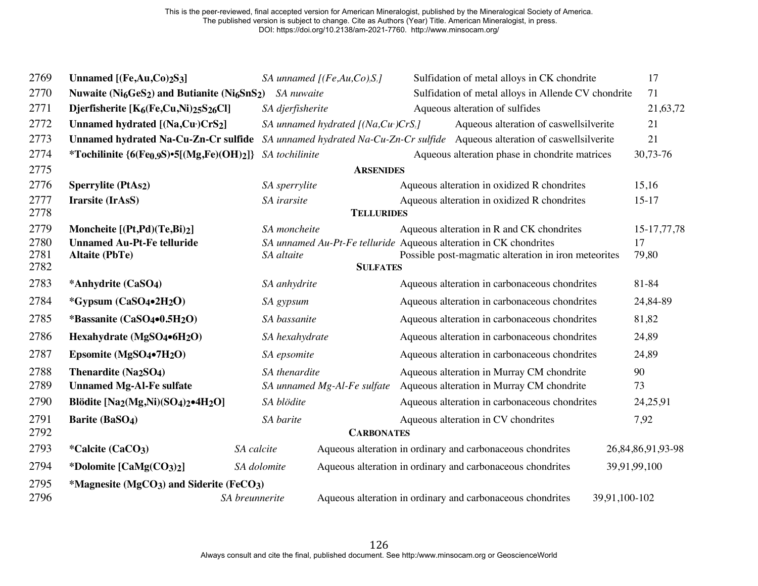| 2769         | Unnamed $[(Fe, Au, Co)_2S_3]$                                                                 |                  | SA unnamed $[(Fe, Au, Co), S_s]$       | Sulfidation of metal alloys in CK chondrite                                    |               | 17                |
|--------------|-----------------------------------------------------------------------------------------------|------------------|----------------------------------------|--------------------------------------------------------------------------------|---------------|-------------------|
| 2770         | Nuwaite (Ni <sub>6</sub> GeS <sub>2</sub> ) and Butianite (Ni <sub>6</sub> SnS <sub>2</sub> ) | SA nuwaite       |                                        | Sulfidation of metal alloys in Allende CV chondrite                            |               | 71                |
| 2771         | Djerfisherite [K <sub>6</sub> (Fe,Cu,Ni)25S26Cl]                                              | SA djerfisherite |                                        | Aqueous alteration of sulfides                                                 |               | 21,63,72          |
| 2772         | Unnamed hydrated [(Na,Cu+)CrS2]                                                               |                  | SA unnamed hydrated $[(Na,Cu^*)CrS_2]$ | Aqueous alteration of caswellsilverite                                         |               | 21                |
| 2773         | <b>Unnamed hydrated Na-Cu-Zn-Cr sulfide</b>                                                   |                  |                                        | SA unnamed hydrated Na-Cu-Zn-Cr sulfide Aqueous alteration of caswellsilverite |               | 21                |
| 2774         | *Tochilinite ${6(Fe_0.9S) \cdot 5[(Mg,Fe)(OH)_2]}$                                            | SA tochilinite   |                                        | Aqueous alteration phase in chondrite matrices                                 |               | 30,73-76          |
| 2775         |                                                                                               |                  | <b>ARSENIDES</b>                       |                                                                                |               |                   |
| 2776         | <b>Sperrylite (PtAs2)</b>                                                                     | SA sperrylite    |                                        | Aqueous alteration in oxidized R chondrites                                    |               | 15,16             |
| 2777         | Irarsite (IrAsS)                                                                              | SA irarsite      |                                        | Aqueous alteration in oxidized R chondrites                                    |               | $15-17$           |
| 2778         |                                                                                               |                  | <b>TELLURIDES</b>                      |                                                                                |               |                   |
| 2779         | Moncheite [(Pt,Pd)(Te,Bi)2]                                                                   | SA moncheite     |                                        | Aqueous alteration in R and CK chondrites                                      |               | 15-17,77,78       |
| 2780         | <b>Unnamed Au-Pt-Fe telluride</b>                                                             |                  |                                        | SA unnamed Au-Pt-Fe telluride Aqueous alteration in CK chondrites              |               | 17                |
| 2781<br>2782 | <b>Altaite (PbTe)</b>                                                                         | SA altaite       | <b>SULFATES</b>                        | Possible post-magmatic alteration in iron meteorites                           |               | 79,80             |
| 2783         | *Anhydrite (CaSO <sub>4</sub> )                                                               | SA anhydrite     |                                        | Aqueous alteration in carbonaceous chondrites                                  |               | 81-84             |
| 2784         | *Gypsum $(CaSO_4\bullet 2H_2O)$                                                               | SA gypsum        |                                        | Aqueous alteration in carbonaceous chondrites                                  |               | 24,84-89          |
| 2785         | *Bassanite (CaSO4.0.5H <sub>2</sub> O)                                                        | SA bassanite     |                                        | Aqueous alteration in carbonaceous chondrites                                  |               | 81,82             |
| 2786         | Hexahydrate (MgSO4•6H2O)                                                                      | SA hexahydrate   |                                        | Aqueous alteration in carbonaceous chondrites                                  |               | 24,89             |
| 2787         | Epsomite (MgSO4•7H <sub>2</sub> O)                                                            | SA epsomite      |                                        | Aqueous alteration in carbonaceous chondrites                                  |               | 24,89             |
| 2788         | Thenardite (Na <sub>2</sub> SO <sub>4</sub> )                                                 | SA thenardite    |                                        | Aqueous alteration in Murray CM chondrite                                      |               | 90                |
| 2789         | <b>Unnamed Mg-Al-Fe sulfate</b>                                                               |                  | SA unnamed Mg-Al-Fe sulfate            | Aqueous alteration in Murray CM chondrite                                      |               | 73                |
| 2790         | Blödite [Na2(Mg,Ni)(SO4)2•4H2O]                                                               | SA blödite       |                                        | Aqueous alteration in carbonaceous chondrites                                  |               | 24,25,91          |
| 2791         | <b>Barite (BaSO4)</b>                                                                         | SA barite        |                                        | Aqueous alteration in CV chondrites                                            |               | 7,92              |
| 2792         |                                                                                               |                  | <b>CARBONATES</b>                      |                                                                                |               |                   |
| 2793         | *Calcite (CaCO <sub>3</sub> )                                                                 | SA calcite       |                                        | Aqueous alteration in ordinary and carbonaceous chondrites                     |               | 26,84,86,91,93-98 |
| 2794         | *Dolomite [CaMg(CO3)2]                                                                        | SA dolomite      |                                        | Aqueous alteration in ordinary and carbonaceous chondrites                     | 39,91,99,100  |                   |
| 2795<br>2796 | *Magnesite (MgCO3) and Siderite (FeCO3)                                                       | SA breunnerite   |                                        | Aqueous alteration in ordinary and carbonaceous chondrites                     | 39,91,100-102 |                   |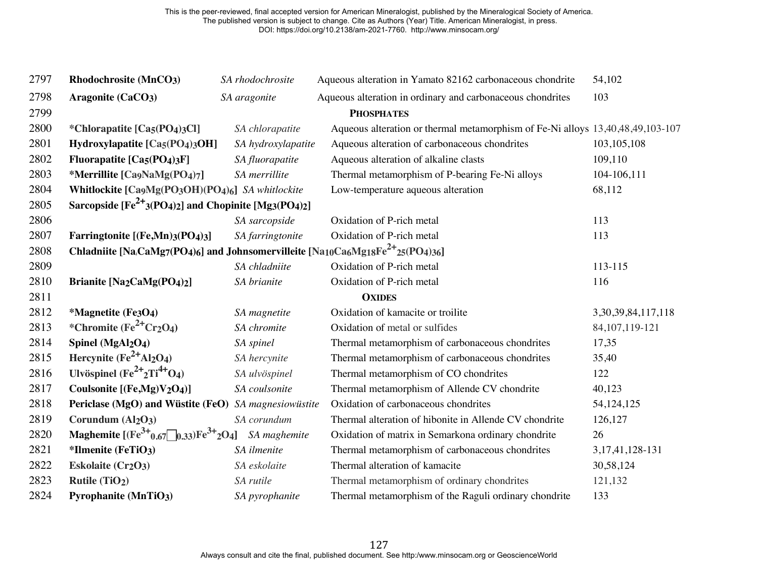| 2797 | Rhodochrosite (MnCO3)                                                                     | SA rhodochrosite   | Aqueous alteration in Yamato 82162 carbonaceous chondrite                      | 54,102                  |
|------|-------------------------------------------------------------------------------------------|--------------------|--------------------------------------------------------------------------------|-------------------------|
| 2798 | Aragonite (CaCO3)                                                                         | SA aragonite       | Aqueous alteration in ordinary and carbonaceous chondrites                     | 103                     |
| 2799 |                                                                                           |                    | <b>PHOSPHATES</b>                                                              |                         |
| 2800 | *Chlorapatite [Ca5(PO4)3Cl]                                                               | SA chlorapatite    | Aqueous alteration or thermal metamorphism of Fe-Ni alloys 13,40,48,49,103-107 |                         |
| 2801 | Hydroxylapatite [Ca5(PO4)3OH]                                                             | SA hydroxylapatite | Aqueous alteration of carbonaceous chondrites                                  | 103, 105, 108           |
| 2802 | Fluorapatite [Ca5(PO4)3F]                                                                 | SA fluorapatite    | Aqueous alteration of alkaline clasts                                          | 109,110                 |
| 2803 | *Merrillite [Ca9NaMg(PO4)7]                                                               | SA merrillite      | Thermal metamorphism of P-bearing Fe-Ni alloys                                 | 104-106,111             |
| 2804 | Whitlockite [Ca9Mg(PO3OH)(PO4)6] SA whitlockite                                           |                    | Low-temperature aqueous alteration                                             | 68,112                  |
| 2805 | Sarcopside $[Fe^{2+}(PO_4)_2]$ and Chopinite $[Mg_3(PO_4)_2]$                             |                    |                                                                                |                         |
| 2806 |                                                                                           | SA sarcopside      | Oxidation of P-rich metal                                                      | 113                     |
| 2807 | Farringtonite [(Fe,Mn)3(PO4)3]                                                            | SA farringtonite   | Oxidation of P-rich metal                                                      | 113                     |
| 2808 | Chladniite [Na,CaMg7(PO4)6] and Johnsomervilleite [Na10Ca6Mg18Fe <sup>2+</sup> 25(PO4)36] |                    |                                                                                |                         |
| 2809 |                                                                                           | SA chladniite      | Oxidation of P-rich metal                                                      | 113-115                 |
| 2810 | <b>Brianite [Na2CaMg(PO4)2]</b>                                                           | SA brianite        | Oxidation of P-rich metal                                                      | 116                     |
| 2811 |                                                                                           |                    | <b>OXIDES</b>                                                                  |                         |
| 2812 | *Magnetite (Fe3O4)                                                                        | SA magnetite       | Oxidation of kamacite or troilite                                              | 3, 30, 39, 84, 117, 118 |
| 2813 | *Chromite $(Fe^{2+}Cr2O4)$                                                                | SA chromite        | Oxidation of metal or sulfides                                                 | 84, 107, 119-121        |
| 2814 | Spinel (MgAl <sub>2</sub> O <sub>4</sub> )                                                | SA spinel          | Thermal metamorphism of carbonaceous chondrites                                | 17,35                   |
| 2815 | Hercynite $(Fe^{2+}Al_2O_4)$                                                              | SA hercynite       | Thermal metamorphism of carbonaceous chondrites                                | 35,40                   |
| 2816 | Ulvöspinel $(Fe^{2+}2Ti^{4+}O_4)$                                                         | SA ulvöspinel      | Thermal metamorphism of CO chondrites                                          | 122                     |
| 2817 | Coulsonite [(Fe,Mg)V2O4)]                                                                 | SA coulsonite      | Thermal metamorphism of Allende CV chondrite                                   | 40,123                  |
| 2818 | Periclase (MgO) and Wüstite (FeO)                                                         | SA magnesiowüstite | Oxidation of carbonaceous chondrites                                           | 54, 124, 125            |
| 2819 | Corundum (Al <sub>2</sub> O <sub>3</sub> )                                                | SA corundum        | Thermal alteration of hibonite in Allende CV chondrite                         | 126,127                 |
| 2820 | Maghemite $[(Fe^{3+}_{0.67}\text{)}0.33)Fe^{3+}_{2}O_4]$                                  | SA maghemite       | Oxidation of matrix in Semarkona ordinary chondrite                            | 26                      |
| 2821 | *Ilmenite (FeTiO3)                                                                        | SA ilmenite        | Thermal metamorphism of carbonaceous chondrites                                | 3, 17, 41, 128 - 131    |
| 2822 | Eskolaite (Cr <sub>2</sub> O <sub>3</sub> )                                               | SA eskolaite       | Thermal alteration of kamacite                                                 | 30,58,124               |
| 2823 | Rutile (TiO <sub>2</sub> )                                                                | SA rutile          | Thermal metamorphism of ordinary chondrites                                    | 121,132                 |
| 2824 | <b>Pyrophanite (MnTiO3)</b>                                                               | SA pyrophanite     | Thermal metamorphism of the Raguli ordinary chondrite                          | 133                     |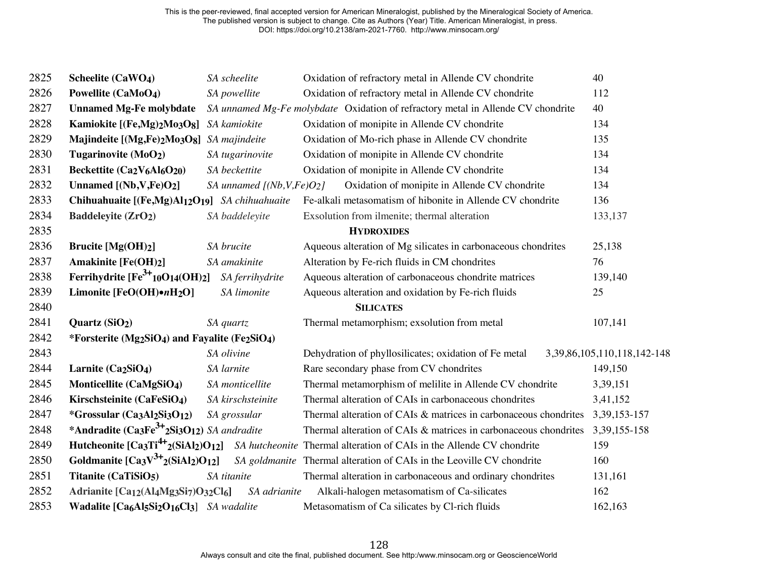| 2825 | Scheelite (CaWO <sub>4</sub> )                                                                                  | SA scheelite                 | Oxidation of refractory metal in Allende CV chondrite                            | 40                                |
|------|-----------------------------------------------------------------------------------------------------------------|------------------------------|----------------------------------------------------------------------------------|-----------------------------------|
| 2826 | Powellite (CaMoO4)                                                                                              | SA powellite                 | Oxidation of refractory metal in Allende CV chondrite                            | 112                               |
| 2827 | <b>Unnamed Mg-Fe molybdate</b>                                                                                  |                              | SA unnamed Mg-Fe molybdate Oxidation of refractory metal in Allende CV chondrite | 40                                |
| 2828 | Kamiokite [(Fe,Mg)2Mo3O8]                                                                                       | SA kamiokite                 | Oxidation of monipite in Allende CV chondrite                                    | 134                               |
| 2829 | Majindeite [(Mg,Fe)2Mo3O8]                                                                                      | SA majindeite                | Oxidation of Mo-rich phase in Allende CV chondrite                               | 135                               |
| 2830 | Tugarinovite (MoO2)                                                                                             | SA tugarinovite              | Oxidation of monipite in Allende CV chondrite                                    | 134                               |
| 2831 | Beckettite (Ca2V <sub>6</sub> Al <sub>6</sub> O <sub>20</sub> )                                                 | SA beckettite                | Oxidation of monipite in Allende CV chondrite                                    | 134                               |
| 2832 | Unnamed $[(Nb, V, Fe)O2]$                                                                                       | SA unnamed $[(Nb, V, Fe)O2]$ | Oxidation of monipite in Allende CV chondrite                                    | 134                               |
| 2833 | Chihuahuaite [(Fe,Mg)Al12O19] SA chihuahuaite                                                                   |                              | Fe-alkali metasomatism of hibonite in Allende CV chondrite                       | 136                               |
| 2834 | <b>Baddeleyite (ZrO2)</b>                                                                                       | SA baddeleyite               | Exsolution from ilmenite; thermal alteration                                     | 133,137                           |
| 2835 |                                                                                                                 |                              | <b>HYDROXIDES</b>                                                                |                                   |
| 2836 | Brucite $[Mg(OH)_2]$                                                                                            | SA brucite                   | Aqueous alteration of Mg silicates in carbonaceous chondrites                    | 25,138                            |
| 2837 | <b>Amakinite [Fe(OH)2]</b>                                                                                      | SA amakinite                 | Alteration by Fe-rich fluids in CM chondrites                                    | 76                                |
| 2838 | Ferrihydrite $[Fe^{3+}10O14(OH)_2]$                                                                             | SA ferrihydrite              | Aqueous alteration of carbonaceous chondrite matrices                            | 139,140                           |
| 2839 | Limonite [FeO(OH)·nH2O]                                                                                         | SA limonite                  | Aqueous alteration and oxidation by Fe-rich fluids                               | 25                                |
| 2840 |                                                                                                                 |                              | <b>SILICATES</b>                                                                 |                                   |
| 2841 | Quartz (SiO2)                                                                                                   | SA quartz                    | Thermal metamorphism; exsolution from metal                                      | 107,141                           |
| 2842 | *Forsterite (Mg2SiO4) and Fayalite (Fe2SiO4)                                                                    |                              |                                                                                  |                                   |
| 2843 |                                                                                                                 | SA olivine                   | Dehydration of phyllosilicates; oxidation of Fe metal                            | 3, 39, 86, 105, 110, 118, 142-148 |
| 2844 | Larnite (Ca2SiO <sub>4</sub> )                                                                                  | SA larnite                   | Rare secondary phase from CV chondrites                                          | 149,150                           |
| 2845 | Monticellite (CaMgSiO <sub>4</sub> )                                                                            | SA monticellite              | Thermal metamorphism of melilite in Allende CV chondrite                         | 3,39,151                          |
| 2846 | Kirschsteinite (CaFeSiO <sub>4</sub> )                                                                          | SA kirschsteinite            | Thermal alteration of CAIs in carbonaceous chondrites                            | 3,41,152                          |
| 2847 | *Grossular (Ca3Al2Si3O12)                                                                                       | SA grossular                 | Thermal alteration of CAIs & matrices in carbonaceous chondrites                 | 3, 39, 153 - 157                  |
| 2848 | *Andradite (Ca3Fe <sup>3+</sup> 2Si3O12) SA andradite                                                           |                              | Thermal alteration of CAIs & matrices in carbonaceous chondrites                 | 3, 39, 155 - 158                  |
| 2849 | Hutcheonite $[Ca_3Ti^{4+}2(SiAl_2)O_{12}]$                                                                      |                              | SA hutcheonite Thermal alteration of CAIs in the Allende CV chondrite            | 159                               |
| 2850 | Goldmanite $[Ca3V3+2(SiAl2)O12]$                                                                                |                              | SA goldmanite Thermal alteration of CAIs in the Leoville CV chondrite            | 160                               |
| 2851 | Titanite (CaTiSiO <sub>5</sub> )                                                                                | SA titanite                  | Thermal alteration in carbonaceous and ordinary chondrites                       | 131,161                           |
| 2852 | Adrianite [Ca <sub>12</sub> (Al <sub>4</sub> Mg <sub>3</sub> Si <sub>7</sub> )O <sub>32</sub> Cl <sub>6</sub> ] | SA adrianite                 | Alkali-halogen metasomatism of Ca-silicates                                      | 162                               |
| 2853 | Wadalite [Ca6Al5Si2O16Cl3] SA wadalite                                                                          |                              | Metasomatism of Ca silicates by Cl-rich fluids                                   | 162,163                           |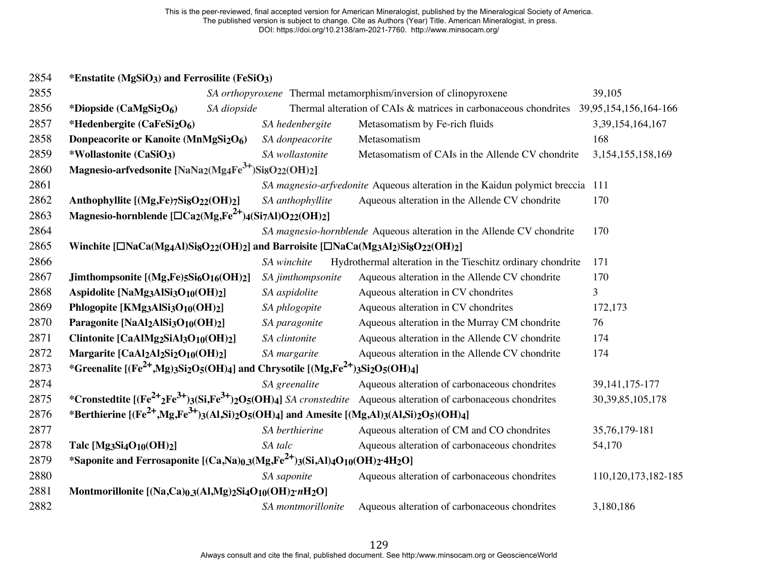## **\*Enstatite (MgSiO3) and Ferrosilite (FeSiO3)**

| 2855 |                                                                                                                                                                    |                    | SA orthopyroxene Thermal metamorphism/inversion of clinopyroxene                                                              | 39,105                 |
|------|--------------------------------------------------------------------------------------------------------------------------------------------------------------------|--------------------|-------------------------------------------------------------------------------------------------------------------------------|------------------------|
| 2856 | SA diopside<br>*Diopside (CaMgSi <sub>2</sub> O <sub>6</sub> )                                                                                                     |                    | Thermal alteration of CAIs & matrices in carbonaceous chondrites 39,95,154,156,164-166                                        |                        |
| 2857 | *Hedenbergite (CaFeSi <sub>2</sub> O <sub>6</sub> )                                                                                                                | SA hedenbergite    | Metasomatism by Fe-rich fluids                                                                                                | 3,39,154,164,167       |
| 2858 | Donpeacorite or Kanoite (MnMgSi2O6)                                                                                                                                | SA donpeacorite    | Metasomatism                                                                                                                  | 168                    |
| 2859 | *Wollastonite (CaSiO3)                                                                                                                                             | SA wollastonite    | Metasomatism of CAIs in the Allende CV chondrite                                                                              | 3, 154, 155, 158, 169  |
| 2860 | Magnesio-arfvedsonite [NaNa2(Mg4Fe <sup>3+</sup> )Si8O22(OH)2]                                                                                                     |                    |                                                                                                                               |                        |
| 2861 |                                                                                                                                                                    |                    | SA magnesio-arfvedonite Aqueous alteration in the Kaidun polymict breccia                                                     | 111                    |
| 2862 | Anthophyllite [(Mg,Fe)7SigO22(OH)2]                                                                                                                                | SA anthophyllite   | Aqueous alteration in the Allende CV chondrite                                                                                | 170                    |
| 2863 | Magnesio-hornblende $[\Box \text{Ca}_2(\text{Mg},\text{Fe}^{2+})_4(\text{Si}_7\text{Al})\text{O}_{22}(\text{OH})_2]$                                               |                    |                                                                                                                               |                        |
| 2864 |                                                                                                                                                                    |                    | SA magnesio-hornblende Aqueous alteration in the Allende CV chondrite                                                         | 170                    |
| 2865 | Winchite [□NaCa(Mg4Al)SigO22(OH)2] and Barroisite [□NaCa(Mg3Al2)SigO22(OH)2]                                                                                       |                    |                                                                                                                               |                        |
| 2866 |                                                                                                                                                                    | SA winchite        | Hydrothermal alteration in the Tieschitz ordinary chondrite                                                                   | 171                    |
| 2867 | Jimthompsonite $[(Mg,Fe)5Si_6O_{16}(OH)_2]$                                                                                                                        | SA jimthompsonite  | Aqueous alteration in the Allende CV chondrite                                                                                | 170                    |
| 2868 | Aspidolite [NaMg3AlSi3O <sub>10</sub> (OH)2]                                                                                                                       | SA aspidolite      | Aqueous alteration in CV chondrites                                                                                           | 3                      |
| 2869 | Phlogopite [KMg3AlSi3O10(OH)2]                                                                                                                                     | SA phlogopite      | Aqueous alteration in CV chondrites                                                                                           | 172,173                |
| 2870 | Paragonite [NaAl2AlSi3O10(OH)2]                                                                                                                                    | SA paragonite      | Aqueous alteration in the Murray CM chondrite                                                                                 | 76                     |
| 2871 | Clintonite [CaAlMg2SiAl3O <sub>10</sub> (OH)2]                                                                                                                     | SA clintonite      | Aqueous alteration in the Allende CV chondrite                                                                                | 174                    |
| 2872 | Margarite [CaAl2Al2Si2O10(OH)2]                                                                                                                                    | SA margarite       | Aqueous alteration in the Allende CV chondrite                                                                                | 174                    |
| 2873 | *Greenalite [(Fe <sup>2+</sup> ,Mg)3Si2O5(OH)4] and Chrysotile [(Mg,Fe <sup>2+</sup> )3Si2O5(OH)4]                                                                 |                    |                                                                                                                               |                        |
| 2874 |                                                                                                                                                                    | SA greenalite      | Aqueous alteration of carbonaceous chondrites                                                                                 | 39, 141, 175-177       |
| 2875 |                                                                                                                                                                    |                    | *Cronstedtite $[(Fe^{2+}2Fe^{3+})3(Si,Fe^{3+})2O5(OH)4]$ <i>SA cronstedtite</i> Aqueous alteration of carbonaceous chondrites | 30, 39, 85, 105, 178   |
| 2876 | *Berthierine [(Fe <sup>2+</sup> ,Mg,Fe <sup>3+</sup> )3(Al,Si) <sub>2</sub> O <sub>5</sub> (OH)4] and Amesite [(Mg,Al)3(Al,Si) <sub>2</sub> O <sub>5</sub> )(OH)4] |                    |                                                                                                                               |                        |
| 2877 |                                                                                                                                                                    | SA berthierine     | Aqueous alteration of CM and CO chondrites                                                                                    | 35,76,179-181          |
| 2878 | Talc [Mg3Si4O10(OH)2]                                                                                                                                              | SA talc            | Aqueous alteration of carbonaceous chondrites                                                                                 | 54,170                 |
| 2879 | *Saponite and Ferrosaponite [(Ca,Na)0,3(Mg,Fe <sup>2+</sup> )3(Si,Al)4O <sub>10</sub> (OH)2·4H <sub>2</sub> O]                                                     |                    |                                                                                                                               |                        |
| 2880 |                                                                                                                                                                    | SA saponite        | Aqueous alteration of carbonaceous chondrites                                                                                 | 110, 120, 173, 182-185 |
| 2881 | Montmorillonite [(Na,Ca)0.3(Al,Mg)2Si4O10(OH)2·nH2O]                                                                                                               |                    |                                                                                                                               |                        |
| 2882 |                                                                                                                                                                    | SA montmorillonite | Aqueous alteration of carbonaceous chondrites                                                                                 | 3,180,186              |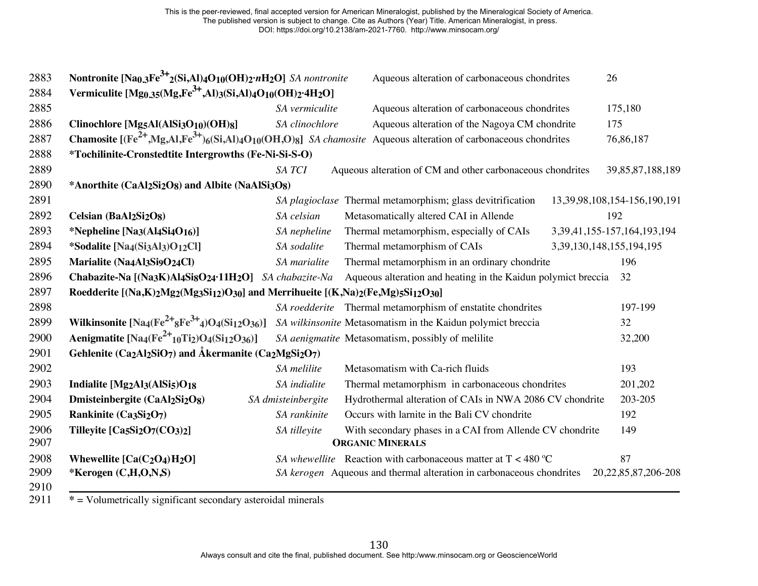| 2883         | Nontronite [Na <sub>0.3</sub> Fe <sup>3+</sup> 2(Si,Al) <sub>4</sub> O <sub>10</sub> (OH) <sub>2</sub> ·nH <sub>2</sub> O] SA nontronite                                    |                    | Aqueous alteration of carbonaceous chondrites                                                                                                                                                |                                | 26                                 |
|--------------|-----------------------------------------------------------------------------------------------------------------------------------------------------------------------------|--------------------|----------------------------------------------------------------------------------------------------------------------------------------------------------------------------------------------|--------------------------------|------------------------------------|
| 2884         | Vermiculite [Mg <sub>0.35</sub> (Mg <sub>3</sub> Fe <sup>3+</sup> ,Al) <sub>3</sub> (Si <sub>2</sub> Al) <sub>4</sub> O <sub>10</sub> (OH) <sub>2</sub> ·4H <sub>2</sub> O] |                    |                                                                                                                                                                                              |                                |                                    |
| 2885         |                                                                                                                                                                             | SA vermiculite     | Aqueous alteration of carbonaceous chondrites                                                                                                                                                |                                | 175,180                            |
| 2886         | Clinochlore [Mg5Al(AlSi3O10)(OH)8]                                                                                                                                          | SA clinochlore     | Aqueous alteration of the Nagoya CM chondrite                                                                                                                                                |                                | 175                                |
| 2887         |                                                                                                                                                                             |                    | <b>Chamosite</b> $[({\rm Fe}^{2+}, {\rm Mg}, {\rm Al}, {\rm Fe}^{3+})_6({\rm Si}, {\rm Al})_4O_{10}({\rm OH}, {\rm O})_8]$ <i>SA chamosite</i> Aqueous alteration of carbonaceous chondrites |                                | 76,86,187                          |
| 2888         | *Tochilinite-Cronstedtite Intergrowths (Fe-Ni-Si-S-O)                                                                                                                       |                    |                                                                                                                                                                                              |                                |                                    |
| 2889         |                                                                                                                                                                             | SA TCI             | Aqueous alteration of CM and other carbonaceous chondrites                                                                                                                                   |                                | 39, 85, 87, 188, 189               |
| 2890         | *Anorthite (CaAl2Si2O8) and Albite (NaAlSi3O8)                                                                                                                              |                    |                                                                                                                                                                                              |                                |                                    |
| 2891         |                                                                                                                                                                             |                    | SA plagioclase Thermal metamorphism; glass devitrification                                                                                                                                   |                                | 13, 39, 98, 108, 154-156, 190, 191 |
| 2892         | Celsian (BaAl2Si2O8)                                                                                                                                                        | SA celsian         | Metasomatically altered CAI in Allende                                                                                                                                                       |                                | 192                                |
| 2893         | *Nepheline [Na3(Al4Si4O16)]                                                                                                                                                 | SA nepheline       | Thermal metamorphism, especially of CAIs                                                                                                                                                     |                                | 3, 39, 41, 155-157, 164, 193, 194  |
| 2894         | *Sodalite [Na <sub>4</sub> (Si <sub>3</sub> Al <sub>3</sub> )O <sub>12</sub> Cl]                                                                                            | SA sodalite        | Thermal metamorphism of CAIs                                                                                                                                                                 | 3, 39, 130, 148, 155, 194, 195 |                                    |
| 2895         | Marialite (Na4Al3Si9O24Cl)                                                                                                                                                  | SA marialite       | Thermal metamorphism in an ordinary chondrite                                                                                                                                                |                                | 196                                |
| 2896         | Chabazite-Na [(Na3K)Al4Si8O24.11H2O] SA chabazite-Na                                                                                                                        |                    | Aqueous alteration and heating in the Kaidun polymict breccia                                                                                                                                |                                | 32                                 |
| 2897         | Roedderite [(Na,K)2Mg2(Mg3Si12)O30] and Merrihueite [(K,Na)2(Fe,Mg)5Si12O30]                                                                                                |                    |                                                                                                                                                                                              |                                |                                    |
| 2898         |                                                                                                                                                                             |                    | SA roedderite Thermal metamorphism of enstatite chondrites                                                                                                                                   |                                | 197-199                            |
| 2899         | Wilkinsonite $[Na_4(Fe^{2+}8Fe^{3+}4)O_4(Si_12O_36)]$                                                                                                                       |                    | SA wilkinsonite Metasomatism in the Kaidun polymict breccia                                                                                                                                  |                                | 32                                 |
| 2900         | Aenigmatite $[Na_4(Fe^{2+1}10Ti_2)O_4(Si_12O_36)]$                                                                                                                          |                    | SA aenigmatite Metasomatism, possibly of melilite                                                                                                                                            |                                | 32,200                             |
| 2901         | Gehlenite (Ca2Al2SiO7) and Åkermanite (Ca2MgSi2O7)                                                                                                                          |                    |                                                                                                                                                                                              |                                |                                    |
| 2902         |                                                                                                                                                                             | SA melilite        | Metasomatism with Ca-rich fluids                                                                                                                                                             |                                | 193                                |
| 2903         | Indialite [Mg2Al3(AlSi5)O18                                                                                                                                                 | SA indialite       | Thermal metamorphism in carbonaceous chondrites                                                                                                                                              |                                | 201,202                            |
| 2904         | Dmisteinbergite (CaAl2Si2O8)                                                                                                                                                | SA dmisteinbergite | Hydrothermal alteration of CAIs in NWA 2086 CV chondrite                                                                                                                                     |                                | 203-205                            |
| 2905         | Rankinite (Ca3Si2O7)                                                                                                                                                        | SA rankinite       | Occurs with larnite in the Bali CV chondrite                                                                                                                                                 |                                | 192                                |
| 2906<br>2907 | Tilleyite [Ca5Si2O7(CO3)2]                                                                                                                                                  | SA tilleyite       | With secondary phases in a CAI from Allende CV chondrite<br><b>ORGANIC MINERALS</b>                                                                                                          |                                | 149                                |
| 2908         | Whewellite $[Ca(C_2O_4)H_2O]$                                                                                                                                               |                    | SA whewellite Reaction with carbonaceous matter at $T < 480$ °C                                                                                                                              |                                | 87                                 |
| 2909<br>2910 | *Kerogen (C,H,O,N,S)                                                                                                                                                        |                    | SA kerogen Aqueous and thermal alteration in carbonaceous chondrites                                                                                                                         |                                | 20, 22, 85, 87, 206-208            |

**\*** = Volumetrically significant secondary asteroidal minerals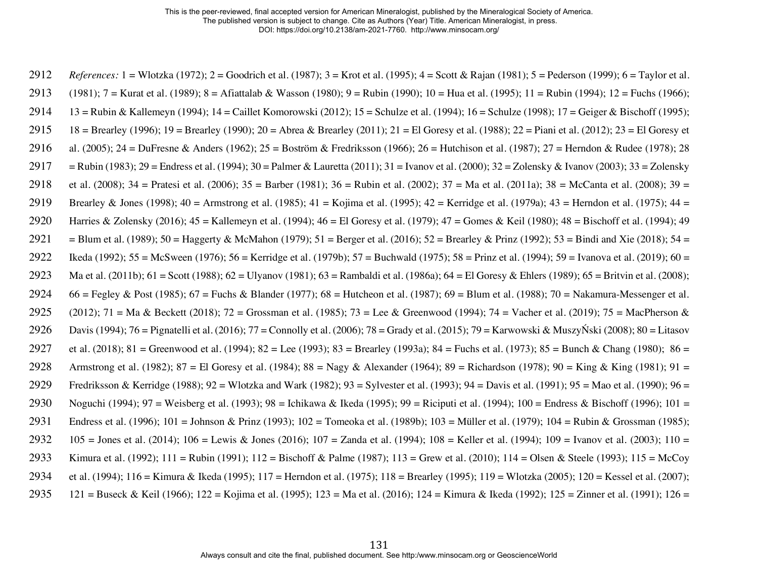2912 *References:* 1 = Wlotzka (1972); 2 = Goodrich et al. (1987); 3 = Krot et al. (1995); 4 = Scott & Rajan (1981); 5 = Pederson (1999); 6 = Taylor et al. 2913 (1981); 7 = Kurat et al. (1989); 8 = Afiattalab & Wasson (1980); 9 = Rubin (1990); 10 = Hua et al. (1995); 11 = Rubin (1994); 12 = Fuchs (1966); 2914 13 = Rubin & Kallemeyn (1994); 14 = Caillet Komorowski (2012); 15 = Schulze et al. (1994); 16 = Schulze (1998); 17 = Geiger & Bischoff (1995); 2915 18 = Brearley (1996); 19 = Brearley (1990); 20 = Abrea & Brearley (2011); 21 = El Goresy et al. (1988); 22 = Piani et al. (2012); 23 = El Goresy et 2916 al. (2005); 24 = DuFresne & Anders (1962); 25 = Boström & Fredriksson (1966); 26 = Hutchison et al. (1987); 27 = Herndon & Rudee (1978); 28 2917 = Rubin (1983); 29 = Endress et al. (1994); 30 = Palmer & Lauretta (2011); 31 = Ivanov et al. (2000); 32 = Zolensky & Ivanov (2003); 33 = Zolensky 2918 et al. (2008); 34 = Pratesi et al. (2006); 35 = Barber (1981); 36 = Rubin et al. (2002); 37 = Ma et al. (2011a); 38 = McCanta et al. (2008); 39 = 2919 Brearley & Jones (1998); 40 = Armstrong et al. (1985); 41 = Kojima et al. (1995); 42 = Kerridge et al. (1979a); 43 = Herndon et al. (1975); 44 = 2920 Harries & Zolensky (2016);  $45 =$ Kallemeyn et al. (1994);  $46 =$  El Goresy et al. (1979);  $47 =$ Gomes & Keil (1980);  $48 =$ Bischoff et al. (1994); 49 2921 = Blum et al. (1989); 50 = Haggerty & McMahon (1979); 51 = Berger et al. (2016); 52 = Brearley & Prinz (1992); 53 = Bindi and Xie (2018); 54 = 2922 Ikeda (1992); 55 = McSween (1976); 56 = Kerridge et al. (1979b); 57 = Buchwald (1975); 58 = Prinz et al. (1994); 59 = Ivanova et al. (2019); 60 = 2923 Ma et al. (2011b); 61 = Scott (1988); 62 = Ulyanov (1981); 63 = Rambaldi et al. (1986a); 64 = El Goresy & Ehlers (1989); 65 = Britvin et al. (2008); 2924 66 = Fegley & Post (1985); 67 = Fuchs & Blander (1977); 68 = Hutcheon et al. (1987); 69 = Blum et al. (1988); 70 = Nakamura-Messenger et al. 2925 (2012); 71 = Ma & Beckett (2018); 72 = Grossman et al. (1985); 73 = Lee & Greenwood (1994); 74 = Vacher et al. (2019); 75 = MacPherson & 2926 Davis (1994); 76 = Pignatelli et al. (2016); 77 = Connolly et al. (2006); 78 = Grady et al. (2015); 79 = Karwowski & MuszyŃski (2008); 80 = Litasov 2927 et al. (2018); 81 = Greenwood et al. (1994); 82 = Lee (1993); 83 = Brearley (1993a); 84 = Fuchs et al. (1973); 85 = Bunch & Chang (1980); 86 = 2928 Armstrong et al. (1982); 87 = El Goresy et al. (1984); 88 = Nagy & Alexander (1964); 89 = Richardson (1978); 90 = King & King (1981); 91 = 2929 Fredriksson & Kerridge (1988); 92 = Wlotzka and Wark (1982); 93 = Sylvester et al. (1993); 94 = Davis et al. (1991); 95 = Mao et al. (1990); 96 = 2930 Noguchi (1994); 97 = Weisberg et al. (1993); 98 = Ichikawa & Ikeda (1995); 99 = Riciputi et al. (1994); 100 = Endress & Bischoff (1996); 101 = 2931 Endress et al. (1996); 101 = Johnson & Prinz (1993); 102 = Tomeoka et al. (1989b); 103 = Müller et al. (1979); 104 = Rubin & Grossman (1985); 2932 105 = Jones et al. (2014); 106 = Lewis & Jones (2016); 107 = Zanda et al. (1994); 108 = Keller et al. (1994); 109 = Ivanov et al. (2003); 110 = 2933 Kimura et al. (1992); 111 = Rubin (1991); 112 = Bischoff & Palme (1987); 113 = Grew et al. (2010); 114 = Olsen & Steele (1993); 115 = McCoy 2934 et al. (1994); 116 = Kimura & Ikeda (1995); 117 = Herndon et al. (1975); 118 = Brearley (1995); 119 = Wlotzka (2005); 120 = Kessel et al. (2007); 2935 121 = Buseck & Keil (1966); 122 = Kojima et al. (1995); 123 = Ma et al. (2016); 124 = Kimura & Ikeda (1992); 125 = Zinner et al. (1991); 126 =